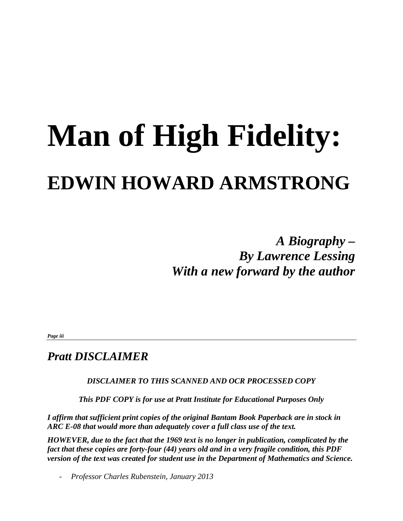# **Man of High Fidelity: EDWIN HOWARD ARMSTRONG**

*A Biography – By Lawrence Lessing With a new forward by the author* 

*Page iii* 

#### *Pratt DISCLAIMER*

*DISCLAIMER TO THIS SCANNED AND OCR PROCESSED COPY* 

*This PDF COPY is for use at Pratt Institute for Educational Purposes Only* 

*I affirm that sufficient print copies of the original Bantam Book Paperback are in stock in ARC E-08 that would more than adequately cover a full class use of the text.* 

*HOWEVER, due to the fact that the 1969 text is no longer in publication, complicated by the fact that these copies are forty-four (44) years old and in a very fragile condition, this PDF version of the text was created for student use in the Department of Mathematics and Science.* 

- *Professor Charles Rubenstein, January 2013*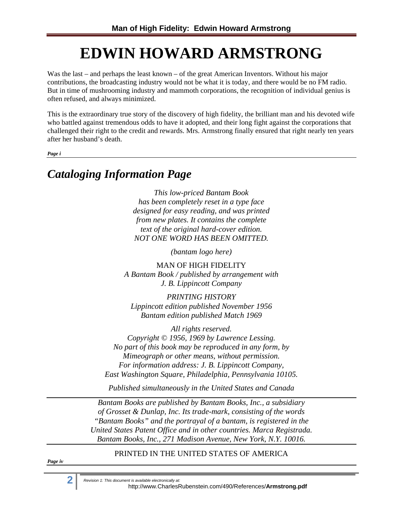## **EDWIN HOWARD ARMSTRONG**

Was the last – and perhaps the least known – of the great American Inventors. Without his major contributions, the broadcasting industry would not be what it is today, and there would be no FM radio. But in time of mushrooming industry and mammoth corporations, the recognition of individual genius is often refused, and always minimized.

This is the extraordinary true story of the discovery of high fidelity, the brilliant man and his devoted wife who battled against tremendous odds to have it adopted, and their long fight against the corporations that challenged their right to the credit and rewards. Mrs. Armstrong finally ensured that right nearly ten years after her husband's death.

*Page i* 

#### *Cataloging Information Page*

*This low-priced Bantam Book has been completely reset in a type face designed for easy reading, and was printed from new plates. It contains the complete text of the original hard-cover edition. NOT ONE WORD HAS BEEN OMITTED.* 

*(bantam logo here)* 

MAN OF HIGH FIDELITY *A Bantam Book / published by arrangement with J. B. Lippincott Company* 

*PRINTING HISTORY Lippincott edition published November 1956 Bantam edition published Match 1969* 

*All rights reserved. Copyright © 1956, 1969 by Lawrence Lessing. No part of this book may be reproduced in any form, by Mimeograph or other means, without permission. For information address: J. B. Lippincott Company, East Washington Square, Philadelphia, Pennsylvania 10105.* 

*Published simultaneously in the United States and Canada* 

*Bantam Books are published by Bantam Books, Inc., a subsidiary of Grosset & Dunlap, Inc. Its trade-mark, consisting of the words "Bantam Books" and the portrayal of a bantam, is registered in the United States Patent Office and in other countries. Marca Registrada. Bantam Books, Inc., 271 Madison Avenue, New York, N.Y. 10016.* 

PRINTED IN THE UNITED STATES OF AMERICA

*Page iv* 

**2** *Revision 1: This document is available electronically at:* http://www.CharlesRubenstein.com/490/References/**Armstrong.pdf**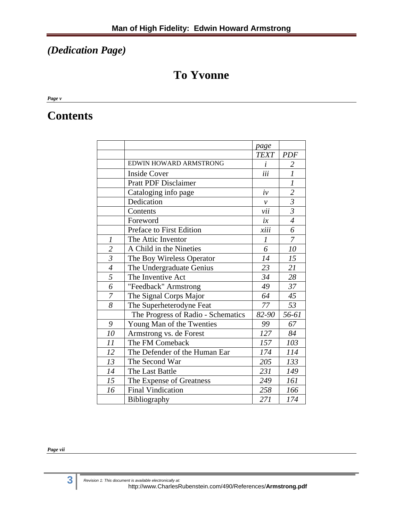#### *(Dedication Page)*

#### **To Yvonne**

*Page v* 

#### **Contents**

|                |                                    | page              |                             |
|----------------|------------------------------------|-------------------|-----------------------------|
|                |                                    | <b>TEXT</b>       | <b>PDF</b>                  |
|                | EDWIN HOWARD ARMSTRONG             | $\dot{i}$         | 2                           |
|                | <b>Inside Cover</b>                | iii               | $\overline{l}$              |
|                | <b>Pratt PDF Disclaimer</b>        |                   | $\mathcal{I}_{\mathcal{I}}$ |
|                | Cataloging info page               | $\dot{v}$         | $\overline{2}$              |
|                | Dedication                         | $\mathcal{V}$     | $\overline{\mathfrak{z}}$   |
|                | Contents                           | vii               | $\mathfrak{Z}$              |
|                | Foreword                           | ix                | $\overline{\mathcal{A}}$    |
|                | Preface to First Edition           | $\overline{xiii}$ | 6                           |
| 1              | The Attic Inventor                 | $\boldsymbol{l}$  | $\overline{7}$              |
| $\overline{c}$ | A Child in the Nineties            | 6                 | 10                          |
| $\overline{3}$ | The Boy Wireless Operator          | 14                | 15                          |
| $\overline{4}$ | The Undergraduate Genius           | 23                | 21                          |
| $\overline{5}$ | The Inventive Act                  | 34                | $\overline{28}$             |
| 6              | "Feedback" Armstrong               | 49                | 37                          |
| $\overline{7}$ | The Signal Corps Major             | 64                | 45                          |
| 8              | The Superheterodyne Feat           | 77                | 53                          |
|                | The Progress of Radio - Schematics | 82-90             | 56-61                       |
| 9              | Young Man of the Twenties          | 99                | 67                          |
| 10             | Armstrong vs. de Forest            | 127               | 84                          |
| 11             | The FM Comeback                    | 157               | 103                         |
| 12             | The Defender of the Human Ear      | 174               | 114                         |
| 13             | The Second War                     | 205               | 133                         |
| 14             | The Last Battle                    | 231               | 149                         |
| 15             | The Expense of Greatness           | 249               | 161                         |
| 16             | <b>Final Vindication</b>           | 258               | 166                         |
|                | Bibliography                       | 271               | 174                         |

#### *Page vii*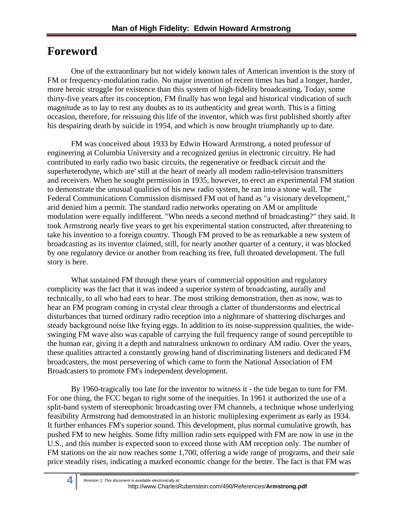### **Foreword**

One of the extraordinary but not widely known tales of American invention is the story of FM or frequency-modulation radio. No major invention of recent times has had a longer, harder, more heroic struggle for existence than this system of high-fidelity broadcasting. Today, some thirty-five years after its conception, FM finally has won legal and historical vindication of such magnitude as to lay to rest any doubts as to its authenticity and great worth. This is a fitting occasion, therefore, for reissuing this life of the inventor, which was first published shortly after his despairing death by suicide in 1954, and which is now brought triumphantly up to date.

FM was conceived about 1933 by Edwin Howard Armstrong, a noted professor of engineering at Columbia University and a recognized genius in electronic circuitry. He had contributed to early radio two basic circuits, the regenerative or feedback circuit and the superheterodyne, which are' still at the heart of nearly all modem radio-television transmitters and receivers. When he sought permission in 1935, however, to erect an experimental FM station to demonstrate the unusual qualities of his new radio system, he ran into a stone wall. The Federal Communications Commission dismissed FM out of hand as "a visionary development," arid denied him a permit. The standard radio networks operating on AM or amplitude modulation were equally indifferent. "Who needs a second method of broadcasting?" they said. It took Armstrong nearly five years to get his experimental station constructed, after threatening to take his invention to a foreign country. Though FM proved to be as remarkable a new system of broadcasting as its inventor claimed, still, for nearly another quarter of a century, it was blocked by one regulatory device or another from reaching its free, full throated development. The full story is here.

What sustained FM through these years of commercial opposition and regulatory complicity was the fact that it was indeed a superior system of broadcasting, aurally and technically, to all who had ears to hear. The most striking demonstration, then as now, was to hear an FM program coming in crystal clear through a clatter of thunderstorms and electrical disturbances that turned ordinary radio reception into a nightmare of shattering discharges and steady background noise like frying eggs. In addition to its noise-suppression qualities, the wideswinging FM wave also was capable of carrying the full frequency range of sound perceptible to the human ear, giving it a depth and naturalness unknown to ordinary AM radio. Over the years, these qualities attracted a constantly growing band of discriminating listeners and dedicated FM broadcasters, the most persevering of which came to form the National Association of FM Broadcasters to promote FM's independent development.

By 1960-tragically too late for the inventor to witness it - the tide began to turn for FM. For one thing, the FCC began to right some of the inequities. In 1961 it authorized the use of a split-band system of stereophonic broadcasting over FM channels, a technique whose underlying feasibility Armstrong had demonstrated in an historic multiplexing experiment as early as 1934. It further enhances FM's superior sound. This development, plus normal cumulative growth, has pushed FM to new heights. Some fifty million radio sets equipped with FM are now in use in the U.S., and this number is expected soon to exceed those with AM reception only. The number of FM stations on the air now reaches some 1,700, offering a wide range of programs, and their sale price steadily rises, indicating a marked economic change for the better. The fact is that FM was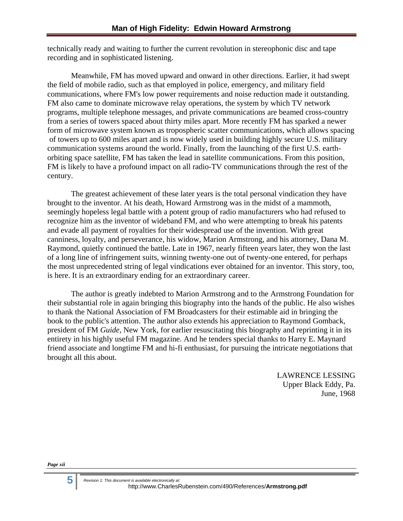technically ready and waiting to further the current revolution in stereophonic disc and tape recording and in sophisticated listening.

Meanwhile, FM has moved upward and onward in other directions. Earlier, it had swept the field of mobile radio, such as that employed in police, emergency, and military field communications, where FM's low power requirements and noise reduction made it outstanding. FM also came to dominate microwave relay operations, the system by which TV network programs, multiple telephone messages, and private communications are beamed cross-country from a series of towers spaced about thirty miles apart. More recently FM has sparked a newer form of microwave system known as tropospheric scatter communications, which allows spacing of towers up to 600 miles apart and is now widely used in building highly secure U.S. military communication systems around the world. Finally, from the launching of the first U.S. earthorbiting space satellite, FM has taken the lead in satellite communications. From this position, FM is likely to have a profound impact on all radio-TV communications through the rest of the century.

The greatest achievement of these later years is the total personal vindication they have brought to the inventor. At his death, Howard Armstrong was in the midst of a mammoth, seemingly hopeless legal battle with a potent group of radio manufacturers who had refused to recognize him as the inventor of wideband FM, and who were attempting to break his patents and evade all payment of royalties for their widespread use of the invention. With great canniness, loyalty, and perseverance, his widow, Marion Armstrong, and his attorney, Dana M. Raymond, quietly continued the battle. Late in 1967, nearly fifteen years later, they won the last of a long line of infringement suits, winning twenty-one out of twenty-one entered, for perhaps the most unprecedented string of legal vindications ever obtained for an inventor. This story, too, is here. It is an extraordinary ending for an extraordinary career.

The author is greatly indebted to Marion Armstrong and to the Armstrong Foundation for their substantial role in again bringing this biography into the hands of the public. He also wishes to thank the National Association of FM Broadcasters for their estimable aid in bringing the book to the public's attention. The author also extends his appreciation to Raymond Gomback, president of FM *Guide,* New York, for earlier resuscitating this biography and reprinting it in its entirety in his highly useful FM magazine. And he tenders special thanks to Harry E. Maynard friend associate and longtime FM and hi-fi enthusiast, for pursuing the intricate negotiations that brought all this about.

> LAWRENCE LESSING Upper Black Eddy, Pa. June, 1968

*Page xii*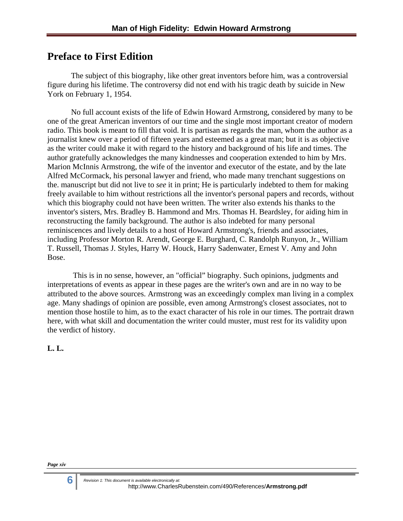#### **Preface to First Edition**

The subject of this biography, like other great inventors before him, was a controversial figure during his lifetime. The controversy did not end with his tragic death by suicide in New York on February 1, 1954.

No full account exists of the life of Edwin Howard Armstrong, considered by many to be one of the great American inventors of our time and the single most important creator of modern radio. This book is meant to fill that void. It is partisan as regards the man, whom the author as a journalist knew over a period of fifteen years and esteemed as a great man; but it is as objective as the writer could make it with regard to the history and background of his life and times. The author gratefully acknowledges the many kindnesses and cooperation extended to him by Mrs. Marion McInnis Armstrong, the wife of the inventor and executor of the estate, and by the late Alfred McCormack, his personal lawyer and friend, who made many trenchant suggestions on the. manuscript but did not live to *see* it in print; He is particularly indebted to them for making freely available to him without restrictions all the inventor's personal papers and records, without which this biography could not have been written. The writer also extends his thanks to the inventor's sisters, Mrs. Bradley B. Hammond and Mrs. Thomas H. Beardsley, for aiding him in reconstructing the family background. The author is also indebted for many personal reminiscences and lively details to a host of Howard Armstrong's, friends and associates, including Professor Morton R. Arendt, George E. Burghard, C. Randolph Runyon, Jr., William T. Russell, Thomas J. Styles, Harry W. Houck, Harry Sadenwater, Ernest V. Amy and John Bose.

 This is in no sense, however, an "official" biography. Such opinions, judgments and interpretations of events as appear in these pages are the writer's own and are in no way to be attributed to the above sources. Armstrong was an exceedingly complex man living in a complex age. Many shadings of opinion are possible, even among Armstrong's closest associates, not to mention those hostile to him, as to the exact character of his role in our times. The portrait drawn here, with what skill and documentation the writer could muster, must rest for its validity upon the verdict of history.

**L. L.**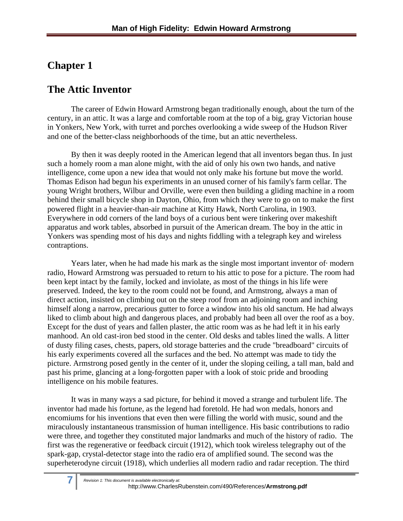#### **Chapter 1**

#### **The Attic Inventor**

The career of Edwin Howard Armstrong began traditionally enough, about the turn of the century, in an attic. It was a large and comfortable room at the top of a big, gray Victorian house in Yonkers, New York, with turret and porches overlooking a wide sweep of the Hudson River and one of the better-class neighborhoods of the time, but an attic nevertheless.

By then it was deeply rooted in the American legend that all inventors began thus. In just such a homely room a man alone might, with the aid of only his own two hands, and native intelligence, come upon a new idea that would not only make his fortune but move the world. Thomas Edison had begun his experiments in an unused corner of his family's farm cellar. The young Wright brothers, Wilbur and Orville, were even then building a gliding machine in a room behind their small bicycle shop in Dayton, Ohio, from which they were to go on to make the first powered flight in a heavier-than-air machine at Kitty Hawk, North Carolina, in 1903. Everywhere in odd corners of the land boys of a curious bent were tinkering over makeshift apparatus and work tables, absorbed in pursuit of the American dream. The boy in the attic in Yonkers was spending most of his days and nights fiddling with a telegraph key and wireless contraptions.

Years later, when he had made his mark as the single most important inventor of· modern radio, Howard Armstrong was persuaded to return to his attic to pose for a picture. The room had been kept intact by the family, locked and inviolate, as most of the things in his life were preserved. Indeed, the key to the room could not be found, and Armstrong, always a man of direct action, insisted on climbing out on the steep roof from an adjoining room and inching himself along a narrow, precarious gutter to force a window into his old sanctum. He had always liked to climb about high and dangerous places, and probably had been all over the roof as a boy. Except for the dust of years and fallen plaster, the attic room was as he had left it in his early manhood. An old cast-iron bed stood in the center. Old desks and tables lined the walls. A litter of dusty filing cases, chests, papers, old storage batteries and the crude "breadboard" circuits of his early experiments covered all the surfaces and the bed. No attempt was made to tidy the picture. Armstrong posed gently in the center of it, under the sloping ceiling, a tall man, bald and past his prime, glancing at a long-forgotten paper with a look of stoic pride and brooding intelligence on his mobile features.

It was in many ways a sad picture, for behind it moved a strange and turbulent life. The inventor had made his fortune, as the legend had foretold. He had won medals, honors and encomiums for his inventions that even then were filling the world with music, sound and the miraculously instantaneous transmission of human intelligence. His basic contributions to radio were three, and together they constituted major landmarks and much of the history of radio. The first was the regenerative or feedback circuit (1912), which took wireless telegraphy out of the spark-gap, crystal-detector stage into the radio era of amplified sound. The second was the superheterodyne circuit (1918), which underlies all modern radio and radar reception. The third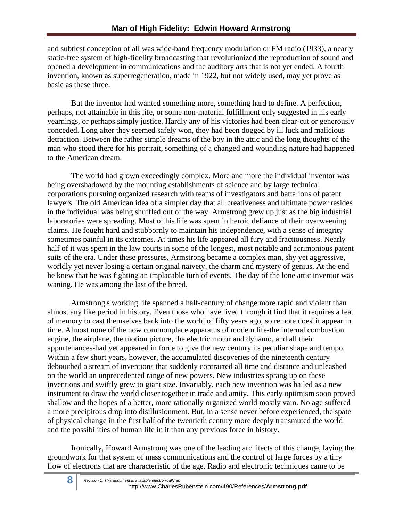and subtlest conception of all was wide-band frequency modulation or FM radio (1933), a nearly static-free system of high-fidelity broadcasting that revolutionized the reproduction of sound and opened a development in communications and the auditory arts that is not yet ended. A fourth invention, known as superregeneration, made in 1922, but not widely used, may yet prove as basic as these three.

But the inventor had wanted something more, something hard to define. A perfection, perhaps, not attainable in this life, or some non-material fulfillment only suggested in his early yearnings, or perhaps simply justice. Hardly any of his victories had been clear-cut or generously conceded. Long after they seemed safely won, they had been dogged by ill luck and malicious detraction. Between the rather simple dreams of the boy in the attic and the long thoughts of the man who stood there for his portrait, something of a changed and wounding nature had happened to the American dream.

The world had grown exceedingly complex. More and more the individual inventor was being overshadowed by the mounting establishments of science and by large technical corporations pursuing organized research with teams of investigators and battalions of patent lawyers. The old American idea of a simpler day that all creativeness and ultimate power resides in the individual was being shuffled out of the way. Armstrong grew up just as the big industrial laboratories were spreading. Most of his life was spent in heroic defiance of their overweening claims. He fought hard and stubbornly to maintain his independence, with a sense of integrity sometimes painful in its extremes. At times his life appeared all fury and fractiousness. Nearly half of it was spent in the law courts in some of the longest, most notable and acrimonious patent suits of the era. Under these pressures, Armstrong became a complex man, shy yet aggressive, worldly yet never losing a certain original naivety, the charm and mystery of genius. At the end he knew that he was fighting an implacable turn of events. The day of the lone attic inventor was waning. He was among the last of the breed.

Armstrong's working life spanned a half-century of change more rapid and violent than almost any like period in history. Even those who have lived through it find that it requires a feat of memory to cast themselves back into the world of fifty years ago, so remote does' it appear in time. Almost none of the now commonplace apparatus of modem life-the internal combustion engine, the airplane, the motion picture, the electric motor and dynamo, and all their appurtenances-had yet appeared in force to give the new century its peculiar shape and tempo. Within a few short years, however, the accumulated discoveries of the nineteenth century debouched a stream of inventions that suddenly contracted all time and distance and unleashed on the world an unprecedented range of new powers. New industries sprang up on these inventions and swiftly grew to giant size. Invariably, each new invention was hailed as a new instrument to draw the world closer together in trade and amity. This early optimism soon proved shallow and the hopes of a better, more rationally organized world mostly vain. No age suffered a more precipitous drop into disillusionment. But, in a sense never before experienced, the spate of physical change in the first half of the twentieth century more deeply transmuted the world and the possibilities of human life in it than any previous force in history.

Ironically, Howard Armstrong was one of the leading architects of this change, laying the groundwork for that system of mass communications and the control of large forces by a tiny flow of electrons that are characteristic of the age. Radio and electronic techniques came to be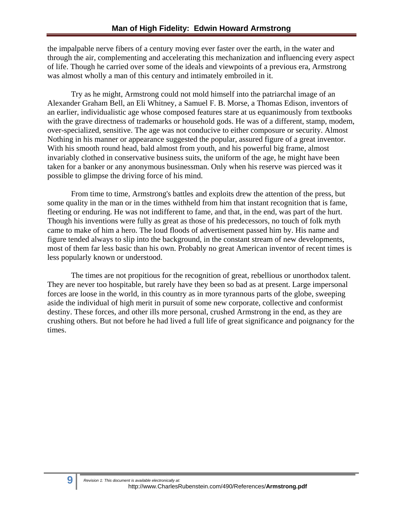the impalpable nerve fibers of a century moving ever faster over the earth, in the water and through the air, complementing and accelerating this mechanization and influencing every aspect of life. Though he carried over some of the ideals and viewpoints of a previous era, Armstrong was almost wholly a man of this century and intimately embroiled in it.

Try as he might, Armstrong could not mold himself into the patriarchal image of an Alexander Graham Bell, an Eli Whitney, a Samuel F. B. Morse, a Thomas Edison, inventors of an earlier, individualistic age whose composed features stare at us equanimously from textbooks with the grave directness of trademarks or household gods. He was of a different, stamp, modem, over-specialized, sensitive. The age was not conducive to either composure or security. Almost Nothing in his manner or appearance suggested the popular, assured figure of a great inventor. With his smooth round head, bald almost from youth, and his powerful big frame, almost invariably clothed in conservative business suits, the uniform of the age, he might have been taken for a banker or any anonymous businessman. Only when his reserve was pierced was it possible to glimpse the driving force of his mind.

From time to time, Armstrong's battles and exploits drew the attention of the press, but some quality in the man or in the times withheld from him that instant recognition that is fame, fleeting or enduring. He was not indifferent to fame, and that, in the end, was part of the hurt. Though his inventions were fully as great as those of his predecessors, no touch of folk myth came to make of him a hero. The loud floods of advertisement passed him by. His name and figure tended always to slip into the background, in the constant stream of new developments, most of them far less basic than his own. Probably no great American inventor of recent times is less popularly known or understood.

The times are not propitious for the recognition of great, rebellious or unorthodox talent. They are never too hospitable, but rarely have they been so bad as at present. Large impersonal forces are loose in the world, in this country as in more tyrannous parts of the globe, sweeping aside the individual of high merit in pursuit of some new corporate, collective and conformist destiny. These forces, and other ills more personal, crushed Armstrong in the end, as they are crushing others. But not before he had lived a full life of great significance and poignancy for the times.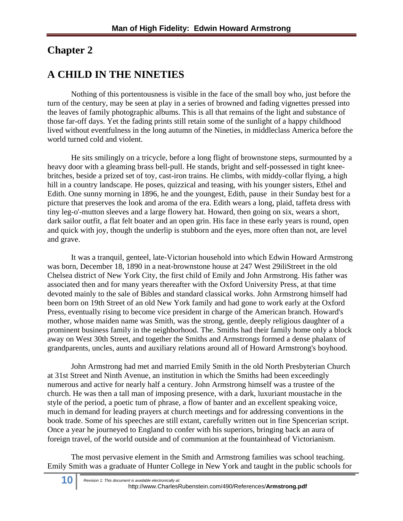#### **Chapter 2**

#### **A CHILD IN THE NINETIES**

Nothing of this portentousness is visible in the face of the small boy who, just before the turn of the century, may be seen at play in a series of browned and fading vignettes pressed into the leaves of family photographic albums. This is all that remains of the light and substance of those far-off days. Yet the fading prints still retain some of the sunlight of a happy childhood lived without eventfulness in the long autumn of the Nineties, in middleclass America before the world turned cold and violent.

He sits smilingly on a tricycle, before a long flight of brownstone steps, surmounted by a heavy door with a gleaming brass bell-pull. He stands, bright and self-possessed in tight kneebritches, beside a prized set of toy, cast-iron trains. He climbs, with middy-collar flying, a high hill in a country landscape. He poses, quizzical and teasing, with his younger sisters, Ethel and Edith. One sunny morning in 1896, he and the youngest, Edith, pause in their Sunday best for a picture that preserves the look and aroma of the era. Edith wears a long, plaid, taffeta dress with tiny leg-o'-mutton sleeves and a large flowery hat. Howard, then going on six, wears a short, dark sailor outfit, a flat felt boater and an open grin. His face in these early years is round, open and quick with joy, though the underlip is stubborn and the eyes, more often than not, are level and grave.

It was a tranquil, genteel, late-Victorian household into which Edwin Howard Armstrong was born, December 18, 1890 in a neat-brownstone house at 247 West 29iliStreet in the old Chelsea district of New York City, the first child of Emily and John Armstrong. His father was associated then and for many years thereafter with the Oxford University Press, at that time devoted mainly to the sale of Bibles and standard classical works. John Armstrong himself had been born on 19th Street of an old New York family and had gone to work early at the Oxford Press, eventually rising to become vice president in charge of the American branch. Howard's mother, whose maiden name was Smith, was the strong, gentle, deeply religious daughter of a prominent business family in the neighborhood. The. Smiths had their family home only a block away on West 30th Street, and together the Smiths and Armstrongs formed a dense phalanx of grandparents, uncles, aunts and auxiliary relations around all of Howard Armstrong's boyhood.

John Armstrong had met and married Emily Smith in the old North Presbyterian Church at 31st Street and Ninth Avenue, an institution in which the Smiths had been exceedingly numerous and active for nearly half a century. John Armstrong himself was a trustee of the church. He was then a tall man of imposing presence, with a dark, luxuriant moustache in the style of the period, a poetic tum of phrase, a flow of banter and an excellent speaking voice, much in demand for leading prayers at church meetings and for addressing conventions in the book trade. Some of his speeches are still extant, carefully written out in fine Spencerian script. Once a year he journeyed to England to confer with his superiors, bringing back an aura of foreign travel, of the world outside and of communion at the fountainhead of Victorianism.

The most pervasive element in the Smith and Armstrong families was school teaching. Emily Smith was a graduate of Hunter College in New York and taught in the public schools for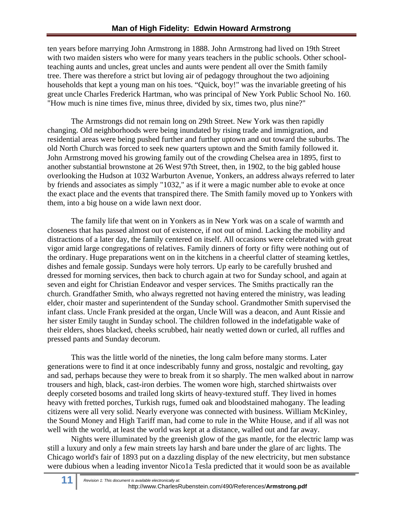ten years before marrying John Armstrong in 1888. John Armstrong had lived on 19th Street with two maiden sisters who were for many years teachers in the public schools. Other schoolteaching aunts and uncles, great uncles and aunts were pendent all over the Smith family tree. There was therefore a strict but loving air of pedagogy throughout the two adjoining households that kept a young man on his toes. "Quick, boy!" was the invariable greeting of his great uncle Charles Frederick Hartman, who was principal of New York Public School No. 160*.*  "How much is nine times five, minus three, divided by six, times two, plus nine?"

The Armstrongs did not remain long on 29th Street. New York was then rapidly changing. Old neighborhoods were being inundated by rising trade and immigration, and residential areas were being pushed further and further uptown and out toward the suburbs. The old North Church was forced to seek new quarters uptown and the Smith family followed it. John Armstrong moved his growing family out of the crowding Chelsea area in 1895, first to another substantial brownstone at 26 West 97th Street, then, in 1902, to the big gabled house overlooking the Hudson at 1032 Warburton Avenue, Yonkers, an address always referred to later by friends and associates as simply "1032," as if it were a magic number able to evoke at once the exact place and the events that transpired there. The Smith family moved up to Yonkers with them, into a big house on a wide lawn next door.

The family life that went on in Yonkers as in New York was on a scale of warmth and closeness that has passed almost out of existence, if not out of mind. Lacking the mobility and distractions of a later day, the family centered on itself. All occasions were celebrated with great vigor amid large congregations of relatives. Family dinners of forty or fifty were nothing out of the ordinary. Huge preparations went on in the kitchens in a cheerful clatter of steaming kettles, dishes and female gossip. Sundays were holy terrors. Up early to be carefully brushed and dressed for morning services, then back to church again at two for Sunday school, and again at seven and eight for Christian Endeavor and vesper services. The Smiths practically ran the church. Grandfather Smith, who always regretted not having entered the ministry, was leading elder, choir master and superintendent of the Sunday school. Grandmother Smith supervised the infant class. Uncle Frank presided at the organ, Uncle Will was a deacon, and Aunt Rissie and her sister Emily taught in Sunday school. The children followed in the indefatigable wake of their elders, shoes blacked, cheeks scrubbed, hair neatly wetted down or curled, all ruffles and pressed pants and Sunday decorum.

This was the little world of the nineties, the long calm before many storms. Later generations were to find it at once indescribably funny and gross, nostalgic and revolting, gay and sad, perhaps because they were to break from it so sharply. The men walked about in narrow trousers and high, black, cast-iron derbies. The women wore high, starched shirtwaists over deeply corseted bosoms and trailed long skirts of heavy-textured stuff. They lived in homes heavy with fretted porches, Turkish rugs, fumed oak and bloodstained mahogany. The leading citizens were all very solid. Nearly everyone was connected with business. William McKinley, the Sound Money and High Tariff man, had come to rule in the White House, and if all was not well with the world, at least the world was kept at a distance, walled out and far away.

Nights were illuminated by the greenish glow of the gas mantle, for the electric lamp was still a luxury and only a few main streets lay harsh and bare under the glare of arc lights. The Chicago world's fair of 1893 put on a dazzling display of the new electricity, but men substance were dubious when a leading inventor Nico1a Tesla predicted that it would soon be as available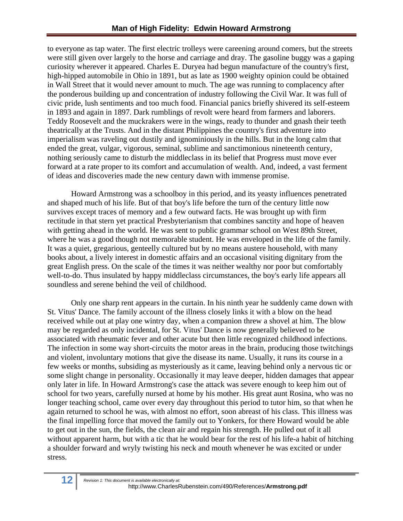to everyone as tap water. The first electric trolleys were careening around comers, but the streets were still given over largely to the horse and carriage and dray. The gasoline buggy was a gaping curiosity wherever it appeared. Charles E. Duryea had begun manufacture of the country's first, high-hipped automobile in Ohio in 1891, but as late as 1900 weighty opinion could be obtained in Wall Street that it would never amount to much. The age was running to complacency after the ponderous building up and concentration of industry following the Civil War. It was full of civic pride, lush sentiments and too much food. Financial panics briefly shivered its self-esteem in 1893 and again in 1897. Dark rumblings of revolt were heard from farmers and laborers. Teddy Roosevelt and the muckrakers were in the wings, ready to thunder and gnash their teeth theatrically at the Trusts. And in the distant Philippines the country's first adventure into imperialism was raveling out dustily and ignominiously in the hills. But in the long calm that ended the great, vulgar, vigorous, seminal, sublime and sanctimonious nineteenth century, nothing seriously came to disturb the middleclass in its belief that Progress must move ever forward at a rate proper to its comfort and accumulation of wealth. And, indeed, a vast ferment of ideas and discoveries made the new century dawn with immense promise.

Howard Armstrong was a schoolboy in this period, and its yeasty influences penetrated and shaped much of his life. But of that boy's life before the turn of the century little now survives except traces of memory and a few outward facts. He was brought up with firm rectitude in that stern yet practical Presbyterianism that combines sanctity and hope of heaven with getting ahead in the world. He was sent to public grammar school on West 89th Street, where he was a good though not memorable student. He was enveloped in the life of the family. It was a quiet, gregarious, genteelly cultured but by no means austere household, with many books about, a lively interest in domestic affairs and an occasional visiting dignitary from the great English press. On the scale of the times it was neither wealthy nor poor but comfortably well-to-do. Thus insulated by happy middleclass circumstances, the boy's early life appears all soundless and serene behind the veil of childhood.

Only one sharp rent appears in the curtain. In his ninth year he suddenly came down with St. Vitus' Dance. The family account of the illness closely links it with a blow on the head received while out at play one wintry day, when a companion threw a shovel at him. The blow may be regarded as only incidental, for St. Vitus' Dance is now generally believed to be associated with rheumatic fever and other acute but then little recognized childhood infections. The infection in some way short-circuits the motor areas in the brain, producing those twitchings and violent, involuntary motions that give the disease its name. Usually, it runs its course in a few weeks or months, subsiding as mysteriously as it came, leaving behind only a nervous tic or some slight change in personality. Occasionally it may leave deeper, hidden damages that appear only later in life. In Howard Armstrong's case the attack was severe enough to keep him out of school for two years, carefully nursed at home by his mother. His great aunt Rosina, who was no longer teaching school, came over every day throughout this period to tutor him, so that when he again returned to school he was, with almost no effort, soon abreast of his class. This illness was the final impelling force that moved the family out to Yonkers, for there Howard would be able to get out in the sun, the fields, the clean air and regain his strength. He pulled out of it all without apparent harm, but with a tic that he would bear for the rest of his life-a habit of hitching a shoulder forward and wryly twisting his neck and mouth whenever he was excited or under stress.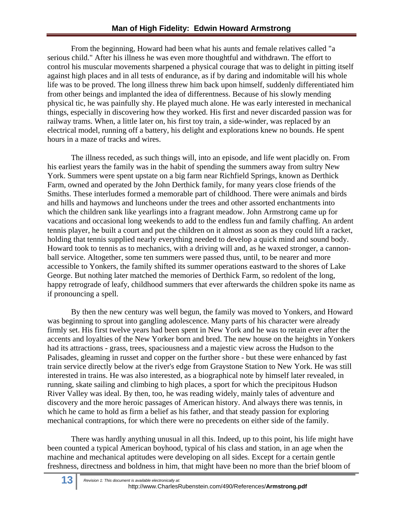From the beginning, Howard had been what his aunts and female relatives called "a serious child." After his illness he was even more thoughtful and withdrawn. The effort to control his muscular movements sharpened a physical courage that was to delight in pitting itself against high places and in all tests of endurance, as if by daring and indomitable will his whole life was to be proved. The long illness threw him back upon himself, suddenly differentiated him from other beings and implanted the idea of differentness. Because of his slowly mending physical tic, he was painfully shy. He played much alone. He was early interested in mechanical things, especially in discovering how they worked. His first and never discarded passion was for railway trams. When, a little later on, his first toy train, a side-winder, was replaced by an electrical model, running off a battery, his delight and explorations knew no bounds. He spent hours in a maze of tracks and wires.

The illness receded, as such things will, into an episode, and life went placidly on. From his earliest years the family was in the habit of spending the summers away from sultry New York. Summers were spent upstate on a big farm near Richfield Springs, known as Derthick Farm, owned and operated by the John Derthick family, for many years close friends of the Smiths. These interludes formed a memorable part of childhood. There were animals and birds and hills and haymows and luncheons under the trees and other assorted enchantments into which the children sank like yearlings into a fragrant meadow. John Armstrong came up for vacations and occasional long weekends to add to the endless fun and family chaffing. An ardent tennis player, he built a court and put the children on it almost as soon as they could lift a racket, holding that tennis supplied nearly everything needed to develop a quick mind and sound body. Howard took to tennis as to mechanics, with a driving will and, as he waxed stronger, a cannonball service. Altogether, some ten summers were passed thus, until, to be nearer and more accessible to Yonkers, the family shifted its summer operations eastward to the shores of Lake George. But nothing later matched the memories of Derthick Farm, so redolent of the long, happy retrograde of leafy, childhood summers that ever afterwards the children spoke its name as if pronouncing a spell.

By then the new century was well begun, the family was moved to Yonkers, and Howard was beginning to sprout into gangling adolescence. Many parts of his character were already firmly set. His first twelve years had been spent in New York and he was to retain ever after the accents and loyalties of the New Yorker born and bred. The new house on the heights in Yonkers had its attractions - grass, trees, spaciousness and a majestic view across the Hudson to the Palisades, gleaming in russet and copper on the further shore - but these were enhanced by fast train service directly below at the river's edge from Graystone Station to New York. He was still interested in trains. He was also interested, as a biographical note by himself later revealed, in running, skate sailing and climbing to high places, a sport for which the precipitous Hudson River Valley was ideal. By then, too, he was reading widely, mainly tales of adventure and discovery and the more heroic passages of American history. And always there was tennis, in which he came to hold as firm a belief as his father, and that steady passion for exploring mechanical contraptions, for which there were no precedents on either side of the family.

There was hardly anything unusual in all this. Indeed, up to this point, his life might have been counted a typical American boyhood, typical of his class and station, in an age when the machine and mechanical aptitudes were developing on all sides. Except for a certain gentle freshness, directness and boldness in him, that might have been no more than the brief bloom of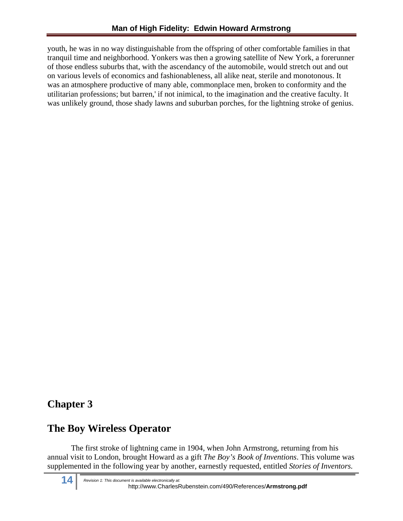youth, he was in no way distinguishable from the offspring of other comfortable families in that tranquil time and neighborhood. Yonkers was then a growing satellite of New York, a forerunner of those endless suburbs that, with the ascendancy of the automobile, would stretch out and out on various levels of economics and fashionableness, all alike neat, sterile and monotonous. It was an atmosphere productive of many able, commonplace men, broken to conformity and the utilitarian professions; but barren,' if not inimical, to the imagination and the creative faculty. It was unlikely ground, those shady lawns and suburban porches, for the lightning stroke of genius.

#### **Chapter 3**

#### **The Boy Wireless Operator**

The first stroke of lightning came in 1904, when John Armstrong, returning from his annual visit to London, brought Howard as a gift *The Boy's Book of Inventions*. This volume was supplemented in the following year by another, earnestly requested, entitled *Stories of Inventors.*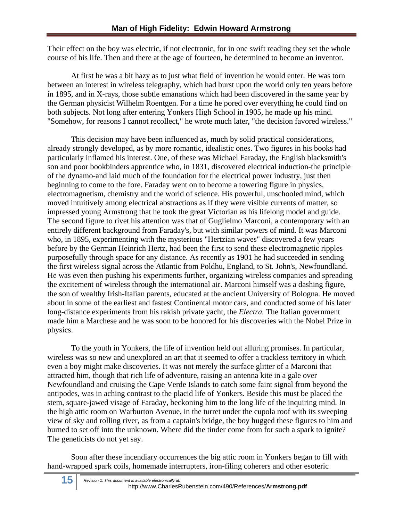Their effect on the boy was electric, if not electronic, for in one swift reading they set the whole course of his life. Then and there at the age of fourteen, he determined to become an inventor.

At first he was a bit hazy as to just what field of invention he would enter. He was torn between an interest in wireless telegraphy, which had burst upon the world only ten years before in 1895, and in X-rays, those subtle emanations which had been discovered in the same year by the German physicist Wilhelm Roentgen. For a time he pored over everything he could find on both subjects. Not long after entering Yonkers High School in 1905, he made up his mind. "Somehow, for reasons I cannot recollect," he wrote much later, "the decision favored wireless."

This decision may have been influenced as, much by solid practical considerations, already strongly developed, as by more romantic, idealistic ones. Two figures in his books had particularly inflamed his interest. One, of these was Michael Faraday, the English blacksmith's son and poor bookbinders apprentice who, in 1831, discovered electrical induction-the principle of the dynamo-and laid much of the foundation for the electrical power industry, just then beginning to come to the fore. Faraday went on to become a towering figure in physics, electromagnetism, chemistry and the world of science. His powerful, unschooled mind, which moved intuitively among electrical abstractions as if they were visible currents of matter, so impressed young Armstrong that he took the great Victorian as his lifelong model and guide. The second figure to rivet his attention was that of Guglielmo Marconi, a contemporary with an entirely different background from Faraday's, but with similar powers of mind. It was Marconi who, in 1895, experimenting with the mysterious "Hertzian waves" discovered a few years before by the German Heinrich Hertz, had been the first to send these electromagnetic ripples purposefully through space for any distance. As recently as 1901 he had succeeded in sending the first wireless signal across the Atlantic from Poldhu, England, to St. John's, Newfoundland. He was even then pushing his experiments further, organizing wireless companies and spreading the excitement of wireless through the international air. Marconi himself was a dashing figure, the son of wealthy Irish-Italian parents, educated at the ancient University of Bologna. He moved about in some of the earliest and fastest Continental motor cars, and conducted some of his later long-distance experiments from his rakish private yacht, the *Electra.* The Italian government made him a Marchese and he was soon to be honored for his discoveries with the Nobel Prize in physics.

To the youth in Yonkers, the life of invention held out alluring promises. In particular, wireless was so new and unexplored an art that it seemed to offer a trackless territory in which even a boy might make discoveries. It was not merely the surface glitter of a Marconi that attracted him, though that rich life of adventure, raising an antenna kite in a gale over Newfoundland and cruising the Cape Verde Islands to catch some faint signal from beyond the antipodes, was in aching contrast to the placid life of Yonkers. Beside this must be placed the stem, square-jawed visage of Faraday, beckoning him to the long life of the inquiring mind. In the high attic room on Warburton Avenue, in the turret under the cupola roof with its sweeping view of sky and rolling river, as from a captain's bridge, the boy hugged these figures to him and burned to set off into the unknown. Where did the tinder come from for such a spark to ignite? The geneticists do not yet say.

Soon after these incendiary occurrences the big attic room in Yonkers began to fill with hand-wrapped spark coils, homemade interrupters, iron-filing coherers and other esoteric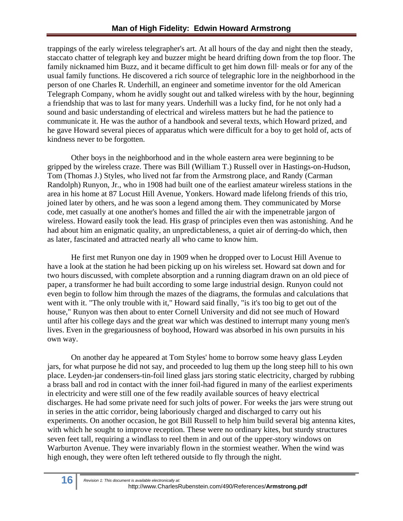trappings of the early wireless telegrapher's art. At all hours of the day and night then the steady, staccato chatter of telegraph key and buzzer might be heard drifting down from the top floor. The family nicknamed him Buzz, and it became difficult to get him down fill· meals or for any of the usual family functions. He discovered a rich source of telegraphic lore in the neighborhood in the person of one Charles R. Underhill, an engineer and sometime inventor for the old American Telegraph Company, whom he avidly sought out and talked wireless with by the hour, beginning a friendship that was to last for many years. Underhill was a lucky find, for he not only had a sound and basic understanding of electrical and wireless matters but he had the patience to communicate it. He was the author of a handbook and several texts, which Howard prized, and he gave Howard several pieces of apparatus which were difficult for a boy to get hold of, acts of kindness never to be forgotten.

Other boys in the neighborhood and in the whole eastern area were beginning to be gripped by the wireless craze. There was Bill (William T.) Russell over in Hastings-on-Hudson, Tom (Thomas J.) Styles, who lived not far from the Armstrong place, and Randy (Carman Randolph) Runyon, Jr., who in 1908 had built one of the earliest amateur wireless stations in the area in his home at 87 Locust Hill Avenue, Yonkers. Howard made lifelong friends of this trio, joined later by others, and he was soon a legend among them. They communicated by Morse code, met casually at one another's homes and filled the air with the impenetrable jargon of wireless. Howard easily took the lead. His grasp of principles even then was astonishing. And he had about him an enigmatic quality, an unpredictableness, a quiet air of derring-do which, then as later, fascinated and attracted nearly all who came to know him.

He first met Runyon one day in 1909 when he dropped over to Locust Hill Avenue to have a look at the station he had been picking up on his wireless set. Howard sat down and for two hours discussed, with complete absorption and a running diagram drawn on an old piece of paper, a transformer he had built according to some large industrial design. Runyon could not even begin to follow him through the mazes of the diagrams, the formulas and calculations that went with it. "The only trouble with it," Howard said finally, "is it's too big to get out of the house," Runyon was then about to enter Cornell University and did not see much of Howard until after his college days and the great war which was destined to interrupt many young men's lives. Even in the gregariousness of boyhood, Howard was absorbed in his own pursuits in his own way.

On another day he appeared at Tom Styles' home to borrow some heavy glass Leyden jars, for what purpose he did not say, and proceeded to lug them up the long steep hill to his own place. Leyden-jar condensers-tin-foil lined glass jars storing static electricity, charged by rubbing a brass ball and rod in contact with the inner foil-had figured in many of the earliest experiments in electricity and were still one of the few readily available sources of heavy electrical discharges. He had some private need for such jolts of power. For weeks the jars were strung out in series in the attic corridor, being laboriously charged and discharged to carry out his experiments. On another occasion, he got Bill Russell to help him build several big antenna kites, with which he sought to improve reception. These were no ordinary kites, but sturdy structures seven feet tall, requiring a windlass to reel them in and out of the upper-story windows on Warburton Avenue. They were invariably flown in the stormiest weather. When the wind was high enough, they were often left tethered outside to fly through the night.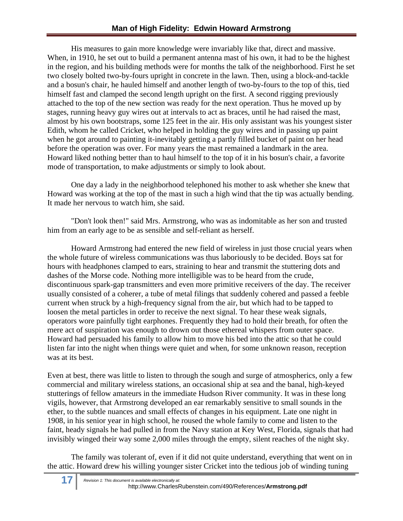His measures to gain more knowledge were invariably like that, direct and massive. When, in 1910, he set out to build a permanent antenna mast of his own, it had to be the highest in the region, and his building methods were for months the talk of the neighborhood. First he set two closely bolted two-by-fours upright in concrete in the lawn. Then, using a block-and-tackle and a bosun's chair, he hauled himself and another length of two-by-fours to the top of this, tied himself fast and clamped the second length upright on the first. A second rigging previously attached to the top of the new section was ready for the next operation. Thus he moved up by stages, running heavy guy wires out at intervals to act as braces, until he had raised the mast, almost by his own bootstraps, some 125 feet in the air. His only assistant was his youngest sister Edith, whom he called Cricket, who helped in holding the guy wires and in passing up paint when he got around to painting it-inevitably getting a partly filled bucket of paint on her head before the operation was over. For many years the mast remained a landmark in the area. Howard liked nothing better than to haul himself to the top of it in his bosun's chair, a favorite mode of transportation, to make adjustments or simply to look about.

One day a lady in the neighborhood telephoned his mother to ask whether she knew that Howard was working at the top of the mast in such a high wind that the tip was actually bending. It made her nervous to watch him, she said.

"Don't look then!" said Mrs. Armstrong, who was as indomitable as her son and trusted him from an early age to be as sensible and self-reliant as herself.

Howard Armstrong had entered the new field of wireless in just those crucial years when the whole future of wireless communications was thus laboriously to be decided. Boys sat for hours with headphones clamped to ears, straining to hear and transmit the stuttering dots and dashes of the Morse code. Nothing more intelligible was to be heard from the crude, discontinuous spark-gap transmitters and even more primitive receivers of the day. The receiver usually consisted of a coherer, a tube of metal filings that suddenly cohered and passed a feeble current when struck by a high-frequency signal from the air, but which had to be tapped to loosen the metal particles in order to receive the next signal. To hear these weak signals, operators wore painfully tight earphones. Frequently they had to hold their breath, for often the mere act of suspiration was enough to drown out those ethereal whispers from outer space. Howard had persuaded his family to allow him to move his bed into the attic so that he could listen far into the night when things were quiet and when, for some unknown reason, reception was at its best.

Even at best, there was little to listen to through the sough and surge of atmospherics, only a few commercial and military wireless stations, an occasional ship at sea and the banal, high-keyed stutterings of fellow amateurs in the immediate Hudson River community. It was in these long vigils, however, that Armstrong developed an ear remarkably sensitive to small sounds in the ether, to the subtle nuances and small effects of changes in his equipment. Late one night in 1908, in his senior year in high school, he roused the whole family to come and listen to the faint, heady signals he had pulled in from the Navy station at Key West, Florida, signals that had invisibly winged their way some 2,000 miles through the empty, silent reaches of the night sky.

The family was tolerant of, even if it did not quite understand, everything that went on in the attic. Howard drew his willing younger sister Cricket into the tedious job of winding tuning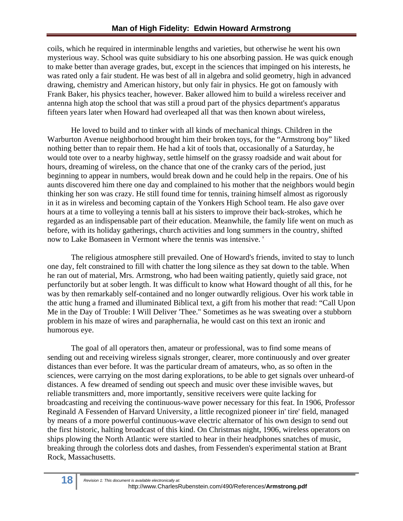coils, which he required in interminable lengths and varieties, but otherwise he went his own mysterious way. School was quite subsidiary to his one absorbing passion. He was quick enough to make better than average grades, but, except in the sciences that impinged on his interests, he was rated only a fair student. He was best of all in algebra and solid geometry, high in advanced drawing, chemistry and American history, but only fair in physics. He got on famously with Frank Baker, his physics teacher, however. Baker allowed him to build a wireless receiver and antenna high atop the school that was still a proud part of the physics department's apparatus fifteen years later when Howard had overleaped all that was then known about wireless,

He loved to build and to tinker with all kinds of mechanical things. Children in the Warburton Avenue neighborhood brought him their broken toys, for the "Armstrong boy" liked nothing better than to repair them. He had a kit of tools that, occasionally of a Saturday, he would tote over to a nearby highway, settle himself on the grassy roadside and wait about for hours, dreaming of wireless, on the chance that one of the cranky cars of the period, just beginning to appear in numbers, would break down and he could help in the repairs. One of his aunts discovered him there one day and complained to his mother that the neighbors would begin thinking her son was crazy. He still found time for tennis, training himself almost as rigorously in it as in wireless and becoming captain of the Yonkers High School team. He also gave over hours at a time to volleying a tennis ball at his sisters to improve their back-strokes, which he regarded as an indispensable part of their education. Meanwhile, the family life went on much as before, with its holiday gatherings, church activities and long summers in the country, shifted now to Lake Bomaseen in Vermont where the tennis was intensive. '

The religious atmosphere still prevailed. One of Howard's friends, invited to stay to lunch one day, felt constrained to fill with chatter the long silence as they sat down to the table. When he ran out of material, Mrs. Armstrong, who had been waiting patiently, quietly said grace, not perfunctorily but at sober length. It was difficult to know what Howard thought of all this, for he was by then remarkably self-contained and no longer outwardly religious. Over his work table in the attic hung a framed and illuminated Biblical text, a gift from his mother that read: "Call Upon Me in the Day of Trouble: I Will Deliver 'Thee." Sometimes as he was sweating over a stubborn problem in his maze of wires and paraphernalia, he would cast on this text an ironic and humorous eye.

The goal of all operators then, amateur or professional, was to find some means of sending out and receiving wireless signals stronger, clearer, more continuously and over greater distances than ever before. It was the particular dream of amateurs, who, as so often in the sciences, were carrying on the most daring explorations, to be able to get signals over unheard-of distances. A few dreamed of sending out speech and music over these invisible waves, but reliable transmitters and, more importantly, sensitive receivers were quite lacking for broadcasting and receiving the continuous-wave power necessary for this feat. In 1906, Professor Reginald A Fessenden of Harvard University, a little recognized pioneer in' tire' field, managed by means of a more powerful continuous-wave electric alternator of his own design to send out the first historic, halting broadcast of this kind. On Christmas night, 1906, wireless operators on ships plowing the North Atlantic were startled to hear in their headphones snatches of music, breaking through the colorless dots and dashes, from Fessenden's experimental station at Brant Rock, Massachusetts.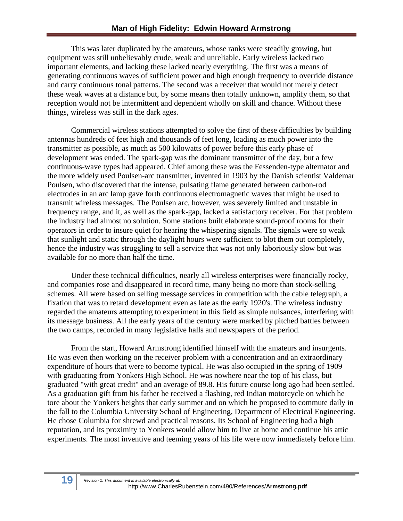This was later duplicated by the amateurs, whose ranks were steadily growing, but equipment was still unbelievably crude, weak and unreliable. Early wireless lacked two important elements, and lacking these lacked nearly everything. The first was a means of generating continuous waves of sufficient power and high enough frequency to override distance and carry continuous tonal patterns. The second was a receiver that would not merely detect these weak waves at a distance but, by some means then totally unknown, amplify them, so that reception would not be intermittent and dependent wholly on skill and chance. Without these things, wireless was still in the dark ages.

Commercial wireless stations attempted to solve the first of these difficulties by building antennas hundreds of feet high and thousands of feet long, loading as much power into the transmitter as possible, as much as 500 kilowatts of power before this early phase of development was ended. The spark-gap was the dominant transmitter of the day, but a few continuous-wave types had appeared. Chief among these was the Fessenden-type alternator and the more widely used Poulsen-arc transmitter, invented in 1903 by the Danish scientist Valdemar Poulsen, who discovered that the intense, pulsating flame generated between carbon-rod electrodes in an arc lamp gave forth continuous electromagnetic waves that might be used to transmit wireless messages. The Poulsen arc, however, was severely limited and unstable in frequency range, and it, as well as the spark-gap, lacked a satisfactory receiver. For that problem the industry had almost no solution. Some stations built elaborate sound-proof rooms for their operators in order to insure quiet for hearing the whispering signals. The signals were so weak that sunlight and static through the daylight hours were sufficient to blot them out completely, hence the industry was struggling to sell a service that was not only laboriously slow but was available for no more than half the time.

Under these technical difficulties, nearly all wireless enterprises were financially rocky, and companies rose and disappeared in record time, many being no more than stock-selling schemes. All were based on selling message services in competition with the cable telegraph, a fixation that was to retard development even as late as the early 1920's. The wireless industry regarded the amateurs attempting to experiment in this field as simple nuisances, interfering with its message business. All the early years of the century were marked by pitched battles between the two camps, recorded in many legislative halls and newspapers of the period.

From the start, Howard Armstrong identified himself with the amateurs and insurgents. He was even then working on the receiver problem with a concentration and an extraordinary expenditure of hours that were to become typical. He was also occupied in the spring of 1909 with graduating from Yonkers High School. He was nowhere near the top of his class, but graduated "with great credit" and an average of 89.8. His future course long ago had been settled. As a graduation gift from his father he received a flashing, red Indian motorcycle on which he tore about the Yonkers heights that early summer and on which he proposed to commute daily in the fall to the Columbia University School of Engineering, Department of Electrical Engineering. He chose Columbia for shrewd and practical reasons. Its School of Engineering had a high reputation, and its proximity to Yonkers would allow him to live at home and continue his attic experiments. The most inventive and teeming years of his life were now immediately before him.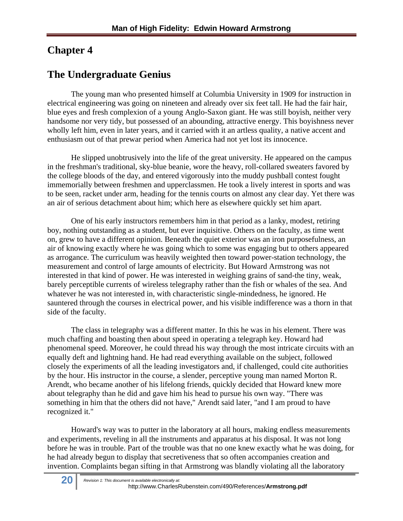#### **Chapter 4**

#### **The Undergraduate Genius**

The young man who presented himself at Columbia University in 1909 for instruction in electrical engineering was going on nineteen and already over six feet tall. He had the fair hair, blue eyes and fresh complexion of a young Anglo-Saxon giant. He was still boyish, neither very handsome nor very tidy, but possessed of an abounding, attractive energy. This boyishness never wholly left him, even in later years, and it carried with it an artless quality, a native accent and enthusiasm out of that prewar period when America had not yet lost its innocence.

He slipped unobtrusively into the life of the great university. He appeared on the campus in the freshman's traditional, sky-blue beanie, wore the heavy, roll-collared sweaters favored by the college bloods of the day, and entered vigorously into the muddy pushball contest fought immemorially between freshmen and upperclassmen. He took a lively interest in sports and was to be seen, racket under arm, heading for the tennis courts on almost any clear day. Yet there was an air of serious detachment about him; which here as elsewhere quickly set him apart.

One of his early instructors remembers him in that period as a lanky, modest, retiring boy, nothing outstanding as a student, but ever inquisitive. Others on the faculty, as time went on, grew to have a different opinion. Beneath the quiet exterior was an iron purposefulness, an air of knowing exactly where he was going which to some was engaging but to others appeared as arrogance. The curriculum was heavily weighted then toward power-station technology, the measurement and control of large amounts of electricity. But Howard Armstrong was not interested in that kind of power. He was interested in weighing grains of sand-the tiny, weak, barely perceptible currents of wireless telegraphy rather than the fish or whales of the sea. And whatever he was not interested in, with characteristic single-mindedness, he ignored. He sauntered through the courses in electrical power, and his visible indifference was a thorn in that side of the faculty.

The class in telegraphy was a different matter. In this he was in his element. There was much chaffing and boasting then about speed in operating a telegraph key. Howard had phenomenal speed. Moreover, he could thread his way through the most intricate circuits with an equally deft and lightning hand. He had read everything available on the subject, followed closely the experiments of all the leading investigators and, if challenged, could cite authorities by the hour. His instructor in the course, a slender, perceptive young man named Morton R. Arendt, who became another of his lifelong friends, quickly decided that Howard knew more about telegraphy than he did and gave him his head to pursue his own way. "There was something in him that the others did not have," Arendt said later, "and I am proud to have recognized it."

Howard's way was to putter in the laboratory at all hours, making endless measurements and experiments, reveling in all the instruments and apparatus at his disposal. It was not long before he was in trouble. Part of the trouble was that no one knew exactly what he was doing, for he had already begun to display that secretiveness that so often accompanies creation and invention. Complaints began sifting in that Armstrong was blandly violating all the laboratory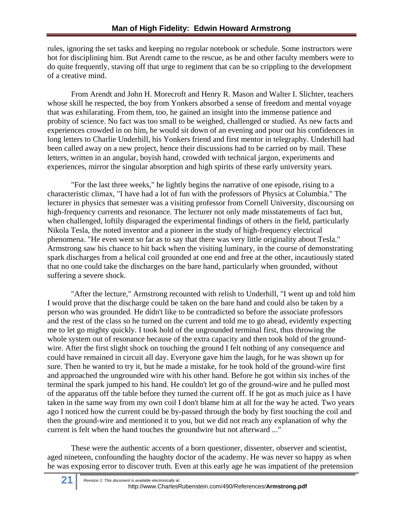rules, ignoring the set tasks and keeping no regular notebook or schedule. Some instructors were hot for disciplining him. But Arendt came to the rescue, as he and other faculty members were to do quite frequently, staving off that urge to regiment that can be so crippling to the development of a creative mind.

From Arendt and John H. Morecroft and Henry R. Mason and Walter I. Slichter, teachers whose skill he respected, the boy from Yonkers absorbed a sense of freedom and mental voyage that was exhilarating. From them, too, he gained an insight into the immense patience and probity of science. No fact was too small to be weighed, challenged or studied. As new facts and experiences crowded in on him, he would sit down of an evening and pour out his confidences in long letters to Charlie Underhill, his Yonkers friend and first mentor in telegraphy. Underhill had been called away on a new project, hence their discussions had to be carried on by mail. These letters, written in an angular, boyish hand, crowded with technical jargon, experiments and experiences, mirror the singular absorption and high spirits of these early university years.

"For the last three weeks," he lightly begins the narrative of one episode, rising to a characteristic climax, "I have had a lot of fun with the professors of Physics at Columbia." The lecturer in physics that semester was a visiting professor from Cornell University, discoursing on high-frequency currents and resonance. The lecturer not only made misstatements of fact but, when challenged, loftily disparaged the experimental findings of others in the field, particularly Nikola Tesla, the noted inventor and a pioneer in the study of high-frequency electrical phenomena. "He even went so far as to say that there was very little originality about Tesla." Armstrong saw his chance to hit back when the visiting luminary, in the course of demonstrating spark discharges from a helical coil grounded at one end and free at the other, incautiously stated that no one could take the discharges on the bare hand, particularly when grounded, without suffering a severe shock.

"After the lecture," Armstrong recounted with relish to Underhill, "I went up and told him I would prove that the discharge could be taken on the bare hand and could also be taken by a person who was grounded. He didn't like to be contradicted so before the associate professors and the rest of the class so he turned on the current and told me to go ahead, evidently expecting me to let go mighty quickly. I took hold of the ungrounded terminal first, thus throwing the whole system out of resonance because of the extra capacity and then took hold of the groundwire. After the first slight shock on touching the ground I felt nothing of any consequence and could have remained in circuit all day. Everyone gave him the laugh, for he was shown up for sure. Then he wanted to try it, but he made a mistake, for he took hold of the ground-wire first and approached the ungrounded wire with his other hand. Before he got within six inches of the terminal the spark jumped to his hand. He couldn't let go of the ground-wire and he pulled most of the apparatus off the table before they turned the current off. If he got as much juice as I have taken in the same way from my own coil I don't blame him at all for the way he acted. Two years ago I noticed how the current could be by-passed through the body by first touching the coil and then the ground-wire and mentioned it to you, but we did not reach any explanation of why the current is felt when the hand touches the groundwire but not afterward ..."

These were the authentic accents of a born questioner, dissenter, observer and scientist, aged nineteen, confounding the haughty doctor of the academy. He was never so happy as when he was exposing error to discover truth. Even at this early age he was impatient of the pretension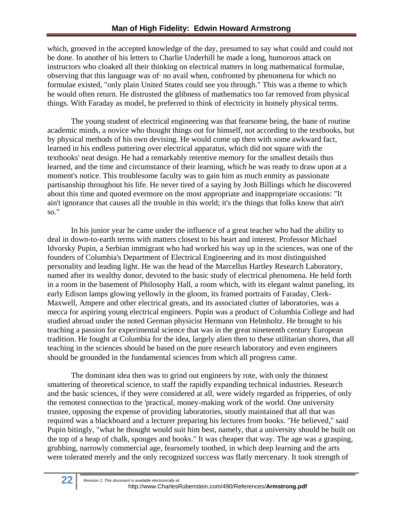which, grooved in the accepted knowledge of the day, presumed to say what could and could not be done. In another of his letters to Charlie Underhill he made a long, humorous attack on instructors who cloaked all their thinking on electrical matters in long mathematical formulae, observing that this language was of· no avail when, confronted by phenomena for which no formulae existed, "only plain United States could see you through." This was a theme to which he would often return. He distrusted the glibness of mathematics too far removed from physical things. With Faraday as model, he preferred to think of electricity in homely physical terms.

The young student of electrical engineering was that fearsome being, the bane of routine academic minds, a novice who thought things out for himself, not according to the textbooks, but by physical methods of his own devising. He would come up then with some awkward fact, learned in his endless puttering over electrical apparatus, which did not square with the textbooks' neat design. He had a remarkably retentive memory for the smallest details thus learned, and the time and circumstance of their learning, which he was ready to draw upon at a moment's notice. This troublesome faculty was to gain him as much enmity as passionate partisanship throughout his life. He never tired of a saying by Josh Billings which he discovered about this time and quoted evermore on the most appropriate and inappropriate occasions: "It ain't ignorance that causes all the trouble in this world; it's the things that folks know that ain't so."

In his junior year he came under the influence of a great teacher who had the ability to deal in down-to-earth terms with matters closest to his heart and interest. Professor Michael Idvorsky Pupin, a Serbian immigrant who had worked his way up in the sciences, was one of the founders of Columbia's Department of Electrical Engineering and its most distinguished personality and leading light. He was the head of the Marcellus Hartley Research Laboratory, named after its wealthy donor, devoted to the basic study of electrical phenomena. He held forth in a room in the basement of Philosophy Hall, a room which, with its elegant walnut paneling, its early Edison lamps glowing yellowly in the gloom, its framed portraits of Faraday, Clerk-Maxwell, Ampere and other electrical greats, and its associated clutter of laboratories, was a mecca for aspiring young electrical engineers. Pupin was a product of Columbia College and had studied abroad under the noted German physicist Hermann von Helmholtz. He brought to his teaching a passion for experimental science that was in the great nineteenth century European tradition. He fought at Columbia for the idea, largely alien then to these utilitarian shores, that all teaching in the sciences should be based on the pure research laboratory and even engineers should be grounded in the fundamental sciences from which all progress came.

The dominant idea then was to grind out engineers by rote, with only the thinnest smattering of theoretical science, to staff the rapidly expanding technical industries. Research and the basic sciences, if they were considered at all, were widely regarded as fripperies, of only the remotest connection to the 'practical, money-making work of the world. One university trustee, opposing the expense of providing laboratories, stoutly maintained that all that was required was a blackboard and a lecturer preparing his lectures from books. "He believed," said Pupin bitingly, "what he thought would suit him best, namely, that a university should be built on the top of a heap of chalk, sponges and books." It was cheaper that way. The age was a grasping, grubbing, narrowly commercial age, fearsomely toothed, in which deep learning and the arts were tolerated merely and the only recognized success was flatly mercenary. It took strength of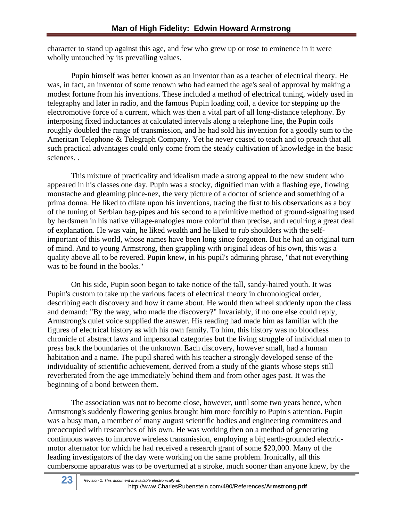character to stand up against this age, and few who grew up or rose to eminence in it were wholly untouched by its prevailing values.

Pupin himself was better known as an inventor than as a teacher of electrical theory. He was, in fact, an inventor of some renown who had earned the age's seal of approval by making a modest fortune from his inventions. These included a method of electrical tuning, widely used in telegraphy and later in radio, and the famous Pupin loading coil, a device for stepping up the electromotive force of a current, which was then a vital part of all long-distance telephony. By interposing fixed inductances at calculated intervals along a telephone line, the Pupin coils roughly doubled the range of transmission, and he had sold his invention for a goodly sum to the American Telephone & Telegraph Company. Yet he never ceased to teach and to preach that all such practical advantages could only come from the steady cultivation of knowledge in the basic sciences. .

This mixture of practicality and idealism made a strong appeal to the new student who appeared in his classes one day. Pupin was a stocky, dignified man with a flashing eye, flowing moustache and gleaming pince-nez, the very picture of a doctor of science and something of a prima donna. He liked to dilate upon his inventions, tracing the first to his observations as a boy of the tuning of Serbian bag-pipes and his second to a primitive method of ground-signaling used by herdsmen in his native village-analogies more colorful than precise, and requiring a great deal of explanation. He was vain, he liked wealth and he liked to rub shoulders with the selfimportant of this world, whose names have been long since forgotten. But he had an original turn of mind. And to young Armstrong, then grappling with original ideas of his own, this was a quality above all to be revered. Pupin knew, in his pupil's admiring phrase, "that not everything was to be found in the books."

On his side, Pupin soon began to take notice of the tall, sandy-haired youth. It was Pupin's custom to take up the various facets of electrical theory in chronological order, describing each discovery and how it came about. He would then wheel suddenly upon the class and demand: "By the way, who made the discovery?" Invariably, if no one else could reply, Armstrong's quiet voice supplied the answer. His reading had made him as familiar with the figures of electrical history as with his own family. To him, this history was no bloodless chronicle of abstract laws and impersonal categories but the living struggle of individual men to press back the boundaries of the unknown. Each discovery, however small, had a human habitation and a name. The pupil shared with his teacher a strongly developed sense of the individuality of scientific achievement, derived from a study of the giants whose steps still reverberated from the age immediately behind them and from other ages past. It was the beginning of a bond between them.

The association was not to become close, however, until some two years hence, when Armstrong's suddenly flowering genius brought him more forcibly to Pupin's attention. Pupin was a busy man, a member of many august scientific bodies and engineering committees and preoccupied with researches of his own. He was working then on a method of generating continuous waves to improve wireless transmission, employing a big earth-grounded electricmotor alternator for which he had received a research grant of some \$20,000. Many of the leading investigators of the day were working on the same problem. Ironically, all this cumbersome apparatus was to be overturned at a stroke, much sooner than anyone knew, by the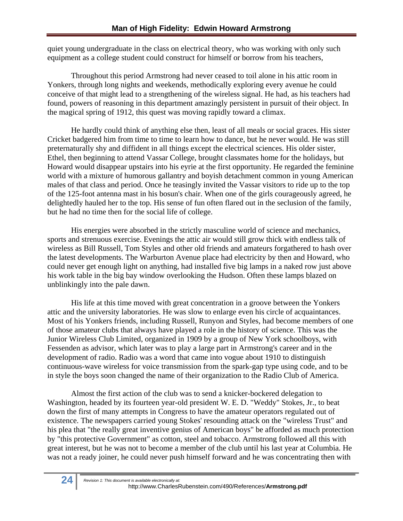quiet young undergraduate in the class on electrical theory, who was working with only such equipment as a college student could construct for himself or borrow from his teachers,

Throughout this period Armstrong had never ceased to toil alone in his attic room in Yonkers, through long nights and weekends, methodically exploring every avenue he could conceive of that might lead to a strengthening of the wireless signal. He had, as his teachers had found, powers of reasoning in this department amazingly persistent in pursuit of their object. In the magical spring of 1912, this quest was moving rapidly toward a climax.

He hardly could think of anything else then, least of all meals or social graces. His sister Cricket badgered him from time to time to learn how to dance, but he never would. He was still preternaturally shy and diffident in all things except the electrical sciences. His older sister, Ethel, then beginning to attend Vassar College, brought classmates home for the holidays, but Howard would disappear upstairs into his eyrie at the first opportunity. He regarded the feminine world with a mixture of humorous gallantry and boyish detachment common in young American males of that class and period. Once he teasingly invited the Vassar visitors to ride up to the top of the 125-foot antenna mast in his bosun's chair. When one of the girls courageously agreed, he delightedly hauled her to the top. His sense of fun often flared out in the seclusion of the family, but he had no time then for the social life of college.

His energies were absorbed in the strictly masculine world of science and mechanics, sports and strenuous exercise. Evenings the attic air would still grow thick with endless talk of wireless as Bill Russell, Tom Styles and other old friends and amateurs forgathered to hash over the latest developments. The Warburton Avenue place had electricity by then and Howard, who could never get enough light on anything, had installed five big lamps in a naked row just above his work table in the big bay window overlooking the Hudson. Often these lamps blazed on unblinkingly into the pale dawn.

His life at this time moved with great concentration in a groove between the Yonkers attic and the university laboratories. He was slow to enlarge even his circle of acquaintances. Most of his Yonkers friends, including Russell, Runyon and Styles, had become members of one of those amateur clubs that always have played a role in the history of science. This was the Junior Wireless Club Limited, organized in 1909 by a group of New York schoolboys, with Fessenden as advisor, which later was to play a large part in Armstrong's career and in the development of radio. Radio was a word that came into vogue about 1910 to distinguish continuous-wave wireless for voice transmission from the spark-gap type using code, and to be in style the boys soon changed the name of their organization to the Radio Club of America.

Almost the first action of the club was to send a knicker-bockered delegation to Washington, headed by its fourteen year-old president W. E. D. "Weddy" Stokes, Jr., to beat down the first of many attempts in Congress to have the amateur operators regulated out of existence. The newspapers carried young Stokes' resounding attack on the "wireless Trust" and his plea that "the really great inventive genius of American boys" be afforded as much protection by "this protective Government" as cotton, steel and tobacco. Armstrong followed all this with great interest, but he was not to become a member of the club until his last year at Columbia. He was not a ready joiner, he could never push himself forward and he was concentrating then with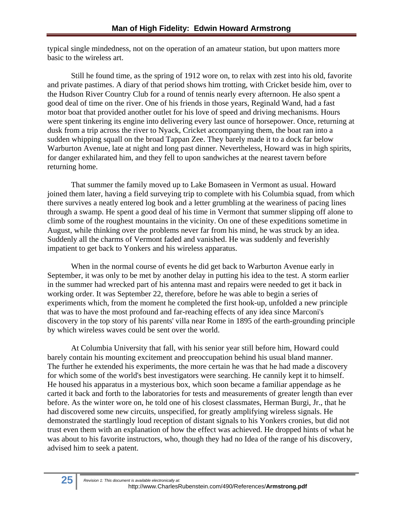typical single mindedness, not on the operation of an amateur station, but upon matters more basic to the wireless art.

Still he found time, as the spring of 1912 wore on, to relax with zest into his old, favorite and private pastimes. A diary of that period shows him trotting, with Cricket beside him, over to the Hudson River Country Club for a round of tennis nearly every afternoon. He also spent a good deal of time on the river. One of his friends in those years, Reginald Wand, had a fast motor boat that provided another outlet for his love of speed and driving mechanisms. Hours were spent tinkering its engine into delivering every last ounce of horsepower. Once, returning at dusk from a trip across the river to Nyack, Cricket accompanying them, the boat ran into a sudden whipping squall on the broad Tappan Zee. They barely made it to a dock far below Warburton Avenue, late at night and long past dinner. Nevertheless, Howard was in high spirits, for danger exhilarated him, and they fell to upon sandwiches at the nearest tavern before returning home.

That summer the family moved up to Lake Bomaseen in Vermont as usual. Howard joined them later, having a field surveying trip to complete with his Columbia squad, from which there survives a neatly entered log book and a letter grumbling at the weariness of pacing lines through a swamp. He spent a good deal of his time in Vermont that summer slipping off alone to climb some of the roughest mountains in the vicinity. On one of these expeditions sometime in August, while thinking over the problems never far from his mind, he was struck by an idea. Suddenly all the charms of Vermont faded and vanished. He was suddenly and feverishly impatient to get back to Yonkers and his wireless apparatus.

When in the normal course of events he did get back to Warburton Avenue early in September, it was only to be met by another delay in putting his idea to the test. A storm earlier in the summer had wrecked part of his antenna mast and repairs were needed to get it back in working order. It was September 22, therefore, before he was able to begin a series of experiments which, from the moment he completed the first hook-up, unfolded a new principle that was to have the most profound and far-reaching effects of any idea since Marconi's discovery in the top story of his parents' villa near Rome in 1895 of the earth-grounding principle by which wireless waves could be sent over the world.

At Columbia University that fall, with his senior year still before him, Howard could barely contain his mounting excitement and preoccupation behind his usual bland manner. The further he extended his experiments, the more certain he was that he had made a discovery for which some of the world's best investigators were searching. He cannily kept it to himself. He housed his apparatus in a mysterious box, which soon became a familiar appendage as he carted it back and forth to the laboratories for tests and measurements of greater length than ever before. As the winter wore on, he told one of his closest classmates, Herman Burgi, Jr., that he had discovered some new circuits, unspecified, for greatly amplifying wireless signals. He demonstrated the startlingly loud reception of distant signals to his Yonkers cronies, but did not trust even them with an explanation of how the effect was achieved. He dropped hints of what he was about to his favorite instructors, who, though they had no Idea of the range of his discovery, advised him to seek a patent.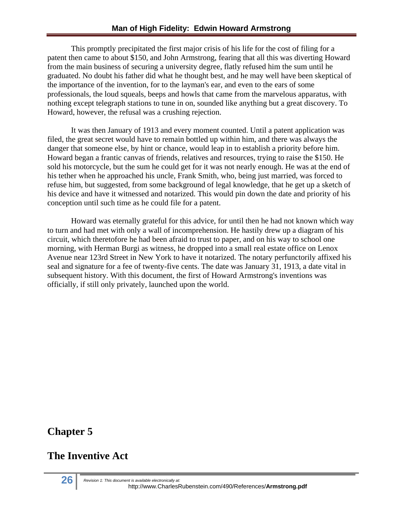This promptly precipitated the first major crisis of his life for the cost of filing for a patent then came to about \$150, and John Armstrong, fearing that all this was diverting Howard from the main business of securing a university degree, flatly refused him the sum until he graduated. No doubt his father did what he thought best, and he may well have been skeptical of the importance of the invention, for to the layman's ear, and even to the ears of some professionals, the loud squeals, beeps and howls that came from the marvelous apparatus, with nothing except telegraph stations to tune in on, sounded like anything but a great discovery. To Howard, however, the refusal was a crushing rejection.

It was then January of 1913 and every moment counted. Until a patent application was filed, the great secret would have to remain bottled up within him, and there was always the danger that someone else, by hint or chance, would leap in to establish a priority before him. Howard began a frantic canvas of friends, relatives and resources, trying to raise the \$150. He sold his motorcycle, but the sum he could get for it was not nearly enough. He was at the end of his tether when he approached his uncle, Frank Smith, who, being just married, was forced to refuse him, but suggested, from some background of legal knowledge, that he get up a sketch of his device and have it witnessed and notarized. This would pin down the date and priority of his conception until such time as he could file for a patent.

Howard was eternally grateful for this advice, for until then he had not known which way to turn and had met with only a wall of incomprehension. He hastily drew up a diagram of his circuit, which theretofore he had been afraid to trust to paper, and on his way to school one morning, with Herman Burgi as witness, he dropped into a small real estate office on Lenox Avenue near 123rd Street in New York to have it notarized. The notary perfunctorily affixed his seal and signature for a fee of twenty-five cents. The date was January 31, 1913, a date vital in subsequent history. With this document, the first of Howard Armstrong's inventions was officially, if still only privately, launched upon the world.

#### **Chapter 5**

#### **The Inventive Act**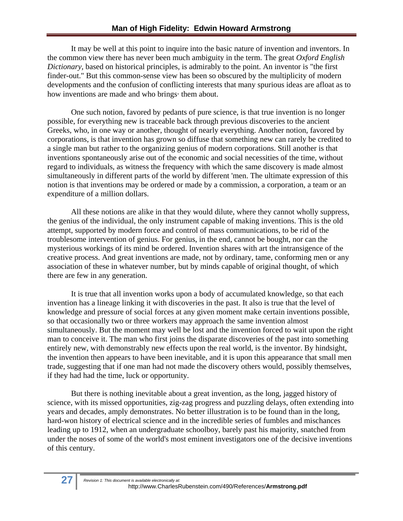It may be well at this point to inquire into the basic nature of invention and inventors. In the common view there has never been much ambiguity in the term. The great *Oxford English Dictionary,* based on historical principles, is admirably to the point. An inventor is "the first finder-out." But this common-sense view has been so obscured by the multiplicity of modern developments and the confusion of conflicting interests that many spurious ideas are afloat as to how inventions are made and who brings· them about.

One such notion, favored by pedants of pure science, is that true invention is no longer possible, for everything new is traceable back through previous discoveries to the ancient Greeks, who, in one way or another, thought of nearly everything. Another notion, favored by corporations, is that invention has grown so diffuse that something new can rarely be credited to a single man but rather to the organizing genius of modern corporations. Still another is that inventions spontaneously arise out of the economic and social necessities of the time, without regard to individuals, as witness the frequency with which the same discovery is made almost simultaneously in different parts of the world by different 'men. The ultimate expression of this notion is that inventions may be ordered or made by a commission, a corporation, a team or an expenditure of a million dollars.

All these notions are alike in that they would dilute, where they cannot wholly suppress, the genius of the individual, the only instrument capable of making inventions. This is the old attempt, supported by modern force and control of mass communications, to be rid of the troublesome intervention of genius. For genius, in the end, cannot be bought, nor can the mysterious workings of its mind be ordered. Invention shares with art the intransigence of the creative process. And great inventions are made, not by ordinary, tame, conforming men or any association of these in whatever number, but by minds capable of original thought, of which there are few in any generation.

It is true that all invention works upon a body of accumulated knowledge, so that each invention has a lineage linking it with discoveries in the past. It also is true that the level of knowledge and pressure of social forces at any given moment make certain inventions possible, so that occasionally two or three workers may approach the same invention almost simultaneously. But the moment may well be lost and the invention forced to wait upon the right man to conceive it. The man who first joins the disparate discoveries of the past into something entirely new, with demonstrably new effects upon the real world, is the inventor. By hindsight, the invention then appears to have been inevitable, and it is upon this appearance that small men trade, suggesting that if one man had not made the discovery others would, possibly themselves, if they had had the time, luck or opportunity.

But there is nothing inevitable about a great invention, as the long, jagged history of science, with its missed opportunities, zig-zag progress and puzzling delays, often extending into years and decades, amply demonstrates. No better illustration is to be found than in the long, hard-won history of electrical science and in the incredible series of fumbles and mischances leading up to 1912, when an undergraduate schoolboy, barely past his majority, snatched from under the noses of some of the world's most eminent investigators one of the decisive inventions of this century.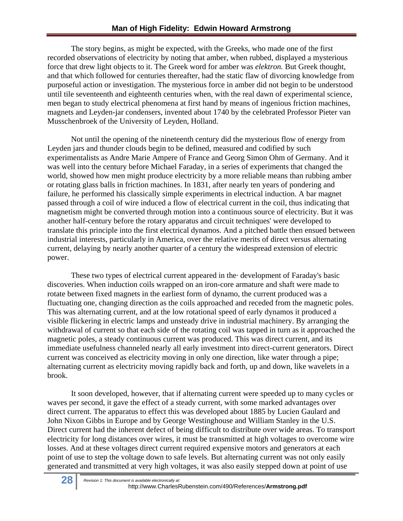The story begins, as might be expected, with the Greeks, who made one of the first recorded observations of electricity by noting that amber, when rubbed, displayed a mysterious force that drew light objects to it. The Greek word for amber was *elektron.* But Greek thought, and that which followed for centuries thereafter, had the static flaw of divorcing knowledge from purposeful action or investigation. The mysterious force in amber did not begin to be understood until tile seventeenth and eighteenth centuries when, with the real dawn of experimental science, men began to study electrical phenomena at first hand by means of ingenious friction machines, magnets and Leyden-jar condensers, invented about 1740 by the celebrated Professor Pieter van Musschenbroek of the University of Leyden, Holland.

Not until the opening of the nineteenth century did the mysterious flow of energy from Leyden jars and thunder clouds begin to be defined, measured and codified by such experimentalists as Andre Marie Ampere of France and Georg Simon Ohm of Germany. And it was well into the century before Michael Faraday, in a series of experiments that changed the world, showed how men might produce electricity by a more reliable means than rubbing amber or rotating glass balls in friction machines. In 1831, after nearly ten years of pondering and failure, he performed his classically simple experiments in electrical induction. A bar magnet passed through a coil of wire induced a flow of electrical current in the coil, thus indicating that magnetism might be converted through motion into a continuous source of electricity. But it was another half-century before the rotary apparatus and circuit techniques' were developed to translate this principle into the first electrical dynamos. And a pitched battle then ensued between industrial interests, particularly in America, over the relative merits of direct versus alternating current, delaying by nearly another quarter of a century the widespread extension of electric power.

These two types of electrical current appeared in the· development of Faraday's basic discoveries. When induction coils wrapped on an iron-core armature and shaft were made to rotate between fixed magnets in the earliest form of dynamo, the current produced was a fluctuating one, changing direction as the coils approached and receded from the magnetic poles. This was alternating current, and at the low rotational speed of early dynamos it produced a visible flickering in electric lamps and unsteady drive in industrial machinery. By arranging the withdrawal of current so that each side of the rotating coil was tapped in turn as it approached the magnetic poles, a steady continuous current was produced. This was direct current, and its immediate usefulness channeled nearly all early investment into direct-current generators. Direct current was conceived as electricity moving in only one direction, like water through a pipe; alternating current as electricity moving rapidly back and forth, up and down, like wavelets in a brook.

It soon developed, however, that if alternating current were speeded up to many cycles or waves per second, it gave the effect of a steady current, with some marked advantages over direct current. The apparatus to effect this was developed about 1885 by Lucien Gaulard and John Nixon Gibbs in Europe and by George Westinghouse and William Stanley in the U.S. Direct current had the inherent defect of being difficult to distribute over wide areas. To transport electricity for long distances over wires, it must be transmitted at high voltages to overcome wire losses. And at these voltages direct current required expensive motors and generators at each point of use to step the voltage down to safe levels. But alternating current was not only easily generated and transmitted at very high voltages, it was also easily stepped down at point of use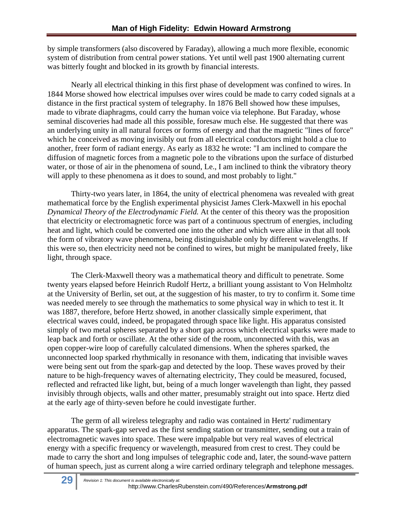by simple transformers (also discovered by Faraday), allowing a much more flexible, economic system of distribution from central power stations. Yet until well past 1900 alternating current was bitterly fought and blocked in its growth by financial interests.

 Nearly all electrical thinking in this first phase of development was confined to wires. In 1844 Morse showed how electrical impulses over wires could be made to carry coded signals at a distance in the first practical system of telegraphy. In 1876 Bell showed how these impulses, made to vibrate diaphragms, could carry the human voice via telephone. But Faraday, whose seminal discoveries had made all this possible, foresaw much else. He suggested that there was an underlying unity in all natural forces or forms of energy and that the magnetic "lines of force" which he conceived as moving invisibly out from all electrical conductors might hold a clue to another, freer form of radiant energy. As early as 1832 he wrote: "I am inclined to compare the diffusion of magnetic forces from a magnetic pole to the vibrations upon the surface of disturbed water, or those of air in the phenomena of sound, Le., I am inclined to think the vibratory theory will apply to these phenomena as it does to sound, and most probably to light."

Thirty-two years later, in 1864, the unity of electrical phenomena was revealed with great mathematical force by the English experimental physicist James Clerk-Maxwell in his epochal *Dynamical Theory of the Electrodynamic Field.* At the center of this theory was the proposition that electricity or electromagnetic force was part of a continuous spectrum of energies, including heat and light, which could be converted one into the other and which were alike in that all took the form of vibratory wave phenomena, being distinguishable only by different wavelengths. If this were so, then electricity need not be confined to wires, but might be manipulated freely, like light, through space.

The Clerk-Maxwell theory was a mathematical theory and difficult to penetrate. Some twenty years elapsed before Heinrich Rudolf Hertz, a brilliant young assistant to Von Helmholtz at the University of Berlin, set out, at the suggestion of his master, to try to confirm it. Some time was needed merely to see through the mathematics to some physical way in which to test it. It was 1887, therefore, before Hertz showed, in another classically simple experiment, that electrical waves could, indeed, be propagated through space like light. His apparatus consisted simply of two metal spheres separated by a short gap across which electrical sparks were made to leap back and forth or oscillate. At the other side of the room, unconnected with this, was an open copper-wire loop of carefully calculated dimensions. When the spheres sparked, the unconnected loop sparked rhythmically in resonance with them, indicating that invisible waves were being sent out from the spark-gap and detected by the loop. These waves proved by their nature to be high-frequency waves of alternating electricity, They could be measured, focused, reflected and refracted like light, but, being of a much longer wavelength than light, they passed invisibly through objects, walls and other matter, presumably straight out into space. Hertz died at the early age of thirty-seven before he could investigate further.

The germ of all wireless telegraphy and radio was contained in Hertz' rudimentary apparatus. The spark-gap served as the first sending station or transmitter, sending out a train of electromagnetic waves into space. These were impalpable but very real waves of electrical energy with a specific frequency or wavelength, measured from crest to crest. They could be made to carry the short and long impulses of telegraphic code and, later, the sound-wave pattern of human speech, just as current along a wire carried ordinary telegraph and telephone messages.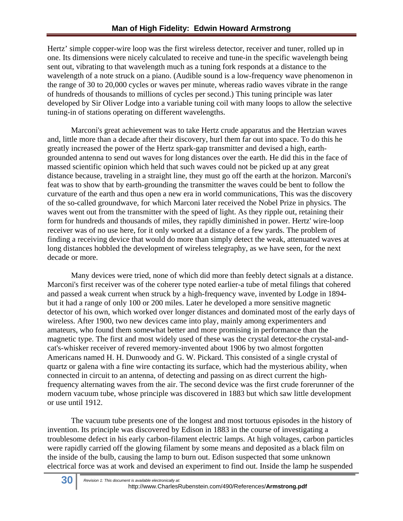Hertz' simple copper-wire loop was the first wireless detector, receiver and tuner, rolled up in one. Its dimensions were nicely calculated to receive and tune-in the specific wavelength being sent out, vibrating to that wavelength much as a tuning fork responds at a distance to the wavelength of a note struck on a piano. (Audible sound is a low-frequency wave phenomenon in the range of 30 to 20,000 cycles or waves per minute, whereas radio waves vibrate in the range of hundreds of thousands to millions of cycles per second.) This tuning principle was later developed by Sir Oliver Lodge into a variable tuning coil with many loops to allow the selective tuning-in of stations operating on different wavelengths.

Marconi's great achievement was to take Hertz crude apparatus and the Hertzian waves and, little more than a decade after their discovery, hurl them far out into space. To do this he greatly increased the power of the Hertz spark-gap transmitter and devised a high, earthgrounded antenna to send out waves for long distances over the earth. He did this in the face of massed scientific opinion which held that such waves could not be picked up at any great distance because, traveling in a straight line, they must go off the earth at the horizon. Marconi's feat was to show that by earth-grounding the transmitter the waves could be bent to follow the curvature of the earth and thus open a new era in world communications, This was the discovery of the so-called groundwave, for which Marconi later received the Nobel Prize in physics. The waves went out from the transmitter with the speed of light. As they ripple out, retaining their form for hundreds and thousands of miles, they rapidly diminished in power. Hertz' wire-loop receiver was of no use here, for it only worked at a distance of a few yards. The problem of finding a receiving device that would do more than simply detect the weak, attenuated waves at long distances hobbled the development of wireless telegraphy, as we have seen, for the next decade or more.

Many devices were tried, none of which did more than feebly detect signals at a distance. Marconi's first receiver was of the coherer type noted earlier-a tube of metal filings that cohered and passed a weak current when struck by a high-frequency wave, invented by Lodge in 1894 but it had a range of only 100 or 200 miles. Later he developed a more sensitive magnetic detector of his own, which worked over longer distances and dominated most of the early days of wireless. After 1900, two new devices came into play, mainly among experimenters and amateurs, who found them somewhat better and more promising in performance than the magnetic type. The first and most widely used of these was the crystal detector-the crystal-andcat's-whisker receiver of revered memory-invented about 1906 by two almost forgotten Americans named H. H. Dunwoody and G. W. Pickard. This consisted of a single crystal of quartz or galena with a fine wire contacting its surface, which had the mysterious ability, when connected in circuit to an antenna, of detecting and passing on as direct current the highfrequency alternating waves from the air. The second device was the first crude forerunner of the modern vacuum tube, whose principle was discovered in 1883 but which saw little development or use until 1912.

The vacuum tube presents one of the longest and most tortuous episodes in the history of invention. Its principle was discovered by Edison in 1883 in the course of investigating a troublesome defect in his early carbon-filament electric lamps. At high voltages, carbon particles were rapidly carried off the glowing filament by some means and deposited as a black film on the inside of the bulb, causing the lamp to burn out. Edison suspected that some unknown electrical force was at work and devised an experiment to find out. Inside the lamp he suspended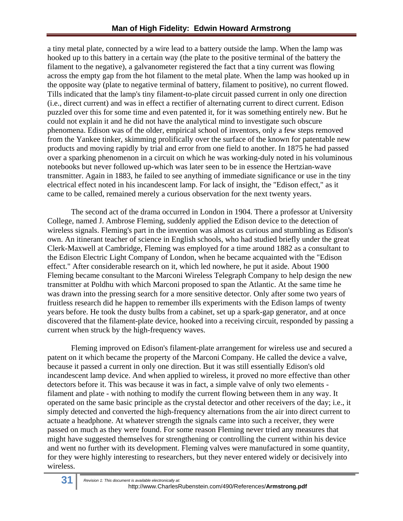a tiny metal plate, connected by a wire lead to a battery outside the lamp. When the lamp was hooked up to this battery in a certain way (the plate to the positive terminal of the battery the filament to the negative), a galvanometer registered the fact that a tiny current was flowing across the empty gap from the hot filament to the metal plate. When the lamp was hooked up in the opposite way (plate to negative terminal of battery, filament to positive), no current flowed. Tills indicated that the lamp's tiny filament-to-plate circuit passed current in only one direction (i.e., direct current) and was in effect a rectifier of alternating current to direct current. Edison puzzled over this for some time and even patented it, for it was something entirely new. But he could not explain it and he did not have the analytical mind to investigate such obscure phenomena. Edison was of the older, empirical school of inventors, only a few steps removed from the Yankee tinker, skimming prolifically over the surface of the known for patentable new products and moving rapidly by trial and error from one field to another. In 1875 he had passed over a sparking phenomenon in a circuit on which he was working-duly noted in his voluminous notebooks but never followed up-which was later seen to be in essence the Hertzian-wave transmitter. Again in 1883, he failed to see anything of immediate significance or use in the tiny electrical effect noted in his incandescent lamp. For lack of insight, the "Edison effect," as it came to be called, remained merely a curious observation for the next twenty years.

The second act of the drama occurred in London in 1904. There a professor at University College, named J. Ambrose Fleming, suddenly applied the Edison device to the detection of wireless signals. Fleming's part in the invention was almost as curious and stumbling as Edison's own. An itinerant teacher of science in English schools, who had studied briefly under the great Clerk-Maxwell at Cambridge, Fleming was employed for a time around 1882 as a consultant to the Edison Electric Light Company of London, when he became acquainted with the "Edison effect." After considerable research on it, which led nowhere, he put it aside. About 1900 Fleming became consultant to the Marconi Wireless Telegraph Company to help design the new transmitter at Poldhu with which Marconi proposed to span the Atlantic. At the same time he was drawn into the pressing search for a more sensitive detector. Only after some two years of fruitless research did he happen to remember ills experiments with the Edison lamps of twenty years before. He took the dusty bulbs from a cabinet, set up a spark-gap generator, and at once discovered that the filament-plate device, hooked into a receiving circuit, responded by passing a current when struck by the high-frequency waves.

Fleming improved on Edison's filament-plate arrangement for wireless use and secured a patent on it which became the property of the Marconi Company. He called the device a valve, because it passed a current in only one direction. But it was still essentially Edison's old incandescent lamp device. And when applied to wireless, it proved no more effective than other detectors before it. This was because it was in fact, a simple valve of only two elements filament and plate - with nothing to modify the current flowing between them in any way. It operated on the same basic principle as the crystal detector and other receivers of the day; i.e., it simply detected and converted the high-frequency alternations from the air into direct current to actuate a headphone. At whatever strength the signals came into such a receiver, they were passed on much as they were found. For some reason Fleming never tried any measures that might have suggested themselves for strengthening or controlling the current within his device and went no further with its development. Fleming valves were manufactured in some quantity, for they were highly interesting to researchers, but they never entered widely or decisively into wireless.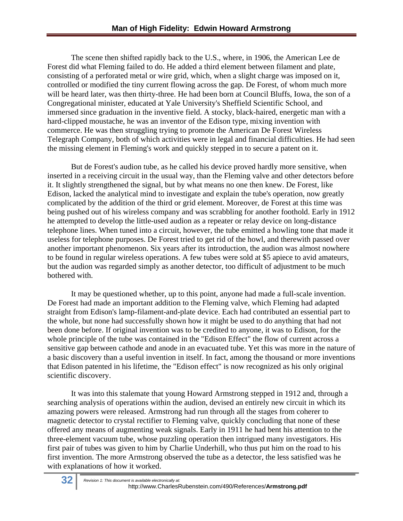The scene then shifted rapidly back to the U.S., where, in 1906, the American Lee de Forest did what Fleming failed to do. He added a third element between filament and plate, consisting of a perforated metal or wire grid, which, when a slight charge was imposed on it, controlled or modified the tiny current flowing across the gap. De Forest, of whom much more will be heard later, was then thirty-three. He had been born at Council Bluffs, Iowa, the son of a Congregational minister, educated at Yale University's Sheffield Scientific School, and immersed since graduation in the inventive field. A stocky, black-haired, energetic man with a hard-clipped moustache, he was an inventor of the Edison type, mixing invention with commerce. He was then struggling trying to promote the American De Forest Wireless Telegraph Company, both of which activities were in legal and financial difficulties. He had seen the missing element in Fleming's work and quickly stepped in to secure a patent on it.

But de Forest's audion tube, as he called his device proved hardly more sensitive, when inserted in a receiving circuit in the usual way, than the Fleming valve and other detectors before it. It slightly strengthened the signal, but by what means no one then knew. De Forest, like Edison, lacked the analytical mind to investigate and explain the tube's operation, now greatly complicated by the addition of the third or grid element. Moreover, de Forest at this time was being pushed out of his wireless company and was scrabbling for another foothold. Early in 1912 he attempted to develop the little-used audion as a repeater or relay device on long-distance telephone lines. When tuned into a circuit, however, the tube emitted a howling tone that made it useless for telephone purposes. De Forest tried to get rid of the howl, and therewith passed over another important phenomenon. Six years after its introduction, the audion was almost nowhere to be found in regular wireless operations. A few tubes were sold at \$5 apiece to avid amateurs, but the audion was regarded simply as another detector, too difficult of adjustment to be much bothered with.

It may be questioned whether, up to this point, anyone had made a full-scale invention. De Forest had made an important addition to the Fleming valve, which Fleming had adapted straight from Edison's lamp-filament-and-plate device. Each had contributed an essential part to the whole, but none had successfully shown how it might be used to do anything that had not been done before. If original invention was to be credited to anyone, it was to Edison, for the whole principle of the tube was contained in the "Edison Effect" the flow of current across a sensitive gap between cathode and anode in an evacuated tube. Yet this was more in the nature of a basic discovery than a useful invention in itself. In fact, among the thousand or more inventions that Edison patented in his lifetime, the "Edison effect" is now recognized as his only original scientific discovery.

It was into this stalemate that young Howard Armstrong stepped in 1912 and, through a searching analysis of operations within the audion, devised an entirely new circuit in which its amazing powers were released. Armstrong had run through all the stages from coherer to magnetic detector to crystal rectifier to Fleming valve, quickly concluding that none of these offered any means of augmenting weak signals. Early in 1911 he had bent his attention to the three-element vacuum tube, whose puzzling operation then intrigued many investigators. His first pair of tubes was given to him by Charlie Underhill, who thus put him on the road to his first invention. The more Armstrong observed the tube as a detector, the less satisfied was he with explanations of how it worked.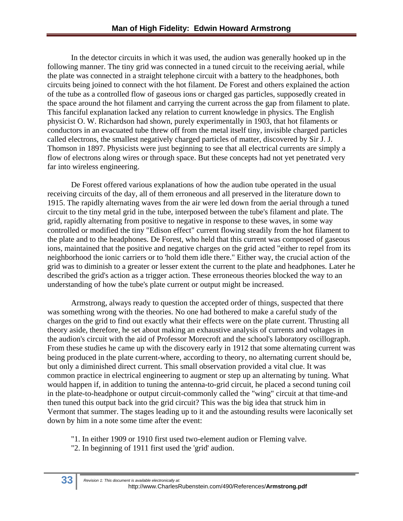In the detector circuits in which it was used, the audion was generally hooked up in the following manner. The tiny grid was connected in a tuned circuit to the receiving aerial, while the plate was connected in a straight telephone circuit with a battery to the headphones, both circuits being joined to connect with the hot filament. De Forest and others explained the action of the tube as a controlled flow of gaseous ions or charged gas particles, supposedly created in the space around the hot filament and carrying the current across the gap from filament to plate. This fanciful explanation lacked any relation to current knowledge in physics. The English physicist O. W. Richardson had shown, purely experimentally in 1903, that hot filaments or conductors in an evacuated tube threw off from the metal itself tiny, invisible charged particles called electrons, the smallest negatively charged particles of matter, discovered by Sir J. J. Thomson in 1897. Physicists were just beginning to see that all electrical currents are simply a flow of electrons along wires or through space. But these concepts had not yet penetrated very far into wireless engineering.

De Forest offered various explanations of how the audion tube operated in the usual receiving circuits of the day, all of them erroneous and all preserved in the literature down to 1915. The rapidly alternating waves from the air were led down from the aerial through a tuned circuit to the tiny metal grid in the tube, interposed between the tube's filament and plate. The grid, rapidly alternating from positive to negative in response to these waves, in some way controlled or modified the tiny "Edison effect" current flowing steadily from the hot filament to the plate and to the headphones. De Forest, who held that this current was composed of gaseous ions, maintained that the positive and negative charges on the grid acted "either to repel from its neighborhood the ionic carriers or to 'hold them idle there." Either way, the crucial action of the grid was to diminish to a greater or lesser extent the current to the plate and headphones. Later he described the grid's action as a trigger action. These erroneous theories blocked the way to an understanding of how the tube's plate current or output might be increased.

Armstrong, always ready to question the accepted order of things, suspected that there was something wrong with the theories. No one had bothered to make a careful study of the charges on the grid to find out exactly what their effects were on the plate current. Thrusting all theory aside, therefore, he set about making an exhaustive analysis of currents and voltages in the audion's circuit with the aid of Professor Morecroft and the school's laboratory oscillograph. From these studies he came up with the discovery early in 1912 that some alternating current was being produced in the plate current-where, according to theory, no alternating current should be, but only a diminished direct current. This small observation provided a vital clue. It was common practice in electrical engineering to augment or step up an alternating by tuning. What would happen if, in addition to tuning the antenna-to-grid circuit, he placed a second tuning coil in the plate-to-headphone or output circuit-commonly called the "wing" circuit at that time-and then tuned this output back into the grid circuit? This was the big idea that struck him in Vermont that summer. The stages leading up to it and the astounding results were laconically set down by him in a note some time after the event:

"1. In either 1909 or 1910 first used two-element audion or Fleming valve.

"2. In beginning of 1911 first used the 'grid' audion.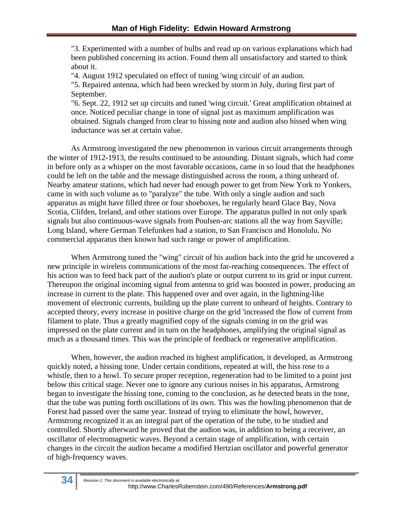"3. Experimented with a number of bulbs and read up on various explanations which had been published concerning its action. Found them all unsatisfactory and started to think about it.

"4. August 1912 speculated on effect of tuning 'wing circuit' of an audion.

"5. Repaired antenna, which had been wrecked by storm in July, during first part of September.

"6. Sept. 22, 1912 set up circuits and tuned 'wing circuit.' Great amplification obtained at once. Noticed peculiar change in tone of signal just as maximum amplification was obtained. Signals changed from clear to hissing note and audion also hissed when wing inductance was set at certain value.

As Armstrong investigated the new phenomenon in various circuit arrangements through the winter of 1912-1913, the results continued to be astounding. Distant signals, which had come in before only as a whisper on the most favorable occasions, came in so loud that the headphones could be left on the table and the message distinguished across the room, a thing unheard of. Nearby amateur stations, which had never had enough power to get from New York to Yonkers, came in with such volume as to "paralyze" the tube. With only a single audion and such apparatus as might have filled three or four shoeboxes, he regularly heard Glace Bay, Nova Scotia, Clifden, Ireland, and other stations over Europe. The apparatus pulled in not only spark signals but also continuous-wave signals from Poulsen-arc stations all the way from Sayville; Long Island, where German Telefunken had a station, to San Francisco and Honolulu. No commercial apparatus then known had such range or power of amplification.

When Armstrong tuned the "wing" circuit of his audion back into the grid he uncovered a new principle in wireless communications of the most far-reaching consequences. The effect of his action was to feed back part of the audion's plate or output current to its grid or input current. Thereupon the original incoming signal from antenna to grid was boosted in power, producing an increase in current to the plate. This happened over and over again, in the lightning-like movement of electronic currents, building up the plate current to unheard of heights. Contrary to accepted theory, every increase in positive charge on the grid 'increased the flow of current from filament to plate. Thus a greatly magnified copy of the signals coming in on the grid was impressed on the plate current and in turn on the headphones, amplifying the original signal as much as a thousand times. This was the principle of feedback or regenerative amplification.

When, however, the audion reached its highest amplification, it developed, as Armstrong quickly noted, a hissing tone. Under certain conditions, repeated at will, the hiss rose to a whistle, then to a howl. To secure proper reception, regeneration had to be limited to a point just below this critical stage. Never one to ignore any curious noises in his apparatus, Armstrong began to investigate the hissing tone, coming to the conclusion, as he detected beats in the tone, that the tube was putting forth oscillations of its own. This was the howling phenomenon that de Forest had passed over the same year. Instead of trying to eliminate the howl, however, Armstrong recognized it as an integral part of the operation of the tube, to be studied and controlled. Shortly afterward he proved that the audion was, in addition to being a receiver, an oscillator of electromagnetic waves. Beyond a certain stage of amplification, with certain changes in the circuit the audion became a modified Hertzian oscillator and powerful generator of high-frequency waves.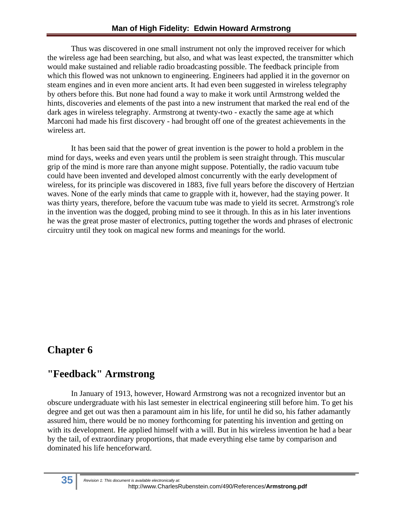Thus was discovered in one small instrument not only the improved receiver for which the wireless age had been searching, but also, and what was least expected, the transmitter which would make sustained and reliable radio broadcasting possible. The feedback principle from which this flowed was not unknown to engineering. Engineers had applied it in the governor on steam engines and in even more ancient arts. It had even been suggested in wireless telegraphy by others before this. But none had found a way to make it work until Armstrong welded the hints, discoveries and elements of the past into a new instrument that marked the real end of the dark ages in wireless telegraphy. Armstrong at twenty-two - exactly the same age at which Marconi had made his first discovery - had brought off one of the greatest achievements in the wireless art.

It has been said that the power of great invention is the power to hold a problem in the mind for days, weeks and even years until the problem is seen straight through. This muscular grip of the mind is more rare than anyone might suppose. Potentially, the radio vacuum tube could have been invented and developed almost concurrently with the early development of wireless, for its principle was discovered in 1883, five full years before the discovery of Hertzian waves. None of the early minds that came to grapple with it, however, had the staying power. It was thirty years, therefore, before the vacuum tube was made to yield its secret. Armstrong's role in the invention was the dogged, probing mind to see it through. In this as in his later inventions he was the great prose master of electronics, putting together the words and phrases of electronic circuitry until they took on magical new forms and meanings for the world.

#### **Chapter 6**

#### **"Feedback" Armstrong**

In January of 1913, however, Howard Armstrong was not a recognized inventor but an obscure undergraduate with his last semester in electrical engineering still before him. To get his degree and get out was then a paramount aim in his life, for until he did so, his father adamantly assured him, there would be no money forthcoming for patenting his invention and getting on with its development. He applied himself with a will. But in his wireless invention he had a bear by the tail, of extraordinary proportions, that made everything else tame by comparison and dominated his life henceforward.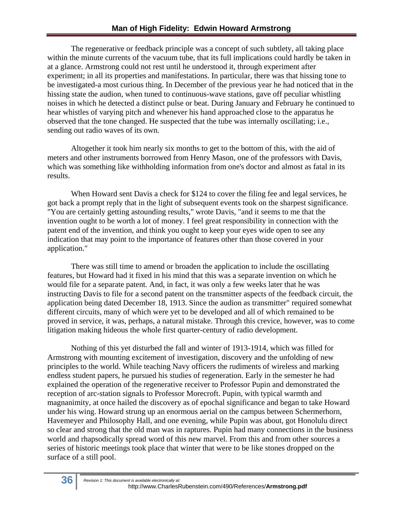The regenerative or feedback principle was a concept of such subtlety, all taking place within the minute currents of the vacuum tube, that its full implications could hardly be taken in at a glance. Armstrong could not rest until he understood it, through experiment after experiment; in all its properties and manifestations. In particular, there was that hissing tone to be investigated-a most curious thing. In December of the previous year he had noticed that in the hissing state the audion, when tuned to continuous-wave stations, gave off peculiar whistling noises in which he detected a distinct pulse or beat. During January and February he continued to hear whistles of varying pitch and whenever his hand approached close to the apparatus he observed that the tone changed. He suspected that the tube was internally oscillating; i.e., sending out radio waves of its own.

Altogether it took him nearly six months to get to the bottom of this, with the aid of meters and other instruments borrowed from Henry Mason, one of the professors with Davis, which was something like withholding information from one's doctor and almost as fatal in its results.

When Howard sent Davis a check for \$124 to cover the filing fee and legal services, he got back a prompt reply that in the light of subsequent events took on the sharpest significance. "You are certainly getting astounding results," wrote Davis, "and it seems to me that the invention ought to be worth a lot of money. I feel great responsibility in connection with the patent end of the invention, and think you ought to keep your eyes wide open to see any indication that may point to the importance of features other than those covered in your application."

There was still time to amend or broaden the application to include the oscillating features, but Howard had it fixed in his mind that this was a separate invention on which he would file for a separate patent. And, in fact, it was only a few weeks later that he was instructing Davis to file for a second patent on the transmitter aspects of the feedback circuit, the application being dated December 18, 1913. Since the audion as transmitter" required somewhat different circuits, many of which were yet to be developed and all of which remained to be proved in service, it was, perhaps, a natural mistake. Through this crevice, however, was to come litigation making hideous the whole first quarter-century of radio development.

Nothing of this yet disturbed the fall and winter of 1913-1914, which was filled for Armstrong with mounting excitement of investigation, discovery and the unfolding of new principles to the world. While teaching Navy officers the rudiments of wireless and marking endless student papers, he pursued his studies of regeneration. Early in the semester he had explained the operation of the regenerative receiver to Professor Pupin and demonstrated the reception of arc-station signals to Professor Morecroft. Pupin, with typical warmth and magnanimity, at once hailed the discovery as of epochal significance and began to take Howard under his wing. Howard strung up an enormous aerial on the campus between Schermerhorn, Havemeyer and Philosophy Hall, and one evening, while Pupin was about, got Honolulu direct so clear and strong that the old man was in raptures. Pupin had many connections in the business world and rhapsodically spread word of this new marvel. From this and from other sources a series of historic meetings took place that winter that were to be like stones dropped on the surface of a still pool.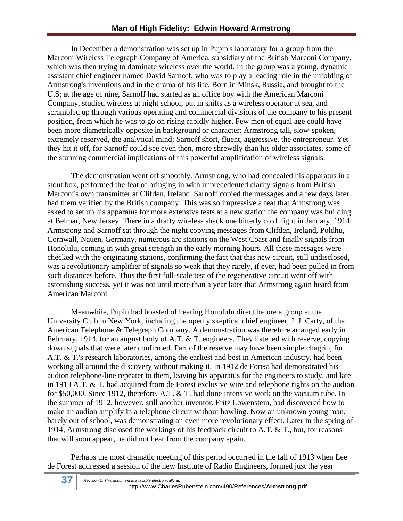In December a demonstration was set up in Pupin's laboratory for a group from the Marconi Wireless Telegraph Company of America, subsidiary of the British Marconi Company, which was then trying to dominate wireless over the world. In the group was a young, dynamic assistant chief engineer named David Sarnoff, who was to play a leading role in the unfolding of Armstrong's inventions and in the drama of his life. Born in Minsk, Russia, and brought to the U.S; at the age of nine, Sarnoff had started as an office boy with the American Marconi Company, studied wireless at night school, put in shifts as a wireless operator at sea, and scrambled up through various operating and commercial divisions of the company to his present position, from which he was to go on rising rapidly higher. Few men of equal age could have been more diametrically opposite in background or character: Armstrong tall, slow-spoken, extremely reserved, the analytical mind; Sarnoff short, fluent, aggressive, the entrepreneur. Yet they hit it off, for Sarnoff could see even then, more shrewdly than his older associates, some of the stunning commercial implications of this powerful amplification of wireless signals.

The demonstration went off smoothly. Armstrong, who had concealed his apparatus in a stout box, performed the feat of bringing in with unprecedented clarity signals from British Marconi's own transmitter at Clifden, Ireland. Sarnoff copied the messages and a few days later had them verified by the British company. This was so impressive a feat that Armstrong was asked to set up his apparatus for more extensive tests at a new station the company was building at Belmar, New Jersey. There in a drafty wireless shack one bitterly cold night in January, 1914, Armstrong and Sarnoff sat through the night copying messages from Clifden, Ireland, Poldhu, Cornwall, Nauen, Germany, numerous arc stations on the West Coast and finally signals from Honolulu, coming in with great strength in the early morning hours. All these messages were checked with the originating stations, confirming the fact that this new circuit, still undisclosed, was a revolutionary amplifier of signals so weak that they rarely, if ever, had been pulled in from such distances before. Thus the first full-scale test of the regenerative circuit went off with astonishing success, yet it was not until more than a year later that Armstrong again heard from American Marconi.

Meanwhile, Pupin had boasted of hearing Honolulu direct before a group at the University Club in New York, including the openly skeptical chief engineer, J. J. Carty, of the American Telephone & Telegraph Company. A demonstration was therefore arranged early in February, 1914, for an august body of A.T. & T. engineers. They listened with reserve, copying down signals that were later confirmed. Part of the reserve may have been simple chagrin, for A.T. & T.'s research laboratories, among the earliest and best in American industry, had been working all around the discovery without making it. In 1912 de Forest had demonstrated his audion telephone-line repeater to them, leaving his apparatus for the engineers to study, and late in 1913 A.T. & T. had acquired from de Forest exclusive wire and telephone rights on the audion for \$50,000. Since 1912, therefore, A.T. & T. had done intensive work on the vacuum tube. In the summer of 1912, however, still another inventor, Fritz Lowenstein, had discovered how to make an audion amplify in a telephone circuit without howling. Now an unknown young man, barely out of school, was demonstrating an even more revolutionary effect. Later in the spring of 1914, Armstrong disclosed the workings of his feedback circuit to A.T. & T., but, for reasons that will soon appear, he did not hear from the company again.

Perhaps the most dramatic meeting of this period occurred in the fall of 1913 when Lee de Forest addressed a session of the new Institute of Radio Engineers, formed just the year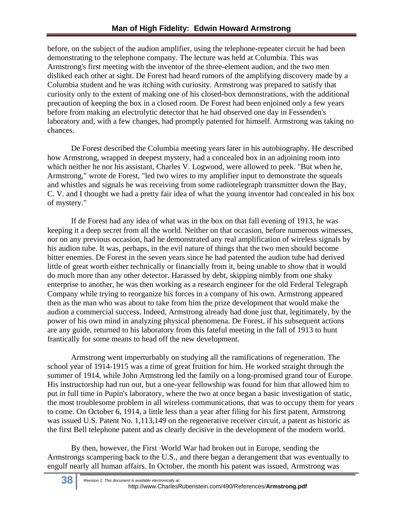before, on the subject of the audion amplifier, using the telephone-repeater circuit he had been demonstrating to the telephone company. The lecture was held at Columbia. This was Armstrong's first meeting with the inventor of the three-element audion, and the two men disliked each other at sight. De Forest had heard rumors of the amplifying discovery made by a Columbia student and he was itching with curiosity. Armstrong was prepared to satisfy that curiosity only to the extent of making one of his closed-box demonstrations, with the additional precaution of keeping the box in a closed room. De Forest had been enjoined only a few years before from making an electrolytic detector that he had observed one day in Fessenden's laboratory and, with a few changes, had promptly patented for himself. Armstrong was taking no chances.

De Forest described the Columbia meeting years later in his autobiography. He described how Armstrong, wrapped in deepest mystery, had a concealed box in an adjoining room into which neither he nor his assistant, Charles V. Logwood, were allowed to peek. "But when he, Armstrong," wrote de Forest, "led two wires to my amplifier input to demonstrate the squeals and whistles and signals he was receiving from some radiotelegraph transmitter down the Bay, C. V. and I thought we had a pretty fair idea of what the young inventor had concealed in his box of mystery."

If de Forest had any idea of what was in the box on that fall evening of 1913, he was keeping it a deep secret from all the world. Neither on that occasion, before numerous witnesses, nor on any previous occasion, had he demonstrated any real amplification of wireless signals by his audion tube. It was, perhaps, in the evil nature of things that the two men should become bitter enemies. De Forest in the seven years since he had patented the audion tube had derived little of great worth either technically or financially from it, being unable to show that it would do much more than any other detector. Harassed by debt, skipping nimbly from one shaky enterprise to another, he was then working as a research engineer for the old Federal Telegraph Company while trying to reorganize his forces in a company of his own. Armstrong appeared then as the man who was about to take from him the prize development that would make the audion a commercial success. Indeed, Armstrong already had done just that, legitimately, by the power of his own mind in analyzing physical phenomena. De Forest, if his subsequent actions are any guide, returned to his laboratory from this fateful meeting in the fall of 1913 to hunt frantically for some means to head off the new development.

Armstrong went imperturbably on studying all the ramifications of regeneration. The school year of 1914-1915 was a time of great fruition for him. He worked straight through the summer of 1914, while John Armstrong led the family on a long-promised grand tour of Europe. His instructorship had run out, but a one-year fellowship was found for him that allowed him to put in full time in Pupin's laboratory, where the two at once began a basic investigation of static, the most troublesome problem in all wireless communications, that was to occupy them for years to come. On October 6, 1914, a little less than a year after filing for his first patent, Armstrong was issued U.S. Patent No. 1,113,149 on the regenerative receiver circuit, a patent as historic as the first Bell telephone patent and as clearly decisive in the development of the modern world.

By then, however, the First ·World War had broken out in Europe, sending the Armstrongs scampering back to the U.S., and there began a derangement that was eventually to engulf nearly all human affairs. In October, the month his patent was issued, Armstrong was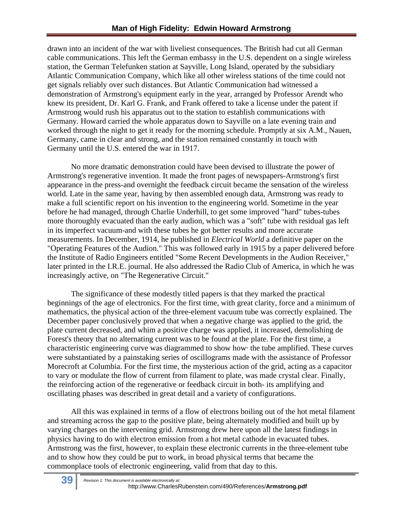drawn into an incident of the war with liveliest consequences. The British had cut all German cable communications. This left the German embassy in the U.S. dependent on a single wireless station, the German Telefunken station at Sayville, Long Island, operated by the subsidiary Atlantic Communication Company, which like all other wireless stations of the time could not get signals reliably over such distances. But Atlantic Communication had witnessed a demonstration of Armstrong's equipment early in the year, arranged by Professor Arendt who knew its president, Dr. Karl G. Frank, and Frank offered to take a license under the patent if Armstrong would rush his apparatus out to the station to establish communications with Germany. Howard carried the whole apparatus down to Sayville on a late evening train and worked through the night to get it ready for the morning schedule. Promptly at six A.M., Nauen, Germany, came in clear and strong, and the station remained constantly in touch with Germany until the U.S. entered the war in 1917.

No more dramatic demonstration could have been devised to illustrate the power of Armstrong's regenerative invention. It made the front pages of newspapers-Armstrong's first appearance in the press-and overnight the feedback circuit became the sensation of the wireless world. Late in the same year, having by then assembled enough data, Armstrong was ready to make a full scientific report on his invention to the engineering world. Sometime in the year before he had managed, through Charlie Underhill, to get some improved "hard" tubes-tubes more thoroughly evacuated than the early audion, which was a "soft" tube with residual gas left in its imperfect vacuum-and with these tubes he got better results and more accurate measurements. In December, 1914, he published in *Electrical World* a definitive paper on the "Operating Features of the Audion." This was followed early in 1915 by a paper delivered before the Institute of Radio Engineers entitled "Some Recent Developments in the Audion Receiver," later printed in the I.R.E. journal. He also addressed the Radio Club of America, in which he was increasingly active, on "The Regenerative Circuit."

The significance of these modestly titled papers is that they marked the practical beginnings of the age of electronics. For the first time, with great clarity, force and a minimum of mathematics, the physical action of the three-element vacuum tube was correctly explained. The December paper conclusively proved that when a negative charge was applied to the grid, the plate current decreased, and whim a positive charge was applied, it increased, demolishing de Forest's theory that no alternating current was to be found at the plate. For the first time, a characteristic engineering curve was diagrammed to show how· the tube amplified. These curves were substantiated by a painstaking series of oscillograms made with the assistance of Professor Morecroft at Columbia. For the first time, the mysterious action of the grid, acting as a capacitor to vary or modulate the flow of current from filament to plate, was made crystal clear. Finally, the reinforcing action of the regenerative or feedback circuit in both- its amplifying and oscillating phases was described in great detail and a variety of configurations.

All this was explained in terms of a flow of electrons boiling out of the hot metal filament and streaming across the gap to the positive plate, being alternately modified and built up by varying charges on the intervening grid. Armstrong drew here upon all the latest findings in physics having to do with electron emission from a hot metal cathode in evacuated tubes. Armstrong was the first, however, to explain these electronic currents in the three-element tube and to show how they could be put to work, in broad physical terms that became the commonplace tools of electronic engineering, valid from that day to this.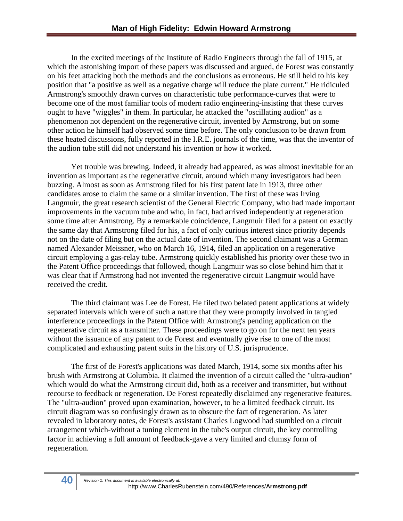In the excited meetings of the Institute of Radio Engineers through the fall of 1915, at which the astonishing import of these papers was discussed and argued, de Forest was constantly on his feet attacking both the methods and the conclusions as erroneous. He still held to his key position that "a positive as well as a negative charge will reduce the plate current." He ridiculed Armstrong's smoothly drawn curves on characteristic tube performance-curves that were to become one of the most familiar tools of modern radio engineering-insisting that these curves ought to have "wiggles" in them. In particular, he attacked the "oscillating audion" as a phenomenon not dependent on the regenerative circuit, invented by Armstrong, but on some other action he himself had observed some time before. The only conclusion to be drawn from these heated discussions, fully reported in the I.R.E. journals of the time, was that the inventor of the audion tube still did not understand his invention or how it worked.

Yet trouble was brewing. Indeed, it already had appeared, as was almost inevitable for an invention as important as the regenerative circuit, around which many investigators had been buzzing. Almost as soon as Armstrong filed for his first patent late in 1913, three other candidates arose to claim the same or a similar invention. The first of these was Irving Langmuir, the great research scientist of the General Electric Company, who had made important improvements in the vacuum tube and who, in fact, had arrived independently at regeneration some time after Armstrong. By a remarkable coincidence, Langmuir filed for a patent on exactly the same day that Armstrong filed for his, a fact of only curious interest since priority depends not on the date of filing but on the actual date of invention. The second claimant was a German named Alexander Meissner, who on March 16, 1914, filed an application on a regenerative circuit employing a gas-relay tube. Armstrong quickly established his priority over these two in the Patent Office proceedings that followed, though Langmuir was so close behind him that it was clear that if Armstrong had not invented the regenerative circuit Langmuir would have received the credit.

The third claimant was Lee de Forest. He filed two belated patent applications at widely separated intervals which were of such a nature that they were promptly involved in tangled interference proceedings in the Patent Office with Armstrong's pending application on the regenerative circuit as a transmitter. These proceedings were to go on for the next ten years without the issuance of any patent to de Forest and eventually give rise to one of the most complicated and exhausting patent suits in the history of U.S. jurisprudence.

The first of de Forest's applications was dated March, 1914, some six months after his brush with Armstrong at Columbia. It claimed the invention of a circuit called the "ultra-audion" which would do what the Armstrong circuit did, both as a receiver and transmitter, but without recourse to feedback or regeneration. De Forest repeatedly disclaimed any regenerative features. The "ultra-audion" proved upon examination, however, to be a limited feedback circuit. Its circuit diagram was so confusingly drawn as to obscure the fact of regeneration. As later revealed in laboratory notes, de Forest's assistant Charles Logwood had stumbled on a circuit arrangement which-without a tuning element in the tube's output circuit, the key controlling factor in achieving a full amount of feedback-gave a very limited and clumsy form of regeneration.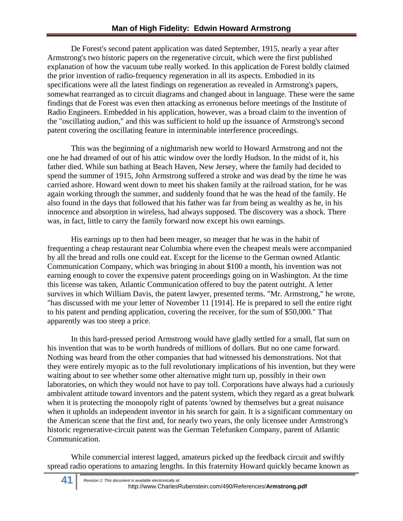De Forest's second patent application was dated September, 1915, nearly a year after Armstrong's two historic papers on the regenerative circuit, which were the first published explanation of how the vacuum tube really worked. In this application de Forest boldly claimed the prior invention of radio-frequency regeneration in all its aspects. Embodied in its specifications were all the latest findings on regeneration as revealed in Armstrong's papers, somewhat rearranged as to circuit diagrams and changed about in language. These were the same findings that de Forest was even then attacking as erroneous before meetings of the Institute of Radio Engineers. Embedded in his application, however, was a broad claim to the invention of the "oscillating audion," and this was sufficient to hold up the issuance of Armstrong's second patent covering the oscillating feature in interminable interference proceedings.

This was the beginning of a nightmarish new world to Howard Armstrong and not the one he had dreamed of out of his attic window over the lordly Hudson. In the midst of it, his father died. While sun bathing at Beach Haven, New Jersey, where the family had decided to spend the summer of 1915, John Armstrong suffered a stroke and was dead by the time he was carried ashore. Howard went down to meet his shaken family at the railroad station, for he was again working through the summer, and suddenly found that he was the head of the family. He also found in the days that followed that his father was far from being as wealthy as he, in his innocence and absorption in wireless, had always supposed. The discovery was a shock. There was, in fact, little to carry the family forward now except his own earnings.

His earnings up to then had been meager, so meager that he was in the habit of frequenting a cheap restaurant near Columbia where even the cheapest meals were accompanied by all the bread and rolls one could eat. Except for the license to the German owned Atlantic Communication Company, which was bringing in about \$100 a month, his invention was not earning enough to cover the expensive patent proceedings going on in Washington. At the time this license was taken, Atlantic Communication offered to buy the patent outright. A letter survives in which William Davis, the patent lawyer, presented terms. "Mr. Armstrong," he wrote, "has discussed with me your letter of November 11 [1914]. He is prepared to sell the entire right to his patent and pending application, covering the receiver, for the sum of \$50,000." That apparently was too steep a price.

In this hard-pressed period Armstrong would have gladly settled for a small, flat sum on his invention that was to be worth hundreds of millions of dollars. But no one came forward. Nothing was heard from the other companies that had witnessed his demonstrations. Not that they were entirely myopic as to the full revolutionary implications of his invention, but they were waiting about to see whether some other alternative might turn up, possibly in their own laboratories, on which they would not have to pay toll. Corporations have always had a curiously ambivalent attitude toward inventors and the patent system, which they regard as a great bulwark when it is protecting the monopoly right of patents 'owned by themselves but a great nuisance when it upholds an independent inventor in his search for gain. It is a significant commentary on the American scene that the first and, for nearly two years, the only licensee under Armstrong's historic regenerative-circuit patent was the German Telefunken Company, parent of Atlantic Communication.

While commercial interest lagged, amateurs picked up the feedback circuit and swiftly spread radio operations to amazing lengths. In this fraternity Howard quickly became known as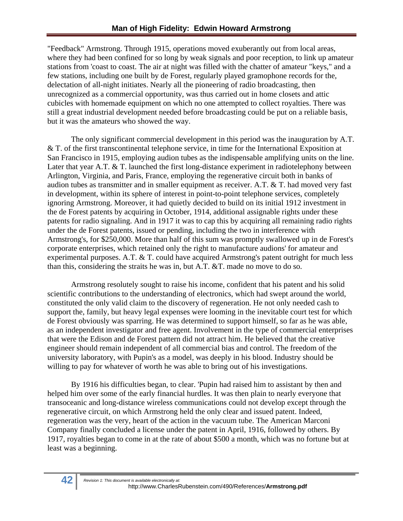"Feedback" Armstrong. Through 1915, operations moved exuberantly out from local areas, where they had been confined for so long by weak signals and poor reception, to link up amateur stations from 'coast to coast. The air at night was filled with the chatter of amateur "keys," and a few stations, including one built by de Forest, regularly played gramophone records for the, delectation of all-night initiates. Nearly all the pioneering of radio broadcasting, then unrecognized as a commercial opportunity, was thus carried out in home closets and attic cubicles with homemade equipment on which no one attempted to collect royalties. There was still a great industrial development needed before broadcasting could be put on a reliable basis, but it was the amateurs who showed the way.

The only significant commercial development in this period was the inauguration by A.T. & T. of the first transcontinental telephone service, in time for the International Exposition at San Francisco in 1915, employing audion tubes as the indispensable amplifying units on the line. Later that year A.T. & T. launched the first long-distance experiment in radiotelephony between Arlington, Virginia, and Paris, France, employing the regenerative circuit both in banks of audion tubes as transmitter and in smaller equipment as receiver. A.T. & T. had moved very fast in development, within its sphere of interest in point-to-point telephone services, completely ignoring Armstrong. Moreover, it had quietly decided to build on its initial 1912 investment in the de Forest patents by acquiring in October, 1914, additional assignable rights under these patents for radio signaling. And in 1917 it was to cap this by acquiring all remaining radio rights under the de Forest patents, issued or pending, including the two in interference with Armstrong's, for \$250,000. More than half of this sum was promptly swallowed up in de Forest's corporate enterprises, which retained only the right to manufacture audions' for amateur and experimental purposes. A.T. & T. could have acquired Armstrong's patent outright for much less than this, considering the straits he was in, but A.T. &T. made no move to do so.

Armstrong resolutely sought to raise his income, confident that his patent and his solid scientific contributions to the understanding of electronics, which had swept around the world, constituted the only valid claim to the discovery of regeneration. He not only needed cash to support the, family, but heavy legal expenses were looming in the inevitable court test for which de Forest obviously was sparring. He was determined to support himself, so far as he was able, as an independent investigator and free agent. Involvement in the type of commercial enterprises that were the Edison and de Forest pattern did not attract him. He believed that the creative engineer should remain independent of all commercial bias and control. The freedom of the university laboratory, with Pupin's as a model, was deeply in his blood. Industry should be willing to pay for whatever of worth he was able to bring out of his investigations.

By 1916 his difficulties began, to clear. 'Pupin had raised him to assistant by then and helped him over some of the early financial hurdles. It was then plain to nearly everyone that transoceanic and long-distance wireless communications could not develop except through the regenerative circuit, on which Armstrong held the only clear and issued patent. Indeed, regeneration was the very, heart of the action in the vacuum tube. The American Marconi Company finally concluded a license under the patent in April, 1916, followed by others. By 1917, royalties began to come in at the rate of about \$500 a month, which was no fortune but at least was a beginning.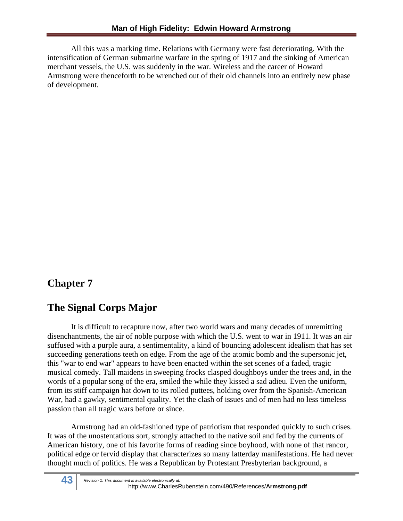All this was a marking time. Relations with Germany were fast deteriorating. With the intensification of German submarine warfare in the spring of 1917 and the sinking of American merchant vessels, the U.S. was suddenly in the war. Wireless and the career of Howard Armstrong were thenceforth to be wrenched out of their old channels into an entirely new phase of development.

# **Chapter 7**

# **The Signal Corps Major**

It is difficult to recapture now, after two world wars and many decades of unremitting disenchantments, the air of noble purpose with which the U.S. went to war in 1911. It was an air suffused with a purple aura, a sentimentality, a kind of bouncing adolescent idealism that has set succeeding generations teeth on edge. From the age of the atomic bomb and the supersonic jet, this "war to end war" appears to have been enacted within the set scenes of a faded, tragic musical comedy. Tall maidens in sweeping frocks clasped doughboys under the trees and, in the words of a popular song of the era, smiled the while they kissed a sad adieu. Even the uniform, from its stiff campaign hat down to its rolled puttees, holding over from the Spanish-American War, had a gawky, sentimental quality. Yet the clash of issues and of men had no less timeless passion than all tragic wars before or since.

Armstrong had an old-fashioned type of patriotism that responded quickly to such crises. It was of the unostentatious sort, strongly attached to the native soil and fed by the currents of American history, one of his favorite forms of reading since boyhood, with none of that rancor, political edge or fervid display that characterizes so many latterday manifestations. He had never thought much of politics. He was a Republican by Protestant Presbyterian background, a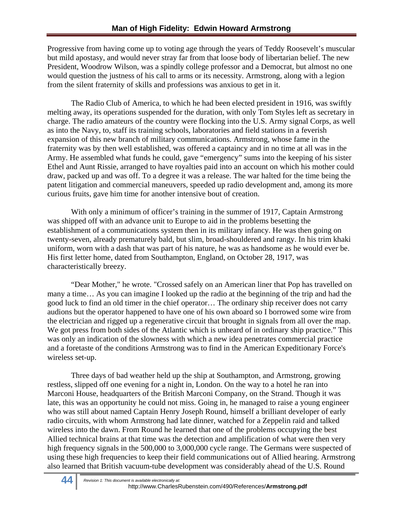Progressive from having come up to voting age through the years of Teddy Roosevelt's muscular but mild apostasy, and would never stray far from that loose body of libertarian belief. The new President, Woodrow Wilson, was a spindly college professor and a Democrat, but almost no one would question the justness of his call to arms or its necessity. Armstrong, along with a legion from the silent fraternity of skills and professions was anxious to get in it.

The Radio Club of America, to which he had been elected president in 1916, was swiftly melting away, its operations suspended for the duration, with only Tom Styles left as secretary in charge. The radio amateurs of the country were flocking into the U.S. Army signal Corps, as well as into the Navy, to, staff its training schools, laboratories and field stations in a feverish expansion of this new branch of military communications. Armstrong, whose fame in the fraternity was by then well established, was offered a captaincy and in no time at all was in the Army. He assembled what funds he could, gave "emergency" sums into the keeping of his sister Ethel and Aunt Rissie, arranged to have royalties paid into an account on which his mother could draw, packed up and was off. To a degree it was a release. The war halted for the time being the patent litigation and commercial maneuvers, speeded up radio development and, among its more curious fruits, gave him time for another intensive bout of creation.

With only a minimum of officer's training in the summer of 1917, Captain Armstrong was shipped off with an advance unit to Europe to aid in the problems besetting the establishment of a communications system then in its military infancy. He was then going on twenty-seven, already prematurely bald, but slim, broad-shouldered and rangy. In his trim khaki uniform, worn with a dash that was part of his nature, he was as handsome as he would ever be. His first letter home, dated from Southampton, England, on October 28, 1917, was characteristically breezy.

"Dear Mother," he wrote. "Crossed safely on an American liner that Pop has travelled on many a time… As you can imagine I looked up the radio at the beginning of the trip and had the good luck to find an old timer in the chief operator… The ordinary ship receiver does not carry audions but the operator happened to have one of his own aboard so I borrowed some wire from the electrician and rigged up a regenerative circuit that brought in signals from all over the map. We got press from both sides of the Atlantic which is unheard of in ordinary ship practice." This was only an indication of the slowness with which a new idea penetrates commercial practice and a foretaste of the conditions Armstrong was to find in the American Expeditionary Force's wireless set-up.

Three days of bad weather held up the ship at Southampton, and Armstrong, growing restless, slipped off one evening for a night in, London. On the way to a hotel he ran into Marconi House, headquarters of the British Marconi Company, on the Strand. Though it was late, this was an opportunity he could not miss. Going in, he managed to raise a young engineer who was still about named Captain Henry Joseph Round, himself a brilliant developer of early radio circuits, with whom Armstrong had late dinner, watched for a Zeppelin raid and talked wireless into the dawn. From Round he learned that one of the problems occupying the best Allied technical brains at that time was the detection and amplification of what were then very high frequency signals in the 500,000 to 3,000,000 cycle range. The Germans were suspected of using these high frequencies to keep their field communications out of Allied hearing. Armstrong also learned that British vacuum-tube development was considerably ahead of the U.S. Round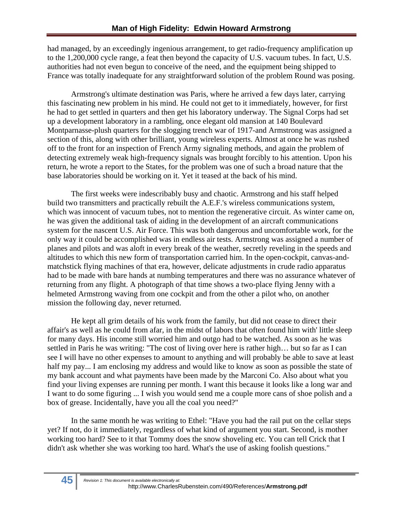had managed, by an exceedingly ingenious arrangement, to get radio-frequency amplification up to the 1,200,000 cycle range, a feat then beyond the capacity of U.S. vacuum tubes. In fact, U.S. authorities had not even begun to conceive of the need, and the equipment being shipped to France was totally inadequate for any straightforward solution of the problem Round was posing.

Armstrong's ultimate destination was Paris, where he arrived a few days later, carrying this fascinating new problem in his mind. He could not get to it immediately, however, for first he had to get settled in quarters and then get his laboratory underway. The Signal Corps had set up a development laboratory in a rambling, once elegant old mansion at 140 Boulevard Montparnasse-plush quarters for the slogging trench war of 1917-and Armstrong was assigned a section of this, along with other brilliant, young wireless experts. Almost at once he was rushed off to the front for an inspection of French Army signaling methods, and again the problem of detecting extremely weak high-frequency signals was brought forcibly to his attention. Upon his return, he wrote a report to the States, for the problem was one of such a broad nature that the base laboratories should be working on it. Yet it teased at the back of his mind.

The first weeks were indescribably busy and chaotic. Armstrong and his staff helped build two transmitters and practically rebuilt the A.E.F.'s wireless communications system, which was innocent of vacuum tubes, not to mention the regenerative circuit. As winter came on, he was given the additional task of aiding in the development of an aircraft communications system for the nascent U.S. Air Force. This was both dangerous and uncomfortable work, for the only way it could be accomplished was in endless air tests. Armstrong was assigned a number of planes and pilots and was aloft in every break of the weather, secretly reveling in the speeds and altitudes to which this new form of transportation carried him. In the open-cockpit, canvas-andmatchstick flying machines of that era, however, delicate adjustments in crude radio apparatus had to be made with bare hands at numbing temperatures and there was no assurance whatever of returning from any flight. A photograph of that time shows a two-place flying Jenny with a helmeted Armstrong waving from one cockpit and from the other a pilot who, on another mission the following day, never returned.

He kept all grim details of his work from the family, but did not cease to direct their affair's as well as he could from afar, in the midst of labors that often found him with' little sleep for many days. His income still worried him and outgo had to be watched. As soon as he was settled in Paris he was writing: "The cost of living over here is rather high… but so far as I can see I will have no other expenses to amount to anything and will probably be able to save at least half my pay... I am enclosing my address and would like to know as soon as possible the state of my bank account and what payments have been made by the Marconi Co. Also about what you find your living expenses are running per month. I want this because it looks like a long war and I want to do some figuring ... I wish you would send me a couple more cans of shoe polish and a box of grease. Incidentally, have you all the coal you need?"

In the same month he was writing to Ethel: "Have you had the rail put on the cellar steps yet? If not, do it immediately, regardless of what kind of argument you start. Second, is mother working too hard? See to it that Tommy does the snow shoveling etc. You can tell Crick that I didn't ask whether she was working too hard. What's the use of asking foolish questions."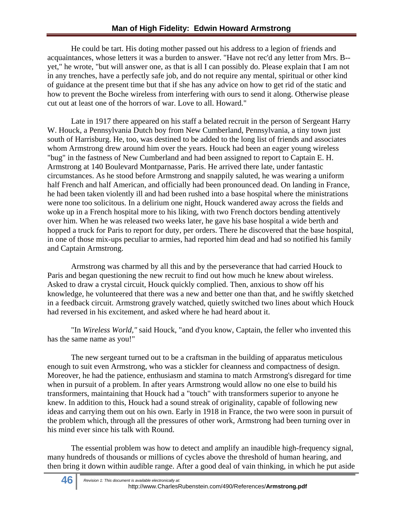He could be tart. His doting mother passed out his address to a legion of friends and acquaintances, whose letters it was a burden to answer. "Have not rec'd any letter from Mrs. B- yet," he wrote, "but will answer one, as that is all I can possibly do. Please explain that I am not in any trenches, have a perfectly safe job, and do not require any mental, spiritual or other kind of guidance at the present time but that if she has any advice on how to get rid of the static and how to prevent the Boche wireless from interfering with ours to send it along. Otherwise please cut out at least one of the horrors of war. Love to all. Howard."

Late in 1917 there appeared on his staff a belated recruit in the person of Sergeant Harry W. Houck, a Pennsylvania Dutch boy from New Cumberland, Pennsylvania, a tiny town just south of Harrisburg. He, too, was destined to be added to the long list of friends and associates whom Armstrong drew around him over the years. Houck had been an eager young wireless "bug" in the fastness of New Cumberland and had been assigned to report to Captain E. H. Armstrong at 140 Boulevard Montparnasse, Paris. He arrived there late, under fantastic circumstances. As he stood before Armstrong and snappily saluted, he was wearing a uniform half French and half American, and officially had been pronounced dead. On landing in France, he had been taken violently ill and had been rushed into a base hospital where the ministrations were none too solicitous. In a delirium one night, Houck wandered away across the fields and woke up in a French hospital more to his liking, with two French doctors bending attentively over him. When he was released two weeks later, he gave his base hospital a wide berth and hopped a truck for Paris to report for duty, per orders. There he discovered that the base hospital, in one of those mix-ups peculiar to armies, had reported him dead and had so notified his family and Captain Armstrong.

Armstrong was charmed by all this and by the perseverance that had carried Houck to Paris and began questioning the new recruit to find out how much he knew about wireless. Asked to draw a crystal circuit, Houck quickly complied. Then, anxious to show off his knowledge, he volunteered that there was a new and better one than that, and he swiftly sketched in a feedback circuit. Armstrong gravely watched, quietly switched two lines about which Houck had reversed in his excitement, and asked where he had heard about it.

"In *Wireless World,"* said Houck, "and d'you know, Captain, the feller who invented this has the same name as you!"

The new sergeant turned out to be a craftsman in the building of apparatus meticulous enough to suit even Armstrong, who was a stickler for cleanness and compactness of design. Moreover, he had the patience, enthusiasm and stamina to match Armstrong's disregard for time when in pursuit of a problem. In after years Armstrong would allow no one else to build his transformers, maintaining that Houck had a "touch" with transformers superior to anyone he knew. In addition to this, Houck had a sound streak of originality, capable of following new ideas and carrying them out on his own. Early in 1918 in France, the two were soon in pursuit of the problem which, through all the pressures of other work, Armstrong had been turning over in his mind ever since his talk with Round.

The essential problem was how to detect and amplify an inaudible high-frequency signal, many hundreds of thousands or millions of cycles above the threshold of human hearing, and then bring it down within audible range. After a good deal of vain thinking, in which he put aside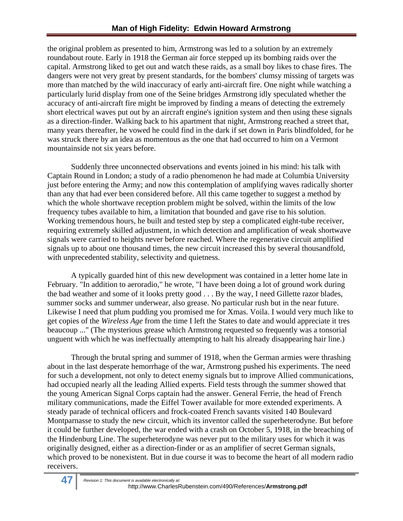the original problem as presented to him, Armstrong was led to a solution by an extremely roundabout route. Early in 1918 the German air force stepped up its bombing raids over the capital. Armstrong liked to get out and watch these raids, as a small boy likes to chase fires. The dangers were not very great by present standards, for the bombers' clumsy missing of targets was more than matched by the wild inaccuracy of early anti-aircraft fire. One night while watching a particularly lurid display from one of the Seine bridges Armstrong idly speculated whether the accuracy of anti-aircraft fire might be improved by finding a means of detecting the extremely short electrical waves put out by an aircraft engine's ignition system and then using these signals as a direction-finder. Walking back to his apartment that night, Armstrong reached a street that, many years thereafter, he vowed he could find in the dark if set down in Paris blindfolded, for he was struck there by an idea as momentous as the one that had occurred to him on a Vermont mountainside not six years before.

Suddenly three unconnected observations and events joined in his mind: his talk with Captain Round in London; a study of a radio phenomenon he had made at Columbia University just before entering the Army; and now this contemplation of amplifying waves radically shorter than any that had ever been considered before. All this came together to suggest a method by which the whole shortwave reception problem might be solved, within the limits of the low frequency tubes available to him, a limitation that bounded and gave rise to his solution. Working tremendous hours, he built and tested step by step a complicated eight-tube receiver, requiring extremely skilled adjustment, in which detection and amplification of weak shortwave signals were carried to heights never before reached. Where the regenerative circuit amplified signals up to about one thousand times, the new circuit increased this by several thousandfold, with unprecedented stability, selectivity and quietness.

A typically guarded hint of this new development was contained in a letter home late in February. "In addition to aeroradio," he wrote, "I have been doing a lot of ground work during the bad weather and some of it looks pretty good . . . By the way, I need Gillette razor blades, summer socks and summer underwear, also grease. No particular rush but in the near future. Likewise I need that plum pudding you promised me for Xmas. Voila. I would very much like to get copies of the *Wireless Age* from the time I left the States to date and would appreciate it tres beaucoup ..." (The mysterious grease which Armstrong requested so frequently was a tonsorial unguent with which he was ineffectually attempting to halt his already disappearing hair line.)

Through the brutal spring and summer of 1918, when the German armies were thrashing about in the last desperate hemorrhage of the war, Armstrong pushed his experiments. The need for such a development, not only to detect enemy signals but to improve Allied communications, had occupied nearly all the leading Allied experts. Field tests through the summer showed that the young American Signal Corps captain had the answer. General Ferrie, the head of French military communications, made the Eiffel Tower available for more extended experiments. A steady parade of technical officers and frock-coated French savants visited 140 Boulevard Montparnasse to study the new circuit, which its inventor called the superheterodyne. But before it could be further developed, the war ended with a crash on October 5, 1918, in the breaching of the Hindenburg Line. The superheterodyne was never put to the military uses for which it was originally designed, either as a direction-finder or as an amplifier of secret German signals, which proved to be nonexistent. But in due course it was to become the heart of all modern radio receivers.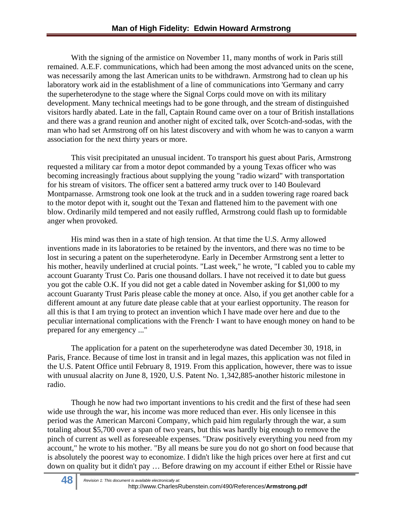With the signing of the armistice on November 11, many months of work in Paris still remained. A.E.F. communications, which had been among the most advanced units on the scene, was necessarily among the last American units to be withdrawn. Armstrong had to clean up his laboratory work aid in the establishment of a line of communications into 'Germany and carry the superheterodyne to the stage where the Signal Corps could move on with its military development. Many technical meetings had to be gone through, and the stream of distinguished visitors hardly abated. Late in the fall, Captain Round came over on a tour of British installations and there was a grand reunion and another night of excited talk, over Scotch-and-sodas, with the man who had set Armstrong off on his latest discovery and with whom he was to canyon a warm association for the next thirty years or more.

This visit precipitated an unusual incident. To transport his guest about Paris, Armstrong requested a military car from a motor depot commanded by a young Texas officer who was becoming increasingly fractious about supplying the young "radio wizard" with transportation for his stream of visitors. The officer sent a battered army truck over to 140 Boulevard Montparnasse. Armstrong took one look at the truck and in a sudden towering rage roared back to the motor depot with it, sought out the Texan and flattened him to the pavement with one blow. Ordinarily mild tempered and not easily ruffled, Armstrong could flash up to formidable anger when provoked.

His mind was then in a state of high tension. At that time the U.S. Army allowed inventions made in its laboratories to be retained by the inventors, and there was no time to be lost in securing a patent on the superheterodyne. Early in December Armstrong sent a letter to his mother, heavily underlined at crucial points. "Last week," he wrote, "I cabled you to cable my account Guaranty Trust Co. Paris one thousand dollars. I have not received it to date but guess you got the cable O.K. If you did not get a cable dated in November asking for \$1,000 to my account Guaranty Trust Paris please cable the money at once. Also, if you get another cable for a different amount at any future date please cable that at your earliest opportunity. The reason for all this is that I am trying to protect an invention which I have made over here and due to the peculiar international complications with the French· I want to have enough money on hand to be prepared for any emergency ..."

The application for a patent on the superheterodyne was dated December 30, 1918, in Paris, France. Because of time lost in transit and in legal mazes, this application was not filed in the U.S. Patent Office until February 8, 1919. From this application, however, there was to issue with unusual alacrity on June 8, 1920, U.S. Patent No. 1,342,885-another historic milestone in radio.

Though he now had two important inventions to his credit and the first of these had seen wide use through the war, his income was more reduced than ever. His only licensee in this period was the American Marconi Company, which paid him regularly through the war, a sum totaling about \$5,700 over a span of two years, but this was hardly big enough to remove the pinch of current as well as foreseeable expenses. "Draw positively everything you need from my account," he wrote to his mother. "By all means be sure you do not go short on food because that is absolutely the poorest way to economize. I didn't like the high prices over here at first and cut down on quality but it didn't pay … Before drawing on my account if either Ethel or Rissie have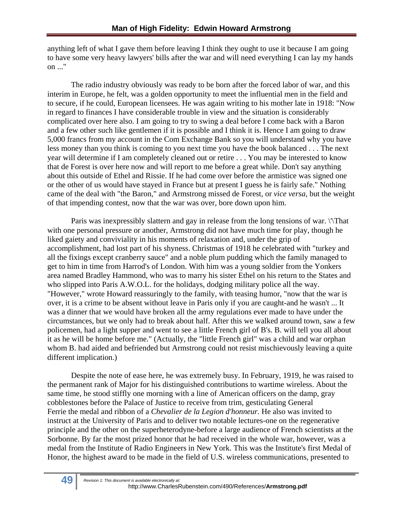anything left of what I gave them before leaving I think they ought to use it because I am going to have some very heavy lawyers' bills after the war and will need everything I can lay my hands on ..."

The radio industry obviously was ready to be born after the forced labor of war, and this interim in Europe, he felt, was a golden opportunity to meet the influential men in the field and to secure, if he could, European licensees. He was again writing to his mother late in 1918: "Now in regard to finances I have considerable trouble in view and the situation is considerably complicated over here also. I am going to try to swing a deal before I come back with a Baron and a few other such like gentlemen if it is possible and I think it is. Hence I am going to draw 5,000 francs from my account in the Com Exchange Bank so you will understand why you have less money than you think is coming to you next time you have the book balanced . . . The next year will determine if I am completely cleaned out or retire . . . You may be interested to know that de Forest is over here now and will report to me before a great while. Don't say anything about this outside of Ethel and Rissie. If he had come over before the armistice was signed one or the other of us would have stayed in France but at present I guess he is fairly safe." Nothing came of the deal with "the Baron," and Armstrong missed de Forest, or *vice versa,* but the weight of that impending contest, now that the war was over, bore down upon him.

Paris was inexpressibly slattern and gay in release from the long tensions of war. \'That with one personal pressure or another, Armstrong did not have much time for play, though he liked gaiety and conviviality in his moments of relaxation and, under the grip of accomplishment, had lost part of his shyness. Christmas of 1918 he celebrated with "turkey and all the fixings except cranberry sauce" and a noble plum pudding which the family managed to get to him in time from Harrod's of London. With him was a young soldier from the Yonkers area named Bradley Hammond, who was to marry his sister Ethel on his return to the States and who slipped into Paris A.W.O.L. for the holidays, dodging military police all the way. "However," wrote Howard reassuringly to the family, with teasing humor, "now that the war is over, it is a crime to be absent without leave in Paris only if you are caught-and he wasn't ... It was a dinner that we would have broken all the army regulations ever made to have under the circumstances, but we only had to break about half. After this we walked around town, saw a few policemen, had a light supper and went to see a little French girl of B's. B. will tell you all about it as he will be home before me." (Actually, the "little French girl" was a child and war orphan whom B. had aided and befriended but Armstrong could not resist mischievously leaving a quite different implication.)

Despite the note of ease here, he was extremely busy. In February, 1919, he was raised to the permanent rank of Major for his distinguished contributions to wartime wireless. About the same time, he stood stiffly one morning with a line of American officers on the damp, gray cobblestones before the Palace of Justice to receive from trim, gesticulating General Ferrie the medal and ribbon of a *Chevalier de la Legion d'honneur.* He also was invited to instruct at the University of Paris and to deliver two notable lectures-one on the regenerative principle and the other on the superheterodyne-before a large audience of French scientists at the Sorbonne. By far the most prized honor that he had received in the whole war, however, was a medal from the Institute of Radio Engineers in New York. This was the Institute's first Medal of Honor, the highest award to be made in the field of U.S. wireless communications, presented to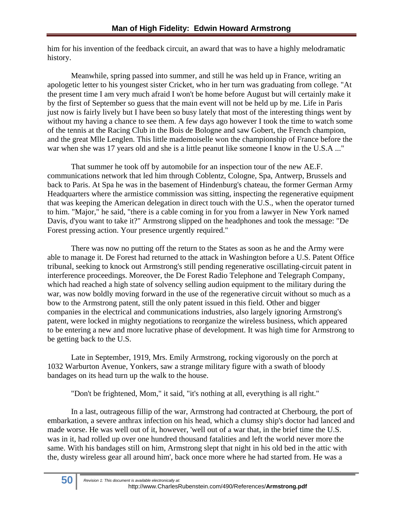him for his invention of the feedback circuit, an award that was to have a highly melodramatic history.

Meanwhile, spring passed into summer, and still he was held up in France, writing an apologetic letter to his youngest sister Cricket, who in her turn was graduating from college. "At the present time I am very much afraid I won't be home before August but will certainly make it by the first of September so guess that the main event will not be held up by me. Life in Paris just now is fairly lively but I have been so busy lately that most of the interesting things went by without my having a chance to see them. A few days ago however I took the time to watch some of the tennis at the Racing Club in the Bois de Bologne and saw Gobert, the French champion, and the great Mlle Lenglen. This little mademoiselle won the championship of France before the war when she was 17 years old and she is a little peanut like someone I know in the U.S.A ..."

That summer he took off by automobile for an inspection tour of the new AE.F. communications network that led him through Coblentz, Cologne, Spa, Antwerp, Brussels and back to Paris. At Spa he was in the basement of Hindenburg's chateau, the former German Army Headquarters where the armistice commission was sitting, inspecting the regenerative equipment that was keeping the American delegation in direct touch with the U.S., when the operator turned to him. "Major," he said, "there is a cable coming in for you from a lawyer in New York named Davis, d'you want to take it?" Armstrong slipped on the headphones and took the message: "De Forest pressing action. Your presence urgently required."

There was now no putting off the return to the States as soon as he and the Army were able to manage it. De Forest had returned to the attack in Washington before a U.S. Patent Office tribunal, seeking to knock out Armstrong's still pending regenerative oscillating-circuit patent in interference proceedings. Moreover, the De Forest Radio Telephone and Telegraph Company, which had reached a high state of solvency selling audion equipment to the military during the war, was now boldly moving forward in the use of the regenerative circuit without so much as a bow to the Armstrong patent, still the only patent issued in this field. Other and bigger companies in the electrical and communications industries, also largely ignoring Armstrong's patent, were locked in mighty negotiations to reorganize the wireless business, which appeared to be entering a new and more lucrative phase of development. It was high time for Armstrong to be getting back to the U.S.

Late in September, 1919, Mrs. Emily Armstrong, rocking vigorously on the porch at 1032 Warburton Avenue, Yonkers, saw a strange military figure with a swath of bloody bandages on its head turn up the walk to the house.

"Don't be frightened, Mom," it said, "it's nothing at all, everything is all right."

In a last, outrageous fillip of the war, Armstrong had contracted at Cherbourg, the port of embarkation, a severe anthrax infection on his head, which a clumsy ship's doctor had lanced and made worse. He was well out of it, however, 'well out of a war that, in the brief time the U.S. was in it, had rolled up over one hundred thousand fatalities and left the world never more the same. With his bandages still on him, Armstrong slept that night in his old bed in the attic with the, dusty wireless gear all around him', back once more where he had started from. He was a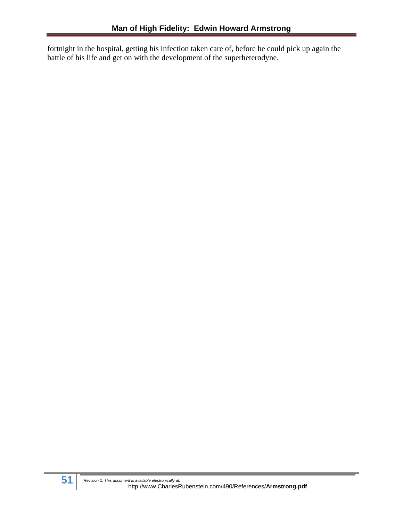fortnight in the hospital, getting his infection taken care of, before he could pick up again the battle of his life and get on with the development of the superheterodyne.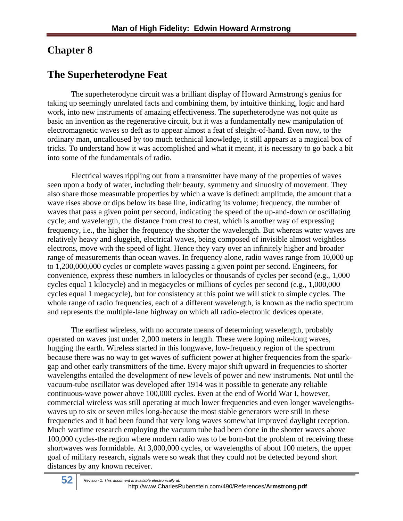# **Chapter 8**

## **The Superheterodyne Feat**

The superheterodyne circuit was a brilliant display of Howard Armstrong's genius for taking up seemingly unrelated facts and combining them, by intuitive thinking, logic and hard work, into new instruments of amazing effectiveness. The superheterodyne was not quite as basic an invention as the regenerative circuit, but it was a fundamentally new manipulation of electromagnetic waves so deft as to appear almost a feat of sleight-of-hand. Even now, to the ordinary man, uncalloused by too much technical knowledge, it still appears as a magical box of tricks. To understand how it was accomplished and what it meant, it is necessary to go back a bit into some of the fundamentals of radio.

Electrical waves rippling out from a transmitter have many of the properties of waves seen upon a body of water, including their beauty, symmetry and sinuosity of movement. They also share those measurable properties by which a wave is defined: amplitude, the amount that a wave rises above or dips below its base line, indicating its volume; frequency, the number of waves that pass a given point per second, indicating the speed of the up-and-down or oscillating cycle; and wavelength, the distance from crest to crest, which is another way of expressing frequency, i.e., the higher the frequency the shorter the wavelength. But whereas water waves are relatively heavy and sluggish, electrical waves, being composed of invisible almost weightless electrons, move with the speed of light. Hence they vary over an infinitely higher and broader range of measurements than ocean waves. In frequency alone, radio waves range from 10,000 up to 1,200,000,000 cycles or complete waves passing a given point per second. Engineers, for convenience, express these numbers in kilocycles or thousands of cycles per second (e.g., 1,000 cycles equal 1 kilocycle) and in megacycles or millions of cycles per second (e.g., 1,000,000 cycles equal 1 megacycle), but for consistency at this point we will stick to simple cycles. The whole range of radio frequencies, each of a different wavelength, is known as the radio spectrum and represents the multiple-lane highway on which all radio-electronic devices operate.

The earliest wireless, with no accurate means of determining wavelength, probably operated on waves just under 2,000 meters in length. These were loping mile-long waves, hugging the earth. Wireless started in this longwave, low-frequency region of the spectrum because there was no way to get waves of sufficient power at higher frequencies from the sparkgap and other early transmitters of the time. Every major shift upward in frequencies to shorter wavelengths entailed the development of new levels of power and new instruments. Not until the vacuum-tube oscillator was developed after 1914 was it possible to generate any reliable continuous-wave power above 100,000 cycles. Even at the end of World War I, however, commercial wireless was still operating at much lower frequencies and even longer wavelengthswaves up to six or seven miles long-because the most stable generators were still in these frequencies and it had been found that very long waves somewhat improved daylight reception. Much wartime research employing the vacuum tube had been done in the shorter waves above 100,000 cycles-the region where modern radio was to be born-but the problem of receiving these shortwaves was formidable. At 3,000,000 cycles, or wavelengths of about 100 meters, the upper goal of military research, signals were so weak that they could not be detected beyond short distances by any known receiver.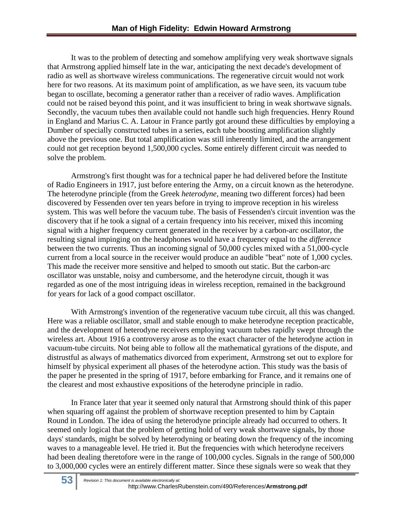It was to the problem of detecting and somehow amplifying very weak shortwave signals that Armstrong applied himself late in the war, anticipating the next decade's development of radio as well as shortwave wireless communications. The regenerative circuit would not work here for two reasons. At its maximum point of amplification, as we have seen, its vacuum tube began to oscillate, becoming a generator rather than a receiver of radio waves. Amplification could not be raised beyond this point, and it was insufficient to bring in weak shortwave signals. Secondly, the vacuum tubes then available could not handle such high frequencies. Henry Round in England and Marius C. A. Latour in France partly got around these difficulties by employing a Dumber of specially constructed tubes in a series, each tube boosting amplification slightly above the previous one. But total amplification was still inherently limited, and the arrangement could not get reception beyond 1,500,000 cycles. Some entirely different circuit was needed to solve the problem.

Armstrong's first thought was for a technical paper he had delivered before the Institute of Radio Engineers in 1917, just before entering the Army, on a circuit known as the heterodyne. The heterodyne principle (from the Greek *heterodyne,* meaning two different forces) had been discovered by Fessenden over ten years before in trying to improve reception in his wireless system. This was well before the vacuum tube. The basis of Fessenden's circuit invention was the discovery that if he took a signal of a certain frequency into his receiver, mixed this incoming signal with a higher frequency current generated in the receiver by a carbon-arc oscillator, the resulting signal impinging on the headphones would have a frequency equal to the *difference*  between the two currents. Thus an incoming signal of 50,000 cycles mixed with a 51,000-cycle current from a local source in the receiver would produce an audible "beat" note of 1,000 cycles. This made the receiver more sensitive and helped to smooth out static. But the carbon-arc oscillator was unstable, noisy and cumbersome, and the heterodyne circuit, though it was regarded as one of the most intriguing ideas in wireless reception, remained in the background for years for lack of a good compact oscillator.

With Armstrong's invention of the regenerative vacuum tube circuit, all this was changed. Here was a reliable oscillator, small and stable enough to make heterodyne reception practicable, and the development of heterodyne receivers employing vacuum tubes rapidly swept through the wireless art. About 1916 a controversy arose as to the exact character of the heterodyne action in vacuum-tube circuits. Not being able to follow all the mathematical gyrations of the dispute, and distrustful as always of mathematics divorced from experiment, Armstrong set out to explore for himself by physical experiment all phases of the heterodyne action. This study was the basis of the paper he presented in the spring of 1917, before embarking for France, and it remains one of the clearest and most exhaustive expositions of the heterodyne principle in radio.

In France later that year it seemed only natural that Armstrong should think of this paper when squaring off against the problem of shortwave reception presented to him by Captain Round in London. The idea of using the heterodyne principle already had occurred to others. It seemed only logical that the problem of getting hold of very weak shortwave signals, by those days' standards, might be solved by heterodyning or beating down the frequency of the incoming waves to a manageable level. He tried it. But the frequencies with which heterodyne receivers had been dealing theretofore were in the range of 100,000 cycles. Signals in the range of 500,000 to 3,000,000 cycles were an entirely different matter. Since these signals were so weak that they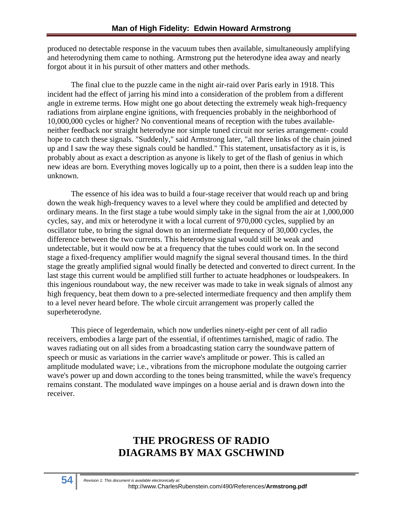produced no detectable response in the vacuum tubes then available, simultaneously amplifying and heterodyning them came to nothing. Armstrong put the heterodyne idea away and nearly forgot about it in his pursuit of other matters and other methods.

The final clue to the puzzle came in the night air-raid over Paris early in 1918. This incident had the effect of jarring his mind into a consideration of the problem from a different angle in extreme terms. How might one go about detecting the extremely weak high-frequency radiations from airplane engine ignitions, with frequencies probably in the neighborhood of 10,000,000 cycles or higher? No conventional means of reception with the tubes availableneither feedback nor straight heterodyne nor simple tuned circuit nor series arrangement- could hope to catch these signals. "Suddenly," said Armstrong later, "all three links of the chain joined up and I saw the way these signals could be handled." This statement, unsatisfactory as it is, is probably about as exact a description as anyone is likely to get of the flash of genius in which new ideas are born. Everything moves logically up to a point, then there is a sudden leap into the unknown.

The essence of his idea was to build a four-stage receiver that would reach up and bring down the weak high-frequency waves to a level where they could be amplified and detected by ordinary means. In the first stage a tube would simply take in the signal from the air at 1,000,000 cycles, say, and mix or heterodyne it with a local current of 970,000 cycles, supplied by an oscillator tube, to bring the signal down to an intermediate frequency of 30,000 cycles, the difference between the two currents. This heterodyne signal would still be weak and undetectable, but it would now be at a frequency that the tubes could work on. In the second stage a fixed-frequency amplifier would magnify the signal several thousand times. In the third stage the greatly amplified signal would finally be detected and converted to direct current. In the last stage this current would be amplified still further to actuate headphones or loudspeakers. In this ingenious roundabout way, the new receiver was made to take in weak signals of almost any high frequency, beat them down to a pre-selected intermediate frequency and then amplify them to a level never heard before. The whole circuit arrangement was properly called the superheterodyne.

This piece of legerdemain, which now underlies ninety-eight per cent of all radio receivers, embodies a large part of the essential, if oftentimes tarnished, magic of radio. The waves radiating out on all sides from a broadcasting station carry the soundwave pattern of speech or music as variations in the carrier wave's amplitude or power. This is called an amplitude modulated wave; i.e., vibrations from the microphone modulate the outgoing carrier wave's power up and down according to the tones being transmitted, while the wave's frequency remains constant. The modulated wave impinges on a house aerial and is drawn down into the receiver.

# **THE PROGRESS OF RADIO DIAGRAMS BY MAX GSCHWIND**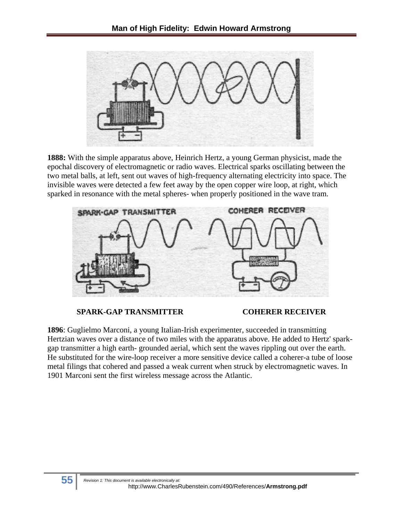

**1888:** With the simple apparatus above, Heinrich Hertz, a young German physicist, made the epochal discovery of electromagnetic or radio waves. Electrical sparks oscillating between the two metal balls, at left, sent out waves of high-frequency alternating electricity into space. The invisible waves were detected a few feet away by the open copper wire loop, at right, which sparked in resonance with the metal spheres- when properly positioned in the wave tram.



### **SPARK-GAP TRANSMITTER COHERER RECEIVER**

**1896**: Guglielmo Marconi, a young Italian-Irish experimenter, succeeded in transmitting Hertzian waves over a distance of two miles with the apparatus above. He added to Hertz' sparkgap transmitter a high earth- grounded aerial, which sent the waves rippling out over the earth. He substituted for the wire-loop receiver a more sensitive device called a coherer-a tube of loose metal filings that cohered and passed a weak current when struck by electromagnetic waves. In 1901 Marconi sent the first wireless message across the Atlantic.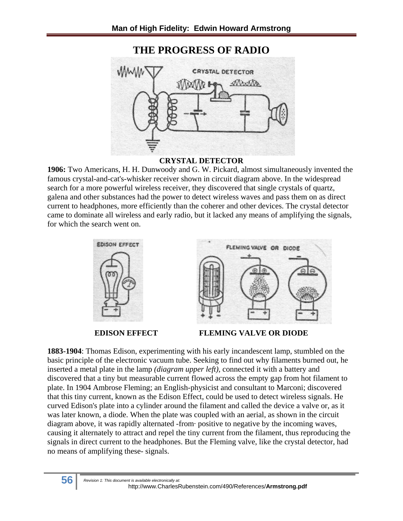## **THE PROGRESS OF RADIO**



## **CRYSTAL DETECTOR**

**1906:** Two Americans, H. H. Dunwoody and G. W. Pickard, almost simultaneously invented the famous crystal-and-cat's-whisker receiver shown in circuit diagram above. In the widespread search for a more powerful wireless receiver, they discovered that single crystals of quartz, galena and other substances had the power to detect wireless waves and pass them on as direct current to headphones, more efficiently than the coherer and other devices. The crystal detector came to dominate all wireless and early radio, but it lacked any means of amplifying the signals, for which the search went on.



**EDISON EFFECT FLEMING VALVE OR DIODE** 

**1883-1904**: Thomas Edison, experimenting with his early incandescent lamp, stumbled on the basic principle of the electronic vacuum tube. Seeking to find out why filaments burned out, he inserted a metal plate in the lamp *(diagram upper left),* connected it with a battery and discovered that a tiny but measurable current flowed across the empty gap from hot filament to plate. In 1904 Ambrose Fleming; an English-physicist and consultant to Marconi; discovered that this tiny current, known as the Edison Effect, could be used to detect wireless signals. He curved Edison's plate into a cylinder around the filament and called the device a valve or, as it was later known, a diode. When the plate was coupled with an aerial, as shown in the circuit diagram above, it was rapidly alternated -from· positive to negative by the incoming waves, causing it alternately to attract and repel the tiny current from the filament, thus reproducing the signals in direct current to the headphones. But the Fleming valve, like the crystal detector, had no means of amplifying these- signals.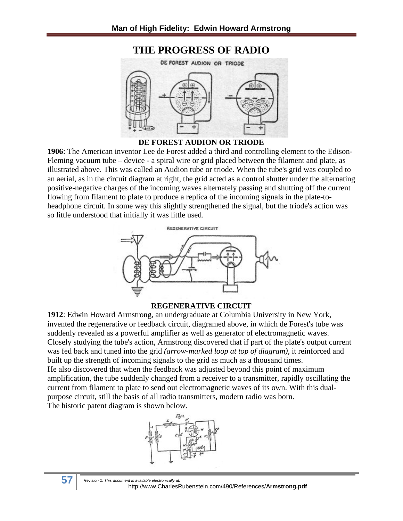

**DE FOREST AUDION OR TRIODE** 

**1906**: The American inventor Lee de Forest added a third and controlling element to the Edison-Fleming vacuum tube – device - a spiral wire or grid placed between the filament and plate, as illustrated above. This was called an Audion tube or triode. When the tube's grid was coupled to an aerial, as in the circuit diagram at right, the grid acted as a control shutter under the alternating positive-negative charges of the incoming waves alternately passing and shutting off the current flowing from filament to plate to produce a replica of the incoming signals in the plate-toheadphone circuit. In some way this slightly strengthened the signal, but the triode's action was so little understood that initially it was little used.



### **REGENERATIVE CIRCUIT**

**1912**: Edwin Howard Armstrong, an undergraduate at Columbia University in New York, invented the regenerative or feedback circuit, diagramed above, in which de Forest's tube was suddenly revealed as a powerful amplifier as well as generator of electromagnetic waves. Closely studying the tube's action, Armstrong discovered that if part of the plate's output current was fed back and tuned into the grid *(arrow-marked loop at top of diagram),* it reinforced and built up the strength of incoming signals to the grid as much as a thousand times. He also discovered that when the feedback was adjusted beyond this point of maximum amplification, the tube suddenly changed from a receiver to a transmitter, rapidly oscillating the current from filament to plate to send out electromagnetic waves of its own. With this dualpurpose circuit, still the basis of all radio transmitters, modern radio was born. The historic patent diagram is shown below.



**57** *Revision 1: This document is available electronically at:* http://www.CharlesRubenstein.com/490/References/**Armstrong.pdf**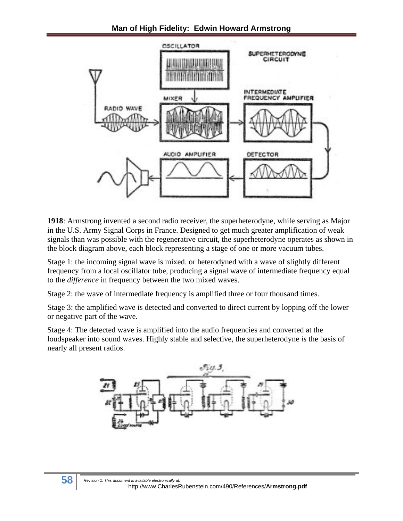

**1918**: Armstrong invented a second radio receiver, the superheterodyne, while serving as Major in the U.S. Army Signal Corps in France. Designed to get much greater amplification of weak signals than was possible with the regenerative circuit, the superheterodyne operates as shown in the block diagram above, each block representing a stage of one or more vacuum tubes.

Stage 1: the incoming signal wave is mixed. or heterodyned with a wave of slightly different frequency from a local oscillator tube, producing a signal wave of intermediate frequency equal to the *difference* in frequency between the two mixed waves.

Stage 2: the wave of intermediate frequency is amplified three or four thousand times.

Stage 3: the amplified wave is detected and converted to direct current by lopping off the lower or negative part of the wave.

Stage 4: The detected wave is amplified into the audio frequencies and converted at the loudspeaker into sound waves. Highly stable and selective, the superheterodyne *is* the basis of nearly all present radios.

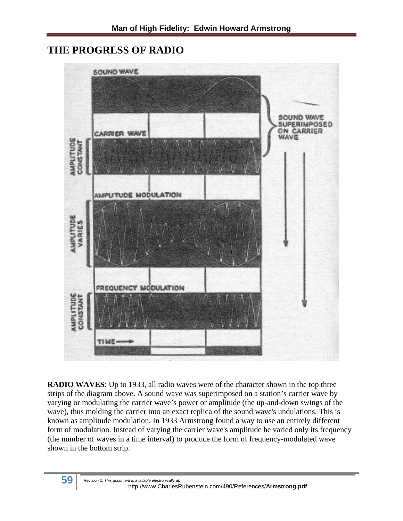## **THE PROGRESS OF RADIO**



**RADIO WAVES**: Up to 1933, all radio waves were of the character shown in the top three strips of the diagram above. A sound wave was superimposed on a station's carrier wave by varying or modulating the carrier wave's power or amplitude (the up-and-down swings of the wave), thus molding the carrier into an exact replica of the sound wave's undulations. This is known as amplitude modulation. In 1933 Armstrong found a way to use an entirely different form of modulation. Instead of varying the carrier wave's amplitude he varied only its frequency (the number of waves in a time interval) to produce the form of frequency-modulated wave shown in the bottom strip.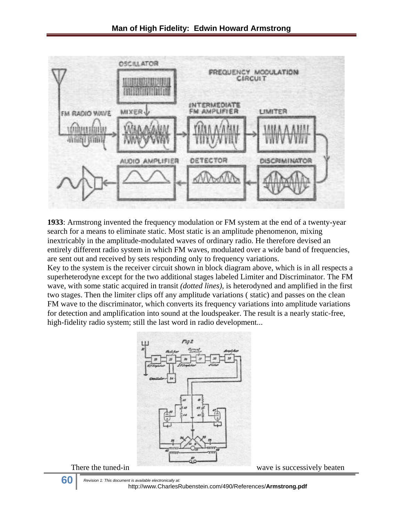

**1933**: Armstrong invented the frequency modulation or FM system at the end of a twenty-year search for a means to eliminate static. Most static is an amplitude phenomenon, mixing inextricably in the amplitude-modulated waves of ordinary radio. He therefore devised an entirely different radio system in which FM waves, modulated over a wide band of frequencies, are sent out and received by sets responding only to frequency variations.

Key to the system is the receiver circuit shown in block diagram above, which is in all respects a superheterodyne except for the two additional stages labeled Limiter and Discriminator. The FM wave, with some static acquired in transit *(dotted lines),* is heterodyned and amplified in the first two stages. Then the limiter clips off any amplitude variations ( static) and passes on the clean FM wave to the discriminator, which converts its frequency variations into amplitude variations for detection and amplification into sound at the loudspeaker. The result is a nearly static-free, high-fidelity radio system; still the last word in radio development...





**60** *Revision 1: This document is available electronically at:* http://www.CharlesRubenstein.com/490/References/**Armstrong.pdf**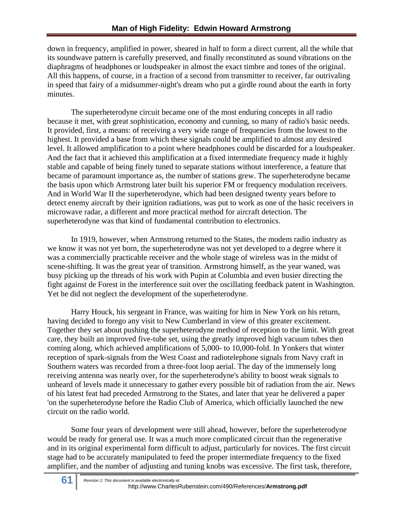down in frequency, amplified in power, sheared in half to form a direct current, all the while that its soundwave pattern is carefully preserved, and finally reconstituted as sound vibrations on the diaphragms of headphones or loudspeaker in almost the exact timbre and tones of the original. All this happens, of course, in a fraction of a second from transmitter to receiver, far outrivaling in speed that fairy of a midsummer-night's dream who put a girdle round about the earth in forty minutes.

The superheterodyne circuit became one of the most enduring concepts in all radio because it met, with great sophistication, economy and cunning, so many of radio's basic needs. It provided, first, a means: of receiving a very wide range of frequencies from the lowest to the highest. It provided a base from which these signals could be amplified to almost any desired level. It allowed amplification to a point where headphones could be discarded for a loudspeaker. And the fact that it achieved this amplification at a fixed intermediate frequency made it highly stable and capable of being finely tuned to separate stations without interference, a feature that became of paramount importance as, the number of stations grew. The superheterodyne became the basis upon which Armstrong later built his superior FM or frequency modulation receivers. And in World War II the superheterodyne, which had been designed twenty years before to detect enemy aircraft by their ignition radiations, was put to work as one of the basic receivers in microwave radar, a different and more practical method for aircraft detection. The superheterodyne was that kind of fundamental contribution to electronics.

In 1919, however, when Armstrong returned to the States, the modem radio industry as we know it was not yet born, the superheterodyne was not yet developed to a degree where it was a commercially practicable receiver and the whole stage of wireless was in the midst of scene-shifting. It was the great year of transition. Armstrong himself, as the year waned, was busy picking up the threads of his work with Pupin at Columbia and even busier directing the fight against de Forest in the interference suit over the oscillating feedback patent in Washington. Yet he did not neglect the development of the superheterodyne.

Harry Houck, his sergeant in France, was waiting for him in New York on his return, having decided to forego any visit to New Cumberland in view of this greater excitement. Together they set about pushing the superheterodyne method of reception to the limit. With great care, they built an improved five-tube set, using the greatly improved high vacuum tubes then coming along, which achieved amplifications of 5,000- to 10,000-fold. In Yonkers that winter reception of spark-signals from the West Coast and radiotelephone signals from Navy craft in Southern waters was recorded from a three-foot loop aerial. The day of the immensely long receiving antenna was nearly over, for the superheterodyne's ability to boost weak signals to unheard of levels made it unnecessary to gather every possible bit of radiation from the air. News of his latest feat had preceded Armstrong to the States, and later that year he delivered a paper 'on the superheterodyne before the Radio Club of America, which officially launched the new circuit on the radio world.

Some four years of development were still ahead, however, before the superheterodyne would be ready for general use. It was a much more complicated circuit than the regenerative and in its original experimental form difficult to adjust, particularly for novices. The first circuit stage had to be accurately manipulated to feed the proper intermediate frequency to the fixed amplifier, and the number of adjusting and tuning knobs was excessive. The first task, therefore,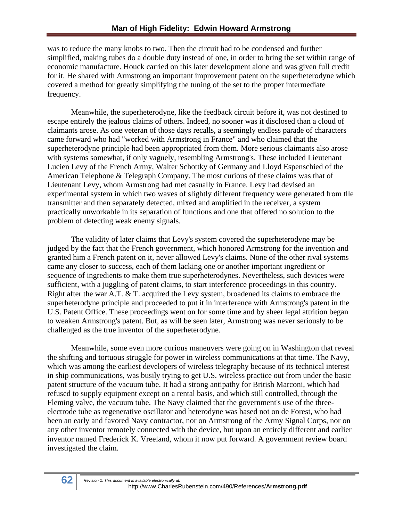was to reduce the many knobs to two. Then the circuit had to be condensed and further simplified, making tubes do a double duty instead of one, in order to bring the set within range of economic manufacture. Houck carried on this later development alone and was given full credit for it. He shared with Armstrong an important improvement patent on the superheterodyne which covered a method for greatly simplifying the tuning of the set to the proper intermediate frequency.

Meanwhile, the superheterodyne, like the feedback circuit before it, was not destined to escape entirely the jealous claims of others. Indeed, no sooner was it disclosed than a cloud of claimants arose. As one veteran of those days recalls, a seemingly endless parade of characters came forward who had "worked with Armstrong in France" and who claimed that the superheterodyne principle had been appropriated from them. More serious claimants also arose with systems somewhat, if only vaguely, resembling Armstrong's. These included Lieutenant Lucien Levy of the French Army, Walter Schottky of Germany and Lloyd Espenschied of the American Telephone & Telegraph Company. The most curious of these claims was that of Lieutenant Levy, whom Armstrong had met casually in France. Levy had devised an experimental system in which two waves of slightly different frequency were generated from tlle transmitter and then separately detected, mixed and amplified in the receiver, a system practically unworkable in its separation of functions and one that offered no solution to the problem of detecting weak enemy signals.

The validity of later claims that Levy's system covered the superheterodyne may be judged by the fact that the French government, which honored Armstrong for the invention and granted him a French patent on it, never allowed Levy's claims. None of the other rival systems came any closer to success, each of them lacking one or another important ingredient or sequence of ingredients to make them true superheterodynes. Nevertheless, such devices were sufficient, with a juggling of patent claims, to start interference proceedings in this country. Right after the war A.T. & T. acquired the Levy system, broadened its claims to embrace the superheterodyne principle and proceeded to put it in interference with Armstrong's patent in the U.S. Patent Office. These proceedings went on for some time and by sheer legal attrition began to weaken Armstrong's patent. But, as will be seen later, Armstrong was never seriously to be challenged as the true inventor of the superheterodyne.

Meanwhile, some even more curious maneuvers were going on in Washington that reveal the shifting and tortuous struggle for power in wireless communications at that time. The Navy, which was among the earliest developers of wireless telegraphy because of its technical interest in ship communications, was busily trying to get U.S. wireless practice out from under the basic patent structure of the vacuum tube. It had a strong antipathy for British Marconi, which had refused to supply equipment except on a rental basis, and which still controlled, through the Fleming valve, the vacuum tube. The Navy claimed that the government's use of the threeelectrode tube as regenerative oscillator and heterodyne was based not on de Forest, who had been an early and favored Navy contractor, nor on Armstrong of the Army Signal Corps, nor on any other inventor remotely connected with the device, but upon an entirely different and earlier inventor named Frederick K. Vreeland, whom it now put forward. A government review board investigated the claim.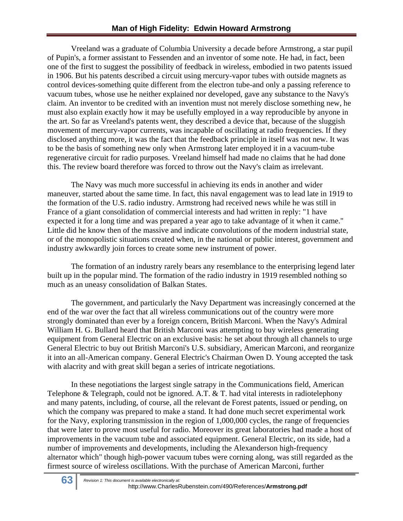Vreeland was a graduate of Columbia University a decade before Armstrong, a star pupil of Pupin's, a former assistant to Fessenden and an inventor of some note. He had, in fact, been one of the first to suggest the possibility of feedback in wireless, embodied in two patents issued in 1906. But his patents described a circuit using mercury-vapor tubes with outside magnets as control devices-something quite different from the electron tube-and only a passing reference to vacuum tubes, whose use he neither explained nor developed, gave any substance to the Navy's claim. An inventor to be credited with an invention must not merely disclose something new, he must also explain exactly how it may be usefully employed in a way reproducible by anyone in the art. So far as Vreeland's patents went, they described a device that, because of the sluggish movement of mercury-vapor currents, was incapable of oscillating at radio frequencies. If they disclosed anything more, it was the fact that the feedback principle in itself was not new. It was to be the basis of something new only when Armstrong later employed it in a vacuum-tube regenerative circuit for radio purposes. Vreeland himself had made no claims that he had done this. The review board therefore was forced to throw out the Navy's claim as irrelevant.

The Navy was much more successful in achieving its ends in another and wider maneuver, started about the same time. In fact, this naval engagement was to lead late in 1919 to the formation of the U.S. radio industry. Armstrong had received news while he was still in France of a giant consolidation of commercial interests and had written in reply: "1 have expected it for a long time and was prepared a year ago to take advantage of it when it came." Little did he know then of the massive and indicate convolutions of the modern industrial state, or of the monopolistic situations created when, in the national or public interest, government and industry awkwardly join forces to create some new instrument of power.

The formation of an industry rarely bears any resemblance to the enterprising legend later built up in the popular mind. The formation of the radio industry in 1919 resembled nothing so much as an uneasy consolidation of Balkan States.

The government, and particularly the Navy Department was increasingly concerned at the end of the war over the fact that all wireless communications out of the country were more strongly dominated than ever by a foreign concern, British Marconi. When the Navy's Admiral William H. G. Bullard heard that British Marconi was attempting to buy wireless generating equipment from General Electric on an exclusive basis: he set about through all channels to urge General Electric to buy out British Marconi's U.S. subsidiary, American Marconi, and reorganize it into an all-American company. General Electric's Chairman Owen D. Young accepted the task with alacrity and with great skill began a series of intricate negotiations.

In these negotiations the largest single satrapy in the Communications field, American Telephone & Telegraph, could not be ignored. A.T.  $\&$  T. had vital interests in radiotelephony and many patents, including, of course, all the relevant de Forest patents, issued or pending, on which the company was prepared to make a stand. It had done much secret experimental work for the Navy, exploring transmission in the region of 1,000,000 cycles, the range of frequencies that were later to prove most useful for radio. Moreover its great laboratories had made a host of improvements in the vacuum tube and associated equipment. General Electric, on its side, had a number of improvements and developments, including the Alexanderson high-frequency alternator which" though high-power vacuum tubes were corning along, was still regarded as the firmest source of wireless oscillations. With the purchase of American Marconi, further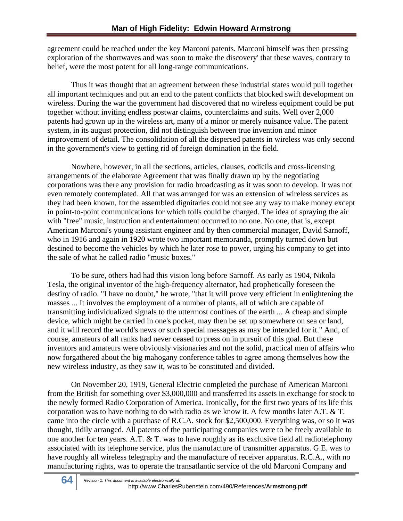agreement could be reached under the key Marconi patents. Marconi himself was then pressing exploration of the shortwaves and was soon to make the discovery' that these waves, contrary to belief, were the most potent for all long-range communications.

Thus it was thought that an agreement between these industrial states would pull together all important techniques and put an end to the patent conflicts that blocked swift development on wireless. During the war the government had discovered that no wireless equipment could be put together without inviting endless postwar claims, counterclaims and suits. Well over 2,000 patents had grown up in the wireless art, many of a minor or merely nuisance value. The patent system, in its august protection, did not distinguish between true invention and minor improvement of detail. The consolidation of all the dispersed patents in wireless was only second in the government's view to getting rid of foreign domination in the field.

Nowhere, however, in all the sections, articles, clauses, codicils and cross-licensing arrangements of the elaborate Agreement that was finally drawn up by the negotiating corporations was there any provision for radio broadcasting as it was soon to develop. It was not even remotely contemplated. All that was arranged for was an extension of wireless services as they had been known, for the assembled dignitaries could not see any way to make money except in point-to-point communications for which tolls could be charged. The idea of spraying the air with "free" music, instruction and entertainment occurred to no one. No one, that is, except American Marconi's young assistant engineer and by then commercial manager, David Sarnoff, who in 1916 and again in 1920 wrote two important memoranda, promptly turned down but destined to become the vehicles by which he later rose to power, urging his company to get into the sale of what he called radio "music boxes."

To be sure, others had had this vision long before Sarnoff. As early as 1904, Nikola Tesla, the original inventor of the high-frequency alternator, had prophetically foreseen the destiny of radio. "I have no doubt," he wrote, "that it will prove very efficient in enlightening the masses ... It involves the employment of a number of plants, all of which are capable of transmitting individualized signals to the uttermost confines of the earth ... A cheap and simple device, which might be carried in one's pocket, may then be set up somewhere on sea or land, and it will record the world's news or such special messages as may be intended for it." And, of course, amateurs of all ranks had never ceased to press on in pursuit of this goal. But these inventors and amateurs were obviously visionaries and not the solid, practical men of affairs who now forgathered about the big mahogany conference tables to agree among themselves how the new wireless industry, as they saw it, was to be constituted and divided.

On November 20, 1919, General Electric completed the purchase of American Marconi from the British for something over \$3,000,000 and transferred its assets in exchange for stock to the newly formed Radio Corporation of America. Ironically, for the first two years of its life this corporation was to have nothing to do with radio as we know it. A few months later A.T. & T. came into the circle with a purchase of R.C.A. stock for \$2,500,000. Everything was, or so it was thought, tidily arranged. All patents of the participating companies were to be freely available to one another for ten years. A.T. & T. was to have roughly as its exclusive field all radiotelephony associated with its telephone service, plus the manufacture of transmitter apparatus. G.E. was to have roughly all wireless telegraphy and the manufacture of receiver apparatus. R.C.A., with no manufacturing rights, was to operate the transatlantic service of the old Marconi Company and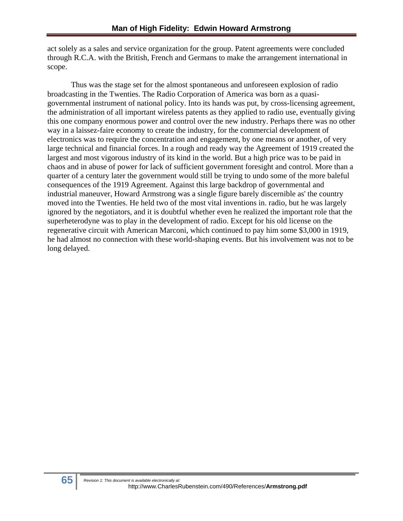act solely as a sales and service organization for the group. Patent agreements were concluded through R.C.A. with the British, French and Germans to make the arrangement international in scope.

Thus was the stage set for the almost spontaneous and unforeseen explosion of radio broadcasting in the Twenties. The Radio Corporation of America was born as a quasigovernmental instrument of national policy. Into its hands was put, by cross-licensing agreement, the administration of all important wireless patents as they applied to radio use, eventually giving this one company enormous power and control over the new industry. Perhaps there was no other way in a laissez-faire economy to create the industry, for the commercial development of electronics was to require the concentration and engagement, by one means or another, of very large technical and financial forces. In a rough and ready way the Agreement of 1919 created the largest and most vigorous industry of its kind in the world. But a high price was to be paid in chaos and in abuse of power for lack of sufficient government foresight and control. More than a quarter of a century later the government would still be trying to undo some of the more baleful consequences of the 1919 Agreement. Against this large backdrop of governmental and industrial maneuver, Howard Armstrong was a single figure barely discernible as' the country moved into the Twenties. He held two of the most vital inventions in. radio, but he was largely ignored by the negotiators, and it is doubtful whether even he realized the important role that the superheterodyne was to play in the development of radio. Except for his old license on the regenerative circuit with American Marconi, which continued to pay him some \$3,000 in 1919, he had almost no connection with these world-shaping events. But his involvement was not to be long delayed.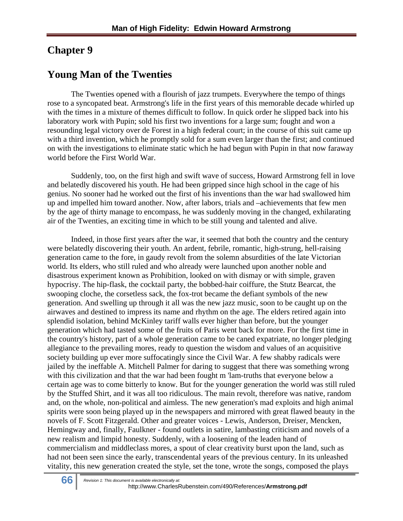## **Chapter 9**

## **Young Man of the Twenties**

The Twenties opened with a flourish of jazz trumpets. Everywhere the tempo of things rose to a syncopated beat. Armstrong's life in the first years of this memorable decade whirled up with the times in a mixture of themes difficult to follow. In quick order he slipped back into his laboratory work with Pupin; sold his first two inventions for a large sum; fought and won a resounding legal victory over de Forest in a high federal court; in the course of this suit came up with a third invention, which he promptly sold for a sum even larger than the first; and continued on with the investigations to eliminate static which he had begun with Pupin in that now faraway world before the First World War.

Suddenly, too, on the first high and swift wave of success, Howard Armstrong fell in love and belatedly discovered his youth. He had been gripped since high school in the cage of his genius. No sooner had he worked out the first of his inventions than the war had swallowed him up and impelled him toward another. Now, after labors, trials and –achievements that few men by the age of thirty manage to encompass, he was suddenly moving in the changed, exhilarating air of the Twenties, an exciting time in which to be still young and talented and alive.

Indeed, in those first years after the war, it seemed that both the country and the century were belatedly discovering their youth. An ardent, febrile, romantic, high-strung, hell-raising generation came to the fore, in gaudy revolt from the solemn absurdities of the late Victorian world. Its elders, who still ruled and who already were launched upon another noble and disastrous experiment known as Prohibition, looked on with dismay or with simple, graven hypocrisy. The hip-flask, the cocktail party, the bobbed-hair coiffure, the Stutz Bearcat, the swooping cloche, the corsetless sack, the fox-trot became the defiant symbols of the new generation. And swelling up through it all was the new jazz music, soon to be caught up on the airwaves and destined to impress its name and rhythm on the age. The elders retired again into splendid isolation, behind McKinley tariff walls ever higher than before, but the younger generation which had tasted some of the fruits of Paris went back for more. For the first time in the country's history, part of a whole generation came to be caned expatriate, no longer pledging allegiance to the prevailing mores, ready to question the wisdom and values of an acquisitive society building up ever more suffocatingly since the Civil War. A few shabby radicals were jailed by the ineffable A. Mitchell Palmer for daring to suggest that there was something wrong with this civilization and that the war had been fought m 'lam-truths that everyone below a certain age was to come bitterly to know. But for the younger generation the world was still ruled by the Stuffed Shirt, and it was all too ridiculous. The main revolt, therefore was native, random and, on the whole, non-political and aimless. The new generation's mad exploits and high animal spirits were soon being played up in the newspapers and mirrored with great flawed beauty in the novels of F. Scott Fitzgerald. Other and greater voices - Lewis, Anderson, Dreiser, Mencken, Hemingway and, finally, Faulkner - found outlets in satire, lambasting criticism and novels of a new realism and limpid honesty. Suddenly, with a loosening of the leaden hand of commercialism and middleclass mores, a spout of clear creativity burst upon the land, such as had not been seen since the early, transcendental years of the previous century. In its unleashed vitality, this new generation created the style, set the tone, wrote the songs, composed the plays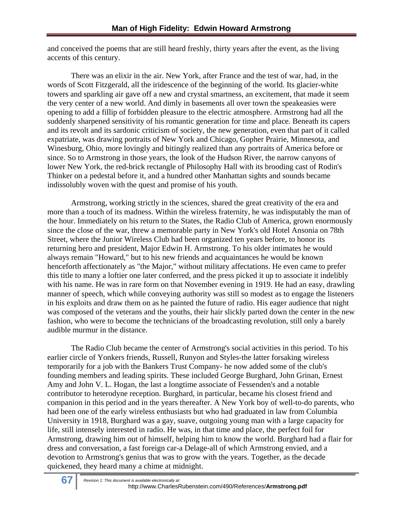and conceived the poems that are still heard freshly, thirty years after the event, as the living accents of this century.

There was an elixir in the air. New York, after France and the test of war, had, in the words of Scott Fitzgerald, all the iridescence of the beginning of the world. Its glacier-white towers and sparkling air gave off a new and crystal smartness, an excitement, that made it seem the very center of a new world. And dimly in basements all over town the speakeasies were opening to add a fillip of forbidden pleasure to the electric atmosphere. Armstrong had all the suddenly sharpened sensitivity of his romantic generation for time and place. Beneath its capers and its revolt and its sardonic criticism of society, the new generation, even that part of it called expatriate, was drawing portraits of New York and Chicago, Gopher Prairie, Minnesota, and Winesburg, Ohio, more lovingly and bitingly realized than any portraits of America before or since. So to Armstrong in those years, the look of the Hudson River, the narrow canyons of lower New York, the red-brick rectangle of Philosophy Hall with its brooding cast of Rodin's Thinker on a pedestal before it, and a hundred other Manhattan sights and sounds became indissolubly woven with the quest and promise of his youth.

Armstrong, working strictly in the sciences, shared the great creativity of the era and more than a touch of its madness. Within the wireless fraternity, he was indisputably the man of the hour. Immediately on his return to the States, the Radio Club of America, grown enormously since the close of the war, threw a memorable party in New York's old Hotel Ansonia on 78th Street, where the Junior Wireless Club had been organized ten years before, to honor its returning hero and president, Major Edwin H. Armstrong. To his older intimates he would always remain "Howard," but to his new friends and acquaintances he would be known henceforth affectionately as "the Major," without military affectations. He even came to prefer this title to many a loftier one later conferred, and the press picked it up to associate it indelibly with his name. He was in rare form on that November evening in 1919. He had an easy, drawling manner of speech, which while conveying authority was still so modest as to engage the listeners in his exploits and draw them on as he painted the future of radio. His eager audience that night was composed of the veterans and the youths, their hair slickly parted down the center in the new fashion, who were to become the technicians of the broadcasting revolution, still only a barely audible murmur in the distance.

The Radio Club became the center of Armstrong's social activities in this period. To his earlier circle of Yonkers friends, Russell, Runyon and Styles-the latter forsaking wireless temporarily for a job with the Bankers Trust Company- he now added some of the club's founding members and leading spirits. These included George Burghard, John Grinan, Ernest Amy and John V. L. Hogan, the last a longtime associate of Fessenden's and a notable contributor to heterodyne reception. Burghard, in particular, became his closest friend and companion in this period and in the years thereafter. A New York boy of well-to-do parents, who had been one of the early wireless enthusiasts but who had graduated in law from Columbia University in 1918, Burghard was a gay, suave, outgoing young man with a large capacity for life, still intensely interested in radio. He was, in that time and place, the perfect foil for Armstrong, drawing him out of himself, helping him to know the world. Burghard had a flair for dress and conversation, a fast foreign car-a Delage-all of which Armstrong envied, and a devotion to Armstrong's genius that was to grow with the years. Together, as the decade quickened, they heard many a chime at midnight.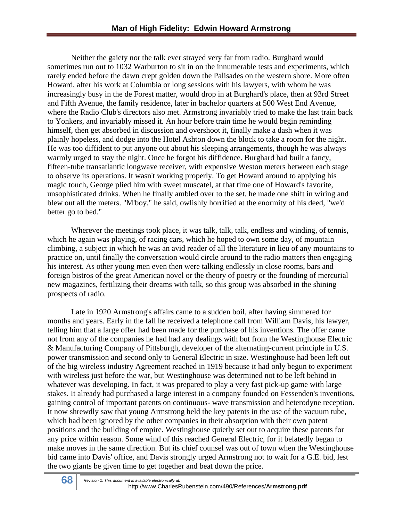Neither the gaiety nor the talk ever strayed very far from radio. Burghard would sometimes run out to 1032 Warburton to sit in on the innumerable tests and experiments, which rarely ended before the dawn crept golden down the Palisades on the western shore. More often Howard, after his work at Columbia or long sessions with his lawyers, with whom he was increasingly busy in the de Forest matter, would drop in at Burghard's place, then at 93rd Street and Fifth Avenue, the family residence, later in bachelor quarters at 500 West End Avenue, where the Radio Club's directors also met. Armstrong invariably tried to make the last train back to Yonkers, and invariably missed it. An hour before train time he would begin reminding himself, then get absorbed in discussion and overshoot it, finally make a dash when it was plainly hopeless, and dodge into the Hotel Ashton down the block to take a room for the night. He was too diffident to put anyone out about his sleeping arrangements, though he was always warmly urged to stay the night. Once he forgot his diffidence. Burghard had built a fancy, fifteen-tube transatlantic longwave receiver, with expensive Weston meters between each stage to observe its operations. It wasn't working properly. To get Howard around to applying his magic touch, George plied him with sweet muscatel, at that time one of Howard's favorite, unsophisticated drinks. When he finally ambled over to the set, he made one shift in wiring and blew out all the meters. "M'boy," he said, owlishly horrified at the enormity of his deed, "we'd better go to bed."

Wherever the meetings took place, it was talk, talk, talk, endless and winding, of tennis, which he again was playing, of racing cars, which he hoped to own some day, of mountain climbing, a subject in which he was an avid reader of all the literature in lieu of any mountains to practice on, until finally the conversation would circle around to the radio matters then engaging his interest. As other young men even then were talking endlessly in close rooms, bars and foreign bistros of the great American novel or the theory of poetry or the founding of mercurial new magazines, fertilizing their dreams with talk, so this group was absorbed in the shining prospects of radio.

Late in 1920 Armstrong's affairs came to a sudden boil, after having simmered for months and years. Early in the fall he received a telephone call from William Davis, his lawyer, telling him that a large offer had been made for the purchase of his inventions. The offer came not from any of the companies he had had any dealings with but from the Westinghouse Electric & Manufacturing Company of Pittsburgh, developer of the alternating-current principle in U.S. power transmission and second only to General Electric in size. Westinghouse had been left out of the big wireless industry Agreement reached in 1919 because it had only begun to experiment with wireless just before the war, but Westinghouse was determined not to be left behind in whatever was developing. In fact, it was prepared to play a very fast pick-up game with large stakes. It already had purchased a large interest in a company founded on Fessenden's inventions, gaining control of important patents on continuous- wave transmission and heterodyne reception. It now shrewdly saw that young Armstrong held the key patents in the use of the vacuum tube, which had been ignored by the other companies in their absorption with their own patent positions and the building of empire. Westinghouse quietly set out to acquire these patents for any price within reason. Some wind of this reached General Electric, for it belatedly began to make moves in the same direction. But its chief counsel was out of town when the Westinghouse bid came into Davis' office, and Davis strongly urged Armstrong not to wait for a G.E. bid, lest the two giants be given time to get together and beat down the price.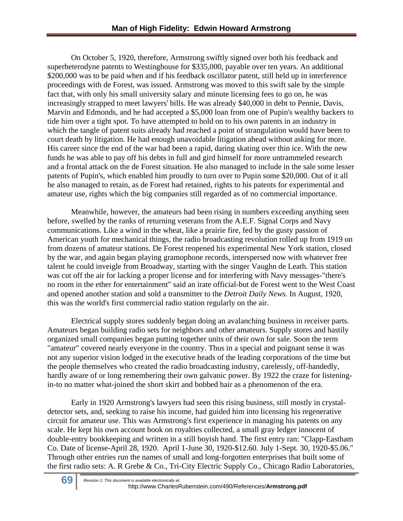On October 5, 1920, therefore, Armstrong swiftly signed over both his feedback and superheterodyne patents to Westinghouse for \$335,000, payable over ten years. An additional \$200,000 was to be paid when and if his feedback oscillator patent, still held up in interference proceedings with de Forest, was issued. Armstrong was moved to this swift sale by the simple fact that, with only his small university salary and minute licensing fees to go on, he was increasingly strapped to meet lawyers' bills. He was already \$40,000 in debt to Pennie, Davis, Marvin and Edmonds, and he had accepted a \$5,000 loan from one of Pupin's wealthy backers to tide him over a tight spot. To have attempted to hold on to his own patents in an industry in which the tangle of patent suits already had reached a point of strangulation would have been to court death by litigation. He had enough unavoidable litigation ahead without asking for more. His career since the end of the war had been a rapid, daring skating over thin ice. With the new funds he was able to pay off his debts in full and gird himself for more untrammeled research and a frontal attack on the de Forest situation. He also managed to include in the sale some lesser patents of Pupin's, which enabled him proudly to turn over to Pupin some \$20,000. Out of it all he also managed to retain, as de Forest had retained, rights to his patents for experimental and amateur use, rights which the big companies still regarded as of no commercial importance.

Meanwhile, however, the amateurs had been rising in numbers exceeding anything seen before, swelled by the ranks of returning veterans from the A.E.F. Signal Corps and Navy communications. Like a wind in the wheat, like a prairie fire, fed by the gusty passion of American youth for mechanical things, the radio broadcasting revolution rolled up from 1919 on from dozens of amateur stations. De Forest reopened his experimental New York station, closed by the war, and again began playing gramophone records, interspersed now with whatever free talent he could inveigle from Broadway, starting with the singer Vaughn de Leath. This station was cut off the air for lacking a proper license and for interfering with Navy messages-"there's no room in the ether for entertainment" said an irate official-but de Forest went to the West Coast and opened another station and sold a transmitter to the *Detroit Daily News.* In August, 1920, this was the world's first commercial radio station regularly on the air.

Electrical supply stores suddenly began doing an avalanching business in receiver parts. Amateurs began building radio sets for neighbors and other amateurs. Supply stores and hastily organized small companies began putting together units of their own for sale. Soon the term "amateur" covered nearly everyone in the country. Thus in a special and poignant sense it was not any superior vision lodged in the executive heads of the leading corporations of the time but the people themselves who created the radio broadcasting industry, carelessly, off-handedly, hardly aware of or long remembering their own galvanic power. By 1922 the craze for listeningin-to no matter what-joined the short skirt and bobbed hair as a phenomenon of the era.

Early in 1920 Armstrong's lawyers had seen this rising business, still mostly in crystaldetector sets, and, seeking to raise his income, had guided him into licensing his regenerative circuit for amateur use. This was Armstrong's first experience in managing his patents on any scale. He kept his own account book on royalties collected, a small gray ledger innocent of double-entry bookkeeping and written in a still boyish hand. The first entry ran: "Clapp-Eastham Co. Date of license-April 28, 1920. April 1-June 30, 1920-\$12.60. July 1-Sept. 30, 1920-\$5.06." Through other entries run the names of small and long-forgotten enterprises that built some of the first radio sets: A. R Grebe & Co., Tri-City Electric Supply Co., Chicago Radio Laboratories,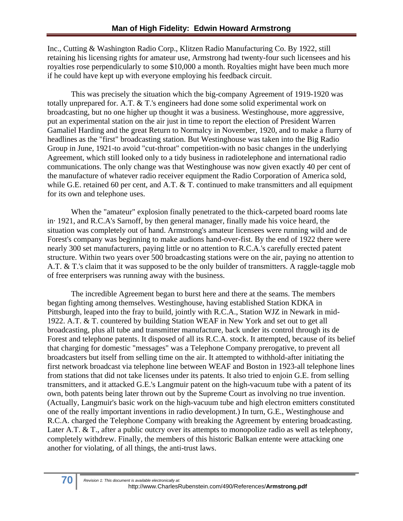Inc., Cutting & Washington Radio Corp., Klitzen Radio Manufacturing Co. By 1922, still retaining his licensing rights for amateur use, Armstrong had twenty-four such licensees and his royalties rose perpendicularly to some \$10,000 a month. Royalties might have been much more if he could have kept up with everyone employing his feedback circuit.

This was precisely the situation which the big-company Agreement of 1919-1920 was totally unprepared for. A.T. & T.'s engineers had done some solid experimental work on broadcasting, but no one higher up thought it was a business. Westinghouse, more aggressive, put an experimental station on the air just in time to report the election of President Warren Gamaliel Harding and the great Return to Normalcy in November, 1920, and to make a flurry of headlines as the "first" broadcasting station. But Westinghouse was taken into the Big Radio Group in June, 1921-to avoid "cut-throat" competition-with no basic changes in the underlying Agreement, which still looked only to a tidy business in radiotelephone and international radio communications. The only change was that Westinghouse was now given exactly 40 per cent of the manufacture of whatever radio receiver equipment the Radio Corporation of America sold, while G.E. retained 60 per cent, and A.T. & T. continued to make transmitters and all equipment for its own and telephone uses.

When the "amateur" explosion finally penetrated to the thick-carpeted board rooms late in· 1921, and R.C.A's Sarnoff, by then general manager, finally made his voice heard, the situation was completely out of hand. Armstrong's amateur licensees were running wild and de Forest's company was beginning to make audions hand-over-fist. By the end of 1922 there were nearly 300 set manufacturers, paying little or no attention to R.C.A.'s carefully erected patent structure. Within two years over 500 broadcasting stations were on the air, paying no attention to A.T. & T.'s claim that it was supposed to be the only builder of transmitters. A raggle-taggle mob of free enterprisers was running away with the business.

The incredible Agreement began to burst here and there at the seams. The members began fighting among themselves. Westinghouse, having established Station KDKA in Pittsburgh, leaped into the fray to build, jointly with R.C.A., Station WJZ in Newark in mid-1922. A.T. & T. countered by building Station WEAF in New York and set out to get all broadcasting, plus all tube and transmitter manufacture, back under its control through its de Forest and telephone patents. It disposed of all its R.C.A. stock. It attempted, because of its belief that charging for domestic "messages" was a Telephone Company prerogative, to prevent all broadcasters but itself from selling time on the air. It attempted to withhold-after initiating the first network broadcast via telephone line between WEAF and Boston in 1923-all telephone lines from stations that did not take licenses under its patents. It also tried to enjoin G.E. from selling transmitters, and it attacked G.E.'s Langmuir patent on the high-vacuum tube with a patent of its own, both patents being later thrown out by the Supreme Court as involving no true invention. (Actually, Langmuir's basic work on the high-vacuum tube and high electron emitters constituted one of the really important inventions in radio development.) In turn, G.E., Westinghouse and R.C.A. charged the Telephone Company with breaking the Agreement by entering broadcasting. Later A.T. & T., after a public outcry over its attempts to monopolize radio as well as telephony, completely withdrew. Finally, the members of this historic Balkan entente were attacking one another for violating, of all things, the anti-trust laws.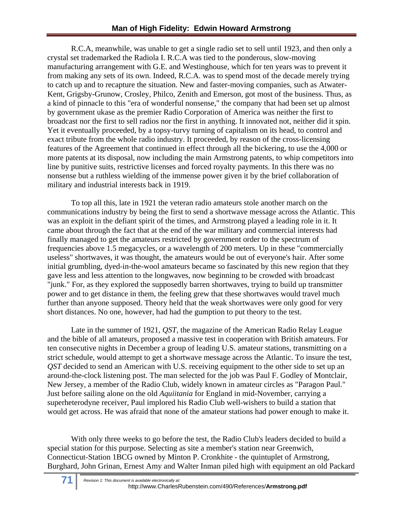R.C.A, meanwhile, was unable to get a single radio set to sell until 1923, and then only a crystal set trademarked the Radiola I. R.C.A was tied to the ponderous, slow-moving manufacturing arrangement with G.E. and Westinghouse, which for ten years was to prevent it from making any sets of its own. Indeed, R.C.A. was to spend most of the decade merely trying to catch up and to recapture the situation. New and faster-moving companies, such as Atwater-Kent, Grigsby-Grunow, Crosley, Philco, Zenith and Emerson, got most of the business. Thus, as a kind of pinnacle to this "era of wonderful nonsense," the company that had been set up almost by government ukase as the premier Radio Corporation of America was neither the first to broadcast nor the first to sell radios nor the first in anything. It innovated not, neither did it spin. Yet it eventually proceeded, by a topsy-turvy turning of capitalism on its head, to control and exact tribute from the whole radio industry. It proceeded, by reason of the cross-licensing features of the Agreement that continued in effect through all the bickering, to use the 4,000 or more patents at its disposal, now including the main Armstrong patents, to whip competitors into line by punitive suits, restrictive licenses and forced royalty payments. In this there was no nonsense but a ruthless wielding of the immense power given it by the brief collaboration of military and industrial interests back in 1919.

 To top all this, late in 1921 the veteran radio amateurs stole another march on the communications industry by being the first to send a shortwave message across the Atlantic. This was an exploit in the defiant spirit of the times, and Armstrong played a leading role in it. It came about through the fact that at the end of the war military and commercial interests had finally managed to get the amateurs restricted by government order to the spectrum of frequencies above 1.5 megacycles, or a wavelength of 200 meters. Up in these "commercially useless" shortwaves, it was thought, the amateurs would be out of everyone's hair. After some initial grumbling, dyed-in-the-wool amateurs became so fascinated by this new region that they gave less and less attention to the longwaves, now beginning to be crowded with broadcast "junk." For, as they explored the supposedly barren shortwaves, trying to build up transmitter power and to get distance in them, the feeling grew that these shortwaves would travel much further than anyone supposed. Theory held that the weak shortwaves were only good for very short distances. No one, however, had had the gumption to put theory to the test.

Late in the summer of 1921, *QST,* the magazine of the American Radio Relay League and the bible of all amateurs, proposed a massive test in cooperation with British amateurs. For ten consecutive nights in December a group of leading U.S. amateur stations, transmitting on a strict schedule, would attempt to get a shortwave message across the Atlantic. To insure the test, *QST* decided to send an American with U.S. receiving equipment to the other side to set up an around-the-clock listening post. The man selected for the job was Paul F. Godley of Montclair, New Jersey, a member of the Radio Club, widely known in amateur circles as "Paragon Paul." Just before sailing alone on the old *Aquiitania* for England in mid-November, carrying a superheterodyne receiver, Paul implored his Radio Club well-wishers to build a station that would get across. He was afraid that none of the amateur stations had power enough to make it.

With only three weeks to go before the test, the Radio Club's leaders decided to build a special station for this purpose. Selecting as site a member's station near Greenwich, Connecticut-Station 1BCG owned by Minton P. Cronkhite - the quintuplet of Armstrong, Burghard, John Grinan, Ernest Amy and Walter Inman piled high with equipment an old Packard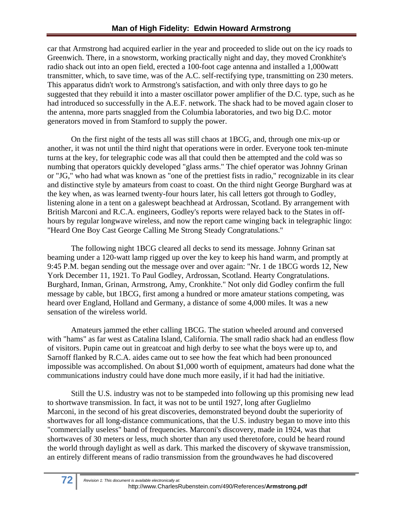car that Armstrong had acquired earlier in the year and proceeded to slide out on the icy roads to Greenwich. There, in a snowstorm, working practically night and day, they moved Cronkhite's radio shack out into an open field, erected a 100-foot cage antenna and installed a 1,000watt transmitter, which, to save time, was of the A.C. self-rectifying type, transmitting on 230 meters. This apparatus didn't work to Armstrong's satisfaction, and with only three days to go he suggested that they rebuild it into a master oscillator power amplifier of the D.C. type, such as he had introduced so successfully in the A.E.F. network. The shack had to be moved again closer to the antenna, more parts snaggled from the Columbia laboratories, and two big D.C. motor generators moved in from Stamford to supply the power.

On the first night of the tests all was still chaos at 1BCG, and, through one mix-up or another, it was not until the third night that operations were in order. Everyone took ten-minute turns at the key, for telegraphic code was all that could then be attempted and the cold was so numbing that operators quickly developed "glass arms." The chief operator was Johnny Grinan or "JG," who had what was known as "one of the prettiest fists in radio," recognizable in its clear and distinctive style by amateurs from coast to coast. On the third night George Burghard was at the key when, as was learned twenty-four hours later, his call letters got through to Godley, listening alone in a tent on a galeswept beachhead at Ardrossan, Scotland. By arrangement with British Marconi and R.C.A. engineers, Godley's reports were relayed back to the States in offhours by regular longwave wireless, and now the report came winging back in telegraphic lingo: "Heard One Boy Cast George Calling Me Strong Steady Congratulations."

The following night 1BCG cleared all decks to send its message. Johnny Grinan sat beaming under a 120-watt lamp rigged up over the key to keep his hand warm, and promptly at 9:45 P.M. began sending out the message over and over again: "Nr. 1 de 1BCG words 12, New York December 11, 1921. To Paul Godley, Ardrossan, Scotland. Hearty Congratulations. Burghard, Inman, Grinan, Armstrong, Amy, Cronkhite." Not only did Godley confirm the full message by cable, but 1BCG, first among a hundred or more amateur stations competing, was heard over England, Holland and Germany, a distance of some 4,000 miles. It was a new sensation of the wireless world.

Amateurs jammed the ether calling 1BCG. The station wheeled around and conversed with "hams" as far west as Catalina Island, California. The small radio shack had an endless flow of visitors. Pupin came out in greatcoat and high derby to see what the boys were up to, and Sarnoff flanked by R.C.A. aides came out to see how the feat which had been pronounced impossible was accomplished. On about \$1,000 worth of equipment, amateurs had done what the communications industry could have done much more easily, if it had had the initiative.

Still the U.S. industry was not to be stampeded into following up this promising new lead to shortwave transmission. In fact, it was not to be until 1927, long after Guglielmo Marconi, in the second of his great discoveries, demonstrated beyond doubt the superiority of shortwaves for all long-distance communications, that the U.S. industry began to move into this "commercially useless" band of frequencies. Marconi's discovery, made in 1924, was that shortwaves of 30 meters or less, much shorter than any used theretofore, could be heard round the world through daylight as well as dark. This marked the discovery of skywave transmission, an entirely different means of radio transmission from the groundwaves he had discovered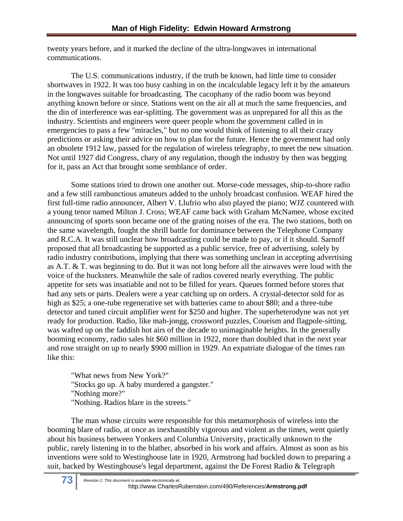twenty years before, and it marked the decline of the ultra-longwaves in international communications.

The U.S. communications industry, if the truth be known, had little time to consider shortwaves in 1922. It was too busy cashing in on the incalculable legacy left it by the amateurs in the longwaves suitable for broadcasting. The cacophany of the radio boom was beyond anything known before or since. Stations went on the air all at much the same frequencies, and the din of interference was ear-splitting. The government was as unprepared for all this as the industry. Scientists and engineers were queer people whom the government called in in emergencies to pass a few "miracles," but no one would think of listening to all their crazy predictions or asking their advice on how to plan for the future. Hence the government had only an obsolete 1912 law, passed for the regulation of wireless telegraphy, to meet the new situation. Not until 1927 did Congress, chary of any regulation, though the industry by then was begging for it, pass an Act that brought some semblance of order.

Some stations tried to drown one another out. Morse-code messages, ship-to-shore radio and a few still rambunctious amateurs added to the unholy broadcast confusion. WEAF hired the first full-time radio announcer, Albert V. Llufrio who also played the piano; WJZ countered with a young tenor named Milton J. Cross; WEAF came back with Graham McNamee, whose excited announcing of sports soon became one of the grating noises of the era. The two stations, both on the same wavelength, fought the shrill battle for dominance between the Telephone Company and R.C.A. It was still unclear how broadcasting could be made to pay, or if it should. Sarnoff proposed that all broadcasting be supported as a public service, free of advertising, solely by radio industry contributions, implying that there was something unclean in accepting advertising as A.T. & T. was beginning to do. But it was not long before all the airwaves were loud with the voice of the hucksters. Meanwhile the sale of radios covered nearly everything. The public appetite for sets was insatiable and not to be filled for years. Queues formed before stores that had any sets or parts. Dealers were a year catching up on orders. A crystal-detector sold for as high as \$25; a one-tube regenerative set with batteries came to about \$80; and a three-tube detector and tuned circuit amplifier went for \$250 and higher. The superheterodyne was not yet ready for production. Radio, like mah-jongg, crossword puzzles, Coueism and flagpole-sitting, was wafted up on the faddish hot airs of the decade to unimaginable heights. In the generally booming economy, radio sales hit \$60 million in 1922, more than doubled that in the next year and rose straight on up to nearly \$900 million in 1929. An expatriate dialogue of the times ran like this:

"What news from New York?" "Stocks go up. A baby murdered a gangster." "Nothing more?" "Nothing. Radios blare in the streets."

The man whose circuits were responsible for this metamorphosis of wireless into the booming blare of radio, at once as inexhaustibly vigorous and violent as the times, went quietly about his business between Yonkers and Columbia University, practically unknown to the public, rarely listening in to the blather, absorbed in his work and affairs. Almost as soon as his inventions were sold to Westinghouse late in 1920, Armstrong had buckled down to preparing a suit, backed by Westinghouse's legal department, against the De Forest Radio & Telegraph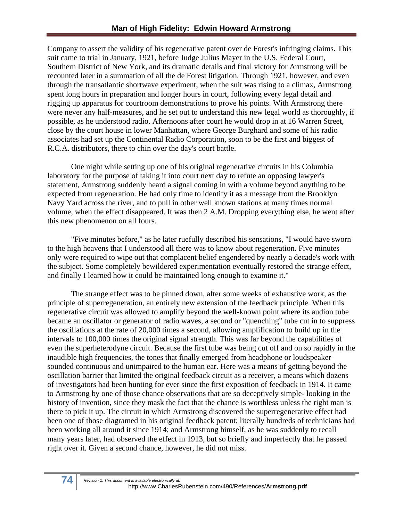Company to assert the validity of his regenerative patent over de Forest's infringing claims. This suit came to trial in January, 1921, before Judge Julius Mayer in the U.S. Federal Court, Southern District of New York, and its dramatic details and final victory for Armstrong will be recounted later in a summation of all the de Forest litigation. Through 1921, however, and even through the transatlantic shortwave experiment, when the suit was rising to a climax, Armstrong spent long hours in preparation and longer hours in court, following every legal detail and rigging up apparatus for courtroom demonstrations to prove his points. With Armstrong there were never any half-measures, and he set out to understand this new legal world as thoroughly, if possible, as he understood radio. Afternoons after court he would drop in at 16 Warren Street, close by the court house in lower Manhattan, where George Burghard and some of his radio associates had set up the Continental Radio Corporation, soon to be the first and biggest of R.C.A. distributors, there to chin over the day's court battle.

One night while setting up one of his original regenerative circuits in his Columbia laboratory for the purpose of taking it into court next day to refute an opposing lawyer's statement, Armstrong suddenly heard a signal coming in with a volume beyond anything to be expected from regeneration. He had only time to identify it as a message from the Brooklyn Navy Yard across the river, and to pull in other well known stations at many times normal volume, when the effect disappeared. It was then 2 A.M. Dropping everything else, he went after this new phenomenon on all fours.

"Five minutes before," as he later ruefully described his sensations, "I would have sworn to the high heavens that I understood all there was to know about regeneration. Five minutes only were required to wipe out that complacent belief engendered by nearly a decade's work with the subject. Some completely bewildered experimentation eventually restored the strange effect, and finally I learned how it could be maintained long enough to examine it."

The strange effect was to be pinned down, after some weeks of exhaustive work, as the principle of superregeneration, an entirely new extension of the feedback principle. When this regenerative circuit was allowed to amplify beyond the well-known point where its audion tube became an oscillator or generator of radio waves, a second or "quenching" tube cut in to suppress the oscillations at the rate of 20,000 times a second, allowing amplification to build up in the intervals to 100,000 times the original signal strength. This was far beyond the capabilities of even the superheterodyne circuit. Because the first tube was being cut off and on so rapidly in the inaudible high frequencies, the tones that finally emerged from headphone or loudspeaker sounded continuous and unimpaired to the human ear. Here was a means of getting beyond the oscillation barrier that limited the original feedback circuit as a receiver, a means which dozens of investigators had been hunting for ever since the first exposition of feedback in 1914. It came to Armstrong by one of those chance observations that are so deceptively simple- looking in the history of invention, since they mask the fact that the chance is worthless unless the right man is there to pick it up. The circuit in which Armstrong discovered the superregenerative effect had been one of those diagramed in his original feedback patent; literally hundreds of technicians had been working all around it since 1914; and Armstrong himself, as he was suddenly to recall many years later, had observed the effect in 1913, but so briefly and imperfectly that he passed right over it. Given a second chance, however, he did not miss.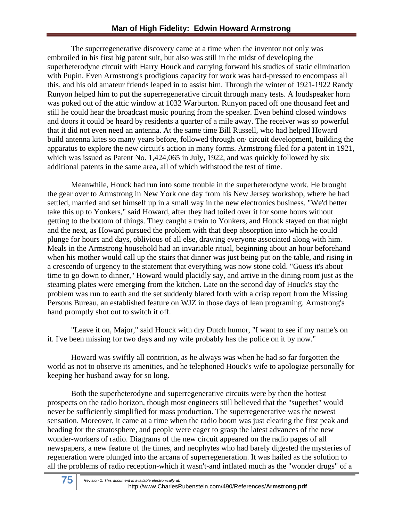The superregenerative discovery came at a time when the inventor not only was embroiled in his first big patent suit, but also was still in the midst of developing the superheterodyne circuit with Harry Houck and carrying forward his studies of static elimination with Pupin. Even Armstrong's prodigious capacity for work was hard-pressed to encompass all this, and his old amateur friends leaped in to assist him. Through the winter of 1921-1922 Randy Runyon helped him to put the superregenerative circuit through many tests. A loudspeaker horn was poked out of the attic window at 1032 Warburton. Runyon paced off one thousand feet and still he could hear the broadcast music pouring from the speaker. Even behind closed windows and doors it could be heard by residents a quarter of a mile away. The receiver was so powerful that it did not even need an antenna. At the same time Bill Russell, who had helped Howard build antenna kites so many years before, followed through on· circuit development, building the apparatus to explore the new circuit's action in many forms. Armstrong filed for a patent in 1921, which was issued as Patent No. 1,424,065 in July, 1922, and was quickly followed by six additional patents in the same area, all of which withstood the test of time.

Meanwhile, Houck had run into some trouble in the superheterodyne work. He brought the gear over to Armstrong in New York one day from his New Jersey workshop, where he had settled, married and set himself up in a small way in the new electronics business. "We'd better take this up to Yonkers," said Howard, after they had toiled over it for some hours without getting to the bottom of things. They caught a train to Yonkers, and Houck stayed on that night and the next, as Howard pursued the problem with that deep absorption into which he could plunge for hours and days, oblivious of all else, drawing everyone associated along with him. Meals in the Armstrong household had an invariable ritual, beginning about an hour beforehand when his mother would call up the stairs that dinner was just being put on the table, and rising in a crescendo of urgency to the statement that everything was now stone cold. "Guess it's about time to go down to dinner," Howard would placidly say, and arrive in the dining room just as the steaming plates were emerging from the kitchen. Late on the second day of Houck's stay the problem was run to earth and the set suddenly blared forth with a crisp report from the Missing Persons Bureau, an established feature on WJZ in those days of lean programing. Armstrong's hand promptly shot out to switch it off.

"Leave it on, Major," said Houck with dry Dutch humor, "I want to see if my name's on it. I've been missing for two days and my wife probably has the police on it by now."

Howard was swiftly all contrition, as he always was when he had so far forgotten the world as not to observe its amenities, and he telephoned Houck's wife to apologize personally for keeping her husband away for so long.

Both the superheterodyne and superregenerative circuits were by then the hottest prospects on the radio horizon, though most engineers still believed that the "superhet" would never be sufficiently simplified for mass production. The superregenerative was the newest sensation. Moreover, it came at a time when the radio boom was just clearing the first peak and heading for the stratosphere, and people were eager to grasp the latest advances of the new wonder-workers of radio. Diagrams of the new circuit appeared on the radio pages of all newspapers, a new feature of the times, and neophytes who had barely digested the mysteries of regeneration were plunged into the arcana of superregeneration. It was hailed as the solution to all the problems of radio reception-which it wasn't-and inflated much as the "wonder drugs" of a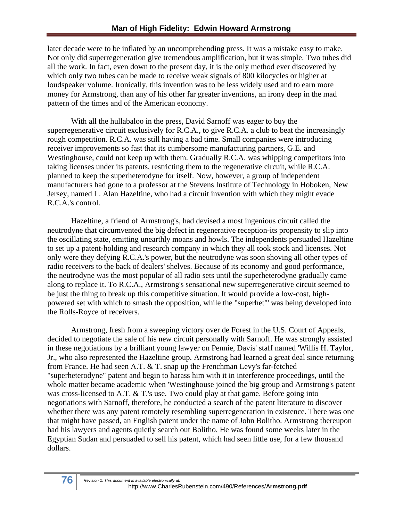later decade were to be inflated by an uncomprehending press. It was a mistake easy to make. Not only did superregeneration give tremendous amplification, but it was simple. Two tubes did all the work. In fact, even down to the present day, it is the only method ever discovered by which only two tubes can be made to receive weak signals of 800 kilocycles or higher at loudspeaker volume. Ironically, this invention was to be less widely used and to earn more money for Armstrong, than any of his other far greater inventions, an irony deep in the mad pattern of the times and of the American economy.

With all the hullabaloo in the press, David Sarnoff was eager to buy the superregenerative circuit exclusively for R.C.A., to give R.C.A. a club to beat the increasingly rough competition. R.C.A. was still having a bad time. Small companies were introducing receiver improvements so fast that its cumbersome manufacturing partners, G.E. and Westinghouse, could not keep up with them. Gradually R.C.A. was whipping competitors into taking licenses under its patents, restricting them to the regenerative circuit, while R.C.A. planned to keep the superheterodyne for itself. Now, however, a group of independent manufacturers had gone to a professor at the Stevens Institute of Technology in Hoboken, New Jersey, named L. Alan Hazeltine, who had a circuit invention with which they might evade R.C.A.'s control.

Hazeltine, a friend of Armstrong's, had devised a most ingenious circuit called the neutrodyne that circumvented the big defect in regenerative reception-its propensity to slip into the oscillating state, emitting unearthly moans and howls. The independents persuaded Hazeltine to set up a patent-holding and research company in which they all took stock and licenses. Not only were they defying R.C.A.'s power, but the neutrodyne was soon shoving all other types of radio receivers to the back of dealers' shelves. Because of its economy and good performance, the neutrodyne was the most popular of all radio sets until the superheterodyne gradually came along to replace it. To R.C.A., Armstrong's sensational new superregenerative circuit seemed to be just the thing to break up this competitive situation. It would provide a low-cost, highpowered set with which to smash the opposition, while the "superhet"' was being developed into the Rolls-Royce of receivers.

Armstrong, fresh from a sweeping victory over de Forest in the U.S. Court of Appeals, decided to negotiate the sale of his new circuit personally with Sarnoff. He was strongly assisted in these negotiations by a brilliant young lawyer on Pennie, Davis' staff named 'Willis H. Taylor, Jr., who also represented the Hazeltine group. Armstrong had learned a great deal since returning from France. He had seen A.T. & T. snap up the Frenchman Levy's far-fetched "superheterodyne" patent and begin to harass him with it in interference proceedings, until the whole matter became academic when 'Westinghouse joined the big group and Armstrong's patent was cross-licensed to A.T.  $\&$  T.'s use. Two could play at that game. Before going into negotiations with Sarnoff, therefore, he conducted a search of the patent literature to discover whether there was any patent remotely resembling superregeneration in existence. There was one that might have passed, an English patent under the name of John Bolitho. Armstrong thereupon had his lawyers and agents quietly search out Bolitho. He was found some weeks later in the Egyptian Sudan and persuaded to sell his patent, which had seen little use, for a few thousand dollars.

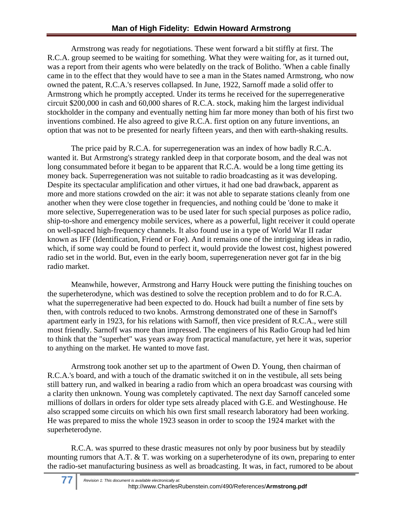Armstrong was ready for negotiations. These went forward a bit stiffly at first. The R.C.A. group seemed to be waiting for something. What they were waiting for, as it turned out, was a report from their agents who were belatedly on the track of Bolitho. 'When a cable finally came in to the effect that they would have to see a man in the States named Armstrong, who now owned the patent, R.C.A.'s reserves collapsed. In June, 1922, Sarnoff made a solid offer to Armstrong which he promptly accepted. Under its terms he received for the superregenerative circuit \$200,000 in cash and 60,000 shares of R.C.A. stock, making him the largest individual stockholder in the company and eventually netting him far more money than both of his first two inventions combined. He also agreed to give R.C.A. first option on any future inventions, an option that was not to be presented for nearly fifteen years, and then with earth-shaking results.

The price paid by R.C.A. for superregeneration was an index of how badly R.C.A. wanted it. But Armstrong's strategy rankled deep in that corporate bosom, and the deal was not long consummated before it began to be apparent that R.C.A. would be a long time getting its money back. Superregeneration was not suitable to radio broadcasting as it was developing. Despite its spectacular amplification and other virtues, it had one bad drawback, apparent as more and more stations crowded on the air: it was not able to separate stations cleanly from one another when they were close together in frequencies, and nothing could be 'done to make it more selective, Superregeneration was to be used later for such special purposes as police radio, ship-to-shore and emergency mobile services, where as a powerful, light receiver it could operate on well-spaced high-frequency channels. It also found use in a type of World War II radar known as IFF (Identification, Friend or Foe). And it remains one of the intriguing ideas in radio, which, if some way could be found to perfect it, would provide the lowest cost, highest powered radio set in the world. But, even in the early boom, superregeneration never got far in the big radio market.

Meanwhile, however, Armstrong and Harry Houck were putting the finishing touches on the superheterodyne, which was destined to solve the reception problem and to do for R.C.A. what the superregenerative had been expected to do. Houck had built a number of fine sets by then, with controls reduced to two knobs. Armstrong demonstrated one of these in Sarnoff's apartment early in 1923, for his relations with Sarnoff, then vice president of R.C.A., were still most friendly. Sarnoff was more than impressed. The engineers of his Radio Group had led him to think that the "superhet" was years away from practical manufacture, yet here it was, superior to anything on the market. He wanted to move fast.

Armstrong took another set up to the apartment of Owen D. Young, then chairman of R.C.A.'s board, and with a touch of the dramatic switched it on in the vestibule, all sets being still battery run, and walked in bearing a radio from which an opera broadcast was coursing with a clarity then unknown. Young was completely captivated. The next day Sarnoff canceled some millions of dollars in orders for older type sets already placed with G.E. and Westinghouse. He also scrapped some circuits on which his own first small research laboratory had been working. He was prepared to miss the whole 1923 season in order to scoop the 1924 market with the superheterodyne.

R.C.A. was spurred to these drastic measures not only by poor business but by steadily mounting rumors that A.T. & T. was working on a superheterodyne of its own, preparing to enter the radio-set manufacturing business as well as broadcasting. It was, in fact, rumored to be about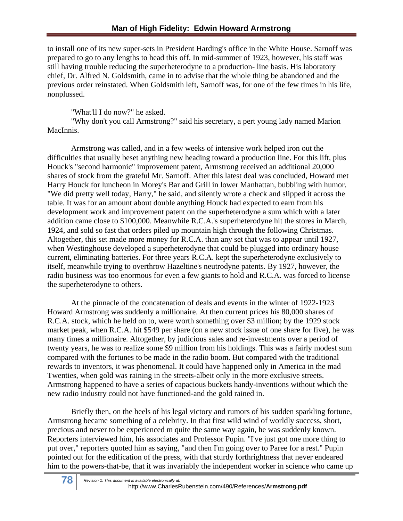to install one of its new super-sets in President Harding's office in the White House. Sarnoff was prepared to go to any lengths to head this off. In mid-summer of 1923, however, his staff was still having trouble reducing the superheterodyne to a production- line basis. His laboratory chief, Dr. Alfred N. Goldsmith, came in to advise that the whole thing be abandoned and the previous order reinstated. When Goldsmith left, Sarnoff was, for one of the few times in his life, nonplussed.

"What'll I do now?" he asked.

"Why don't you call Armstrong?" said his secretary, a pert young lady named Marion MacInnis.

Armstrong was called, and in a few weeks of intensive work helped iron out the difficulties that usually beset anything new heading toward a production line. For this lift, plus Houck's "second harmonic" improvement patent, Armstrong received an additional 20,000 shares of stock from the grateful Mr. Sarnoff. After this latest deal was concluded, Howard met Harry Houck for luncheon in Morey's Bar and Grill in lower Manhattan, bubbling with humor. "We did pretty well today, Harry," he said, and silently wrote a check and slipped it across the table. It was for an amount about double anything Houck had expected to earn from his development work and improvement patent on the superheterodyne a sum which with a later addition came close to \$100,000. Meanwhile R.C.A.'s superheterodyne hit the stores in March, 1924, and sold so fast that orders piled up mountain high through the following Christmas. Altogether, this set made more money for R.C.A. than any set that was to appear until 1927, when Westinghouse developed a superheterodyne that could be plugged into ordinary house current, eliminating batteries. For three years R.C.A. kept the superheterodyne exclusively to itself, meanwhile trying to overthrow Hazeltine's neutrodyne patents. By 1927, however, the radio business was too enormous for even a few giants to hold and R.C.A. was forced to license the superheterodyne to others.

At the pinnacle of the concatenation of deals and events in the winter of 1922-1923 Howard Armstrong was suddenly a millionaire. At then current prices his 80,000 shares of R.C.A. stock, which he held on to, were worth something over \$3 million; by the 1929 stock market peak, when R.C.A. hit \$549 per share (on a new stock issue of one share for five), he was many times a millionaire. Altogether, by judicious sales and re-investments over a period of twenty years, he was to realize some \$9 million from his holdings. This was a fairly modest sum compared with the fortunes to be made in the radio boom. But compared with the traditional rewards to inventors, it was phenomenal. It could have happened only in America in the mad Twenties, when gold was raining in the streets-albeit only in the more exclusive streets. Armstrong happened to have a series of capacious buckets handy-inventions without which the new radio industry could not have functioned-and the gold rained in.

Briefly then, on the heels of his legal victory and rumors of his sudden sparkling fortune, Armstrong became something of a celebrity. In that first wild wind of worldly success, short, precious and never to be experienced m quite the same way again, he was suddenly known. Reporters interviewed him, his associates and Professor Pupin. ''I've just got one more thing to put over," reporters quoted him as saying, "and then I'm going over to Paree for a rest." Pupin pointed out for the edification of the press, with that sturdy forthrightness that never endeared him to the powers-that-be, that it was invariably the independent worker in science who came up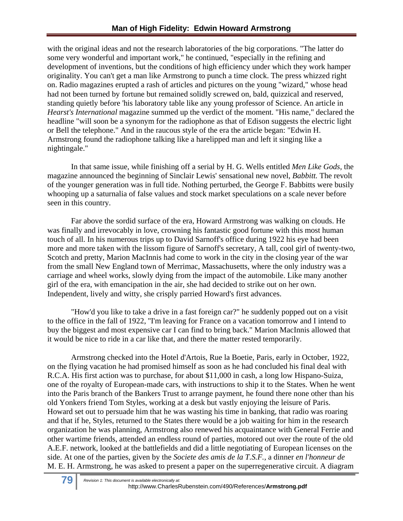with the original ideas and not the research laboratories of the big corporations. "The latter do some very wonderful and important work," he continued, "especially in the refining and development of inventions, but the conditions of high efficiency under which they work hamper originality. You can't get a man like Armstrong to punch a time clock. The press whizzed right on. Radio magazines erupted a rash of articles and pictures on the young "wizard," whose head had not been turned by fortune but remained solidly screwed on, bald, quizzical and reserved, standing quietly before 'his laboratory table like any young professor of Science. An article in *Hearst's International* magazine summed up the verdict of the moment. "His name," declared the headline "will soon be a synonym for the radiophone as that of Edison suggests the electric light or Bell the telephone." And in the raucous style of the era the article began: "Edwin H. Armstrong found the radiophone talking like a harelipped man and left it singing like a nightingale."

In that same issue, while finishing off a serial by H. G. Wells entitled *Men Like Gods,* the magazine announced the beginning of Sinclair Lewis' sensational new novel, *Babbitt.* The revolt of the younger generation was in full tide. Nothing perturbed, the George F. Babbitts were busily whooping up a saturnalia of false values and stock market speculations on a scale never before seen in this country.

Far above the sordid surface of the era, Howard Armstrong was walking on clouds. He was finally and irrevocably in love, crowning his fantastic good fortune with this most human touch of all. In his numerous trips up to David Sarnoff's office during 1922 his eye had been more and more taken with the lissom figure of Sarnoff's secretary, A tall, cool girl of twenty-two, Scotch and pretty, Marion MacInnis had come to work in the city in the closing year of the war from the small New England town of Merrimac, Massachusetts, where the only industry was a carriage and wheel works, slowly dying from the impact of the automobile. Like many another girl of the era, with emancipation in the air, she had decided to strike out on her own. Independent, lively and witty, she crisply parried Howard's first advances.

"How'd you like to take a drive in a fast foreign car?" he suddenly popped out on a visit to the office in the fall of 1922, ''I'm leaving for France on a vacation tomorrow and I intend to buy the biggest and most expensive car I can find to bring back." Marion MacInnis allowed that it would be nice to ride in a car like that, and there the matter rested temporarily.

Armstrong checked into the Hotel d'Artois, Rue la Boetie, Paris, early in October, 1922, on the flying vacation he had promised himself as soon as he had concluded his final deal with R.C.A. His first action was to purchase, for about \$11,000 in cash, a long low Hispano-Suiza, one of the royalty of European-made cars, with instructions to ship it to the States. When he went into the Paris branch of the Bankers Trust to arrange payment, he found there none other than his old Yonkers friend Tom Styles, working at a desk but vastly enjoying the leisure of Paris. Howard set out to persuade him that he was wasting his time in banking, that radio was roaring and that if he, Styles, returned to the States there would be a job waiting for him in the research organization he was planning, Armstrong also renewed his acquaintance with General Ferrie and other wartime friends, attended an endless round of parties, motored out over the route of the old A.E.F. network, looked at the battlefields and did a little negotiating of European licenses on the side. At one of the parties, given by the *Societe des amis de la T.S.F.,* a dinner *en l'honneur de*  M. E. H. Armstrong, he was asked to present a paper on the superregenerative circuit. A diagram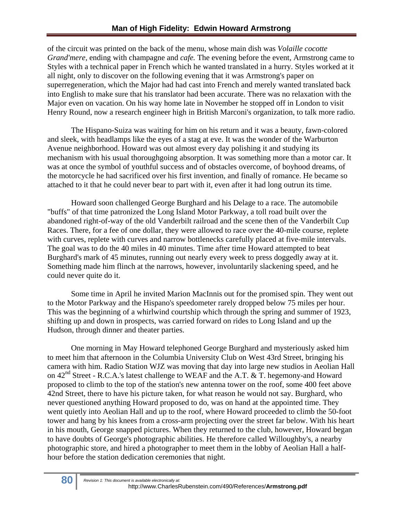of the circuit was printed on the back of the menu, whose main dish was *Volaille cocotte Grand'mere,* ending with champagne and *cafe.* The evening before the event, Armstrong came to Styles with a technical paper in French which he wanted translated in a hurry. Styles worked at it all night, only to discover on the following evening that it was Armstrong's paper on superregeneration, which the Major had had cast into French and merely wanted translated back into English to make sure that his translator had been accurate. There was no relaxation with the Major even on vacation. On his way home late in November he stopped off in London to visit Henry Round, now a research engineer high in British Marconi's organization, to talk more radio.

The Hispano-Suiza was waiting for him on his return and it was a beauty, fawn-colored and sleek, with headlamps like the eyes of a stag at eve. It was the wonder of the Warburton Avenue neighborhood. Howard was out almost every day polishing it and studying its mechanism with his usual thoroughgoing absorption. It was something more than a motor car. It was at once the symbol of youthful success and of obstacles overcome, of boyhood dreams, of the motorcycle he had sacrificed over his first invention, and finally of romance. He became so attached to it that he could never bear to part with it, even after it had long outrun its time.

Howard soon challenged George Burghard and his Delage to a race. The automobile "buffs" of that time patronized the Long Island Motor Parkway, a toll road built over the abandoned right-of-way of the old Vanderbilt railroad and the scene then of the Vanderbilt Cup Races. There, for a fee of one dollar, they were allowed to race over the 40-mile course, replete with curves, replete with curves and narrow bottlenecks carefully placed at five-mile intervals. The goal was to do the 40 miles in 40 minutes. Time after time Howard attempted to beat Burghard's mark of 45 minutes, running out nearly every week to press doggedly away at it. Something made him flinch at the narrows, however, involuntarily slackening speed, and he could never quite do it.

 Some time in April he invited Marion MacInnis out for the promised spin. They went out to the Motor Parkway and the Hispano's speedometer rarely dropped below 75 miles per hour. This was the beginning of a whirlwind courtship which through the spring and summer of 1923, shifting up and down in prospects, was carried forward on rides to Long Island and up the Hudson, through dinner and theater parties.

One morning in May Howard telephoned George Burghard and mysteriously asked him to meet him that afternoon in the Columbia University Club on West 43rd Street, bringing his camera with him. Radio Station WJZ was moving that day into large new studios in Aeolian Hall on  $42<sup>nd</sup>$  Street - R.C.A.'s latest challenge to WEAF and the A.T. & T. hegemony-and Howard proposed to climb to the top of the station's new antenna tower on the roof, some 400 feet above 42nd Street, there to have his picture taken, for what reason he would not say. Burghard, who never questioned anything Howard proposed to do, was on hand at the appointed time. They went quietly into Aeolian Hall and up to the roof, where Howard proceeded to climb the 50-foot tower and hang by his knees from a cross-arm projecting over the street far below. With his heart in his mouth, George snapped pictures. When they returned to the club, however, Howard began to have doubts of George's photographic abilities. He therefore called Willoughby's, a nearby photographic store, and hired a photographer to meet them in the lobby of Aeolian Hall a halfhour before the station dedication ceremonies that night.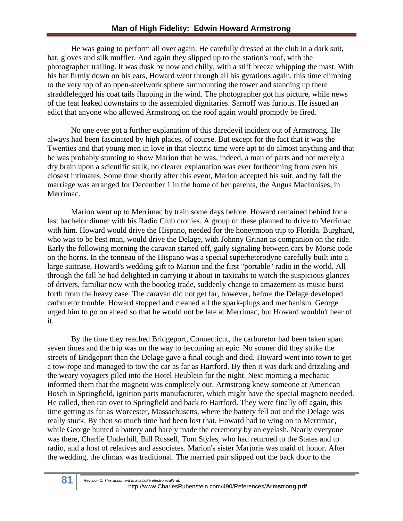He was going to perform all over again. He carefully dressed at the club in a dark suit, hat, gloves and silk muffler. And again they slipped up to the station's roof, with the photographer trailing. It was dusk by now and chilly, with a stiff breeze whipping the mast. With his hat firmly down on his ears, Howard went through all his gyrations again, this time climbing to the very top of an open-steelwork sphere surmounting the tower and standing up there straddlelegged his coat tails flapping in the wind. The photographer got his picture, while news of the feat leaked downstairs to the assembled dignitaries. Sarnoff was furious. He issued an edict that anyone who allowed Armstrong on the roof again would promptly be fired.

No one ever got a further explanation of this daredevil incident out of Armstrong. He always had been fascinated by high places, of course. But except for the fact that it was the Twenties and that young men in love in that electric time were apt to do almost anything and that he was probably stunting to show Marion that he was, indeed, a man of parts and not merely a dry brain upon a scientific stalk, no clearer explanation was ever forthcoming from even his closest intimates. Some time shortly after this event, Marion accepted his suit, and by fall the marriage was arranged for December 1 in the home of her parents, the Angus MacInnises, in Merrimac.

Marion went up to Merrimac by train some days before. Howard remained behind for a last bachelor dinner with his Radio Club cronies. A group of these planned to drive to Merrimac with him. Howard would drive the Hispano, needed for the honeymoon trip to Florida. Burghard, who was to be best man, would drive the Delage, with Johnny Grinan as companion on the ride. Early the following morning the caravan started off, gaily signaling between cars by Morse code on the horns. In the tonneau of the Hispano was a special superheterodyne carefully built into a large suitcase, Howard's wedding gift to Marion and the first "portable" radio in the world. All through the fall he had delighted in carrying it about in taxicabs to watch the suspicious glances of drivers, familiar now with the bootleg trade, suddenly change to amazement as music burst forth from the heavy case. The caravan did not get far, however, before the Delage developed carburetor trouble. Howard stopped and cleaned all the spark-plugs and mechanism. George urged him to go on ahead so that he would not be late at Merrimac, but Howard wouldn't hear of it.

By the time they reached Bridgeport, Connecticut, the carburetor had been taken apart seven times and the trip was on the way to becoming an epic. No sooner did they strike the streets of Bridgeport than the Delage gave a final cough and died. Howard went into town to get a tow-rope and managed to tow the car as far as Hartford. By then it was dark and drizzling and the weary voyagers piled into the Hotel Heublein for the night. Next morning a mechanic informed them that the magneto was completely out. Armstrong knew someone at American Bosch in Springfield, ignition parts manufacturer, which might have the special magneto needed. He called, then ran over to Springfield and back to Hartford. They were finally off again, this time getting as far as Worcester, Massachusetts, where the battery fell out and the Delage was really stuck. By then so much time had been lost that. Howard had to wing on to Merrimac, while George hunted a battery and barely made the ceremony by an eyelash. Nearly everyone was there, Charlie Underhill, Bill Russell, Tom Styles, who had returned to the States and to radio, and a host of relatives and associates. Marion's sister Marjorie was maid of honor. After the wedding, the climax was traditional. The married pair slipped out the back door to the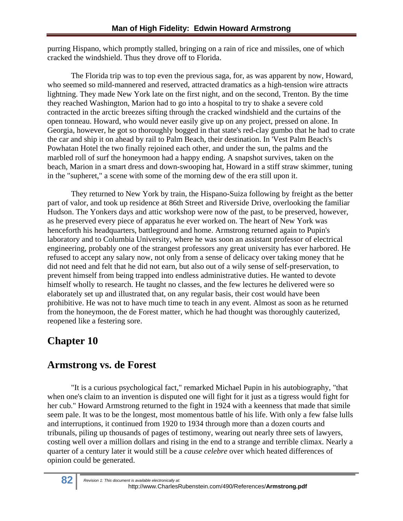purring Hispano, which promptly stalled, bringing on a rain of rice and missiles, one of which cracked the windshield. Thus they drove off to Florida.

The Florida trip was to top even the previous saga, for, as was apparent by now, Howard, who seemed so mild-mannered and reserved, attracted dramatics as a high-tension wire attracts lightning. They made New York late on the first night, and on the second, Trenton. By the time they reached Washington, Marion had to go into a hospital to try to shake a severe cold contracted in the arctic breezes sifting through the cracked windshield and the curtains of the open tonneau. Howard, who would never easily give up on any project, pressed on alone. In Georgia, however, he got so thoroughly bogged in that state's red-clay gumbo that he had to crate the car and ship it on ahead by rail to Palm Beach, their destination. In 'Vest Palm Beach's Powhatan Hotel the two finally rejoined each other, and under the sun, the palms and the marbled roll of surf the honeymoon had a happy ending. A snapshot survives, taken on the beach, Marion in a smart dress and down-swooping hat, Howard in a stiff straw skimmer, tuning in the "supheret," a scene with some of the morning dew of the era still upon it.

They returned to New York by train, the Hispano-Suiza following by freight as the better part of valor, and took up residence at 86th Street and Riverside Drive, overlooking the familiar Hudson. The Yonkers days and attic workshop were now of the past, to be preserved, however, as he preserved every piece of apparatus he ever worked on. The heart of New York was henceforth his headquarters, battleground and home. Armstrong returned again to Pupin's laboratory and to Columbia University, where he was soon an assistant professor of electrical engineering, probably one of the strangest professors any great university has ever harbored. He refused to accept any salary now, not only from a sense of delicacy over taking money that he did not need and felt that he did not earn, but also out of a wily sense of self-preservation, to prevent himself from being trapped into endless administrative duties. He wanted to devote himself wholly to research. He taught no classes, and the few lectures he delivered were so elaborately set up and illustrated that, on any regular basis, their cost would have been prohibitive. He was not to have much time to teach in any event. Almost as soon as he returned from the honeymoon, the de Forest matter, which he had thought was thoroughly cauterized, reopened like a festering sore.

## **Chapter 10**

## **Armstrong vs. de Forest**

"It is a curious psychological fact," remarked Michael Pupin in his autobiography, "that when one's claim to an invention is disputed one will fight for it just as a tigress would fight for her cub." Howard Armstrong returned to the fight in 1924 with a keenness that made that simile seem pale. It was to be the longest, most momentous battle of his life. With only a few false lulls and interruptions, it continued from 1920 to 1934 through more than a dozen courts and tribunals, piling up thousands of pages of testimony, wearing out nearly three sets of lawyers, costing well over a million dollars and rising in the end to a strange and terrible climax. Nearly a quarter of a century later it would still be a *cause celebre* over which heated differences of opinion could be generated.

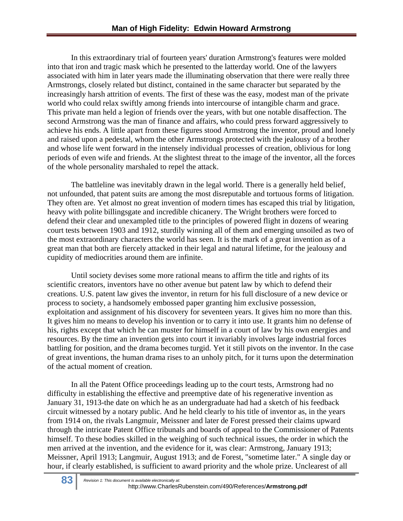In this extraordinary trial of fourteen years' duration Armstrong's features were molded into that iron and tragic mask which he presented to the latterday world. One of the lawyers associated with him in later years made the illuminating observation that there were really three Armstrongs, closely related but distinct, contained in the same character but separated by the increasingly harsh attrition of events. The first of these was the easy, modest man of the private world who could relax swiftly among friends into intercourse of intangible charm and grace. This private man held a legion of friends over the years, with but one notable disaffection. The second Armstrong was the man of finance and affairs, who could press forward aggressively to achieve his ends. A little apart from these figures stood Armstrong the inventor, proud and lonely and raised upon a pedestal, whom the other Armstrongs protected with the jealousy of a brother and whose life went forward in the intensely individual processes of creation, oblivious for long periods of even wife and friends. At the slightest threat to the image of the inventor, all the forces of the whole personality marshaled to repel the attack.

The battleline was inevitably drawn in the legal world. There is a generally held belief, not unfounded, that patent suits are among the most disreputable and tortuous forms of litigation. They often are. Yet almost no great invention of modern times has escaped this trial by litigation, heavy with polite billingsgate and incredible chicanery. The Wright brothers were forced to defend their clear and unexampled title to the principles of powered flight in dozens of wearing court tests between 1903 and 1912, sturdily winning all of them and emerging unsoiled as two of the most extraordinary characters the world has seen. It is the mark of a great invention as of a great man that both are fiercely attacked in their legal and natural lifetime, for the jealousy and cupidity of mediocrities around them are infinite.

Until society devises some more rational means to affirm the title and rights of its scientific creators, inventors have no other avenue but patent law by which to defend their creations. U.S. patent law gives the inventor, in return for his full disclosure of a new device or process to society, a handsomely embossed paper granting him exclusive possession, exploitation and assignment of his discovery for seventeen years. It gives him no more than this. It gives him no means to develop his invention or to carry it into use. It grants him no defense of his, rights except that which he can muster for himself in a court of law by his own energies and resources. By the time an invention gets into court it invariably involves large industrial forces battling for position, and the drama becomes turgid. Yet it still pivots on the inventor. In the case of great inventions, the human drama rises to an unholy pitch, for it turns upon the determination of the actual moment of creation.

In all the Patent Office proceedings leading up to the court tests, Armstrong had no difficulty in establishing the effective and preemptive date of his regenerative invention as January 31, 1913-the date on which he as an undergraduate had had a sketch of his feedback circuit witnessed by a notary public. And he held clearly to his title of inventor as, in the years from 1914 on, the rivals Langmuir, Meissner and later de Forest pressed their claims upward through the intricate Patent Office tribunals and boards of appeal to the Commissioner of Patents himself. To these bodies skilled in the weighing of such technical issues, the order in which the men arrived at the invention, and the evidence for it, was clear: Armstrong, January 1913; Meissner, April 1913; Langmuir, August 1913; and de Forest, "sometime later." A single day or hour, if clearly established, is sufficient to award priority and the whole prize. Unclearest of all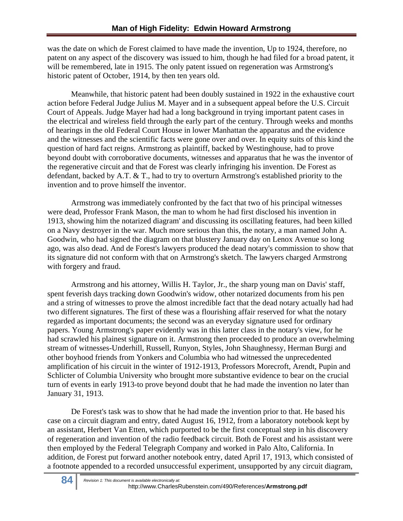was the date on which de Forest claimed to have made the invention, Up to 1924, therefore, no patent on any aspect of the discovery was issued to him, though he had filed for a broad patent, it will be remembered, late in 1915. The only patent issued on regeneration was Armstrong's historic patent of October, 1914, by then ten years old.

Meanwhile, that historic patent had been doubly sustained in 1922 in the exhaustive court action before Federal Judge Julius M. Mayer and in a subsequent appeal before the U.S. Circuit Court of Appeals. Judge Mayer had had a long background in trying important patent cases in the electrical and wireless field through the early part of the century. Through weeks and months of hearings in the old Federal Court House in lower Manhattan the apparatus and the evidence and the witnesses and the scientific facts were gone over and over. In equity suits of this kind the question of hard fact reigns. Armstrong as plaintiff, backed by Westinghouse, had to prove beyond doubt with corroborative documents, witnesses and apparatus that he was the inventor of the regenerative circuit and that de Forest was clearly infringing his invention. De Forest as defendant, backed by A.T. & T., had to try to overturn Armstrong's established priority to the invention and to prove himself the inventor.

Armstrong was immediately confronted by the fact that two of his principal witnesses were dead, Professor Frank Mason, the man to whom he had first disclosed his invention in 1913, showing him the notarized diagram' and discussing its oscillating features, had been killed on a Navy destroyer in the war. Much more serious than this, the notary, a man named John A. Goodwin, who had signed the diagram on that blustery January day on Lenox Avenue so long ago, was also dead. And de Forest's lawyers produced the dead notary's commission to show that its signature did not conform with that on Armstrong's sketch. The lawyers charged Armstrong with forgery and fraud.

Armstrong and his attorney, Willis H. Taylor, Jr., the sharp young man on Davis' staff, spent feverish days tracking down Goodwin's widow, other notarized documents from his pen and a string of witnesses to prove the almost incredible fact that the dead notary actually had had two different signatures. The first of these was a flourishing affair reserved for what the notary regarded as important documents; the second was an everyday signature used for ordinary papers. Young Armstrong's paper evidently was in this latter class in the notary's view, for he had scrawled his plainest signature on it. Armstrong then proceeded to produce an overwhelming stream of witnesses-Underhill, Russell, Runyon, Styles, John Shaughnessy, Herman Burgi and other boyhood friends from Yonkers and Columbia who had witnessed the unprecedented amplification of his circuit in the winter of 1912-1913, Professors Morecroft, Arendt, Pupin and Schlicter of Columbia University who brought more substantive evidence to bear on the crucial turn of events in early 1913-to prove beyond doubt that he had made the invention no later than January 31, 1913.

De Forest's task was to show that he had made the invention prior to that. He based his case on a circuit diagram and entry, dated August 16, 1912, from a laboratory notebook kept by an assistant, Herbert Van Etten, which purported to be the first conceptual step in his discovery of regeneration and invention of the radio feedback circuit. Both de Forest and his assistant were then employed by the Federal Telegraph Company and worked in Palo Alto, California. In addition, de Forest put forward another notebook entry, dated April 17, 1913, which consisted of a footnote appended to a recorded unsuccessful experiment, unsupported by any circuit diagram,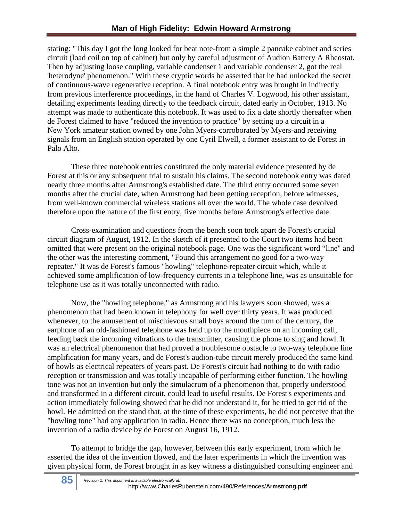stating: "This day I got the long looked for beat note-from a simple 2 pancake cabinet and series circuit (load coil on top of cabinet) but only by careful adjustment of Audion Battery A Rheostat. Then by adjusting loose coupling, variable condenser 1 and variable condenser 2, got the real 'heterodyne' phenomenon." With these cryptic words he asserted that he had unlocked the secret of continuous-wave regenerative reception. A final notebook entry was brought in indirectly from previous interference proceedings, in the hand of Charles V. Logwood, his other assistant, detailing experiments leading directly to the feedback circuit, dated early in October, 1913. No attempt was made to authenticate this notebook. It was used to fix a date shortly thereafter when de Forest claimed to have "reduced the invention to practice" by setting up a circuit in a New York amateur station owned by one John Myers-corroborated by Myers-and receiving signals from an English station operated by one Cyril Elwell, a former assistant to de Forest in Palo Alto.

These three notebook entries constituted the only material evidence presented by de Forest at this or any subsequent trial to sustain his claims. The second notebook entry was dated nearly three months after Armstrong's established date. The third entry occurred some seven months after the crucial date, when Armstrong had been getting reception, before witnesses, from well-known commercial wireless stations all over the world. The whole case devolved therefore upon the nature of the first entry, five months before Armstrong's effective date.

Cross-examination and questions from the bench soon took apart de Forest's crucial circuit diagram of August, 1912. In the sketch of it presented to the Court two items had been omitted that were present on the original notebook page. One was the significant word "line" and the other was the interesting comment, "Found this arrangement no good for a two-way repeater." It was de Forest's famous "howling" telephone-repeater circuit which, while it achieved some amplification of low-frequency currents in a telephone line, was as unsuitable for telephone use as it was totally unconnected with radio.

Now, the "howling telephone," as Armstrong and his lawyers soon showed, was a phenomenon that had been known in telephony for well over thirty years. It was produced whenever, to the amusement of mischievous small boys around the turn of the century, the earphone of an old-fashioned telephone was held up to the mouthpiece on an incoming call, feeding back the incoming vibrations to the transmitter, causing the phone to sing and howl. It was an electrical phenomenon that had proved a troublesome obstacle to two-way telephone line amplification for many years, and de Forest's audion-tube circuit merely produced the same kind of howls as electrical repeaters of years past. De Forest's circuit had nothing to do with radio reception or transmission and was totally incapable of performing either function. The howling tone was not an invention but only the simulacrum of a phenomenon that, properly understood and transformed in a different circuit, could lead to useful results. De Forest's experiments and action immediately following showed that he did not understand it, for he tried to get rid of the howl. He admitted on the stand that, at the time of these experiments, he did not perceive that the "howling tone" had any application in radio. Hence there was no conception, much less the invention of a radio device by de Forest on August 16, 1912.

To attempt to bridge the gap, however, between this early experiment, from which he asserted the idea of the invention flowed, and the later experiments in which the invention was given physical form, de Forest brought in as key witness a distinguished consulting engineer and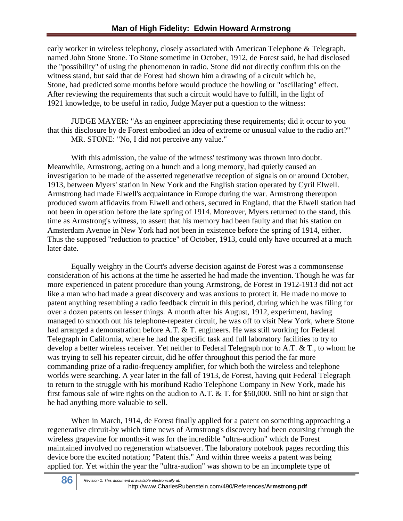early worker in wireless telephony, closely associated with American Telephone & Telegraph, named John Stone Stone. To Stone sometime in October, 1912, de Forest said, he had disclosed the "possibility" of using the phenomenon in radio. Stone did not directly confirm this on the witness stand, but said that de Forest had shown him a drawing of a circuit which he, Stone, had predicted some months before would produce the howling or "oscillating" effect. After reviewing the requirements that such a circuit would have to fulfill, in the light of 1921 knowledge, to be useful in radio, Judge Mayer put a question to the witness:

JUDGE MAYER: "As an engineer appreciating these requirements; did it occur to you that this disclosure by de Forest embodied an idea of extreme or unusual value to the radio art?" MR. STONE: "No, I did not perceive any value."

With this admission, the value of the witness' testimony was thrown into doubt. Meanwhile, Armstrong, acting on a hunch and a long memory, had quietly caused an investigation to be made of the asserted regenerative reception of signals on or around October, 1913, between Myers' station in New York and the English station operated by Cyril Elwell. Armstrong had made Elwell's acquaintance in Europe during the war. Armstrong thereupon produced sworn affidavits from Elwell and others, secured in England, that the Elwell station had not been in operation before the late spring of 1914. Moreover, Myers returned to the stand, this time as Armstrong's witness, to assert that his memory had been faulty and that his station on Amsterdam Avenue in New York had not been in existence before the spring of 1914, either. Thus the supposed "reduction to practice" of October, 1913, could only have occurred at a much later date.

Equally weighty in the Court's adverse decision against de Forest was a commonsense consideration of his actions at the time he asserted he had made the invention. Though he was far more experienced in patent procedure than young Armstrong, de Forest in 1912-1913 did not act like a man who had made a great discovery and was anxious to protect it. He made no move to patent anything resembling a radio feedback circuit in this period, during which he was filing for over a dozen patents on lesser things. A month after his August, 1912, experiment, having managed to smooth out his telephone-repeater circuit, he was off to visit New York, where Stone had arranged a demonstration before A.T. & T. engineers. He was still working for Federal Telegraph in California, where he had the specific task and full laboratory facilities to try to develop a better wireless receiver. Yet neither to Federal Telegraph nor to A.T. & T., to whom he was trying to sell his repeater circuit, did he offer throughout this period the far more commanding prize of a radio-frequency amplifier, for which both the wireless and telephone worlds were searching. A year later in the fall of 1913, de Forest, having quit Federal Telegraph to return to the struggle with his moribund Radio Telephone Company in New York, made his first famous sale of wire rights on the audion to A.T. & T. for \$50,000. Still no hint or sign that he had anything more valuable to sell.

When in March, 1914, de Forest finally applied for a patent on something approaching a regenerative circuit-by which time news of Armstrong's discovery had been coursing through the wireless grapevine for months-it was for the incredible "ultra-audion" which de Forest maintained involved no regeneration whatsoever. The laboratory notebook pages recording this device bore the excited notation; "Patent this." And within three weeks a patent was being applied for. Yet within the year the "ultra-audion" was shown to be an incomplete type of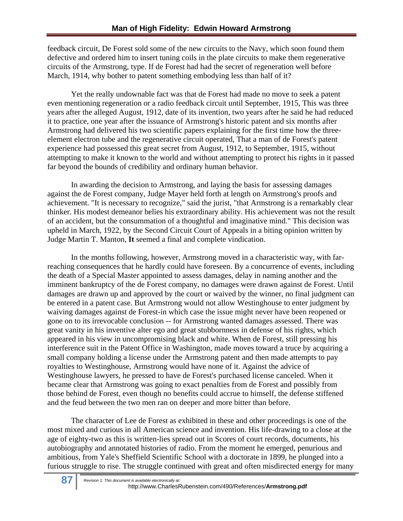feedback circuit, De Forest sold some of the new circuits to the Navy, which soon found them defective and ordered him to insert tuning coils in the plate circuits to make them regenerative circuits of the Armstrong, type. If de Forest had had the secret of regeneration well before March, 1914, why bother to patent something embodying less than half of it?

Yet the really undownable fact was that de Forest had made no move to seek a patent even mentioning regeneration or a radio feedback circuit until September, 1915, This was three years after the alleged August, 1912, date of its invention, two years after he said he had reduced it to practice, one year after the issuance of Armstrong's historic patent and six months after Armstrong had delivered his two scientific papers explaining for the first time how the threeelement electron tube and the regenerative circuit operated, That a man of de Forest's patent experience had possessed this great secret from August, 1912, to September, 1915, without attempting to make it known to the world and without attempting to protect his rights in it passed far beyond the bounds of credibility and ordinary human behavior.

In awarding the decision to Armstrong, and laying the basis for assessing damages against the de Forest company, Judge Mayer held forth at length on Armstrong's proofs and achievement. "It is necessary to recognize," said the jurist, "that Armstrong is a remarkably clear thinker. His modest demeanor belies his extraordinary ability. His achievement was not the result of an accident, but the consummation of a thoughtful and imaginative mind." This decision was upheld in March, 1922, by the Second Circuit Court of Appeals in a biting opinion written by Judge Martin T. Manton, **It** seemed a final and complete vindication.

In the months following, however, Armstrong moved in a characteristic way, with farreaching consequences that he hardly could have foreseen. By a concurrence of events, including the death of a Special Master appointed to assess damages, delay in naming another and the imminent bankruptcy of the de Forest company, no damages were drawn against de Forest. Until damages are drawn up and approved by the court or waived by the winner, no final judgment can be entered in a patent case. But Armstrong would not allow Westinghouse to enter judgment by waiving damages against de Forest-in which case the issue might never have been reopened or gone on to its irrevocable conclusion -- for Armstrong wanted damages assessed. There was great vanity in his inventive alter ego and great stubbornness in defense of his rights, which appeared in his view in uncompromising black and white. When de Forest, still pressing his interference suit in the Patent Office in Washington, made moves toward a truce by acquiring a small company holding a license under the Armstrong patent and then made attempts to pay royalties to Westinghouse, Armstrong would have none of it. Against the advice of Westinghouse lawyers, he pressed to have de Forest's purchased license canceled. When it became clear that Armstrong was going to exact penalties from de Forest and possibly from those behind de Forest, even though no benefits could accrue to himself, the defense stiffened and the feud between the two men ran on deeper and more bitter than before.

The character of Lee de Forest as exhibited in these and other proceedings is one of the most mixed and curious in all American science and invention. His life-drawing to a close at the age of eighty-two as this is written-lies spread out in Scores of court records, documents, his autobiography and annotated histories of radio. From the moment he emerged, penurious and ambitious, from Yale's Sheffield Scientific School with a doctorate in 1899, he plunged into a furious struggle to rise. The struggle continued with great and often misdirected energy for many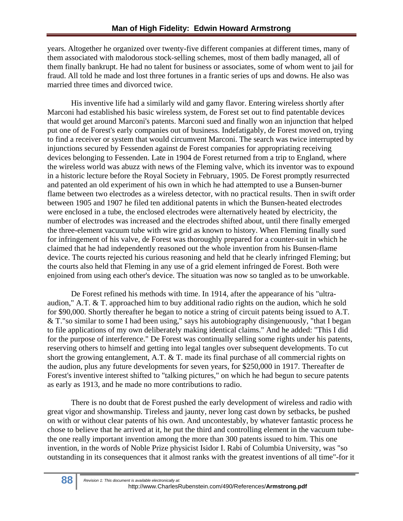years. Altogether he organized over twenty-five different companies at different times, many of them associated with malodorous stock-selling schemes, most of them badly managed, all of them finally bankrupt. He had no talent for business or associates, some of whom went to jail for fraud. All told he made and lost three fortunes in a frantic series of ups and downs. He also was married three times and divorced twice.

His inventive life had a similarly wild and gamy flavor. Entering wireless shortly after Marconi had established his basic wireless system, de Forest set out to find patentable devices that would get around Marconi's patents. Marconi sued and finally won an injunction that helped put one of de Forest's early companies out of business. Indefatigably, de Forest moved on, trying to find a receiver or system that would circumvent Marconi. The search was twice interrupted by injunctions secured by Fessenden against de Forest companies for appropriating receiving devices belonging to Fessenden. Late in 1904 de Forest returned from a trip to England, where the wireless world was abuzz with news of the Fleming valve, which its inventor was to expound in a historic lecture before the Royal Society in February, 1905. De Forest promptly resurrected and patented an old experiment of his own in which he had attempted to use a Bunsen-burner flame between two electrodes as a wireless detector, with no practical results. Then in swift order between 1905 and 1907 he filed ten additional patents in which the Bunsen-heated electrodes were enclosed in a tube, the enclosed electrodes were alternatively heated by electricity, the number of electrodes was increased and the electrodes shifted about, until there finally emerged the three-element vacuum tube with wire grid as known to history. When Fleming finally sued for infringement of his valve, de Forest was thoroughly prepared for a counter-suit in which he claimed that he had independently reasoned out the whole invention from his Bunsen-flame device. The courts rejected his curious reasoning and held that he clearly infringed Fleming; but the courts also held that Fleming in any use of a grid element infringed de Forest. Both were enjoined from using each other's device. The situation was now so tangled as to be unworkable.

De Forest refined his methods with time. In 1914, after the appearance of his "ultraaudion," A.T. & T. approached him to buy additional radio rights on the audion, which he sold for \$90,000. Shortly thereafter he began to notice a string of circuit patents being issued to A.T. & T."so similar to some I had been using," says his autobiography disingenuously, "that I began to file applications of my own deliberately making identical claims." And he added: "This I did for the purpose of interference." De Forest was continually selling some rights under his patents, reserving others to himself and getting into legal tangles over subsequent developments. To cut short the growing entanglement, A.T. & T. made its final purchase of all commercial rights on the audion, plus any future developments for seven years, for \$250,000 in 1917. Thereafter de Forest's inventive interest shifted to "talking pictures," on which he had begun to secure patents as early as 1913, and he made no more contributions to radio.

There is no doubt that de Forest pushed the early development of wireless and radio with great vigor and showmanship. Tireless and jaunty, never long cast down by setbacks, be pushed on with or without clear patents of his own. And uncontestably, by whatever fantastic process he chose to believe that he arrived at it, he put the third and controlling element in the vacuum tubethe one really important invention among the more than 300 patents issued to him. This one invention, in the words of Noble Prize physicist Isidor I. Rabi of Columbia University, was "so outstanding in its consequences that it almost ranks with the greatest inventions of all time"-for it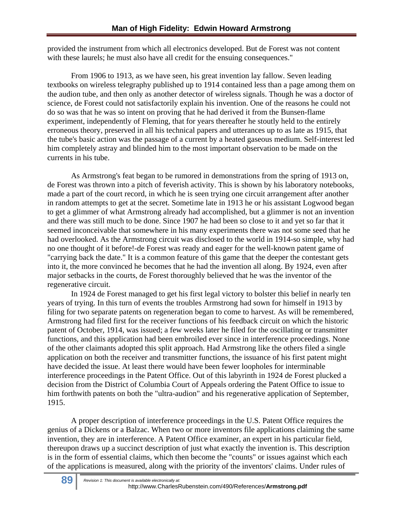provided the instrument from which all electronics developed. But de Forest was not content with these laurels; he must also have all credit for the ensuing consequences."

From 1906 to 1913, as we have seen, his great invention lay fallow. Seven leading textbooks on wireless telegraphy published up to 1914 contained less than a page among them on the audion tube, and then only as another detector of wireless signals. Though he was a doctor of science, de Forest could not satisfactorily explain his invention. One of the reasons he could not do so was that he was so intent on proving that he had derived it from the Bunsen-flame experiment, independently of Fleming, that for years thereafter he stoutly held to the entirely erroneous theory, preserved in all his technical papers and utterances up to as late as 1915, that the tube's basic action was the passage of a current by a heated gaseous medium. Self-interest led him completely astray and blinded him to the most important observation to be made on the currents in his tube.

As Armstrong's feat began to be rumored in demonstrations from the spring of 1913 on, de Forest was thrown into a pitch of feverish activity. This is shown by his laboratory notebooks, made a part of the court record, in which he is seen trying one circuit arrangement after another in random attempts to get at the secret. Sometime late in 1913 he or his assistant Logwood began to get a glimmer of what Armstrong already had accomplished, but a glimmer is not an invention and there was still much to be done. Since 1907 he had been so close to it and yet so far that it seemed inconceivable that somewhere in his many experiments there was not some seed that he had overlooked. As the Armstrong circuit was disclosed to the world in 1914-so simple, why had no one thought of it before!-de Forest was ready and eager for the well-known patent game of "carrying back the date." It is a common feature of this game that the deeper the contestant gets into it, the more convinced he becomes that he had the invention all along. By 1924, even after major setbacks in the courts, de Forest thoroughly believed that he was the inventor of the regenerative circuit.

In 1924 de Forest managed to get his first legal victory to bolster this belief in nearly ten years of trying. In this turn of events the troubles Armstrong had sown for himself in 1913 by filing for two separate patents on regeneration began to come to harvest. As will be remembered, Armstrong had filed first for the receiver functions of his feedback circuit on which the historic patent of October, 1914, was issued; a few weeks later he filed for the oscillating or transmitter functions, and this application had been embroiled ever since in interference proceedings. None of the other claimants adopted this split approach. Had Armstrong like the others filed a single application on both the receiver and transmitter functions, the issuance of his first patent might have decided the issue. At least there would have been fewer loopholes for interminable interference proceedings in the Patent Office. Out of this labyrinth in 1924 de Forest plucked a decision from the District of Columbia Court of Appeals ordering the Patent Office to issue to him forthwith patents on both the "ultra-audion" and his regenerative application of September, 1915.

A proper description of interference proceedings in the U.S. Patent Office requires the genius of a Dickens or a Balzac. When two or more inventors file applications claiming the same invention, they are in interference. A Patent Office examiner, an expert in his particular field, thereupon draws up a succinct description of just what exactly the invention is. This description is in the form of essential claims, which then become the "counts" or issues against which each of the applications is measured, along with the priority of the inventors' claims. Under rules of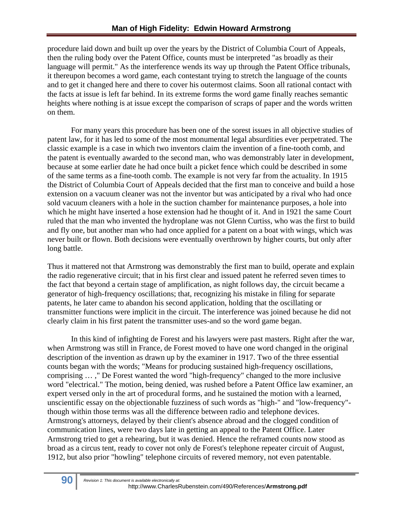procedure laid down and built up over the years by the District of Columbia Court of Appeals, then the ruling body over the Patent Office, counts must be interpreted "as broadly as their language will permit." As the interference wends its way up through the Patent Office tribunals, it thereupon becomes a word game, each contestant trying to stretch the language of the counts and to get it changed here and there to cover his outermost claims. Soon all rational contact with the facts at issue is left far behind. In its extreme forms the word game finally reaches semantic heights where nothing is at issue except the comparison of scraps of paper and the words written on them.

For many years this procedure has been one of the sorest issues in all objective studies of patent law, for it has led to some of the most monumental legal absurdities ever perpetrated. The classic example is a case in which two inventors claim the invention of a fine-tooth comb, and the patent is eventually awarded to the second man, who was demonstrably later in development, because at some earlier date he had once built a picket fence which could be described in some of the same terms as a fine-tooth comb. The example is not very far from the actuality. In 1915 the District of Columbia Court of Appeals decided that the first man to conceive and build a hose extension on a vacuum cleaner was not the inventor but was anticipated by a rival who had once sold vacuum cleaners with a hole in the suction chamber for maintenance purposes, a hole into which he might have inserted a hose extension had he thought of it. And in 1921 the same Court ruled that the man who invented the hydroplane was not Glenn Curtiss, who was the first to build and fly one, but another man who had once applied for a patent on a boat with wings, which was never built or flown. Both decisions were eventually overthrown by higher courts, but only after long battle.

Thus it mattered not that Armstrong was demonstrably the first man to build, operate and explain the radio regenerative circuit; that in his first clear and issued patent he referred seven times to the fact that beyond a certain stage of amplification, as night follows day, the circuit became a generator of high-frequency oscillations; that, recognizing his mistake in filing for separate patents, he later came to abandon his second application, holding that the oscillating or transmitter functions were implicit in the circuit. The interference was joined because he did not clearly claim in his first patent the transmitter uses-and so the word game began.

In this kind of infighting de Forest and his lawyers were past masters. Right after the war, when Armstrong was still in France, de Forest moved to have one word changed in the original description of the invention as drawn up by the examiner in 1917. Two of the three essential counts began with the words; "Means for producing sustained high-frequency oscillations, comprising … ," De Forest wanted the word "high-frequency" changed to the more inclusive word "electrical." The motion, being denied, was rushed before a Patent Office law examiner, an expert versed only in the art of procedural forms, and he sustained the motion with a learned, unscientific essay on the objectionable fuzziness of such words as "high-" and "low-frequency" though within those terms was all the difference between radio and telephone devices. Armstrong's attorneys, delayed by their client's absence abroad and the clogged condition of communication lines, were two days late in getting an appeal to the Patent Office. Later Armstrong tried to get a rehearing, but it was denied. Hence the reframed counts now stood as broad as a circus tent, ready to cover not only de Forest's telephone repeater circuit of August, 1912, but also prior "howling" telephone circuits of revered memory, not even patentable.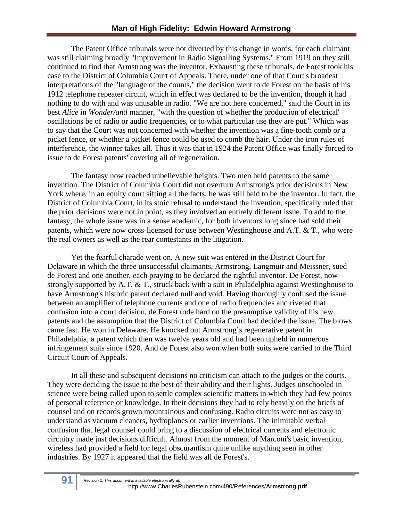The Patent Office tribunals were not diverted by this change in words, for each claimant was still claiming broadly "Improvement in Radio Signalling Systems." From 1919 on they still continued to find that Armstrong was the inventor. Exhausting these tribunals, de Forest took his case to the District of Columbia Court of Appeals. There, under one of that Court's broadest interpretations of the "language of the counts," the decision went to de Forest on the basis of his 1912 telephone repeater circuit, which in effect was declared to be the invention, though it had nothing to do with and was unusable in radio. "We are not here concerned," said the Court in its best *Alice* in *Wonder/and* manner, "with the question of whether the production of electrical' oscillations be of radio or audio frequencies, or to what particular use they are put." Which was to say that the Court was not concerned with whether the invention was a fine-tooth comb or a picket fence, or whether a picket fence could be used to comb the hair. Under the iron rules of interference, the winner takes all. Thus it was that in 1924 the Patent Office was finally forced to issue to de Forest patents' covering all of regeneration.

The fantasy now reached unbelievable heights. Two men held patents to the same invention. The District of Columbia Court did not overturn Armstrong's prior decisions in New York where, in an equity court sifting all the facts, he was still held to be the inventor. In fact, the District of Columbia Court, in its stoic refusal to understand the invention, specifically ruled that the prior decisions were not in point, as they involved an entirely different issue. To add to the fantasy, the whole issue was in a sense academic, for both inventors long since had sold their patents, which were now cross-licensed for use between Westinghouse and A.T. & T., who were the real owners as well as the rear contestants in the litigation.

Yet the fearful charade went on. A new suit was entered in the District Court for Delaware in which the three unsuccessful claimants, Armstrong, Langmuir and Meissner, sued de Forest and one another, each praying to be declared the rightful inventor. De Forest, now strongly supported by A.T. & T., struck back with a suit in Philadelphia against Westinghouse to have Armstrong's historic patent declared null and void. Having thoroughly confused the issue between an amplifier of telephone currents and one of radio frequencies and riveted that confusion into a court decision, de Forest rode hard on the presumptive validity of his new patents and the assumption that the District of Columbia Court had decided the issue. The blows came fast. He won in Delaware. He knocked out Armstrong's regenerative patent in Philadelphia, a patent which then was twelve years old and had been upheld in numerous infringement suits since 1920. And de Forest also won when both suits were carried to the Third Circuit Court of Appeals.

In all these and subsequent decisions no criticism can attach to the judges or the courts. They were deciding the issue to the best of their ability and their lights. Judges unschooled in science were being called upon to settle complex scientific matters in which they had few points of personal reference or knowledge. In their decisions they had to rely heavily on the briefs of counsel and on records grown mountainous and confusing. Radio circuits were not as easy to understand as vacuum cleaners, hydroplanes or earlier inventions. The inimitable verbal confusion that legal counsel could bring to a discussion of electrical currents and electronic circuitry made just decisions difficult. Almost from the moment of Marconi's basic invention, wireless had provided a field for legal obscurantism quite unlike anything seen in other industries. By 1927 it appeared that the field was all de Forest's.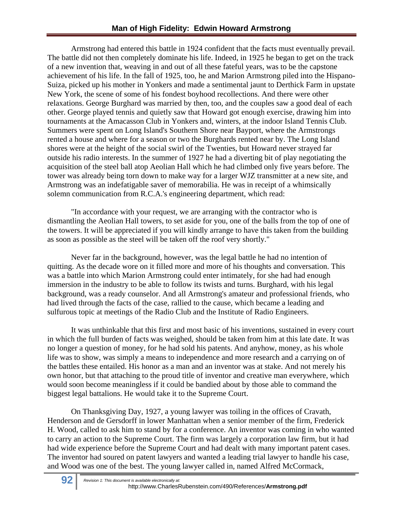Armstrong had entered this battle in 1924 confident that the facts must eventually prevail. The battle did not then completely dominate his life. Indeed, in 1925 he began to get on the track of a new invention that, weaving in and out of all these fateful years, was to be the capstone achievement of his life. In the fall of 1925, too, he and Marion Armstrong piled into the Hispano-Suiza, picked up his mother in Yonkers and made a sentimental jaunt to Derthick Farm in upstate New York, the scene of some of his fondest boyhood recollections. And there were other relaxations. George Burghard was married by then, too, and the couples saw a good deal of each other. George played tennis and quietly saw that Howard got enough exercise, drawing him into tournaments at the Amacasson Club in Yonkers and, winters, at the indoor Island Tennis Club. Summers were spent on Long Island's Southern Shore near Bayport, where the Armstrongs rented a house and where for a season or two the Burghards rented near by. The Long Island shores were at the height of the social swirl of the Twenties, but Howard never strayed far outside his radio interests. In the summer of 1927 he had a diverting bit of play negotiating the acquisition of the steel ball atop Aeolian Hall which he had climbed only five years before. The tower was already being torn down to make way for a larger WJZ transmitter at a new site, and Armstrong was an indefatigable saver of memorabilia. He was in receipt of a whimsically solemn communication from R.C.A.'s engineering department, which read:

"In accordance with your request, we are arranging with the contractor who is dismantling the Aeolian Hall towers, to set aside for you, one of the balls from the top of one of the towers. It will be appreciated if you will kindly arrange to have this taken from the building as soon as possible as the steel will be taken off the roof very shortly."

Never far in the background, however, was the legal battle he had no intention of quitting. As the decade wore on it filled more and more of his thoughts and conversation. This was a battle into which Marion Armstrong could enter intimately, for she had had enough immersion in the industry to be able to follow its twists and turns. Burghard, with his legal background, was a ready counselor. And all Armstrong's amateur and professional friends, who had lived through the facts of the case, rallied to the cause, which became a leading and sulfurous topic at meetings of the Radio Club and the Institute of Radio Engineers.

It was unthinkable that this first and most basic of his inventions, sustained in every court in which the full burden of facts was weighed, should be taken from him at this late date. It was no longer a question of money, for he had sold his patents. And anyhow, money, as his whole life was to show, was simply a means to independence and more research and a carrying on of the battles these entailed. His honor as a man and an inventor was at stake. And not merely his own honor, but that attaching to the proud title of inventor and creative man everywhere, which would soon become meaningless if it could be bandied about by those able to command the biggest legal battalions. He would take it to the Supreme Court.

On Thanksgiving Day, 1927, a young lawyer was toiling in the offices of Cravath, Henderson and de Gersdorff in lower Manhattan when a senior member of the firm, Frederick H. Wood, called to ask him to stand by for a conference. An inventor was coming in who wanted to carry an action to the Supreme Court. The firm was largely a corporation law firm, but it had had wide experience before the Supreme Court and had dealt with many important patent cases. The inventor had soured on patent lawyers and wanted a leading trial lawyer to handle his case, and Wood was one of the best. The young lawyer called in, named Alfred McCormack,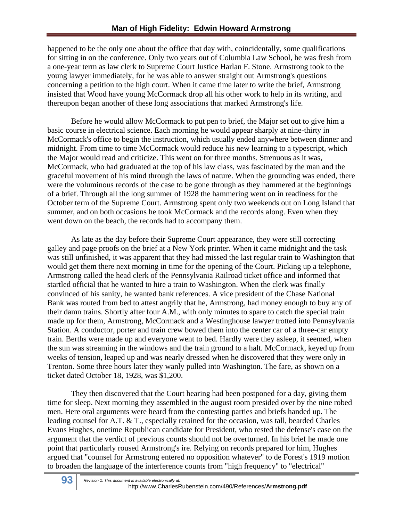happened to be the only one about the office that day with, coincidentally, some qualifications for sitting in on the conference. Only two years out of Columbia Law School, he was fresh from a one-year term as law clerk to Supreme Court Justice Harlan F. Stone. Armstrong took to the young lawyer immediately, for he was able to answer straight out Armstrong's questions concerning a petition to the high court. When it came time later to write the brief, Armstrong insisted that Wood have young McCormack drop all his other work to help in its writing, and thereupon began another of these long associations that marked Armstrong's life.

Before he would allow McCormack to put pen to brief, the Major set out to give him a basic course in electrical science. Each morning he would appear sharply at nine-thirty in McCormack's office to begin the instruction, which usually ended anywhere between dinner and midnight. From time to time McCormack would reduce his new learning to a typescript, which the Major would read and criticize. This went on for three months. Strenuous as it was, McCormack, who had graduated at the top of his law class, was fascinated by the man and the graceful movement of his mind through the laws of nature. When the grounding was ended, there were the voluminous records of the case to be gone through as they hammered at the beginnings of a brief. Through all the long summer of 1928 the hammering went on in readiness for the October term of the Supreme Court. Armstrong spent only two weekends out on Long Island that summer, and on both occasions he took McCormack and the records along. Even when they went down on the beach, the records had to accompany them.

As late as the day before their Supreme Court appearance, they were still correcting galley and page proofs on the brief at a New York printer. When it came midnight and the task was still unfinished, it was apparent that they had missed the last regular train to Washington that would get them there next morning in time for the opening of the Court. Picking up a telephone, Armstrong called the head clerk of the Pennsylvania Railroad ticket office and informed that startled official that he wanted to hire a train to Washington. When the clerk was finally convinced of his sanity, he wanted bank references. A vice president of the Chase National Bank was routed from bed to attest angrily that he, Armstrong, had money enough to buy any of their damn trains. Shortly after four A.M., with only minutes to spare to catch the special train made up for them, Armstrong, McCormack and a Westinghouse lawyer trotted into Pennsylvania Station. A conductor, porter and train crew bowed them into the center car of a three-car empty train. Berths were made up and everyone went to bed. Hardly were they asleep, it seemed, when the sun was streaming in the windows and the train ground to a halt. McCormack, keyed up from weeks of tension, leaped up and was nearly dressed when he discovered that they were only in Trenton. Some three hours later they wanly pulled into Washington. The fare, as shown on a ticket dated October 18, 1928, was \$1,200.

They then discovered that the Court hearing had been postponed for a day, giving them time for sleep. Next morning they assembled in the august room presided over by the nine robed men. Here oral arguments were heard from the contesting parties and briefs handed up. The leading counsel for A.T. & T., especially retained for the occasion, was tall, bearded Charles Evans Hughes, onetime Republican candidate for President, who rested the defense's case on the argument that the verdict of previous counts should not be overturned. In his brief he made one point that particularly roused Armstrong's ire. Relying on records prepared for him, Hughes argued that "counsel for Armstrong entered no opposition whatever" to de Forest's 1919 motion to broaden the language of the interference counts from "high frequency" to "electrical"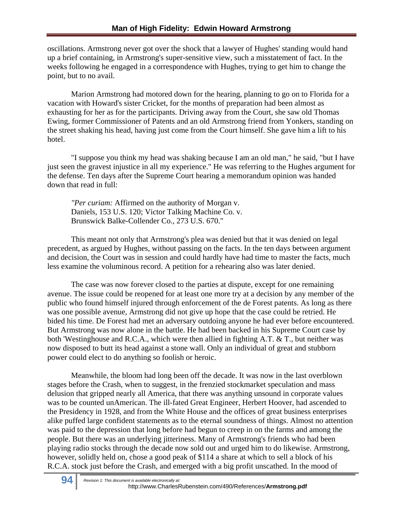oscillations. Armstrong never got over the shock that a lawyer of Hughes' standing would hand up a brief containing, in Armstrong's super-sensitive view, such a misstatement of fact. In the weeks following he engaged in a correspondence with Hughes, trying to get him to change the point, but to no avail.

Marion Armstrong had motored down for the hearing, planning to go on to Florida for a vacation with Howard's sister Cricket, for the months of preparation had been almost as exhausting for her as for the participants. Driving away from the Court, she saw old Thomas Ewing, former Commissioner of Patents and an old Armstrong friend from Yonkers, standing on the street shaking his head, having just come from the Court himself. She gave him a lift to his hotel.

"I suppose you think my head was shaking because I am an old man," he said, "but I have just seen the gravest injustice in all my experience." He was referring to the Hughes argument for the defense. Ten days after the Supreme Court hearing a memorandum opinion was handed down that read in full:

*"Per curiam:* Affirmed on the authority of Morgan v. Daniels, 153 U.S. 120; Victor Talking Machine Co. v. Brunswick Balke-Collender Co., 273 U.S. 670."

This meant not only that Armstrong's plea was denied but that it was denied on legal precedent, as argued by Hughes, without passing on the facts. In the ten days between argument and decision, the Court was in session and could hardly have had time to master the facts, much less examine the voluminous record. A petition for a rehearing also was later denied.

 The case was now forever closed to the parties at dispute, except for one remaining avenue. The issue could be reopened for at least one more try at a decision by any member of the public who found himself injured through enforcement of the de Forest patents. As long as there was one possible avenue, Armstrong did not give up hope that the case could be retried. He bided his time. De Forest had met an adversary outdoing anyone he had ever before encountered. But Armstrong was now alone in the battle. He had been backed in his Supreme Court case by both 'Westinghouse and R.C.A., which were then allied in fighting A.T. & T., but neither was now disposed to butt its head against a stone wall. Only an individual of great and stubborn power could elect to do anything so foolish or heroic.

Meanwhile, the bloom had long been off the decade. It was now in the last overblown stages before the Crash, when to suggest, in the frenzied stockmarket speculation and mass delusion that gripped nearly all America, that there was anything unsound in corporate values was to be counted unAmerican. The ill-fated Great Engineer, Herbert Hoover, had ascended to the Presidency in 1928, and from the White House and the offices of great business enterprises alike puffed large confident statements as to the eternal soundness of things. Almost no attention was paid to the depression that long before had begun to creep in on the farms and among the people. But there was an underlying jitteriness. Many of Armstrong's friends who had been playing radio stocks through the decade now sold out and urged him to do likewise. Armstrong, however, solidly held on, chose a good peak of \$114 a share at which to sell a block of his R.C.A. stock just before the Crash, and emerged with a big profit unscathed. In the mood of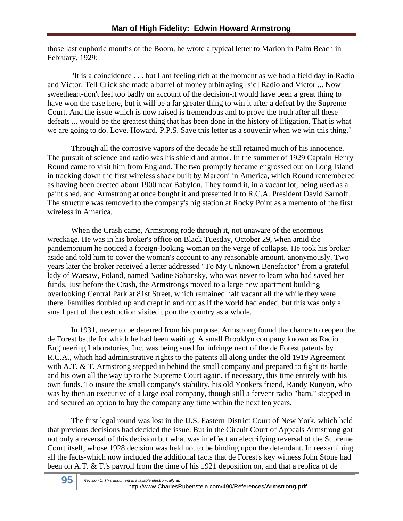those last euphoric months of the Boom, he wrote a typical letter to Marion in Palm Beach in February, 1929:

"It is a coincidence . . . but I am feeling rich at the moment as we had a field day in Radio and Victor. Tell Crick she made a barrel of money arbitraying [sic] Radio and Victor ... Now sweetheart-don't feel too badly on account of the decision-it would have been a great thing to have won the case here, but it will be a far greater thing to win it after a defeat by the Supreme Court. And the issue which is now raised is tremendous and to prove the truth after all these defeats ... would be the greatest thing that has been done in the history of litigation. That is what we are going to do. Love. Howard. P.P.S. Save this letter as a souvenir when we win this thing."

Through all the corrosive vapors of the decade he still retained much of his innocence. The pursuit of science and radio was his shield and armor. In the summer of 1929 Captain Henry Round came to visit him from England. The two promptly became engrossed out on Long Island in tracking down the first wireless shack built by Marconi in America, which Round remembered as having been erected about 1900 near Babylon. They found it, in a vacant lot, being used as a paint shed, and Armstrong at once bought it and presented it to R.C.A. President David Sarnoff. The structure was removed to the company's big station at Rocky Point as a memento of the first wireless in America.

When the Crash came, Armstrong rode through it, not unaware of the enormous wreckage. He was in his broker's office on Black Tuesday, October 29, when amid the pandemonium he noticed a foreign-looking woman on the verge of collapse. He took his broker aside and told him to cover the woman's account to any reasonable amount, anonymously. Two years later the broker received a letter addressed "To My Unknown Benefactor" from a grateful lady of Warsaw, Poland, named Nadine Sobansky, who was never to learn who had saved her funds. Just before the Crash, the Armstrongs moved to a large new apartment building overlooking Central Park at 81st Street, which remained half vacant all the while they were there. Families doubled up and crept in and out as if the world had ended, but this was only a small part of the destruction visited upon the country as a whole.

In 1931, never to be deterred from his purpose, Armstrong found the chance to reopen the de Forest battle for which he had been waiting. A small Brooklyn company known as Radio Engineering Laboratories, Inc. was being sued for infringement of the de Forest patents by R.C.A., which had administrative rights to the patents all along under the old 1919 Agreement with A.T. & T. Armstrong stepped in behind the small company and prepared to fight its battle and his own all the way up to the Supreme Court again, if necessary, this time entirely with his own funds. To insure the small company's stability, his old Yonkers friend, Randy Runyon, who was by then an executive of a large coal company, though still a fervent radio "ham," stepped in and secured an option to buy the company any time within the next ten years.

The first legal round was lost in the U.S. Eastern District Court of New York, which held that previous decisions had decided the issue. But in the Circuit Court of Appeals Armstrong got not only a reversal of this decision but what was in effect an electrifying reversal of the Supreme Court itself, whose 1928 decision was held not to be binding upon the defendant. In reexamining all the facts-which now included the additional facts that de Forest's key witness John Stone had been on A.T. & T.'s payroll from the time of his 1921 deposition on, and that a replica of de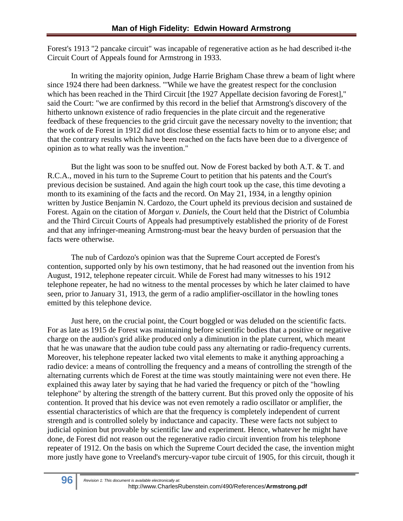Forest's 1913 "2 pancake circuit" was incapable of regenerative action as he had described it-the Circuit Court of Appeals found for Armstrong in 1933.

In writing the majority opinion, Judge Harrie Brigham Chase threw a beam of light where since 1924 there had been darkness. "'While we have the greatest respect for the conclusion which has been reached in the Third Circuit [the 1927 Appellate decision favoring de Forest]," said the Court: "we are confirmed by this record in the belief that Armstrong's discovery of the hitherto unknown existence of radio frequencies in the plate circuit and the regenerative feedback of these frequencies to the grid circuit gave the necessary novelty to the invention; that the work of de Forest in 1912 did not disclose these essential facts to him or to anyone else; and that the contrary results which have been reached on the facts have been due to a divergence of opinion as to what really was the invention."

But the light was soon to be snuffed out. Now de Forest backed by both A.T. & T. and R.C.A., moved in his turn to the Supreme Court to petition that his patents and the Court's previous decision be sustained. And again the high court took up the case, this time devoting a month to its examining of the facts and the record. On May 21, 1934, in a lengthy opinion written by Justice Benjamin N. Cardozo, the Court upheld its previous decision and sustained de Forest. Again on the citation of *Morgan v. Daniels,* the Court held that the District of Columbia and the Third Circuit Courts of Appeals had presumptively established the priority of de Forest and that any infringer-meaning Armstrong-must bear the heavy burden of persuasion that the facts were otherwise.

The nub of Cardozo's opinion was that the Supreme Court accepted de Forest's contention, supported only by his own testimony, that he had reasoned out the invention from his August, 1912, telephone repeater circuit. While de Forest had many witnesses to his 1912 telephone repeater, he had no witness to the mental processes by which he later claimed to have seen, prior to January 31, 1913, the germ of a radio amplifier-oscillator in the howling tones emitted by this telephone device.

Just here, on the crucial point, the Court boggled or was deluded on the scientific facts. For as late as 1915 de Forest was maintaining before scientific bodies that a positive or negative charge on the audion's grid alike produced only a diminution in the plate current, which meant that he was unaware that the audion tube could pass any alternating or radio-frequency currents. Moreover, his telephone repeater lacked two vital elements to make it anything approaching a radio device: a means of controlling the frequency and a means of controlling the strength of the alternating currents which de Forest at the time was stoutly maintaining were not even there. He explained this away later by saying that he had varied the frequency or pitch of the "howling telephone" by altering the strength of the battery current. But this proved only the opposite of his contention. It proved that his device was not even remotely a radio oscillator or amplifier, the essential characteristics of which are that the frequency is completely independent of current strength and is controlled solely by inductance and capacity. These were facts not subject to judicial opinion but provable by scientific law and experiment. Hence, whatever he might have done, de Forest did not reason out the regenerative radio circuit invention from his telephone repeater of 1912. On the basis on which the Supreme Court decided the case, the invention might more justly have gone to Vreeland's mercury-vapor tube circuit of 1905, for this circuit, though it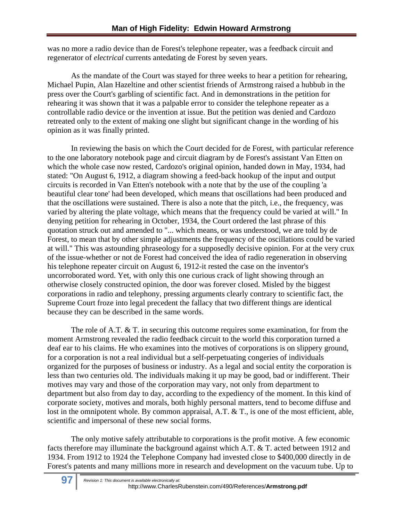was no more a radio device than de Forest's telephone repeater, was a feedback circuit and regenerator of *electrical* currents antedating de Forest by seven years.

As the mandate of the Court was stayed for three weeks to hear a petition for rehearing, Michael Pupin, Alan Hazeltine and other scientist friends of Armstrong raised a hubbub in the press over the Court's garbling of scientific fact. And in demonstrations in the petition for rehearing it was shown that it was a palpable error to consider the telephone repeater as a controllable radio device or the invention at issue. But the petition was denied and Cardozo retreated only to the extent of making one slight but significant change in the wording of his opinion as it was finally printed.

In reviewing the basis on which the Court decided for de Forest, with particular reference to the one laboratory notebook page and circuit diagram by de Forest's assistant Van Etten on which the whole case now rested, Cardozo's original opinion, handed down in May, 1934, had stated: "On August 6, 1912, a diagram showing a feed-back hookup of the input and output circuits is recorded in Van Etten's notebook with a note that by the use of the coupling 'a beautiful clear tone' had been developed, which means that oscillations had been produced and that the oscillations were sustained. There is also a note that the pitch, i.e., the frequency, was varied by altering the plate voltage, which means that the frequency could be varied at will." In denying petition for rehearing in October, 1934, the Court ordered the last phrase of this quotation struck out and amended to "... which means, or was understood, we are told by de Forest, to mean that by other simple adjustments the frequency of the oscillations could be varied at will." This was astounding phraseology for a supposedly decisive opinion. For at the very crux of the issue-whether or not de Forest had conceived the idea of radio regeneration in observing his telephone repeater circuit on August 6, 1912-it rested the case on the inventor's uncorroborated word. Yet, with only this one curious crack of light showing through an otherwise closely constructed opinion, the door was forever closed. Misled by the biggest corporations in radio and telephony, pressing arguments clearly contrary to scientific fact, the Supreme Court froze into legal precedent the fallacy that two different things are identical because they can be described in the same words.

The role of A.T. & T. in securing this outcome requires some examination, for from the moment Armstrong revealed the radio feedback circuit to the world this corporation turned a deaf ear to his claims. He who examines into the motives of corporations is on slippery ground, for a corporation is not a real individual but a self-perpetuating congeries of individuals organized for the purposes of business or industry. As a legal and social entity the corporation is less than two centuries old. The individuals making it up may be good, bad or indifferent. Their motives may vary and those of the corporation may vary, not only from department to department but also from day to day, according to the expediency of the moment. In this kind of corporate society, motives and morals, both highly personal matters, tend to become diffuse and lost in the omnipotent whole. By common appraisal, A.T. & T., is one of the most efficient, able, scientific and impersonal of these new social forms.

The only motive safely attributable to corporations is the profit motive. A few economic facts therefore may illuminate the background against which A.T. & T. acted between 1912 and 1934. From 1912 to 1924 the Telephone Company had invested close to \$400,000 directly in de Forest's patents and many millions more in research and development on the vacuum tube. Up to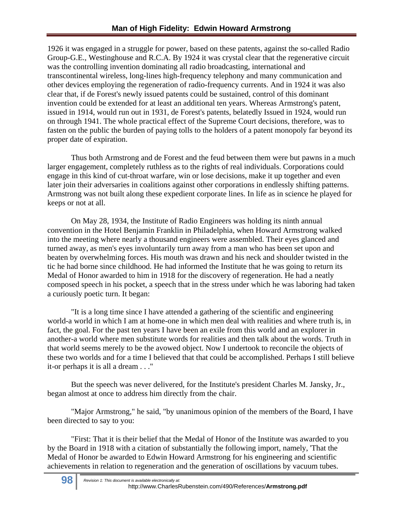1926 it was engaged in a struggle for power, based on these patents, against the so-called Radio Group-G.E., Westinghouse and R.C.A. By 1924 it was crystal clear that the regenerative circuit was the controlling invention dominating all radio broadcasting, international and transcontinental wireless, long-lines high-frequency telephony and many communication and other devices employing the regeneration of radio-frequency currents. And in 1924 it was also clear that, if de Forest's newly issued patents could be sustained, control of this dominant invention could be extended for at least an additional ten years. Whereas Armstrong's patent, issued in 1914, would run out in 1931, de Forest's patents, belatedly Issued in 1924, would run on through 1941. The whole practical effect of the Supreme Court decisions, therefore, was to fasten on the public the burden of paying tolls to the holders of a patent monopoly far beyond its proper date of expiration.

Thus both Armstrong and de Forest and the feud between them were but pawns in a much larger engagement, completely ruthless as to the rights of real individuals. Corporations could engage in this kind of cut-throat warfare, win or lose decisions, make it up together and even later join their adversaries in coalitions against other corporations in endlessly shifting patterns. Armstrong was not built along these expedient corporate lines. In life as in science he played for keeps or not at all.

On May 28, 1934, the Institute of Radio Engineers was holding its ninth annual convention in the Hotel Benjamin Franklin in Philadelphia, when Howard Armstrong walked into the meeting where nearly a thousand engineers were assembled. Their eyes glanced and turned away, as men's eyes involuntarily turn away from a man who has been set upon and beaten by overwhelming forces. His mouth was drawn and his neck and shoulder twisted in the tic he had borne since childhood. He had informed the Institute that he was going to return its Medal of Honor awarded to him in 1918 for the discovery of regeneration. He had a neatly composed speech in his pocket, a speech that in the stress under which he was laboring had taken a curiously poetic turn. It began:

"It is a long time since I have attended a gathering of the scientific and engineering world-a world in which I am at home-one in which men deal with realities and where truth is, in fact, the goal. For the past ten years I have been an exile from this world and an explorer in another-a world where men substitute words for realities and then talk about the words. Truth in that world seems merely to be the avowed object. Now I undertook to reconcile the objects of these two worlds and for a time I believed that that could be accomplished. Perhaps I still believe it-or perhaps it is all a dream . . ."

But the speech was never delivered, for the Institute's president Charles M. Jansky, Jr., began almost at once to address him directly from the chair.

"Major Armstrong," he said, "by unanimous opinion of the members of the Board, I have been directed to say to you:

"First: That it is their belief that the Medal of Honor of the Institute was awarded to you by the Board in 1918 with a citation of substantially the following import, namely, 'That the Medal of Honor be awarded to Edwin Howard Armstrong for his engineering and scientific achievements in relation to regeneration and the generation of oscillations by vacuum tubes.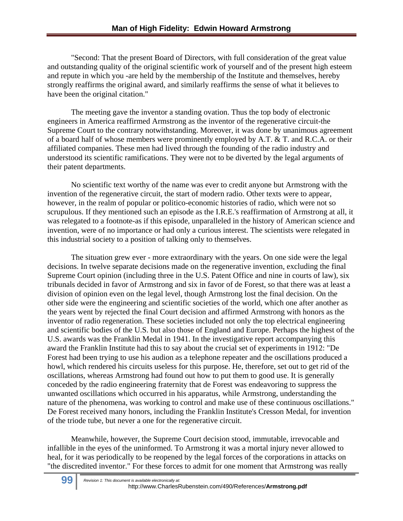"Second: That the present Board of Directors, with full consideration of the great value and outstanding quality of the original scientific work of yourself and of the present high esteem and repute in which you -are held by the membership of the Institute and themselves, hereby strongly reaffirms the original award, and similarly reaffirms the sense of what it believes to have been the original citation."

The meeting gave the inventor a standing ovation. Thus the top body of electronic engineers in America reaffirmed Armstrong as the inventor of the regenerative circuit-the Supreme Court to the contrary notwithstanding. Moreover, it was done by unanimous agreement of a board half of whose members were prominently employed by A.T. & T. and R.C.A. or their affiliated companies. These men had lived through the founding of the radio industry and understood its scientific ramifications. They were not to be diverted by the legal arguments of their patent departments.

No scientific text worthy of the name was ever to credit anyone but Armstrong with the invention of the regenerative circuit, the start of modern radio. Other texts were to appear, however, in the realm of popular or politico-economic histories of radio, which were not so scrupulous. If they mentioned such an episode as the I.R.E.'s reaffirmation of Armstrong at all, it was relegated to a footnote-as if this episode, unparalleled in the history of American science and invention, were of no importance or had only a curious interest. The scientists were relegated in this industrial society to a position of talking only to themselves.

The situation grew ever - more extraordinary with the years. On one side were the legal decisions. In twelve separate decisions made on the regenerative invention, excluding the final Supreme Court opinion (including three in the U.S. Patent Office and nine in courts of law), six tribunals decided in favor of Armstrong and six in favor of de Forest, so that there was at least a division of opinion even on the legal level, though Armstrong lost the final decision. On the other side were the engineering and scientific societies of the world, which one after another as the years went by rejected the final Court decision and affirmed Armstrong with honors as the inventor of radio regeneration. These societies included not only the top electrical engineering and scientific bodies of the U.S. but also those of England and Europe. Perhaps the highest of the U.S. awards was the Franklin Medal in 1941. In the investigative report accompanying this award the Franklin Institute had this to say about the crucial set of experiments in 1912: "De Forest had been trying to use his audion as a telephone repeater and the oscillations produced a howl, which rendered his circuits useless for this purpose. He, therefore, set out to get rid of the oscillations, whereas Armstrong had found out how to put them to good use. It is generally conceded by the radio engineering fraternity that de Forest was endeavoring to suppress the unwanted oscillations which occurred in his apparatus, while Armstrong, understanding the nature of the phenomena, was working to control and make use of these continuous oscillations." De Forest received many honors, including the Franklin Institute's Cresson Medal, for invention of the triode tube, but never a one for the regenerative circuit.

Meanwhile, however, the Supreme Court decision stood, immutable, irrevocable and infallible in the eyes of the uninformed. To Armstrong it was a mortal injury never allowed to heal, for it was periodically to be reopened by the legal forces of the corporations in attacks on "the discredited inventor." For these forces to admit for one moment that Armstrong was really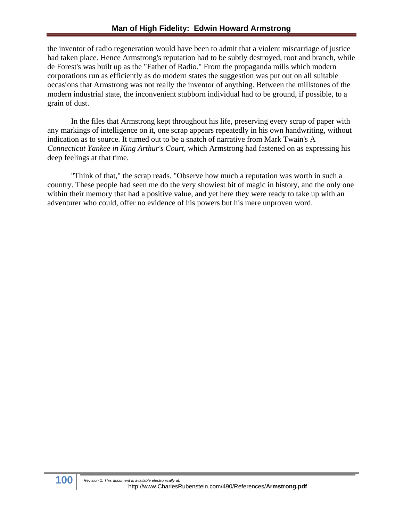the inventor of radio regeneration would have been to admit that a violent miscarriage of justice had taken place. Hence Armstrong's reputation had to be subtly destroyed, root and branch, while de Forest's was built up as the "Father of Radio." From the propaganda mills which modern corporations run as efficiently as do modern states the suggestion was put out on all suitable occasions that Armstrong was not really the inventor of anything. Between the millstones of the modern industrial state, the inconvenient stubborn individual had to be ground, if possible, to a grain of dust.

In the files that Armstrong kept throughout his life, preserving every scrap of paper with any markings of intelligence on it, one scrap appears repeatedly in his own handwriting, without indication as to source. It turned out to be a snatch of narrative from Mark Twain's A *Connecticut Yankee in King Arthur's Court,* which Armstrong had fastened on as expressing his deep feelings at that time.

"Think of that," the scrap reads. "Observe how much a reputation was worth in such a country. These people had seen me do the very showiest bit of magic in history, and the only one within their memory that had a positive value, and yet here they were ready to take up with an adventurer who could, offer no evidence of his powers but his mere unproven word.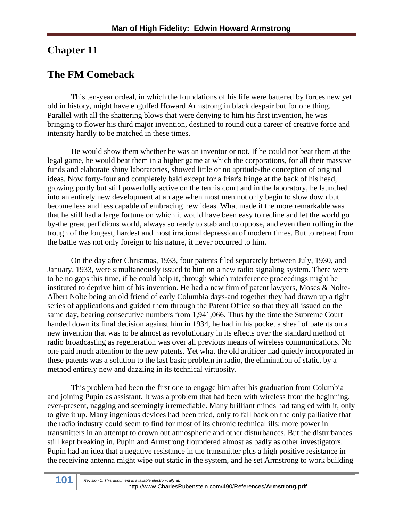## **Chapter 11**

## **The FM Comeback**

This ten-year ordeal, in which the foundations of his life were battered by forces new yet old in history, might have engulfed Howard Armstrong in black despair but for one thing. Parallel with all the shattering blows that were denying to him his first invention, he was bringing to flower his third major invention, destined to round out a career of creative force and intensity hardly to be matched in these times.

He would show them whether he was an inventor or not. If he could not beat them at the legal game, he would beat them in a higher game at which the corporations, for all their massive funds and elaborate shiny laboratories, showed little or no aptitude-the conception of original ideas. Now forty-four and completely bald except for a friar's fringe at the back of his head, growing portly but still powerfully active on the tennis court and in the laboratory, he launched into an entirely new development at an age when most men not only begin to slow down but become less and less capable of embracing new ideas. What made it the more remarkable was that he still had a large fortune on which it would have been easy to recline and let the world go by-the great perfidious world, always so ready to stab and to oppose, and even then rolling in the trough of the longest, hardest and most irrational depression of modern times. But to retreat from the battle was not only foreign to his nature, it never occurred to him.

On the day after Christmas, 1933, four patents filed separately between July, 1930, and January, 1933, were simultaneously issued to him on a new radio signaling system. There were to be no gaps this time, if he could help it, through which interference proceedings might be instituted to deprive him of his invention. He had a new firm of patent lawyers, Moses & Nolte-Albert Nolte being an old friend of early Columbia days-and together they had drawn up a tight series of applications and guided them through the Patent Office so that they all issued on the same day, bearing consecutive numbers from 1,941,066. Thus by the time the Supreme Court handed down its final decision against him in 1934, he had in his pocket a sheaf of patents on a new invention that was to be almost as revolutionary in its effects over the standard method of radio broadcasting as regeneration was over all previous means of wireless communications. No one paid much attention to the new patents. Yet what the old artificer had quietly incorporated in these patents was a solution to the last basic problem in radio, the elimination of static, by a method entirely new and dazzling in its technical virtuosity.

This problem had been the first one to engage him after his graduation from Columbia and joining Pupin as assistant. It was a problem that had been with wireless from the beginning, ever-present, nagging and seemingly irremediable. Many brilliant minds had tangled with it, only to give it up. Many ingenious devices had been tried, only to fall back on the only palliative that the radio industry could seem to find for most of its chronic technical ills: more power in transmitters in an attempt to drown out atmospheric and other disturbances. But the disturbances still kept breaking in. Pupin and Armstrong floundered almost as badly as other investigators. Pupin had an idea that a negative resistance in the transmitter plus a high positive resistance in the receiving antenna might wipe out static in the system, and he set Armstrong to work building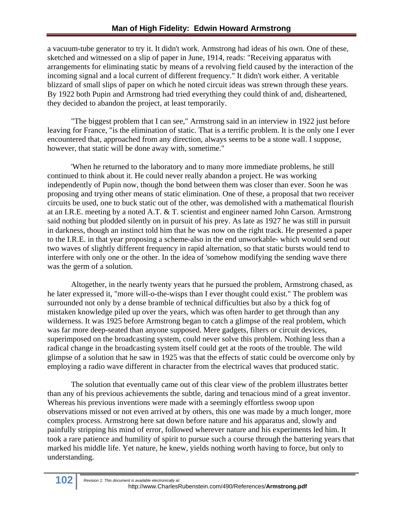a vacuum-tube generator to try it. It didn't work. Armstrong had ideas of his own. One of these, sketched and witnessed on a slip of paper in June, 1914, reads: "Receiving apparatus with arrangements for eliminating static by means of a revolving field caused by the interaction of the incoming signal and a local current of different frequency." It didn't work either. A veritable blizzard of small slips of paper on which he noted circuit ideas was strewn through these years. By 1922 both Pupin and Armstrong had tried everything they could think of and, disheartened, they decided to abandon the project, at least temporarily.

"The biggest problem that I can see," Armstrong said in an interview in 1922 just before leaving for France, "is the elimination of static. That is a terrific problem. It is the only one I ever encountered that, approached from any direction, always seems to be a stone wall. I suppose, however, that static will be done away with, sometime."

'When he returned to the laboratory and to many more immediate problems, he still continued to think about it. He could never really abandon a project. He was working independently of Pupin now, though the bond between them was closer than ever. Soon he was proposing and trying other means of static elimination. One of these, a proposal that two receiver circuits be used, one to buck static out of the other, was demolished with a mathematical flourish at an I.R.E. meeting by a noted A.T. & T. scientist and engineer named John Carson. Armstrong said nothing but plodded silently on in pursuit of his prey. As late as 1927 he was still in pursuit in darkness, though an instinct told him that he was now on the right track. He presented a paper to the I.R.E. in that year proposing a scheme-also in the end unworkable- which would send out two waves of slightly different frequency in rapid alternation, so that static bursts would tend to interfere with only one or the other. In the idea of 'somehow modifying the sending wave there was the germ of a solution.

Altogether, in the nearly twenty years that he pursued the problem, Armstrong chased, as he later expressed it, "more will-o-the-wisps than I ever thought could exist." The problem was surrounded not only by a dense bramble of technical difficulties but also by a thick fog of mistaken knowledge piled up over the years, which was often harder to get through than any wilderness. It was 1925 before Armstrong began to catch a glimpse of the real problem, which was far more deep-seated than anyone supposed. Mere gadgets, filters or circuit devices, superimposed on the broadcasting system, could never solve this problem. Nothing less than a radical change in the broadcasting system itself could get at the roots of the trouble. The wild glimpse of a solution that he saw in 1925 was that the effects of static could be overcome only by employing a radio wave different in character from the electrical waves that produced static.

The solution that eventually came out of this clear view of the problem illustrates better than any of his previous achievements the subtle, daring and tenacious mind of a great inventor. Whereas his previous inventions were made with a seemingly effortless swoop upon observations missed or not even arrived at by others, this one was made by a much longer, more complex process. Armstrong here sat down before nature and his apparatus and, slowly and painfully stripping his mind of error, followed wherever nature and his experiments led him. It took a rare patience and humility of spirit to pursue such a course through the battering years that marked his middle life. Yet nature, he knew, yields nothing worth having to force, but only to understanding.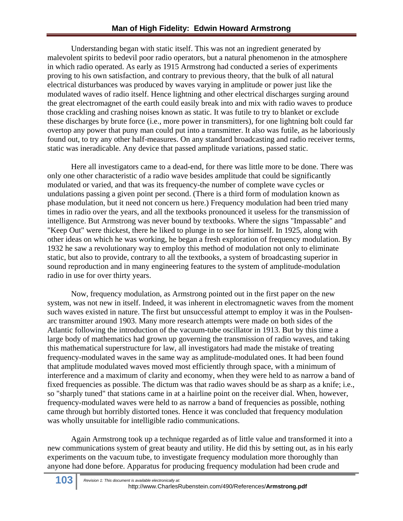Understanding began with static itself. This was not an ingredient generated by malevolent spirits to bedevil poor radio operators, but a natural phenomenon in the atmosphere in which radio operated. As early as 1915 Armstrong had conducted a series of experiments proving to his own satisfaction, and contrary to previous theory, that the bulk of all natural electrical disturbances was produced by waves varying in amplitude or power just like the modulated waves of radio itself. Hence lightning and other electrical discharges surging around the great electromagnet of the earth could easily break into and mix with radio waves to produce those crackling and crashing noises known as static. It was futile to try to blanket or exclude these discharges by brute force (i.e., more power in transmitters), for one lightning bolt could far overtop any power that puny man could put into a transmitter. It also was futile, as he laboriously found out, to try any other half-measures. On any standard broadcasting and radio receiver terms, static was ineradicable. Any device that passed amplitude variations, passed static.

Here all investigators came to a dead-end, for there was little more to be done. There was only one other characteristic of a radio wave besides amplitude that could be significantly modulated or varied, and that was its frequency-the number of complete wave cycles or undulations passing a given point per second. (There is a third form of modulation known as phase modulation, but it need not concern us here.) Frequency modulation had been tried many times in radio over the years, and all the textbooks pronounced it useless for the transmission of intelligence. But Armstrong was never bound by textbooks. Where the signs "Impassable" and "Keep Out" were thickest, there he liked to plunge in to see for himself. In 1925, along with other ideas on which he was working, he began a fresh exploration of frequency modulation. By 1932 he saw a revolutionary way to employ this method of modulation not only to eliminate static, but also to provide, contrary to all the textbooks, a system of broadcasting superior in sound reproduction and in many engineering features to the system of amplitude-modulation radio in use for over thirty years.

Now, frequency modulation, as Armstrong pointed out in the first paper on the new system, was not new in itself. Indeed, it was inherent in electromagnetic waves from the moment such waves existed in nature. The first but unsuccessful attempt to employ it was in the Poulsenarc transmitter around 1903. Many more research attempts were made on both sides of the Atlantic following the introduction of the vacuum-tube oscillator in 1913. But by this time a large body of mathematics had grown up governing the transmission of radio waves, and taking this mathematical superstructure for law, all investigators had made the mistake of treating frequency-modulated waves in the same way as amplitude-modulated ones. It had been found that amplitude modulated waves moved most efficiently through space, with a minimum of interference and a maximum of clarity and economy, when they were held to as narrow a band of fixed frequencies as possible. The dictum was that radio waves should be as sharp as a knife; i.e., so "sharply tuned" that stations came in at a hairline point on the receiver dial. When, however, frequency-modulated waves were held to as narrow a band of frequencies as possible, nothing came through but horribly distorted tones. Hence it was concluded that frequency modulation was wholly unsuitable for intelligible radio communications.

Again Armstrong took up a technique regarded as of little value and transformed it into a new communications system of great beauty and utility. He did this by setting out, as in his early experiments on the vacuum tube, to investigate frequency modulation more thoroughly than anyone had done before. Apparatus for producing frequency modulation had been crude and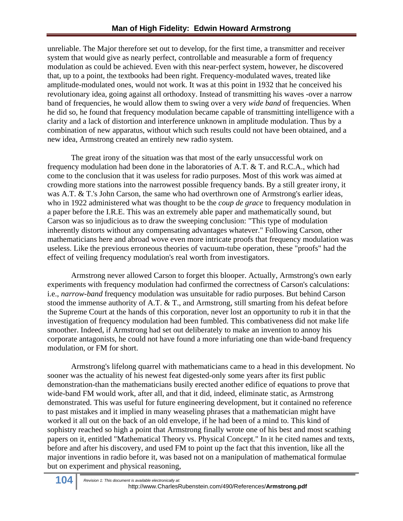unreliable. The Major therefore set out to develop, for the first time, a transmitter and receiver system that would give as nearly perfect, controllable and measurable a form of frequency modulation as could be achieved. Even with this near-perfect system, however, he discovered that, up to a point, the textbooks had been right. Frequency-modulated waves, treated like amplitude-modulated ones, would not work. It was at this point in 1932 that he conceived his revolutionary idea, going against all orthodoxy. Instead of transmitting his waves -over a narrow band of frequencies, he would allow them to swing over a very *wide band* of frequencies. When he did so, he found that frequency modulation became capable of transmitting intelligence with a clarity and a lack of distortion and interference unknown in amplitude modulation. Thus by a combination of new apparatus, without which such results could not have been obtained, and a new idea, Armstrong created an entirely new radio system.

The great irony of the situation was that most of the early unsuccessful work on frequency modulation had been done in the laboratories of A.T. & T. and R.C.A., which had come to the conclusion that it was useless for radio purposes. Most of this work was aimed at crowding more stations into the narrowest possible frequency bands. By a still greater irony, it was A.T. & T.'s John Carson, the same who had overthrown one of Armstrong's earlier ideas, who in 1922 administered what was thought to be the *coup de grace* to frequency modulation in a paper before the I.R.E. This was an extremely able paper and mathematically sound, but Carson was so injudicious as to draw the sweeping conclusion: "This type of modulation inherently distorts without any compensating advantages whatever." Following Carson, other mathematicians here and abroad wove even more intricate proofs that frequency modulation was useless. Like the previous erroneous theories of vacuum-tube operation, these "proofs" had the effect of veiling frequency modulation's real worth from investigators.

Armstrong never allowed Carson to forget this blooper. Actually, Armstrong's own early experiments with frequency modulation had confirmed the correctness of Carson's calculations: i.e., *narrow-band* frequency modulation was unsuitable for radio purposes. But behind Carson stood the immense authority of A.T. & T., and Armstrong, still smarting from his defeat before the Supreme Court at the hands of this corporation, never lost an opportunity to rub it in that the investigation of frequency modulation had been fumbled. This combativeness did not make life smoother. Indeed, if Armstrong had set out deliberately to make an invention to annoy his corporate antagonists, he could not have found a more infuriating one than wide-band frequency modulation, or FM for short.

Armstrong's lifelong quarrel with mathematicians came to a head in this development. No sooner was the actuality of his newest feat digested-only some years after its first public demonstration-than the mathematicians busily erected another edifice of equations to prove that wide-band FM would work, after all, and that it did, indeed, eliminate static, as Armstrong demonstrated. This was useful for future engineering development, but it contained no reference to past mistakes and it implied in many weaseling phrases that a mathematician might have worked it all out on the back of an old envelope, if he had been of a mind to. This kind of sophistry reached so high a point that Armstrong finally wrote one of his best and most scathing papers on it, entitled "Mathematical Theory vs. Physical Concept." In it he cited names and texts, before and after his discovery, and used FM to point up the fact that this invention, like all the major inventions in radio before it, was based not on a manipulation of mathematical formulae but on experiment and physical reasoning,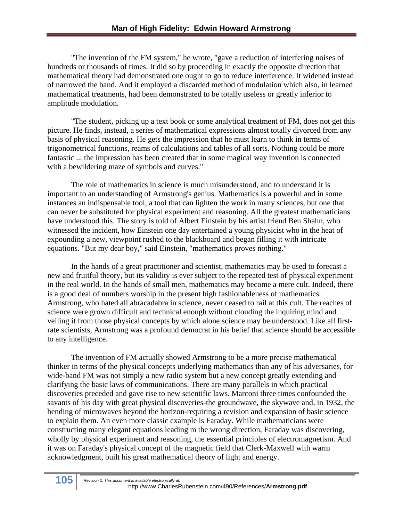"The invention of the FM system," he wrote, "gave a reduction of interfering noises of hundreds or thousands of times. It did so by proceeding in exactly the opposite direction that mathematical theory had demonstrated one ought to go to reduce interference. It widened instead of narrowed the band. And it employed a discarded method of modulation which also, in learned mathematical treatments, had been demonstrated to be totally useless or greatly inferior to amplitude modulation.

"The student, picking up a text book or some analytical treatment of FM, does not get this picture. He finds, instead, a series of mathematical expressions almost totally divorced from any basis of physical reasoning. He gets the impression that he must learn to think in terms of trigonometrical functions, reams of calculations and tables of all sorts. Nothing could be more fantastic ... the impression has been created that in some magical way invention is connected with a bewildering maze of symbols and curves."

The role of mathematics in science is much misunderstood, and to understand it is important to an understanding of Armstrong's genius. Mathematics is a powerful and in some instances an indispensable tool, a tool that can lighten the work in many sciences, but one that can never be substituted for physical experiment and reasoning. All the greatest mathematicians have understood this. The story is told of Albert Einstein by his artist friend Ben Shahn, who witnessed the incident, how Einstein one day entertained a young physicist who in the heat of expounding a new, viewpoint rushed to the blackboard and began filling it with intricate equations. "But my dear boy," said Einstein, "mathematics proves nothing."

In the hands of a great practitioner and scientist, mathematics may be used to forecast a new and fruitful theory, but its validity is ever subject to the repeated test of physical experiment in the real world. In the hands of small men, mathematics may become a mere cult. Indeed, there is a good deal of numbers worship in the present high fashionableness of mathematics. Armstrong, who hated all abracadabra in science, never ceased to rail at this cult. The reaches of science were grown difficult and technical enough without clouding the inquiring mind and veiling it from those physical concepts by which alone science may be understood. Like all firstrate scientists, Armstrong was a profound democrat in his belief that science should be accessible to any intelligence.

The invention of FM actually showed Armstrong to be a more precise mathematical thinker in terms of the physical concepts underlying mathematics than any of his adversaries, for wide-band FM was not simply a new radio system but a new concept greatly extending and clarifying the basic laws of communications. There are many parallels in which practical discoveries preceded and gave rise to new scientific laws. Marconi three times confounded the savants of his day with great physical discoveries-the groundwave, the skywave and, in 1932, the bending of microwaves beyond the horizon-requiring a revision and expansion of basic science to explain them. An even more classic example is Faraday. While mathematicians were constructing many elegant equations leading m the wrong direction, Faraday was discovering, wholly by physical experiment and reasoning, the essential principles of electromagnetism. And it was on Faraday's physical concept of the magnetic field that Clerk-Maxwell with warm acknowledgment, built his great mathematical theory of light and energy.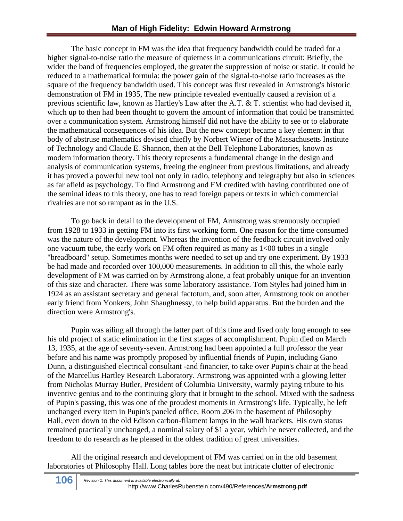The basic concept in FM was the idea that frequency bandwidth could be traded for a higher signal-to-noise ratio the measure of quietness in a communications circuit: Briefly, the wider the band of frequencies employed, the greater the suppression of noise or static. It could be reduced to a mathematical formula: the power gain of the signal-to-noise ratio increases as the square of the frequency bandwidth used. This concept was first revealed in Armstrong's historic demonstration of FM in 1935, The new principle revealed eventually caused a revision of a previous scientific law, known as Hartley's Law after the A.T. & T. scientist who had devised it, which up to then had been thought to govern the amount of information that could be transmitted over a communication system. Armstrong himself did not have the ability to see or to elaborate the mathematical consequences of his idea. But the new concept became a key element in that body of abstruse mathematics devised chiefly by Norbert Wiener of the Massachusetts Institute of Technology and Claude E. Shannon, then at the Bell Telephone Laboratories, known as modem information theory. This theory represents a fundamental change in the design and analysis of communication systems, freeing the engineer from previous limitations, and already it has proved a powerful new tool not only in radio, telephony and telegraphy but also in sciences as far afield as psychology. To find Armstrong and FM credited with having contributed one of the seminal ideas to this theory, one has to read foreign papers or texts in which commercial rivalries are not so rampant as in the U.S.

To go back in detail to the development of FM, Armstrong was strenuously occupied from 1928 to 1933 in getting FM into its first working form. One reason for the time consumed was the nature of the development. Whereas the invention of the feedback circuit involved only one vacuum tube, the early work on FM often required as many as 1<00 tubes in a single "breadboard" setup. Sometimes months were needed to set up and try one experiment. By 1933 be had made and recorded over 100,000 measurements. In addition to all this, the whole early development of FM was carried on by Armstrong alone, a feat probably unique for an invention of this size and character. There was some laboratory assistance. Tom Styles had joined him in 1924 as an assistant secretary and general factotum, and, soon after, Armstrong took on another early friend from Yonkers, John Shaughnessy, to help build apparatus. But the burden and the direction were Armstrong's.

Pupin was ailing all through the latter part of this time and lived only long enough to see his old project of static elimination in the first stages of accomplishment. Pupin died on March 13, 1935, at the age of seventy-seven. Armstrong had been appointed a full professor the year before and his name was promptly proposed by influential friends of Pupin, including Gano Dunn, a distinguished electrical consultant -and financier, to take over Pupin's chair at the head of the Marcellus Hartley Research Laboratory. Armstrong was appointed with a glowing letter from Nicholas Murray Butler, President of Columbia University, warmly paying tribute to his inventive genius and to the continuing glory that it brought to the school. Mixed with the sadness of Pupin's passing, this was one of the proudest moments in Armstrong's life. Typically, he left unchanged every item in Pupin's paneled office, Room 206 in the basement of Philosophy Hall, even down to the old Edison carbon-filament lamps in the wall brackets. His own status remained practically unchanged, a nominal salary of \$1 a year, which he never collected, and the freedom to do research as he pleased in the oldest tradition of great universities.

All the original research and development of FM was carried on in the old basement laboratories of Philosophy Hall. Long tables bore the neat but intricate clutter of electronic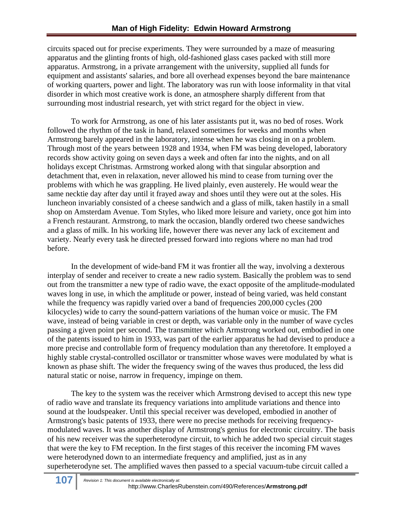circuits spaced out for precise experiments. They were surrounded by a maze of measuring apparatus and the glinting fronts of high, old-fashioned glass cases packed with still more apparatus. Armstrong, in a private arrangement with the university, supplied all funds for equipment and assistants' salaries, and bore all overhead expenses beyond the bare maintenance of working quarters, power and light. The laboratory was run with loose informality in that vital disorder in which most creative work is done, an atmosphere sharply different from that surrounding most industrial research, yet with strict regard for the object in view.

To work for Armstrong, as one of his later assistants put it, was no bed of roses. Work followed the rhythm of the task in hand, relaxed sometimes for weeks and months when Armstrong barely appeared in the laboratory, intense when he was closing in on a problem. Through most of the years between 1928 and 1934, when FM was being developed, laboratory records show activity going on seven days a week and often far into the nights, and on all holidays except Christmas. Armstrong worked along with that singular absorption and detachment that, even in relaxation, never allowed his mind to cease from turning over the problems with which he was grappling. He lived plainly, even austerely. He would wear the same necktie day after day until it frayed away and shoes until they were out at the soles. His luncheon invariably consisted of a cheese sandwich and a glass of milk, taken hastily in a small shop on Amsterdam Avenue. Tom Styles, who liked more leisure and variety, once got him into a French restaurant. Armstrong, to mark the occasion, blandly ordered two cheese sandwiches and a glass of milk. In his working life, however there was never any lack of excitement and variety. Nearly every task he directed pressed forward into regions where no man had trod before.

In the development of wide-band FM it was frontier all the way, involving a dexterous interplay of sender and receiver to create a new radio system. Basically the problem was to send out from the transmitter a new type of radio wave, the exact opposite of the amplitude-modulated waves long in use, in which the amplitude or power, instead of being varied, was held constant while the frequency was rapidly varied over a band of frequencies 200,000 cycles (200) kilocycles) wide to carry the sound-pattern variations of the human voice or music. The FM wave, instead of being variable in crest or depth, was variable only in the number of wave cycles passing a given point per second. The transmitter which Armstrong worked out, embodied in one of the patents issued to him in 1933, was part of the earlier apparatus he had devised to produce a more precise and controllable form of frequency modulation than any theretofore. It employed a highly stable crystal-controlled oscillator or transmitter whose waves were modulated by what is known as phase shift. The wider the frequency swing of the waves thus produced, the less did natural static or noise, narrow in frequency, impinge on them.

The key to the system was the receiver which Armstrong devised to accept this new type of radio wave and translate its frequency variations into amplitude variations and thence into sound at the loudspeaker. Until this special receiver was developed, embodied in another of Armstrong's basic patents of 1933, there were no precise methods for receiving frequencymodulated waves. It was another display of Armstrong's genius for electronic circuitry. The basis of his new receiver was the superheterodyne circuit, to which he added two special circuit stages that were the key to FM reception. In the first stages of this receiver the incoming FM waves were heterodyned down to an intermediate frequency and amplified, just as in any superheterodyne set. The amplified waves then passed to a special vacuum-tube circuit called a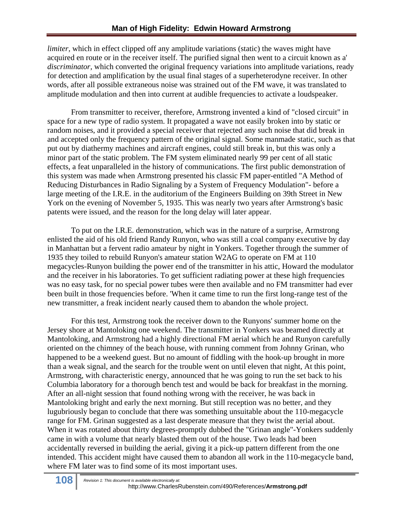*limiter*, which in effect clipped off any amplitude variations (static) the waves might have acquired en route or in the receiver itself. The purified signal then went to a circuit known as a' *discriminator,* which converted the original frequency variations into amplitude variations, ready for detection and amplification by the usual final stages of a superheterodyne receiver. In other words, after all possible extraneous noise was strained out of the FM wave, it was translated to amplitude modulation and then into current at audible frequencies to activate a loudspeaker.

From transmitter to receiver, therefore, Armstrong invented a kind of "closed circuit" in space for a new type of radio system. It propagated a wave not easily broken into by static or random noises, and it provided a special receiver that rejected any such noise that did break in and accepted only the frequency pattern of the original signal. Some manmade static, such as that put out by diathermy machines and aircraft engines, could still break in, but this was only a minor part of the static problem. The FM system eliminated nearly 99 per cent of all static effects, a feat unparalleled in the history of communications. The first public demonstration of this system was made when Armstrong presented his classic FM paper-entitled "A Method of Reducing Disturbances in Radio Signaling by a System of Frequency Modulation"- before a large meeting of the I.R.E. in the auditorium of the Engineers Building on 39th Street in New York on the evening of November 5, 1935. This was nearly two years after Armstrong's basic patents were issued, and the reason for the long delay will later appear.

To put on the I.R.E. demonstration, which was in the nature of a surprise, Armstrong enlisted the aid of his old friend Randy Runyon, who was still a coal company executive by day in Manhattan but a fervent radio amateur by night in Yonkers. Together through the summer of 1935 they toiled to rebuild Runyon's amateur station W2AG to operate on FM at 110 megacycles-Runyon building the power end of the transmitter in his attic, Howard the modulator and the receiver in his laboratories. To get sufficient radiating power at these high frequencies was no easy task, for no special power tubes were then available and no FM transmitter had ever been built in those frequencies before. 'When it came time to run the first long-range test of the new transmitter, a freak incident nearly caused them to abandon the whole project.

For this test, Armstrong took the receiver down to the Runyons' summer home on the Jersey shore at Mantoloking one weekend. The transmitter in Yonkers was beamed directly at Mantoloking, and Armstrong had a highly directional FM aerial which he and Runyon carefully oriented on the chimney of the beach house, with running comment from Johnny Grinan, who happened to be a weekend guest. But no amount of fiddling with the hook-up brought in more than a weak signal, and the search for the trouble went on until eleven that night, At this point, Armstrong, with characteristic energy, announced that he was going to run the set back to his Columbia laboratory for a thorough bench test and would be back for breakfast in the morning. After an all-night session that found nothing wrong with the receiver, he was back in Mantoloking bright and early the next morning. But still reception was no better, and they lugubriously began to conclude that there was something unsuitable about the 110-megacycle range for FM. Grinan suggested as a last desperate measure that they twist the aerial about. When it was rotated about thirty degrees-promptly dubbed the "Grinan angle"-Yonkers suddenly came in with a volume that nearly blasted them out of the house. Two leads had been accidentally reversed in building the aerial, giving it a pick-up pattern different from the one intended. This accident might have caused them to abandon all work in the 110-megacycle band, where FM later was to find some of its most important uses.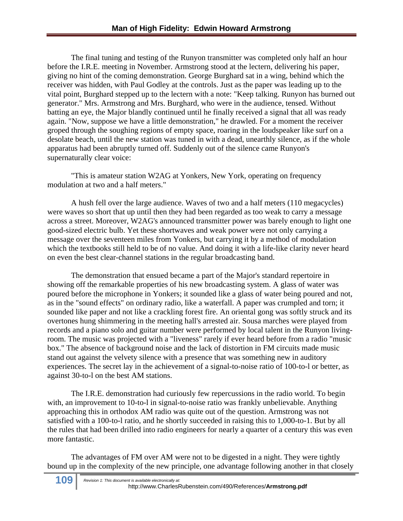The final tuning and testing of the Runyon transmitter was completed only half an hour before the I.R.E. meeting in November. Armstrong stood at the lectern, delivering his paper, giving no hint of the coming demonstration. George Burghard sat in a wing, behind which the receiver was hidden, with Paul Godley at the controls. Just as the paper was leading up to the vital point, Burghard stepped up to the lectern with a note: "Keep talking. Runyon has burned out generator." Mrs. Armstrong and Mrs. Burghard, who were in the audience, tensed. Without batting an eye, the Major blandly continued until he finally received a signal that all was ready again. "Now, suppose we have a little demonstration," he drawled. For a moment the receiver groped through the soughing regions of empty space, roaring in the loudspeaker like surf on a desolate beach, until the new station was tuned in with a dead, unearthly silence, as if the whole apparatus had been abruptly turned off. Suddenly out of the silence came Runyon's supernaturally clear voice:

"This is amateur station W2AG at Yonkers, New York, operating on frequency modulation at two and a half meters."

A hush fell over the large audience. Waves of two and a half meters (110 megacycles) were waves so short that up until then they had been regarded as too weak to carry a message across a street. Moreover, W2AG's announced transmitter power was barely enough to light one good-sized electric bulb. Yet these shortwaves and weak power were not only carrying a message over the seventeen miles from Yonkers, but carrying it by a method of modulation which the textbooks still held to be of no value. And doing it with a life-like clarity never heard on even the best clear-channel stations in the regular broadcasting band.

The demonstration that ensued became a part of the Major's standard repertoire in showing off the remarkable properties of his new broadcasting system. A glass of water was poured before the microphone in Yonkers; it sounded like a glass of water being poured and not, as in the "sound effects" on ordinary radio, like a waterfall. A paper was crumpled and torn; it sounded like paper and not like a crackling forest fire. An oriental gong was softly struck and its overtones hung shimmering in the meeting hall's arrested air. Sousa marches were played from records and a piano solo and guitar number were performed by local talent in the Runyon livingroom. The music was projected with a "liveness" rarely if ever heard before from a radio "music box." The absence of background noise and the lack of distortion in FM circuits made music stand out against the velvety silence with a presence that was something new in auditory experiences. The secret lay in the achievement of a signal-to-noise ratio of 100-to-l or better, as against 30-to-l on the best AM stations.

The I.R.E. demonstration had curiously few repercussions in the radio world. To begin with, an improvement to 10-to-l in signal-to-noise ratio was frankly unbelievable. Anything approaching this in orthodox AM radio was quite out of the question. Armstrong was not satisfied with a 100-to-l ratio, and he shortly succeeded in raising this to 1,000-to-1. But by all the rules that had been drilled into radio engineers for nearly a quarter of a century this was even more fantastic.

The advantages of FM over AM were not to be digested in a night. They were tightly bound up in the complexity of the new principle, one advantage following another in that closely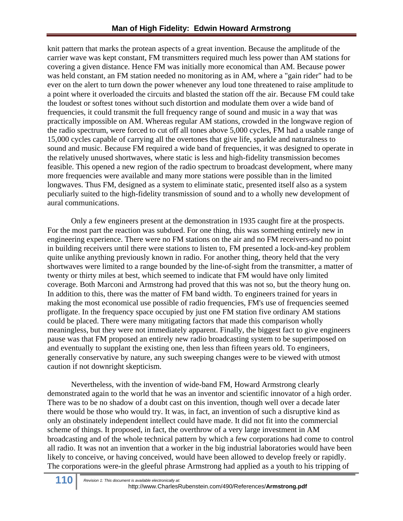knit pattern that marks the protean aspects of a great invention. Because the amplitude of the carrier wave was kept constant, FM transmitters required much less power than AM stations for covering a given distance. Hence FM was initially more economical than AM. Because power was held constant, an FM station needed no monitoring as in AM, where a "gain rider" had to be ever on the alert to turn down the power whenever any loud tone threatened to raise amplitude to a point where it overloaded the circuits and blasted the station off the air. Because FM could take the loudest or softest tones without such distortion and modulate them over a wide band of frequencies, it could transmit the full frequency range of sound and music in a way that was practically impossible on AM. Whereas regular AM stations, crowded in the longwave region of the radio spectrum, were forced to cut off all tones above 5,000 cycles, FM had a usable range of 15,000 cycles capable of carrying all the overtones that give life, sparkle and naturalness to sound and music. Because FM required a wide band of frequencies, it was designed to operate in the relatively unused shortwaves, where static is less and high-fidelity transmission becomes feasible. This opened a new region of the radio spectrum to broadcast development, where many more frequencies were available and many more stations were possible than in the limited longwaves. Thus FM, designed as a system to eliminate static, presented itself also as a system peculiarly suited to the high-fidelity transmission of sound and to a wholly new development of aural communications.

Only a few engineers present at the demonstration in 1935 caught fire at the prospects. For the most part the reaction was subdued. For one thing, this was something entirely new in engineering experience. There were no FM stations on the air and no FM receivers-and no point in building receivers until there were stations to listen to, FM presented a lock-and-key problem quite unlike anything previously known in radio. For another thing, theory held that the very shortwaves were limited to a range bounded by the line-of-sight from the transmitter, a matter of twenty or thirty miles at best, which seemed to indicate that FM would have only limited coverage. Both Marconi and Armstrong had proved that this was not so, but the theory hung on. In addition to this, there was the matter of FM band width. To engineers trained for years in making the most economical use possible of radio frequencies, FM's use of frequencies seemed profligate. In the frequency space occupied by just one FM station five ordinary AM stations could be placed. There were many mitigating factors that made this comparison wholly meaningless, but they were not immediately apparent. Finally, the biggest fact to give engineers pause was that FM proposed an entirely new radio broadcasting system to be superimposed on and eventually to supplant the existing one, then less than fifteen years old. To engineers, generally conservative by nature, any such sweeping changes were to be viewed with utmost caution if not downright skepticism.

Nevertheless, with the invention of wide-band FM, Howard Armstrong clearly demonstrated again to the world that he was an inventor and scientific innovator of a high order. There was to be no shadow of a doubt cast on this invention, though well over a decade later there would be those who would try. It was, in fact, an invention of such a disruptive kind as only an obstinately independent intellect could have made. It did not fit into the commercial scheme of things. It proposed, in fact, the overthrow of a very large investment in AM broadcasting and of the whole technical pattern by which a few corporations had come to control all radio. It was not an invention that a worker in the big industrial laboratories would have been likely to conceive, or having conceived, would have been allowed to develop freely or rapidly. The corporations were-in the gleeful phrase Armstrong had applied as a youth to his tripping of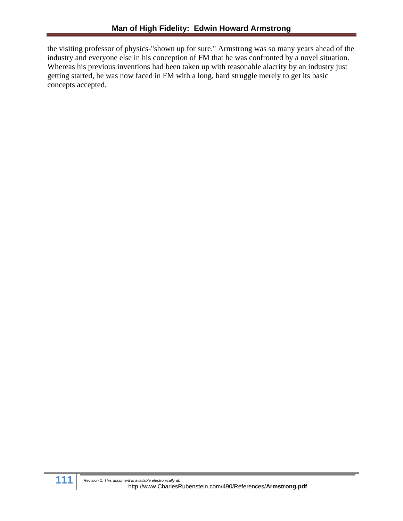the visiting professor of physics-"shown up for sure." Armstrong was so many years ahead of the industry and everyone else in his conception of FM that he was confronted by a novel situation. Whereas his previous inventions had been taken up with reasonable alacrity by an industry just getting started, he was now faced in FM with a long, hard struggle merely to get its basic concepts accepted.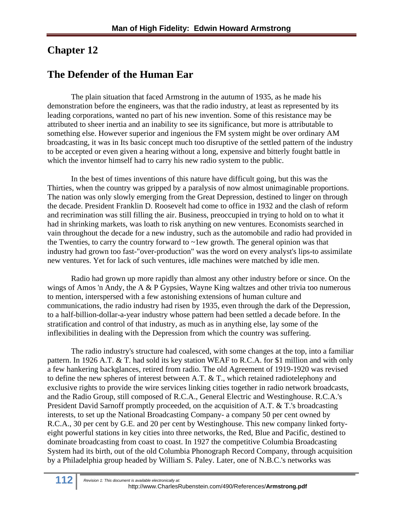## **Chapter 12**

## **The Defender of the Human Ear**

The plain situation that faced Armstrong in the autumn of 1935, as he made his demonstration before the engineers, was that the radio industry, at least as represented by its leading corporations, wanted no part of his new invention. Some of this resistance may be attributed to sheer inertia and an inability to see its significance, but more is attributable to something else. However superior and ingenious the FM system might be over ordinary AM broadcasting, it was in Its basic concept much too disruptive of the settled pattern of the industry to be accepted or even given a hearing without a long, expensive and bitterly fought battle in which the inventor himself had to carry his new radio system to the public.

In the best of times inventions of this nature have difficult going, but this was the Thirties, when the country was gripped by a paralysis of now almost unimaginable proportions. The nation was only slowly emerging from the Great Depression, destined to linger on through the decade. President Franklin D. Roosevelt had come to office in 1932 and the clash of reform and recrimination was still filling the air. Business, preoccupied in trying to hold on to what it had in shrinking markets, was loath to risk anything on new ventures. Economists searched in vain throughout the decade for a new industry, such as the automobile and radio had provided in the Twenties, to carry the country forward to  $\sim$ 1ew growth. The general opinion was that industry had grown too fast-"over-production" was the word on every analyst's lips-to assimilate new ventures. Yet for lack of such ventures, idle machines were matched by idle men.

Radio had grown up more rapidly than almost any other industry before or since. On the wings of Amos 'n Andy, the A & P Gypsies, Wayne King waltzes and other trivia too numerous to mention, interspersed with a few astonishing extensions of human culture and communications, the radio industry had risen by 1935, even through the dark of the Depression, to a half-billion-dollar-a-year industry whose pattern had been settled a decade before. In the stratification and control of that industry, as much as in anything else, lay some of the inflexibilities in dealing with the Depression from which the country was suffering.

The radio industry's structure had coalesced, with some changes at the top, into a familiar pattern. In 1926 A.T. & T. had sold its key station WEAF to R.C.A. for \$1 million and with only a few hankering backglances, retired from radio. The old Agreement of 1919-1920 was revised to define the new spheres of interest between A.T. & T., which retained radiotelephony and exclusive rights to provide the wire services linking cities together in radio network broadcasts, and the Radio Group, still composed of R.C.A., General Electric and Westinghouse. R.C.A.'s President David Sarnoff promptly proceeded, on the acquisition of A.T. & T.'s broadcasting interests, to set up the National Broadcasting Company- a company 50 per cent owned by R.C.A., 30 per cent by G.E. and 20 per cent by Westinghouse. This new company linked fortyeight powerful stations in key cities into three networks, the Red, Blue and Pacific, destined to dominate broadcasting from coast to coast. In 1927 the competitive Columbia Broadcasting System had its birth, out of the old Columbia Phonograph Record Company, through acquisition by a Philadelphia group headed by William S. Paley. Later, one of N.B.C.'s networks was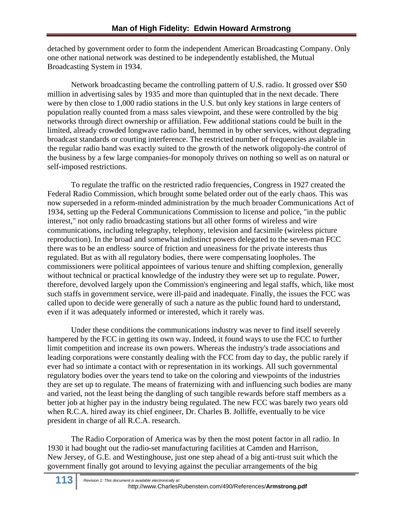detached by government order to form the independent American Broadcasting Company. Only one other national network was destined to be independently established, the Mutual Broadcasting System in 1934.

Network broadcasting became the controlling pattern of U.S. radio. It grossed over \$50 million in advertising sales by 1935 and more than quintupled that in the next decade. There were by then close to 1,000 radio stations in the U.S. but only key stations in large centers of population really counted from a mass sales viewpoint, and these were controlled by the big networks through direct ownership or affiliation. Few additional stations could be built in the limited, already crowded longwave radio band, hemmed in by other services, without degrading broadcast standards or courting interference. The restricted number of frequencies available in the regular radio band was exactly suited to the growth of the network oligopoly-the control of the business by a few large companies-for monopoly thrives on nothing so well as on natural or self-imposed restrictions.

To regulate the traffic on the restricted radio frequencies, Congress in 1927 created the Federal Radio Commission, which brought some belated order out of the early chaos. This was now superseded in a reform-minded administration by the much broader Communications Act of 1934, setting up the Federal Communications Commission to license and police, "in the public interest," not only radio broadcasting stations but all other forms of wireless and wire communications, including telegraphy, telephony, television and facsimile (wireless picture reproduction). In the broad and somewhat indistinct powers delegated to the seven-man FCC there was to be an endless· source of friction and uneasiness for the private interests thus regulated. But as with all regulatory bodies, there were compensating loopholes. The commissioners were political appointees of various tenure and shifting complexion, generally without technical or practical knowledge of the industry they were set up to regulate. Power, therefore, devolved largely upon the Commission's engineering and legal staffs, which, like most such staffs in government service, were ill-paid and inadequate. Finally, the issues the FCC was called upon to decide were generally of such a nature as the public found hard to understand, even if it was adequately informed or interested, which it rarely was.

Under these conditions the communications industry was never to find itself severely hampered by the FCC in getting its own way. Indeed, it found ways to use the FCC to further limit competition and increase its own powers. Whereas the industry's trade associations and leading corporations were constantly dealing with the FCC from day to day, the public rarely if ever had so intimate a contact with or representation in its workings. All such governmental regulatory bodies over the years tend to take on the coloring and viewpoints of the industries they are set up to regulate. The means of fraternizing with and influencing such bodies are many and varied, not the least being the dangling of such tangible rewards before staff members as a better job at higher pay in the industry being regulated. The new FCC was barely two years old when R.C.A. hired away its chief engineer, Dr. Charles B. Jolliffe, eventually to be vice president in charge of all R.C.A. research.

The Radio Corporation of America was by then the most potent factor in all radio. In 1930 it had bought out the radio-set manufacturing facilities at Camden and Harrison, New Jersey, of G.E. and Westinghouse, just one step ahead of a big anti-trust suit which the government finally got around to levying against the peculiar arrangements of the big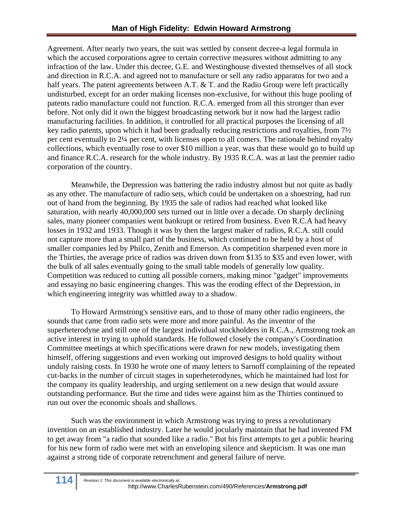Agreement. After nearly two years, the suit was settled by consent decree-a legal formula in which the accused corporations agree to certain corrective measures without admitting to any infraction of the law. Under this decree, G.E. and Westinghouse divested themselves of all stock and direction in R.C.A. and agreed not to manufacture or sell any radio apparatus for two and a half years. The patent agreements between A.T. & T. and the Radio Group were left practically undisturbed, except for an order making licenses non-exclusive, for without this huge pooling of patents radio manufacture could not function. R.C.A. emerged from all this stronger than ever before. Not only did it own the biggest broadcasting network but it now had the largest radio manufacturing facilities. In addition, it controlled for all practical purposes the licensing of all key radio patents, upon which it had been gradually reducing restrictions and royalties, from 7½ per cent eventually to 2¼ per cent, with licenses open to all comers. The rationale behind royalty collections, which eventually rose to over \$10 million a year, was that these would go to build up and finance R.C.A. research for the whole industry. By 1935 R.C.A. was at last the premier radio corporation of the country.

Meanwhile, the Depression was battering the radio industry almost but not quite as badly as any other. The manufacture of radio sets, which could be undertaken on a shoestring, had run out of hand from the beginning. By 1935 the sale of radios had reached what looked like saturation, with nearly 40,000,000 sets turned out in little over a decade. On sharply declining sales, many pioneer companies went bankrupt or retired from business. Even R.C.A had heavy losses in 1932 and 1933. Though it was by then the largest maker of radios, R.C.A. still could not capture more than a small part of the business, which continued to be held by a host of smaller companies led by Philco, Zenith and Emerson. As competition sharpened even more in the Thirties, the average price of radios was driven down from \$135 to \$35 and even lower, with the bulk of all sales eventually going to the small table models of generally low quality. Competition was reduced to cutting all possible corners, making minor "gadget" improvements and essaying no basic engineering changes. This was the eroding effect of the Depression, in which engineering integrity was whittled away to a shadow.

To Howard Armstrong's sensitive ears, and to those of many other radio engineers, the sounds that came from radio sets were more and more painful. As the inventor of the superheterodyne and still one of the largest individual stockholders in R.C.A., Armstrong took an active interest in trying to uphold standards. He followed closely the company's Coordination Committee meetings at which specifications were drawn for new models, investigating them himself, offering suggestions and even working out improved designs to hold quality without unduly raising costs. In 1930 he wrote one of many letters to Sarnoff complaining of the repeated cut-backs in the number of circuit stages in superheterodynes, which he maintained had lost for the company its quality leadership, and urging settlement on a new design that would assure outstanding performance. But the time and tides were against him as the Thirties continued to run out over the economic shoals and shallows.

Such was the environment in which Armstrong was trying to press a revolutionary invention on an established industry. Later he would jocularly maintain that he had invented FM to get away from "a radio that sounded like a radio." But his first attempts to get a public hearing for his new form of radio were met with an enveloping silence and skepticism. It was one man against a strong tide of corporate retrenchment and general failure of nerve.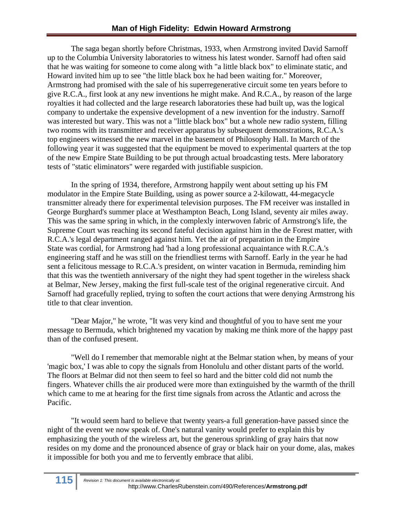The saga began shortly before Christmas, 1933, when Armstrong invited David Sarnoff up to the Columbia University laboratories to witness his latest wonder. Sarnoff had often said that he was waiting for someone to come along with "a little black box" to eliminate static, and Howard invited him up to see "the little black box he had been waiting for." Moreover, Armstrong had promised with the sale of his superregenerative circuit some ten years before to give R.C.A., first look at any new inventions he might make. And R.C.A., by reason of the large royalties it had collected and the large research laboratories these had built up, was the logical company to undertake the expensive development of a new invention for the industry. Sarnoff was interested but wary. This was not a "little black box" but a whole new radio system, filling two rooms with its transmitter and receiver apparatus by subsequent demonstrations, R.C.A.'s top engineers witnessed the new marvel in the basement of Philosophy Hall. In March of the following year it was suggested that the equipment be moved to experimental quarters at the top of the new Empire State Building to be put through actual broadcasting tests. Mere laboratory tests of "static eliminators" were regarded with justifiable suspicion.

In the spring of 1934, therefore, Armstrong happily went about setting up his FM modulator in the Empire State Building, using as power source a 2-kilowatt, 44-megacycle transmitter already there for experimental television purposes. The FM receiver was installed in George Burghard's summer place at Westhampton Beach, Long Island, seventy air miles away. This was the same spring in which, in the complexly interwoven fabric of Armstrong's life, the Supreme Court was reaching its second fateful decision against him in the de Forest matter, with R.C.A.'s legal department ranged against him. Yet the air of preparation in the Empire State was cordial, for Armstrong had 'had a long professional acquaintance with R.C.A.'s engineering staff and he was still on the friendliest terms with Sarnoff. Early in the year he had sent a felicitous message to R.C.A.'s president, on winter vacation in Bermuda, reminding him that this was the twentieth anniversary of the night they had spent together in the wireless shack at Belmar, New Jersey, making the first full-scale test of the original regenerative circuit. And Sarnoff had gracefully replied, trying to soften the court actions that were denying Armstrong his title to that clear invention.

"Dear Major," he wrote, "It was very kind and thoughtful of you to have sent me your message to Bermuda, which brightened my vacation by making me think more of the happy past than of the confused present.

"Well do I remember that memorable night at the Belmar station when, by means of your 'magic box,' I was able to copy the signals from Honolulu and other distant parts of the world. The floors at Belmar did not then seem to feel so hard and the bitter cold did not numb the fingers. Whatever chills the air produced were more than extinguished by the warmth of the thrill which came to me at hearing for the first time signals from across the Atlantic and across the Pacific.

"It would seem hard to believe that twenty years-a full generation-have passed since the night of the event we now speak of. One's natural vanity would prefer to explain this by emphasizing the youth of the wireless art, but the generous sprinkling of gray hairs that now resides on my dome and the pronounced absence of gray or black hair on your dome, alas, makes it impossible for both you and me to fervently embrace that alibi.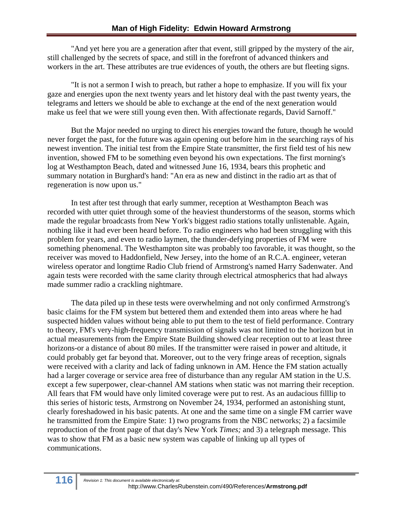"And yet here you are a generation after that event, still gripped by the mystery of the air, still challenged by the secrets of space, and still in the forefront of advanced thinkers and workers in the art. These attributes are true evidences of youth, the others are but fleeting signs.

"It is not a sermon I wish to preach, but rather a hope to emphasize. If you will fix your gaze and energies upon the next twenty years and let history deal with the past twenty years, the telegrams and letters we should be able to exchange at the end of the next generation would make us feel that we were still young even then. With affectionate regards, David Sarnoff."

But the Major needed no urging to direct his energies toward the future, though he would never forget the past, for the future was again opening out before him in the searching rays of his newest invention. The initial test from the Empire State transmitter, the first field test of his new invention, showed FM to be something even beyond his own expectations. The first morning's log at Westhampton Beach, dated and witnessed June 16, 1934, bears this prophetic and summary notation in Burghard's hand: "An era as new and distinct in the radio art as that of regeneration is now upon us."

In test after test through that early summer, reception at Westhampton Beach was recorded with utter quiet through some of the heaviest thunderstorms of the season, storms which made the regular broadcasts from New York's biggest radio stations totally unlistenable. Again, nothing like it had ever been heard before. To radio engineers who had been struggling with this problem for years, and even to radio laymen, the thunder-defying properties of FM were something phenomenal. The Westhampton site was probably too favorable, it was thought, so the receiver was moved to Haddonfield, New Jersey, into the home of an R.C.A. engineer, veteran wireless operator and longtime Radio Club friend of Armstrong's named Harry Sadenwater. And again tests were recorded with the same clarity through electrical atmospherics that had always made summer radio a crackling nightmare.

The data piled up in these tests were overwhelming and not only confirmed Armstrong's basic claims for the FM system but bettered them and extended them into areas where he had suspected hidden values without being able to put them to the test of field performance. Contrary to theory, FM's very-high-frequency transmission of signals was not limited to the horizon but in actual measurements from the Empire State Building showed clear reception out to at least three horizons-or a distance of about 80 miles. If the transmitter were raised in power and altitude, it could probably get far beyond that. Moreover, out to the very fringe areas of reception, signals were received with a clarity and lack of fading unknown in AM. Hence the FM station actually had a larger coverage or service area free of disturbance than any regular AM station in the U.S. except a few superpower, clear-channel AM stations when static was not marring their reception. All fears that FM would have only limited coverage were put to rest. As an audacious filllip to this series of historic tests, Armstrong on November 24, 1934, performed an astonishing stunt, clearly foreshadowed in his basic patents. At one and the same time on a single FM carrier wave he transmitted from the Empire State: 1) two programs from the NBC networks; 2) a facsimile reproduction of the front page of that day's New York *Times;* and 3) a telegraph message. This was to show that FM as a basic new system was capable of linking up all types of communications.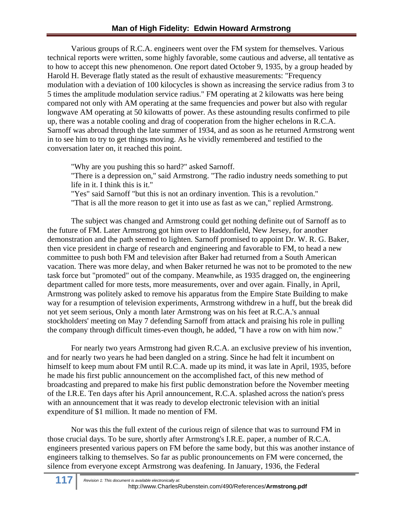Various groups of R.C.A. engineers went over the FM system for themselves. Various technical reports were written, some highly favorable, some cautious and adverse, all tentative as to how to accept this new phenomenon. One report dated October 9, 1935, by a group headed by Harold H. Beverage flatly stated as the result of exhaustive measurements: "Frequency modulation with a deviation of 100 kilocycles is shown as increasing the service radius from 3 to 5 times the amplitude modulation service radius." FM operating at 2 kilowatts was here being compared not only with AM operating at the same frequencies and power but also with regular longwave AM operating at 50 kilowatts of power. As these astounding results confirmed to pile up, there was a notable cooling and drag of cooperation from the higher echelons in R.C.A. Sarnoff was abroad through the late summer of 1934, and as soon as he returned Armstrong went in to see him to try to get things moving. As he vividly remembered and testified to the conversation later on, it reached this point.

"Why are you pushing this so hard?" asked Sarnoff.

"There is a depression on," said Armstrong. "The radio industry needs something to put life in it. I think this is it."

"Yes" said Sarnoff "but this is not an ordinary invention. This is a revolution."

"That is all the more reason to get it into use as fast as we can," replied Armstrong.

The subject was changed and Armstrong could get nothing definite out of Sarnoff as to the future of FM. Later Armstrong got him over to Haddonfield, New Jersey, for another demonstration and the path seemed to lighten. Sarnoff promised to appoint Dr. W. R. G. Baker, then vice president in charge of research and engineering and favorable to FM, to head a new committee to push both FM and television after Baker had returned from a South American vacation. There was more delay, and when Baker returned he was not to be promoted to the new task force but "promoted" out of the company. Meanwhile, as 1935 dragged on, the engineering department called for more tests, more measurements, over and over again. Finally, in April, Armstrong was politely asked to remove his apparatus from the Empire State Building to make way for a resumption of television experiments, Armstrong withdrew in a huff, but the break did not yet seem serious, Only a month later Armstrong was on his feet at R.C.A.'s annual stockholders' meeting on May 7 defending Sarnoff from attack and praising his role in pulling the company through difficult times-even though, he added, "I have a row on with him now."

For nearly two years Armstrong had given R.C.A. an exclusive preview of his invention, and for nearly two years he had been dangled on a string. Since he had felt it incumbent on himself to keep mum about FM until R.C.A. made up its mind, it was late in April, 1935, before he made his first public announcement on the accomplished fact, of this new method of broadcasting and prepared to make his first public demonstration before the November meeting of the I.R.E. Ten days after his April announcement, R.C.A. splashed across the nation's press with an announcement that it was ready to develop electronic television with an initial expenditure of \$1 million. It made no mention of FM.

Nor was this the full extent of the curious reign of silence that was to surround FM in those crucial days. To be sure, shortly after Armstrong's I.R.E. paper, a number of R.C.A. engineers presented various papers on FM before the same body, but this was another instance of engineers talking to themselves. So far as public pronouncements on FM were concerned, the silence from everyone except Armstrong was deafening. In January, 1936, the Federal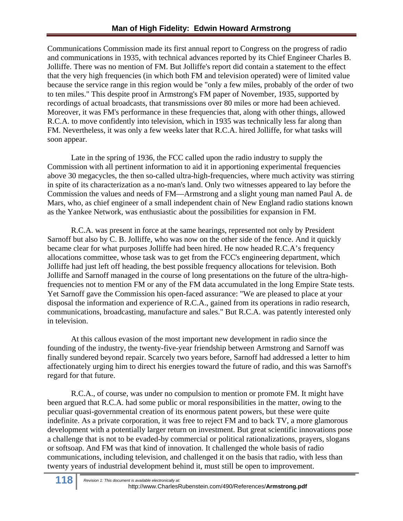Communications Commission made its first annual report to Congress on the progress of radio and communications in 1935, with technical advances reported by its Chief Engineer Charles B. Jolliffe. There was no mention of FM. But Jolliffe's report did contain a statement to the effect that the very high frequencies (in which both FM and television operated) were of limited value because the service range in this region would be "only a few miles, probably of the order of two to ten miles." This despite proof in Armstrong's FM paper of November, 1935, supported by recordings of actual broadcasts, that transmissions over 80 miles or more had been achieved. Moreover, it was FM's performance in these frequencies that, along with other things, allowed R.C.A. to move confidently into television, which in 1935 was technically less far along than FM. Nevertheless, it was only a few weeks later that R.C.A. hired Jolliffe, for what tasks will soon appear.

Late in the spring of 1936, the FCC called upon the radio industry to supply the Commission with all pertinent information to aid it in apportioning experimental frequencies above 30 megacycles, the then so-called ultra-high-frequencies, where much activity was stirring in spite of its characterization as a no-man's land. Only two witnesses appeared to lay before the Commission the values and needs of FM—Armstrong and a slight young man named Paul A. de Mars, who, as chief engineer of a small independent chain of New England radio stations known as the Yankee Network, was enthusiastic about the possibilities for expansion in FM.

R.C.A. was present in force at the same hearings, represented not only by President Sarnoff but also by C. B. Jolliffe, who was now on the other side of the fence. And it quickly became clear for what purposes Jolliffe had been hired. He now headed R.C.A's frequency allocations committee, whose task was to get from the FCC's engineering department, which Jolliffe had just left off heading, the best possible frequency allocations for television. Both Jolliffe and Sarnoff managed in the course of long presentations on the future of the ultra-highfrequencies not to mention FM or any of the FM data accumulated in the long Empire State tests. Yet Sarnoff gave the Commission his open-faced assurance: "We are pleased to place at your disposal the information and experience of R.C.A., gained from its operations in radio research, communications, broadcasting, manufacture and sales." But R.C.A. was patently interested only in television.

At this callous evasion of the most important new development in radio since the founding of the industry, the twenty-five-year friendship between Armstrong and Sarnoff was finally sundered beyond repair. Scarcely two years before, Sarnoff had addressed a letter to him affectionately urging him to direct his energies toward the future of radio, and this was Sarnoff's regard for that future.

R.C.A., of course, was under no compulsion to mention or promote FM. It might have been argued that R.C.A. had some public or moral responsibilities in the matter, owing to the peculiar quasi-governmental creation of its enormous patent powers, but these were quite indefinite. As a private corporation, it was free to reject FM and to back TV, a more glamorous development with a potentially larger return on investment. But great scientific innovations pose a challenge that is not to be evaded-by commercial or political rationalizations, prayers, slogans or softsoap. And FM was that kind of innovation. It challenged the whole basis of radio communications, including television, and challenged it on the basis that radio, with less than twenty years of industrial development behind it, must still be open to improvement.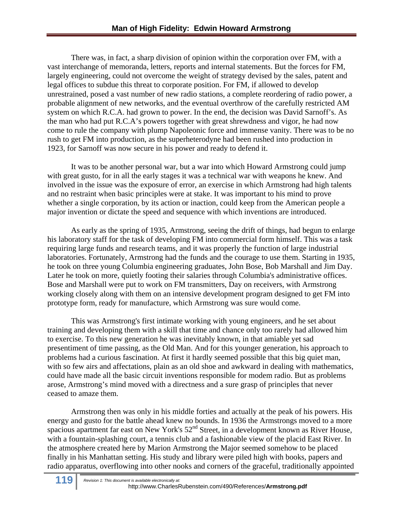There was, in fact, a sharp division of opinion within the corporation over FM, with a vast interchange of memoranda, letters, reports and internal statements. But the forces for FM, largely engineering, could not overcome the weight of strategy devised by the sales, patent and legal offices to subdue this threat to corporate position. For FM, if allowed to develop unrestrained, posed a vast number of new radio stations, a complete reordering of radio power, a probable alignment of new networks, and the eventual overthrow of the carefully restricted AM system on which R.C.A. had grown to power. In the end, the decision was David Sarnoff's. As the man who had put R.C.A's powers together with great shrewdness and vigor, he had now come to rule the company with plump Napoleonic force and immense vanity. There was to be no rush to get FM into production, as the superheterodyne had been rushed into production in 1923, for Sarnoff was now secure in his power and ready to defend it.

It was to be another personal war, but a war into which Howard Armstrong could jump with great gusto, for in all the early stages it was a technical war with weapons he knew. And involved in the issue was the exposure of error, an exercise in which Armstrong had high talents and no restraint when basic principles were at stake. It was important to his mind to prove whether a single corporation, by its action or inaction, could keep from the American people a major invention or dictate the speed and sequence with which inventions are introduced.

As early as the spring of 1935, Armstrong, seeing the drift of things, had begun to enlarge his laboratory staff for the task of developing FM into commercial form himself. This was a task requiring large funds and research teams, and it was properly the function of large industrial laboratories. Fortunately, Armstrong had the funds and the courage to use them. Starting in 1935, he took on three young Columbia engineering graduates, John Bose, Bob Marshall and Jim Day. Later he took on more, quietly footing their salaries through Columbia's administrative offices. Bose and Marshall were put to work on FM transmitters, Day on receivers, with Armstrong working closely along with them on an intensive development program designed to get FM into prototype form, ready for manufacture, which Armstrong was sure would come.

This was Armstrong's first intimate working with young engineers, and he set about training and developing them with a skill that time and chance only too rarely had allowed him to exercise. To this new generation he was inevitably known, in that amiable yet sad presentiment of time passing, as the Old Man. And for this younger generation, his approach to problems had a curious fascination. At first it hardly seemed possible that this big quiet man, with so few airs and affectations, plain as an old shoe and awkward in dealing with mathematics, could have made all the basic circuit inventions responsible for modem radio. But as problems arose, Armstrong's mind moved with a directness and a sure grasp of principles that never ceased to amaze them.

 Armstrong then was only in his middle forties and actually at the peak of his powers. His energy and gusto for the battle ahead knew no bounds. In 1936 the Armstrongs moved to a more spacious apartment far east on New York's  $52<sup>nd</sup>$  Street, in a development known as River House, with a fountain-splashing court, a tennis club and a fashionable view of the placid East River. In the atmosphere created here by Marion Armstrong the Major seemed somehow to be placed finally in his Manhattan setting. His study and library were piled high with books, papers and radio apparatus, overflowing into other nooks and corners of the graceful, traditionally appointed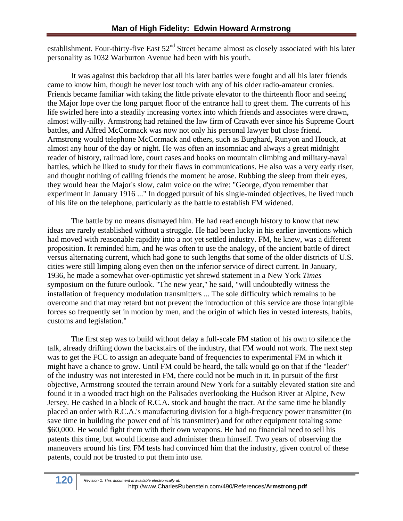establishment. Four-thirty-five East  $52<sup>nd</sup>$  Street became almost as closely associated with his later personality as 1032 Warburton Avenue had been with his youth.

It was against this backdrop that all his later battles were fought and all his later friends came to know him, though he never lost touch with any of his older radio-amateur cronies. Friends became familiar with taking the little private elevator to the thirteenth floor and seeing the Major lope over the long parquet floor of the entrance hall to greet them. The currents of his life swirled here into a steadily increasing vortex into which friends and associates were drawn, almost willy-nilly. Armstrong had retained the law firm of Cravath ever since his Supreme Court battles, and Alfred McCormack was now not only his personal lawyer but close friend. Armstrong would telephone McCormack and others, such as Burghard, Runyon and Houck, at almost any hour of the day or night. He was often an insomniac and always a great midnight reader of history, railroad lore, court cases and books on mountain climbing and military-naval battles, which he liked to study for their flaws in communications. He also was a very early riser, and thought nothing of calling friends the moment he arose. Rubbing the sleep from their eyes, they would hear the Major's slow, calm voice on the wire: "George, d'you remember that experiment in January 1916 ..." In dogged pursuit of his single-minded objectives, he lived much of his life on the telephone, particularly as the battle to establish FM widened.

The battle by no means dismayed him. He had read enough history to know that new ideas are rarely established without a struggle. He had been lucky in his earlier inventions which had moved with reasonable rapidity into a not yet settled industry. FM, he knew, was a different proposition. It reminded him, and he was often to use the analogy, of the ancient battle of direct versus alternating current, which had gone to such lengths that some of the older districts of U.S. cities were still limping along even then on the inferior service of direct current. In January, 1936, he made a somewhat over-optimistic yet shrewd statement in a New York *Times*  symposium on the future outlook. "The new year," he said, "will undoubtedly witness the installation of frequency modulation transmitters ... The sole difficulty which remains to be overcome and that may retard but not prevent the introduction of this service are those intangible forces so frequently set in motion by men, and the origin of which lies in vested interests, habits, customs and legislation."

The first step was to build without delay a full-scale FM station of his own to silence the talk, already drifting down the backstairs of the industry, that FM would not work. The next step was to get the FCC to assign an adequate band of frequencies to experimental FM in which it might have a chance to grow. Until FM could be heard, the talk would go on that if the "leader" of the industry was not interested in FM, there could not be much in it. In pursuit of the first objective, Armstrong scouted the terrain around New York for a suitably elevated station site and found it in a wooded tract high on the Palisades overlooking the Hudson River at Alpine, New Jersey. He cashed in a block of R.C.A. stock and bought the tract. At the same time he blandly placed an order with R.C.A.'s manufacturing division for a high-frequency power transmitter (to save time in building the power end of his transmitter) and for other equipment totaling some \$60,000. He would fight them with their own weapons. He had no financial need to sell his patents this time, but would license and administer them himself. Two years of observing the maneuvers around his first FM tests had convinced him that the industry, given control of these patents, could not be trusted to put them into use.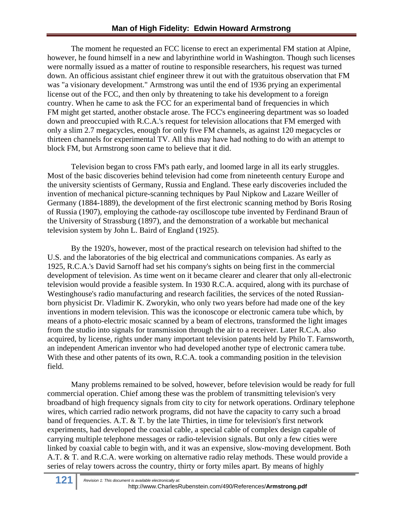The moment he requested an FCC license to erect an experimental FM station at Alpine, however, he found himself in a new and labyrinthine world in Washington. Though such licenses were normally issued as a matter of routine to responsible researchers, his request was turned down. An officious assistant chief engineer threw it out with the gratuitous observation that FM was "a visionary development." Armstrong was until the end of 1936 prying an experimental license out of the FCC, and then only by threatening to take his development to a foreign country. When he came to ask the FCC for an experimental band of frequencies in which FM might get started, another obstacle arose. The FCC's engineering department was so loaded down and preoccupied with R.C.A.'s request for television allocations that FM emerged with only a slim 2.7 megacycles, enough for only five FM channels, as against 120 megacycles or thirteen channels for experimental TV. All this may have had nothing to do with an attempt to block FM, but Armstrong soon came to believe that it did.

Television began to cross FM's path early, and loomed large in all its early struggles. Most of the basic discoveries behind television had come from nineteenth century Europe and the university scientists of Germany, Russia and England. These early discoveries included the invention of mechanical picture-scanning techniques by Paul Nipkow and Lazare Weiller of Germany (1884-1889), the development of the first electronic scanning method by Boris Rosing of Russia (1907), employing the cathode-ray oscilloscope tube invented by Ferdinand Braun of the University of Strassburg (1897), and the demonstration of a workable but mechanical television system by John L. Baird of England (1925).

By the 1920's, however, most of the practical research on television had shifted to the U.S. and the laboratories of the big electrical and communications companies. As early as 1925, R.C.A.'s David Sarnoff had set his company's sights on being first in the commercial development of television. As time went on it became clearer and clearer that only all-electronic television would provide a feasible system. In 1930 R.C.A. acquired, along with its purchase of Westinghouse's radio manufacturing and research facilities, the services of the noted Russianborn physicist Dr. Vladimir K. Zworykin, who only two years before had made one of the key inventions in modern television. This was the iconoscope or electronic camera tube which, by means of a photo-electric mosaic scanned by a beam of electrons, transformed the light images from the studio into signals for transmission through the air to a receiver. Later R.C.A. also acquired, by license, rights under many important television patents held by Philo T. Farnsworth, an independent American inventor who had developed another type of electronic camera tube. With these and other patents of its own, R.C.A. took a commanding position in the television field.

Many problems remained to be solved, however, before television would be ready for full commercial operation. Chief among these was the problem of transmitting television's very broadband of high frequency signals from city to city for network operations. Ordinary telephone wires, which carried radio network programs, did not have the capacity to carry such a broad band of frequencies. A.T. & T. by the late Thirties, in time for television's first network experiments, had developed the coaxial cable, a special cable of complex design capable of carrying multiple telephone messages or radio-television signals. But only a few cities were linked by coaxial cable to begin with, and it was an expensive, slow-moving development. Both A.T. & T. and R.C.A. were working on alternative radio relay methods. These would provide a series of relay towers across the country, thirty or forty miles apart. By means of highly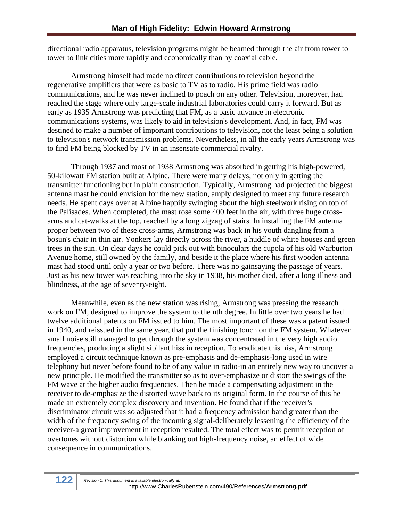directional radio apparatus, television programs might be beamed through the air from tower to tower to link cities more rapidly and economically than by coaxial cable.

Armstrong himself had made no direct contributions to television beyond the regenerative amplifiers that were as basic to TV as to radio. His prime field was radio communications, and he was never inclined to poach on any other. Television, moreover, had reached the stage where only large-scale industrial laboratories could carry it forward. But as early as 1935 Armstrong was predicting that FM, as a basic advance in electronic communications systems, was likely to aid in television's development. And, in fact, FM was destined to make a number of important contributions to television, not the least being a solution to television's network transmission problems. Nevertheless, in all the early years Armstrong was to find FM being blocked by TV in an insensate commercial rivalry.

Through 1937 and most of 1938 Armstrong was absorbed in getting his high-powered, 50-kilowatt FM station built at Alpine. There were many delays, not only in getting the transmitter functioning but in plain construction. Typically, Armstrong had projected the biggest antenna mast he could envision for the new station, amply designed to meet any future research needs. He spent days over at Alpine happily swinging about the high steelwork rising on top of the Palisades. When completed, the mast rose some 400 feet in the air, with three huge crossarms and cat-walks at the top, reached by a long zigzag of stairs. In installing the FM antenna proper between two of these cross-arms, Armstrong was back in his youth dangling from a bosun's chair in thin air. Yonkers lay directly across the river, a huddle of white houses and green trees in the sun. On clear days he could pick out with binoculars the cupola of his old Warburton Avenue home, still owned by the family, and beside it the place where his first wooden antenna mast had stood until only a year or two before. There was no gainsaying the passage of years. Just as his new tower was reaching into the sky in 1938, his mother died, after a long illness and blindness, at the age of seventy-eight.

Meanwhile, even as the new station was rising, Armstrong was pressing the research work on FM, designed to improve the system to the nth degree. In little over two years he had twelve additional patents on FM issued to him. The most important of these was a patent issued in 1940, and reissued in the same year, that put the finishing touch on the FM system. Whatever small noise still managed to get through the system was concentrated in the very high audio frequencies, producing a slight sibilant hiss in reception. To eradicate this hiss, Armstrong employed a circuit technique known as pre-emphasis and de-emphasis-long used in wire telephony but never before found to be of any value in radio-in an entirely new way to uncover a new principle. He modified the transmitter so as to over-emphasize or distort the swings of the FM wave at the higher audio frequencies. Then he made a compensating adjustment in the receiver to de-emphasize the distorted wave back to its original form. In the course of this he made an extremely complex discovery and invention. He found that if the receiver's discriminator circuit was so adjusted that it had a frequency admission band greater than the width of the frequency swing of the incoming signal-deliberately lessening the efficiency of the receiver-a great improvement in reception resulted. The total effect was to permit reception of overtones without distortion while blanking out high-frequency noise, an effect of wide consequence in communications.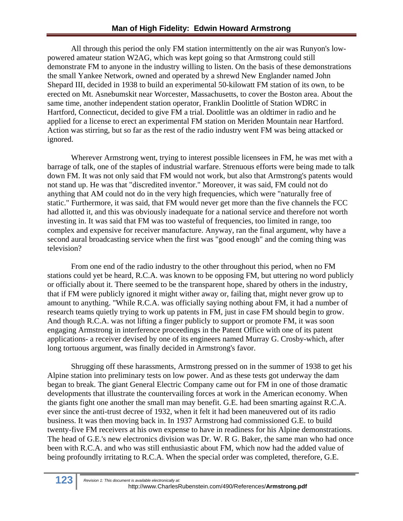All through this period the only FM station intermittently on the air was Runyon's lowpowered amateur station W2AG, which was kept going so that Armstrong could still demonstrate FM to anyone in the industry willing to listen. On the basis of these demonstrations the small Yankee Network, owned and operated by a shrewd New Englander named John Shepard III, decided in 1938 to build an experimental 50-kilowatt FM station of its own, to be erected on Mt. Asnebumskit near Worcester, Massachusetts, to cover the Boston area. About the same time, another independent station operator, Franklin Doolittle of Station WDRC in Hartford, Connecticut, decided to give FM a trial. Doolittle was an oldtimer in radio and he applied for a license to erect an experimental FM station on Meriden Mountain near Hartford. Action was stirring, but so far as the rest of the radio industry went FM was being attacked or ignored.

Wherever Armstrong went, trying to interest possible licensees in FM, he was met with a barrage of talk, one of the staples of industrial warfare. Strenuous efforts were being made to talk down FM. It was not only said that FM would not work, but also that Armstrong's patents would not stand up. He was that "discredited inventor." Moreover, it was said, FM could not do anything that AM could not do in the very high frequencies, which were "naturally free of static." Furthermore, it was said, that FM would never get more than the five channels the FCC had allotted it, and this was obviously inadequate for a national service and therefore not worth investing in. It was said that FM was too wasteful of frequencies, too limited in range, too complex and expensive for receiver manufacture. Anyway, ran the final argument, why have a second aural broadcasting service when the first was "good enough" and the coming thing was television?

From one end of the radio industry to the other throughout this period, when no FM stations could yet be heard, R.C.A. was known to be opposing FM, but uttering no word publicly or officially about it. There seemed to be the transparent hope, shared by others in the industry, that if FM were publicly ignored it might wither away or, failing that, might never grow up to amount to anything. "While R.C.A. was officially saying nothing about FM, it had a number of research teams quietly trying to work up patents in FM, just in case FM should begin to grow. And though R.C.A. was not lifting a finger publicly to support or promote FM, it was soon engaging Armstrong in interference proceedings in the Patent Office with one of its patent applications- a receiver devised by one of its engineers named Murray G. Crosby-which, after long tortuous argument, was finally decided in Armstrong's favor.

Shrugging off these harassments, Armstrong pressed on in the summer of 1938 to get his Alpine station into preliminary tests on low power. And as these tests got underway the dam began to break. The giant General Electric Company came out for FM in one of those dramatic developments that illustrate the countervailing forces at work in the American economy. When the giants fight one another the small man may benefit. G.E. had been smarting against R.C.A. ever since the anti-trust decree of 1932, when it felt it had been maneuvered out of its radio business. It was then moving back in. In 1937 Armstrong had commissioned G.E. to build twenty-five FM receivers at his own expense to have in readiness for his Alpine demonstrations. The head of G.E.'s new electronics division was Dr. W. R G. Baker, the same man who had once been with R.C.A. and who was still enthusiastic about FM, which now had the added value of being profoundly irritating to R.C.A. When the special order was completed, therefore, G.E.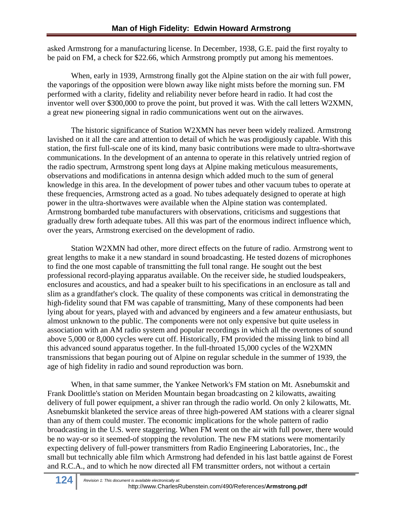asked Armstrong for a manufacturing license. In December, 1938, G.E. paid the first royalty to be paid on FM, a check for \$22.66, which Armstrong promptly put among his mementoes.

When, early in 1939, Armstrong finally got the Alpine station on the air with full power, the vaporings of the opposition were blown away like night mists before the morning sun. FM performed with a clarity, fidelity and reliability never before heard in radio. It had cost the inventor well over \$300,000 to prove the point, but proved it was. With the call letters W2XMN, a great new pioneering signal in radio communications went out on the airwaves.

The historic significance of Station W2XMN has never been widely realized. Armstrong lavished on it all the care and attention to detail of which he was prodigiously capable. With this station, the first full-scale one of its kind, many basic contributions were made to ultra-shortwave communications. In the development of an antenna to operate in this relatively untried region of the radio spectrum, Armstrong spent long days at Alpine making meticulous measurements, observations and modifications in antenna design which added much to the sum of general knowledge in this area. In the development of power tubes and other vacuum tubes to operate at these frequencies, Armstrong acted as a goad. No tubes adequately designed to operate at high power in the ultra-shortwaves were available when the Alpine station was contemplated. Armstrong bombarded tube manufacturers with observations, criticisms and suggestions that gradually drew forth adequate tubes. All this was part of the enormous indirect influence which, over the years, Armstrong exercised on the development of radio.

Station W2XMN had other, more direct effects on the future of radio. Armstrong went to great lengths to make it a new standard in sound broadcasting. He tested dozens of microphones to find the one most capable of transmitting the full tonal range. He sought out the best professional record-playing apparatus available. On the receiver side, he studied loudspeakers, enclosures and acoustics, and had a speaker built to his specifications in an enclosure as tall and slim as a grandfather's clock. The quality of these components was critical in demonstrating the high-fidelity sound that FM was capable of transmitting, Many of these components had been lying about for years, played with and advanced by engineers and a few amateur enthusiasts, but almost unknown to the public. The components were not only expensive but quite useless in association with an AM radio system and popular recordings in which all the overtones of sound above 5,000 or 8,000 cycles were cut off. Historically, FM provided the missing link to bind all this advanced sound apparatus together. In the full-throated 15,000 cycles of the W2XMN transmissions that began pouring out of Alpine on regular schedule in the summer of 1939, the age of high fidelity in radio and sound reproduction was born.

When, in that same summer, the Yankee Network's FM station on Mt. Asnebumskit and Frank Doolittle's station on Meriden Mountain began broadcasting on 2 kilowatts, awaiting delivery of full power equipment, a shiver ran through the radio world. On only 2 kilowatts, Mt. Asnebumskit blanketed the service areas of three high-powered AM stations with a clearer signal than any of them could muster. The economic implications for the whole pattern of radio broadcasting in the U.S. were staggering. When FM went on the air with full power, there would be no way-or so it seemed-of stopping the revolution. The new FM stations were momentarily expecting delivery of full-power transmitters from Radio Engineering Laboratories, Inc., the small but technically able film which Armstrong had defended in his last battle against de Forest and R.C.A., and to which he now directed all FM transmitter orders, not without a certain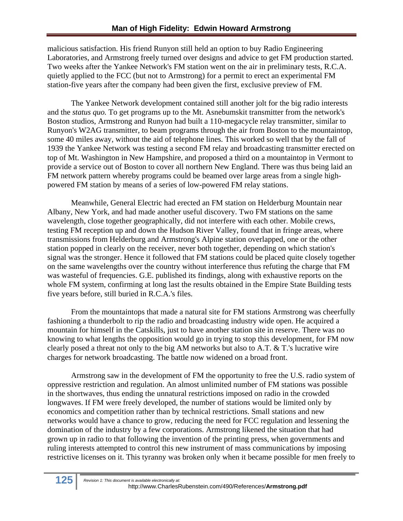malicious satisfaction. His friend Runyon still held an option to buy Radio Engineering Laboratories, and Armstrong freely turned over designs and advice to get FM production started. Two weeks after the Yankee Network's FM station went on the air in preliminary tests, R.C.A. quietly applied to the FCC (but not to Armstrong) for a permit to erect an experimental FM station-five years after the company had been given the first, exclusive preview of FM.

The Yankee Network development contained still another jolt for the big radio interests and the *status quo.* To get programs up to the Mt. Asnebumskit transmitter from the network's Boston studios, Armstrong and Runyon had built a 110-megacycle relay transmitter, similar to Runyon's W2AG transmitter, to beam programs through the air from Boston to the mountaintop, some 40 miles away, without the aid of telephone lines. This worked so well that by the fall of 1939 the Yankee Network was testing a second FM relay and broadcasting transmitter erected on top of Mt. Washington in New Hampshire, and proposed a third on a mountaintop in Vermont to provide a service out of Boston to cover all northern New England. There was thus being laid an FM network pattern whereby programs could be beamed over large areas from a single highpowered FM station by means of a series of low-powered FM relay stations.

Meanwhile, General Electric had erected an FM station on Helderburg Mountain near Albany, New York, and had made another useful discovery. Two FM stations on the same wavelength, close together geographically, did not interfere with each other. Mobile crews, testing FM reception up and down the Hudson River Valley, found that in fringe areas, where transmissions from Helderburg and Armstrong's Alpine station overlapped, one or the other station popped in clearly on the receiver, never both together, depending on which station's signal was the stronger. Hence it followed that FM stations could be placed quite closely together on the same wavelengths over the country without interference thus refuting the charge that FM was wasteful of frequencies. G.E. published its findings, along with exhaustive reports on the whole FM system, confirming at long last the results obtained in the Empire State Building tests five years before, still buried in R.C.A.'s files.

From the mountaintops that made a natural site for FM stations Armstrong was cheerfully fashioning a thunderbolt to rip the radio and broadcasting industry wide open. He acquired a mountain for himself in the Catskills, just to have another station site in reserve. There was no knowing to what lengths the opposition would go in trying to stop this development, for FM now clearly posed a threat not only to the big AM networks but also to A.T. & T.'s lucrative wire charges for network broadcasting. The battle now widened on a broad front.

Armstrong saw in the development of FM the opportunity to free the U.S. radio system of oppressive restriction and regulation. An almost unlimited number of FM stations was possible in the shortwaves, thus ending the unnatural restrictions imposed on radio in the crowded longwaves. If FM were freely developed, the number of stations would be limited only by economics and competition rather than by technical restrictions. Small stations and new networks would have a chance to grow, reducing the need for FCC regulation and lessening the domination of the industry by a few corporations. Armstrong likened the situation that had grown up in radio to that following the invention of the printing press, when governments and ruling interests attempted to control this new instrument of mass communications by imposing restrictive licenses on it. This tyranny was broken only when it became possible for men freely to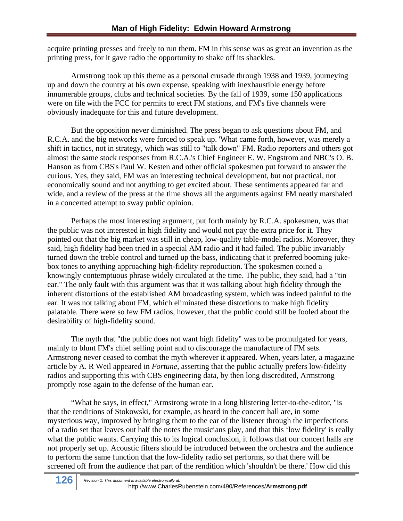acquire printing presses and freely to run them. FM in this sense was as great an invention as the printing press, for it gave radio the opportunity to shake off its shackles.

Armstrong took up this theme as a personal crusade through 1938 and 1939, journeying up and down the country at his own expense, speaking with inexhaustible energy before innumerable groups, clubs and technical societies. By the fall of 1939, some 150 applications were on file with the FCC for permits to erect FM stations, and FM's five channels were obviously inadequate for this and future development.

But the opposition never diminished. The press began to ask questions about FM, and R.C.A. and the big networks were forced to speak up. 'What came forth, however, was merely a shift in tactics, not in strategy, which was still to "talk down" FM. Radio reporters and others got almost the same stock responses from R.C.A.'s Chief Engineer E. W. Engstrom and NBC's O. B. Hanson as from CBS's Paul W. Kesten and other official spokesmen put forward to answer the curious. Yes, they said, FM was an interesting technical development, but not practical, not economically sound and not anything to get excited about. These sentiments appeared far and wide, and a review of the press at the time shows all the arguments against FM neatly marshaled in a concerted attempt to sway public opinion.

 Perhaps the most interesting argument, put forth mainly by R.C.A. spokesmen, was that the public was not interested in high fidelity and would not pay the extra price for it. They pointed out that the big market was still in cheap, low-quality table-model radios. Moreover, they said, high fidelity had been tried in a special AM radio and it had failed. The public invariably turned down the treble control and turned up the bass, indicating that it preferred booming jukebox tones to anything approaching high-fidelity reproduction. The spokesmen coined a knowingly contemptuous phrase widely circulated at the time. The public, they said, had a "tin ear." The only fault with this argument was that it was talking about high fidelity through the inherent distortions of the established AM broadcasting system, which was indeed painful to the ear. It was not talking about FM, which eliminated these distortions to make high fidelity palatable. There were so few FM radios, however, that the public could still be fooled about the desirability of high-fidelity sound.

The myth that "the public does not want high fidelity" was to be promulgated for years, mainly to blunt FM's chief selling point and to discourage the manufacture of FM sets. Armstrong never ceased to combat the myth wherever it appeared. When, years later, a magazine article by A. R Weil appeared in *Fortune,* asserting that the public actually prefers low-fidelity radios and supporting this with CBS engineering data, by then long discredited, Armstrong promptly rose again to the defense of the human ear.

"What he says, in effect," Armstrong wrote in a long blistering letter-to-the-editor, "is that the renditions of Stokowski, for example, as heard in the concert hall are, in some mysterious way, improved by bringing them to the ear of the listener through the imperfections of a radio set that leaves out half the notes the musicians play, and that this 'low fidelity' is really what the public wants. Carrying this to its logical conclusion, it follows that our concert halls are not properly set up. Acoustic filters should be introduced between the orchestra and the audience to perform the same function that the low-fidelity radio set performs, so that there will be screened off from the audience that part of the rendition which 'shouldn't be there.' How did this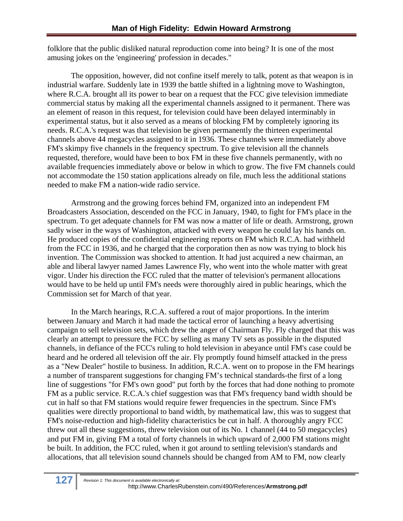folklore that the public disliked natural reproduction come into being? It is one of the most amusing jokes on the 'engineering' profession in decades."

The opposition, however, did not confine itself merely to talk, potent as that weapon is in industrial warfare. Suddenly late in 1939 the battle shifted in a lightning move to Washington, where R.C.A. brought all its power to bear on a request that the FCC give television immediate commercial status by making all the experimental channels assigned to it permanent. There was an element of reason in this request, for television could have been delayed interminably in experimental status, but it also served as a means of blocking FM by completely ignoring its needs. R.C.A.'s request was that television be given permanently the thirteen experimental channels above 44 megacycles assigned to it in 1936. These channels were immediately above FM's skimpy five channels in the frequency spectrum. To give television all the channels requested, therefore, would have been to box FM in these five channels permanently, with no available frequencies immediately above or below in which to grow. The five FM channels could not accommodate the 150 station applications already on file, much less the additional stations needed to make FM a nation-wide radio service.

Armstrong and the growing forces behind FM, organized into an independent FM Broadcasters Association, descended on the FCC in January, 1940, to fight for FM's place in the spectrum. To get adequate channels for FM was now a matter of life or death. Armstrong, grown sadly wiser in the ways of Washington, attacked with every weapon he could lay his hands on. He produced copies of the confidential engineering reports on FM which R.C.A. had withheld from the FCC in 1936, and he charged that the corporation then as now was trying to block his invention. The Commission was shocked to attention. It had just acquired a new chairman, an able and liberal lawyer named James Lawrence Fly, who went into the whole matter with great vigor. Under his direction the FCC ruled that the matter of television's permanent allocations would have to be held up until FM's needs were thoroughly aired in public hearings, which the Commission set for March of that year.

In the March hearings, R.C.A. suffered a rout of major proportions. In the interim between January and March it had made the tactical error of launching a heavy advertising campaign to sell television sets, which drew the anger of Chairman Fly. Fly charged that this was clearly an attempt to pressure the FCC by selling as many TV sets as possible in the disputed channels, in defiance of the FCC's ruling to hold television in abeyance until FM's case could be heard and he ordered all television off the air. Fly promptly found himself attacked in the press as a "New Dealer" hostile to business. In addition, R.C.A. went on to propose in the FM hearings a number of transparent suggestions for changing FM's technical standards-the first of a long line of suggestions "for FM's own good" put forth by the forces that had done nothing to promote FM as a public service. R.C.A.'s chief suggestion was that FM's frequency band width should be cut in half so that FM stations would require fewer frequencies in the spectrum. Since FM's qualities were directly proportional to band width, by mathematical law, this was to suggest that FM's noise-reduction and high-fidelity characteristics be cut in half. A thoroughly angry FCC threw out all these suggestions, threw television out of its No. 1 channel (44 to 50 megacycles) and put FM in, giving FM a total of forty channels in which upward of 2,000 FM stations might be built. In addition, the FCC ruled, when it got around to settling television's standards and allocations, that all television sound channels should be changed from AM to FM, now clearly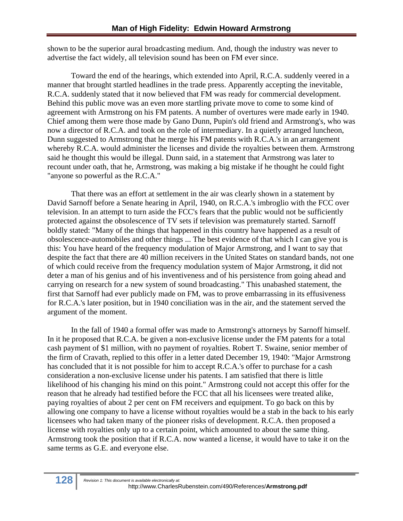shown to be the superior aural broadcasting medium. And, though the industry was never to advertise the fact widely, all television sound has been on FM ever since.

Toward the end of the hearings, which extended into April, R.C.A. suddenly veered in a manner that brought startled headlines in the trade press. Apparently accepting the inevitable, R.C.A. suddenly stated that it now believed that FM was ready for commercial development. Behind this public move was an even more startling private move to come to some kind of agreement with Armstrong on his FM patents. A number of overtures were made early in 1940. Chief among them were those made by Gano Dunn, Pupin's old friend and Armstrong's, who was now a director of R.C.A. and took on the role of intermediary. In a quietly arranged luncheon, Dunn suggested to Armstrong that he merge his FM patents with R.C.A.'s in an arrangement whereby R.C.A. would administer the licenses and divide the royalties between them. Armstrong said he thought this would be illegal. Dunn said, in a statement that Armstrong was later to recount under oath, that he, Armstrong, was making a big mistake if he thought he could fight "anyone so powerful as the R.C.A."

That there was an effort at settlement in the air was clearly shown in a statement by David Sarnoff before a Senate hearing in April, 1940, on R.C.A.'s imbroglio with the FCC over television. In an attempt to turn aside the FCC's fears that the public would not be sufficiently protected against the obsolescence of TV sets if television was prematurely started. Sarnoff boldly stated: "Many of the things that happened in this country have happened as a result of obsolescence-automobiles and other things ... The best evidence of that which I can give you is this: You have heard of the frequency modulation of Major Armstrong, and I want to say that despite the fact that there are 40 million receivers in the United States on standard bands, not one of which could receive from the frequency modulation system of Major Armstrong, it did not deter a man of his genius and of his inventiveness and of his persistence from going ahead and carrying on research for a new system of sound broadcasting." This unabashed statement, the first that Sarnoff had ever publicly made on FM, was to prove embarrassing in its effusiveness for R.C.A.'s later position, but in 1940 conciliation was in the air, and the statement served the argument of the moment.

In the fall of 1940 a formal offer was made to Armstrong's attorneys by Sarnoff himself. In it he proposed that R.C.A. be given a non-exclusive license under the FM patents for a total cash payment of \$1 million, with no payment of royalties. Robert T. Swaine, senior member of the firm of Cravath, replied to this offer in a letter dated December 19, 1940: "Major Armstrong has concluded that it is not possible for him to accept R.C.A.'s offer to purchase for a cash consideration a non-exclusive license under his patents. I am satisfied that there is little likelihood of his changing his mind on this point." Armstrong could not accept this offer for the reason that he already had testified before the FCC that all his licensees were treated alike, paying royalties of about 2 per cent on FM receivers and equipment. To go back on this by allowing one company to have a license without royalties would be a stab in the back to his early licensees who had taken many of the pioneer risks of development. R.C.A. then proposed a license with royalties only up to a certain point, which amounted to about the same thing. Armstrong took the position that if R.C.A. now wanted a license, it would have to take it on the same terms as G.E. and everyone else.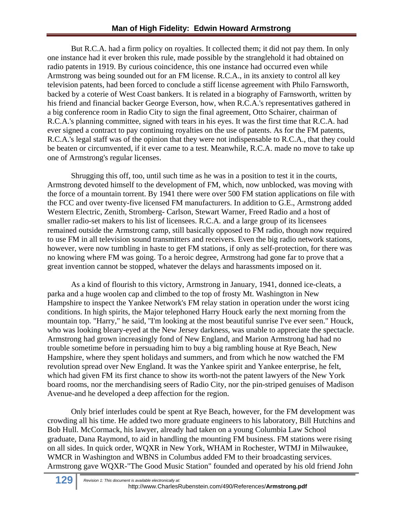But R.C.A. had a firm policy on royalties. It collected them; it did not pay them. In only one instance had it ever broken this rule, made possible by the stranglehold it had obtained on radio patents in 1919. By curious coincidence, this one instance had occurred even while Armstrong was being sounded out for an FM license. R.C.A., in its anxiety to control all key television patents, had been forced to conclude a stiff license agreement with Philo Farnsworth, backed by a coterie of West Coast bankers. It is related in a biography of Farnsworth, written by his friend and financial backer George Everson, how, when R.C.A.'s representatives gathered in a big conference room in Radio City to sign the final agreement, Otto Schairer, chairman of R.C.A.'s planning committee, signed with tears in his eyes. It was the first time that R.C.A. had ever signed a contract to pay continuing royalties on the use of patents. As for the FM patents, R.C.A.'s legal staff was of the opinion that they were not indispensable to R.C.A., that they could be beaten or circumvented, if it ever came to a test. Meanwhile, R.C.A. made no move to take up one of Armstrong's regular licenses.

Shrugging this off, too, until such time as he was in a position to test it in the courts, Armstrong devoted himself to the development of FM, which, now unblocked, was moving with the force of a mountain torrent. By 1941 there were over 500 FM station applications on file with the FCC and over twenty-five licensed FM manufacturers. In addition to G.E., Armstrong added Western Electric, Zenith, Stromberg- Carlson, Stewart Warner, Freed Radio and a host of smaller radio-set makers to his list of licensees. R.C.A. and a large group of its licensees remained outside the Armstrong camp, still basically opposed to FM radio, though now required to use FM in all television sound transmitters and receivers. Even the big radio network stations, however, were now tumbling in haste to get FM stations, if only as self-protection, for there was no knowing where FM was going. To a heroic degree, Armstrong had gone far to prove that a great invention cannot be stopped, whatever the delays and harassments imposed on it.

As a kind of flourish to this victory, Armstrong in January, 1941, donned ice-cleats, a parka and a huge woolen cap and climbed to the top of frosty Mt. Washington in New Hampshire to inspect the Yankee Network's FM relay station in operation under the worst icing conditions. In high spirits, the Major telephoned Harry Houck early the next morning from the mountain top. "Harry," he said, "I'm looking at the most beautiful sunrise I've ever seen." Houck, who was looking bleary-eyed at the New Jersey darkness, was unable to appreciate the spectacle. Armstrong had grown increasingly fond of New England, and Marion Armstrong had had no trouble sometime before in persuading him to buy a big rambling house at Rye Beach, New Hampshire, where they spent holidays and summers, and from which he now watched the FM revolution spread over New England. It was the Yankee spirit and Yankee enterprise, he felt, which had given FM its first chance to show its worth-not the patent lawyers of the New York board rooms, nor the merchandising seers of Radio City, nor the pin-striped genuises of Madison Avenue-and he developed a deep affection for the region.

 Only brief interludes could be spent at Rye Beach, however, for the FM development was crowding all his time. He added two more graduate engineers to his laboratory, Bill Hutchins and Bob Hull. McCormack, his lawyer, already had taken on a young Columbia Law School graduate, Dana Raymond, to aid in handling the mounting FM business. FM stations were rising on all sides. In quick order, WQXR in New York, WHAM in Rochester, WTMJ in Milwaukee, WMCR in Washington and WBNS in Columbus added FM to their broadcasting services. Armstrong gave WQXR-"The Good Music Station" founded and operated by his old friend John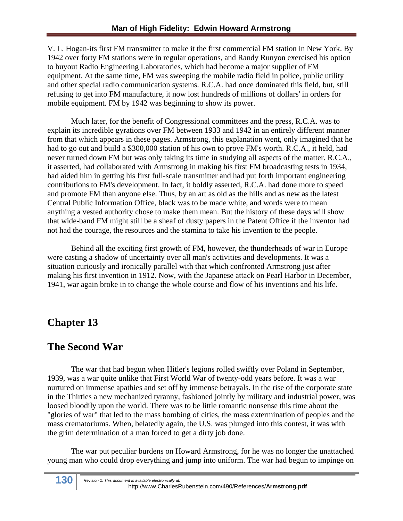V. L. Hogan-its first FM transmitter to make it the first commercial FM station in New York. By 1942 over forty FM stations were in regular operations, and Randy Runyon exercised his option to buyout Radio Engineering Laboratories, which had become a major supplier of FM equipment. At the same time, FM was sweeping the mobile radio field in police, public utility and other special radio communication systems. R.C.A. had once dominated this field, but, still refusing to get into FM manufacture, it now lost hundreds of millions of dollars' in orders for mobile equipment. FM by 1942 was beginning to show its power.

Much later, for the benefit of Congressional committees and the press, R.C.A. was to explain its incredible gyrations over FM between 1933 and 1942 in an entirely different manner from that which appears in these pages. Armstrong, this explanation went, only imagined that he had to go out and build a \$300,000 station of his own to prove FM's worth. R.C.A., it held, had never turned down FM but was only taking its time in studying all aspects of the matter. R.C.A., it asserted, had collaborated with Armstrong in making his first FM broadcasting tests in 1934, had aided him in getting his first full-scale transmitter and had put forth important engineering contributions to FM's development. In fact, it boldly asserted, R.C.A. had done more to speed and promote FM than anyone else. Thus, by an art as old as the hills and as new as the latest Central Public Information Office, black was to be made white, and words were to mean anything a vested authority chose to make them mean. But the history of these days will show that wide-band FM might still be a sheaf of dusty papers in the Patent Office if the inventor had not had the courage, the resources and the stamina to take his invention to the people.

Behind all the exciting first growth of FM, however, the thunderheads of war in Europe were casting a shadow of uncertainty over all man's activities and developments. It was a situation curiously and ironically parallel with that which confronted Armstrong just after making his first invention in 1912. Now, with the Japanese attack on Pearl Harbor in December, 1941, war again broke in to change the whole course and flow of his inventions and his life.

## **Chapter 13**

## **The Second War**

The war that had begun when Hitler's legions rolled swiftly over Poland in September, 1939, was a war quite unlike that First World War of twenty-odd years before. It was a war nurtured on immense apathies and set off by immense betrayals. In the rise of the corporate state in the Thirties a new mechanized tyranny, fashioned jointly by military and industrial power, was loosed bloodily upon the world. There was to be little romantic nonsense this time about the "glories of war" that led to the mass bombing of cities, the mass extermination of peoples and the mass crematoriums. When, belatedly again, the U.S. was plunged into this contest, it was with the grim determination of a man forced to get a dirty job done.

The war put peculiar burdens on Howard Armstrong, for he was no longer the unattached young man who could drop everything and jump into uniform. The war had begun to impinge on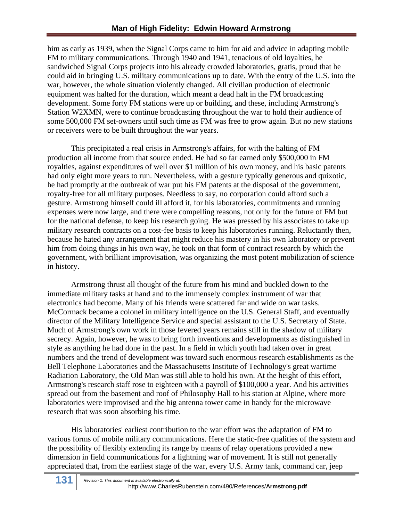him as early as 1939, when the Signal Corps came to him for aid and advice in adapting mobile FM to military communications. Through 1940 and 1941, tenacious of old loyalties, he sandwiched Signal Corps projects into his already crowded laboratories, gratis, proud that he could aid in bringing U.S. military communications up to date. With the entry of the U.S. into the war, however, the whole situation violently changed. All civilian production of electronic equipment was halted for the duration, which meant a dead halt in the FM broadcasting development. Some forty FM stations were up or building, and these, including Armstrong's Station W2XMN, were to continue broadcasting throughout the war to hold their audience of some 500,000 FM set-owners until such time as FM was free to grow again. But no new stations or receivers were to be built throughout the war years.

This precipitated a real crisis in Armstrong's affairs, for with the halting of FM production all income from that source ended. He had so far earned only \$500,000 in FM royalties, against expenditures of well over \$1 million of his own money, and his basic patents had only eight more years to run. Nevertheless, with a gesture typically generous and quixotic, he had promptly at the outbreak of war put his FM patents at the disposal of the government, royalty-free for all military purposes. Needless to say, no corporation could afford such a gesture. Armstrong himself could ill afford it, for his laboratories, commitments and running expenses were now large, and there were compelling reasons, not only for the future of FM but for the national defense, to keep his research going. He was pressed by his associates to take up military research contracts on a cost-fee basis to keep his laboratories running. Reluctantly then, because he hated any arrangement that might reduce his mastery in his own laboratory or prevent him from doing things in his own way, he took on that form of contract research by which the government, with brilliant improvisation, was organizing the most potent mobilization of science in history.

Armstrong thrust all thought of the future from his mind and buckled down to the immediate military tasks at hand and to the immensely complex instrument of war that electronics had become. Many of his friends were scattered far and wide on war tasks. McCormack became a colonel in military intelligence on the U.S. General Staff, and eventually director of the Military Intelligence Service and special assistant to the U.S. Secretary of State. Much of Armstrong's own work in those fevered years remains still in the shadow of military secrecy. Again, however, he was to bring forth inventions and developments as distinguished in style as anything he had done in the past. In a field in which youth had taken over in great numbers and the trend of development was toward such enormous research establishments as the Bell Telephone Laboratories and the Massachusetts Institute of Technology's great wartime Radiation Laboratory, the Old Man was still able to hold his own. At the height of this effort, Armstrong's research staff rose to eighteen with a payroll of \$100,000 a year. And his activities spread out from the basement and roof of Philosophy Hall to his station at Alpine, where more laboratories were improvised and the big antenna tower came in handy for the microwave research that was soon absorbing his time.

His laboratories' earliest contribution to the war effort was the adaptation of FM to various forms of mobile military communications. Here the static-free qualities of the system and the possibility of flexibly extending its range by means of relay operations provided a new dimension in field communications for a lightning war of movement. It is still not generally appreciated that, from the earliest stage of the war, every U.S. Army tank, command car, jeep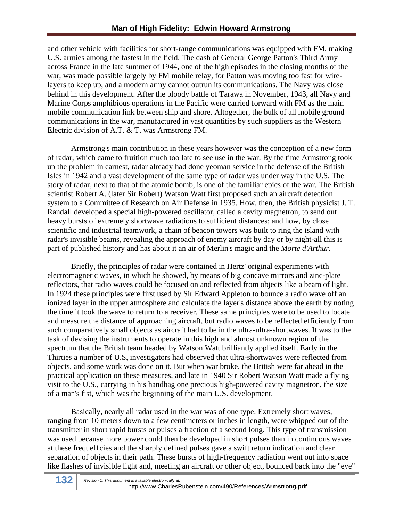and other vehicle with facilities for short-range communications was equipped with FM, making U.S. armies among the fastest in the field. The dash of General George Patton's Third Army across France in the late summer of 1944, one of the high episodes in the closing months of the war, was made possible largely by FM mobile relay, for Patton was moving too fast for wirelayers to keep up, and a modern army cannot outrun its communications. The Navy was close behind in this development. After the bloody battle of Tarawa in November, 1943, all Navy and Marine Corps amphibious operations in the Pacific were carried forward with FM as the main mobile communication link between ship and shore. Altogether, the bulk of all mobile ground communications in the war, manufactured in vast quantities by such suppliers as the Western Electric division of A.T. & T. was Armstrong FM.

Armstrong's main contribution in these years however was the conception of a new form of radar, which came to fruition much too late to see use in the war. By the time Armstrong took up the problem in earnest, radar already had done yeoman service in the defense of the British Isles in 1942 and a vast development of the same type of radar was under way in the U.S. The story of radar, next to that of the atomic bomb, is one of the familiar epics of the war. The British scientist Robert A. (later Sir Robert) Watson Watt first proposed such an aircraft detection system to a Committee of Research on Air Defense in 1935. How, then, the British physicist J. T. Randall developed a special high-powered oscillator, called a cavity magnetron, to send out heavy bursts of extremely shortwave radiations to sufficient distances; and how, by close scientific and industrial teamwork, a chain of beacon towers was built to ring the island with radar's invisible beams, revealing the approach of enemy aircraft by day or by night-all this is part of published history and has about it an air of Merlin's magic and the *Morte d'Arthur.*

Briefly, the principles of radar were contained in Hertz' original experiments with electromagnetic waves, in which he showed, by means of big concave mirrors and zinc-plate reflectors, that radio waves could be focused on and reflected from objects like a beam of light. In 1924 these principles were first used by Sir Edward Appleton to bounce a radio wave off an ionized layer in the upper atmosphere and calculate the layer's distance above the earth by noting the time it took the wave to return to a receiver. These same principles were to be used to locate and measure the distance of approaching aircraft, but radio waves to be reflected efficiently from such comparatively small objects as aircraft had to be in the ultra-ultra-shortwaves. It was to the task of devising the instruments to operate in this high and almost unknown region of the spectrum that the British team headed by Watson Watt brilliantly applied itself. Early in the Thirties a number of U.S, investigators had observed that ultra-shortwaves were reflected from objects, and some work was done on it. But when war broke, the British were far ahead in the practical application on these measures, and late in 1940 Sir Robert Watson Watt made a flying visit to the U.S., carrying in his handbag one precious high-powered cavity magnetron, the size of a man's fist, which was the beginning of the main U.S. development.

Basically, nearly all radar used in the war was of one type. Extremely short waves, ranging from 10 meters down to a few centimeters or inches in length, were whipped out of the transmitter in short rapid bursts or pulses a fraction of a second long. This type of transmission was used because more power could then be developed in short pulses than in continuous waves at these frequel1cies and the sharply defined pulses gave a swift return indication and clear separation of objects in their path. These bursts of high-frequency radiation went out into space like flashes of invisible light and, meeting an aircraft or other object, bounced back into the "eye"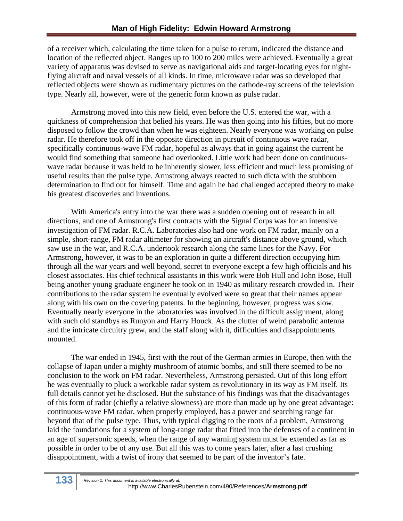of a receiver which, calculating the time taken for a pulse to return, indicated the distance and location of the reflected object. Ranges up to 100 to 200 miles were achieved. Eventually a great variety of apparatus was devised to serve as navigational aids and target-locating eyes for nightflying aircraft and naval vessels of all kinds. In time, microwave radar was so developed that reflected objects were shown as rudimentary pictures on the cathode-ray screens of the television type. Nearly all, however, were of the generic form known as pulse radar.

Armstrong moved into this new field, even before the U.S. entered the war, with a quickness of comprehension that belied his years. He was then going into his fifties, but no more disposed to follow the crowd than when he was eighteen. Nearly everyone was working on pulse radar. He therefore took off in the opposite direction in pursuit of continuous wave radar, specifically continuous-wave FM radar, hopeful as always that in going against the current he would find something that someone had overlooked. Little work had been done on continuouswave radar because it was held to be inherently slower, less efficient and much less promising of useful results than the pulse type. Armstrong always reacted to such dicta with the stubborn determination to find out for himself. Time and again he had challenged accepted theory to make his greatest discoveries and inventions.

With America's entry into the war there was a sudden opening out of research in all directions, and one of Armstrong's first contracts with the Signal Corps was for an intensive investigation of FM radar. R.C.A. Laboratories also had one work on FM radar, mainly on a simple, short-range, FM radar altimeter for showing an aircraft's distance above ground, which saw use in the war, and R.C.A. undertook research along the same lines for the Navy. For Armstrong, however, it was to be an exploration in quite a different direction occupying him through all the war years and well beyond, secret to everyone except a few high officials and his closest associates. His chief technical assistants in this work were Bob Hull and John Bose, Hull being another young graduate engineer he took on in 1940 as military research crowded in. Their contributions to the radar system he eventually evolved were so great that their names appear along with his own on the covering patents. In the beginning, however, progress was slow. Eventually nearly everyone in the laboratories was involved in the difficult assignment, along with such old standbys as Runyon and Harry Houck. As the clutter of weird parabolic antenna and the intricate circuitry grew, and the staff along with it, difficulties and disappointments mounted.

The war ended in 1945, first with the rout of the German armies in Europe, then with the collapse of Japan under a mighty mushroom of atomic bombs, and still there seemed to be no conclusion to the work on FM radar. Nevertheless, Armstrong persisted. Out of this long effort he was eventually to pluck a workable radar system as revolutionary in its way as FM itself. Its full details cannot yet be disclosed. But the substance of his findings was that the disadvantages of this form of radar (chiefly a relative slowness) are more than made up by one great advantage: continuous-wave FM radar, when properly employed, has a power and searching range far beyond that of the pulse type. Thus, with typical digging to the roots of a problem, Armstrong laid the foundations for a system of long-range radar that fitted into the defenses of a continent in an age of supersonic speeds, when the range of any warning system must be extended as far as possible in order to be of any use. But all this was to come years later, after a last crushing disappointment, with a twist of irony that seemed to be part of the inventor's fate.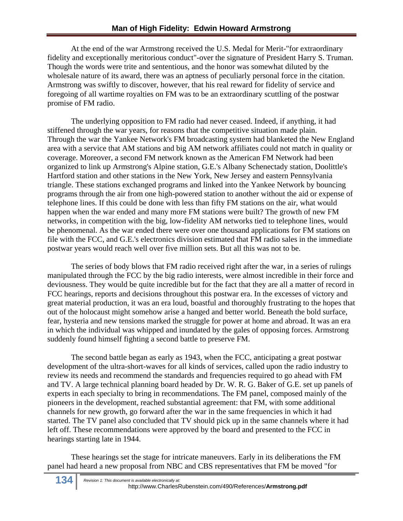At the end of the war Armstrong received the U.S. Medal for Merit-"for extraordinary fidelity and exceptionally meritorious conduct"-over the signature of President Harry S. Truman. Though the words were trite and sententious, and the honor was somewhat diluted by the wholesale nature of its award, there was an aptness of peculiarly personal force in the citation. Armstrong was swiftly to discover, however, that his real reward for fidelity of service and foregoing of all wartime royalties on FM was to be an extraordinary scuttling of the postwar promise of FM radio.

The underlying opposition to FM radio had never ceased. Indeed, if anything, it had stiffened through the war years, for reasons that the competitive situation made plain. Through the war the Yankee Network's FM broadcasting system had blanketed the New England area with a service that AM stations and big AM network affiliates could not match in quality or coverage. Moreover, a second FM network known as the American FM Network had been organized to link up Armstrong's Alpine station, G.E.'s Albany Schenectady station, Doolittle's Hartford station and other stations in the New York, New Jersey and eastern Pennsylvania triangle. These stations exchanged programs and linked into the Yankee Network by bouncing programs through the air from one high-powered station to another without the aid or expense of telephone lines. If this could be done with less than fifty FM stations on the air, what would happen when the war ended and many more FM stations were built? The growth of new FM networks, in competition with the big, low-fidelity AM networks tied to telephone lines, would be phenomenal. As the war ended there were over one thousand applications for FM stations on file with the FCC, and G.E.'s electronics division estimated that FM radio sales in the immediate postwar years would reach well over five million sets. But all this was not to be.

The series of body blows that FM radio received right after the war, in a series of rulings manipulated through the FCC by the big radio interests, were almost incredible in their force and deviousness. They would be quite incredible but for the fact that they are all a matter of record in FCC hearings, reports and decisions throughout this postwar era. In the excesses of victory and great material production, it was an era loud, boastful and thoroughly frustrating to the hopes that out of the holocaust might somehow arise a hanged and better world. Beneath the bold surface, fear, hysteria and new tensions marked the struggle for power at home and abroad. It was an era in which the individual was whipped and inundated by the gales of opposing forces. Armstrong suddenly found himself fighting a second battle to preserve FM.

The second battle began as early as 1943, when the FCC, anticipating a great postwar development of the ultra-short-waves for all kinds of services, called upon the radio industry to review its needs and recommend the standards and frequencies required to go ahead with FM and TV. A large technical planning board headed by Dr. W. R. G. Baker of G.E. set up panels of experts in each specialty to bring in recommendations. The FM panel, composed mainly of the pioneers in the development, reached substantial agreement: that FM, with some additional channels for new growth, go forward after the war in the same frequencies in which it had started. The TV panel also concluded that TV should pick up in the same channels where it had left off. These recommendations were approved by the board and presented to the FCC in hearings starting late in 1944.

These hearings set the stage for intricate maneuvers. Early in its deliberations the FM panel had heard a new proposal from NBC and CBS representatives that FM be moved "for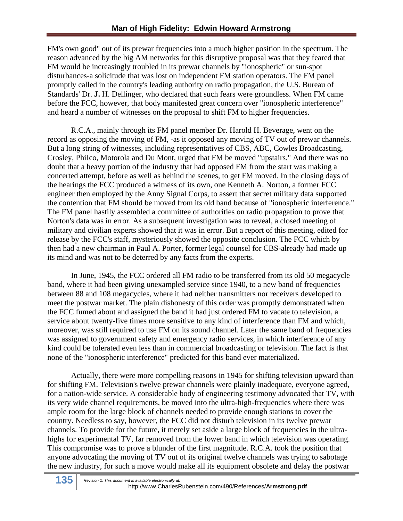FM's own good" out of its prewar frequencies into a much higher position in the spectrum. The reason advanced by the big AM networks for this disruptive proposal was that they feared that FM would be increasingly troubled in its prewar channels by "ionospheric" or sun-spot disturbances-a solicitude that was lost on independent FM station operators. The FM panel promptly called in the country's leading authority on radio propagation, the U.S. Bureau of Standards' Dr. **J.** H. Dellinger, who declared that such fears were groundless. When FM came before the FCC, however, that body manifested great concern over "ionospheric interference" and heard a number of witnesses on the proposal to shift FM to higher frequencies.

R.C.A., mainly through its FM panel member Dr. Harold H. Beverage, went on the record as opposing the moving of FM, -as it opposed any moving of TV out of prewar channels. But a long string of witnesses, including representatives of CBS, ABC, Cowles Broadcasting, Crosley, PhiIco, Motorola and Du Mont, urged that FM be moved "upstairs." And there was no doubt that a heavy portion of the industry that had opposed FM from the start was making a concerted attempt, before as well as behind the scenes, to get FM moved. In the closing days of the hearings the FCC produced a witness of its own, one Kenneth A. Norton, a former FCC engineer then employed by the Anny Signal Corps, to assert that secret military data supported the contention that FM should be moved from its old band because of "ionospheric interference." The FM panel hastily assembled a committee of authorities on radio propagation to prove that Norton's data was in error. As a subsequent investigation was to reveal, a closed meeting of military and civilian experts showed that it was in error. But a report of this meeting, edited for release by the FCC's staff, mysteriously showed the opposite conclusion. The FCC which by then had a new chairman in Paul A. Porter, former legal counsel for CBS-already had made up its mind and was not to be deterred by any facts from the experts.

In June, 1945, the FCC ordered all FM radio to be transferred from its old 50 megacycle band, where it had been giving unexampled service since 1940, to a new band of frequencies between 88 and 108 megacycles, where it had neither transmitters nor receivers developed to meet the postwar market. The plain dishonesty of this order was promptly demonstrated when the FCC fumed about and assigned the band it had just ordered FM to vacate to television, a service about twenty-five times more sensitive to any kind of interference than FM and which, moreover, was still required to use FM on its sound channel. Later the same band of frequencies was assigned to government safety and emergency radio services, in which interference of any kind could be tolerated even less than in commercial broadcasting or television. The fact is that none of the "ionospheric interference" predicted for this band ever materialized.

Actually, there were more compelling reasons in 1945 for shifting television upward than for shifting FM. Television's twelve prewar channels were plainly inadequate, everyone agreed, for a nation-wide service. A considerable body of engineering testimony advocated that TV, with its very wide channel requirements, be moved into the ultra-high-frequencies where there was ample room for the large block of channels needed to provide enough stations to cover the country. Needless to say, however, the FCC did not disturb television in its twelve prewar channels. To provide for the future, it merely set aside a large block of frequencies in the ultrahighs for experimental TV, far removed from the lower band in which television was operating. This compromise was to prove a blunder of the first magnitude. R.C.A. took the position that anyone advocating the moving of TV out of its original twelve channels was trying to sabotage the new industry, for such a move would make all its equipment obsolete and delay the postwar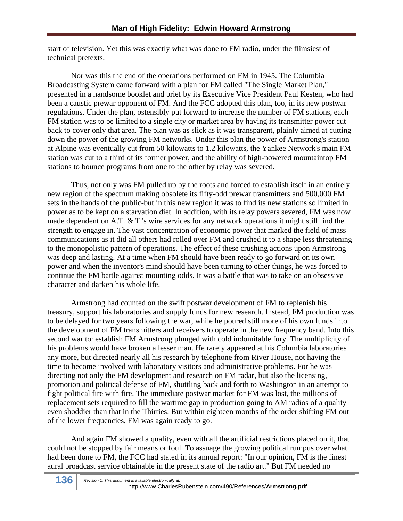start of television. Yet this was exactly what was done to FM radio, under the flimsiest of technical pretexts.

Nor was this the end of the operations performed on FM in 1945. The Columbia Broadcasting System came forward with a plan for FM called "The Single Market Plan," presented in a handsome booklet and brief by its Executive Vice President Paul Kesten, who had been a caustic prewar opponent of FM. And the FCC adopted this plan, too, in its new postwar regulations. Under the plan, ostensibly put forward to increase the number of FM stations, each FM station was to be limited to a single city or market area by having its transmitter power cut back to cover only that area. The plan was as slick as it was transparent, plainly aimed at cutting down the power of the growing FM networks. Under this plan the power of Armstrong's station at Alpine was eventually cut from 50 kilowatts to 1.2 kilowatts, the Yankee Network's main FM station was cut to a third of its former power, and the ability of high-powered mountaintop FM stations to bounce programs from one to the other by relay was severed.

Thus, not only was FM pulled up by the roots and forced to establish itself in an entirely new region of the spectrum making obsolete its fifty-odd prewar transmitters and 500,000 FM sets in the hands of the public-but in this new region it was to find its new stations so limited in power as to be kept on a starvation diet. In addition, with its relay powers severed, FM was now made dependent on A.T. & T.'s wire services for any network operations it might still find the strength to engage in. The vast concentration of economic power that marked the field of mass communications as it did all others had rolled over FM and crushed it to a shape less threatening to the monopolistic pattern of operations. The effect of these crushing actions upon Armstrong was deep and lasting. At a time when FM should have been ready to go forward on its own power and when the inventor's mind should have been turning to other things, he was forced to continue the FM battle against mounting odds. It was a battle that was to take on an obsessive character and darken his whole life.

Armstrong had counted on the swift postwar development of FM to replenish his treasury, support his laboratories and supply funds for new research. Instead, FM production was to be delayed for two years following the war, while he poured still more of his own funds into the development of FM transmitters and receivers to operate in the new frequency band. Into this second war to· establish FM Armstrong plunged with cold indomitable fury. The multiplicity of his problems would have broken a lesser man. He rarely appeared at his Columbia laboratories any more, but directed nearly all his research by telephone from River House, not having the time to become involved with laboratory visitors and administrative problems. For he was directing not only the FM development and research on FM radar, but also the licensing, promotion and political defense of FM, shuttling back and forth to Washington in an attempt to fight political fire with fire. The immediate postwar market for FM was lost, the millions of replacement sets required to fill the wartime gap in production going to AM radios of a quality even shoddier than that in the Thirties. But within eighteen months of the order shifting FM out of the lower frequencies, FM was again ready to go.

And again FM showed a quality, even with all the artificial restrictions placed on it, that could not be stopped by fair means or foul. To assuage the growing political rumpus over what had been done to FM, the FCC had stated in its annual report: "In our opinion, FM is the finest aural broadcast service obtainable in the present state of the radio art." But FM needed no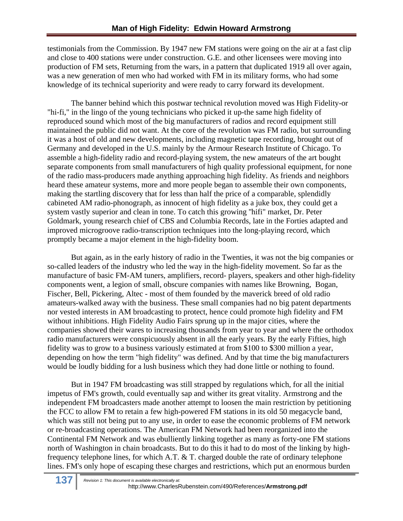testimonials from the Commission. By 1947 new FM stations were going on the air at a fast clip and close to 400 stations were under construction. G.E. and other licensees were moving into production of FM sets, Returning from the wars, in a pattern that duplicated 1919 all over again, was a new generation of men who had worked with FM in its military forms, who had some knowledge of its technical superiority and were ready to carry forward its development.

The banner behind which this postwar technical revolution moved was High Fidelity-or "hi-fi," in the lingo of the young technicians who picked it up-the same high fidelity of reproduced sound which most of the big manufacturers of radios and record equipment still maintained the public did not want. At the core of the revolution was FM radio, but surrounding it was a host of old and new developments, including magnetic tape recording, brought out of Germany and developed in the U.S. mainly by the Armour Research Institute of Chicago. To assemble a high-fidelity radio and record-playing system, the new amateurs of the art bought separate components from small manufacturers of high quality professional equipment, for none of the radio mass-producers made anything approaching high fidelity. As friends and neighbors heard these amateur systems, more and more people began to assemble their own components, making the startling discovery that for less than half the price of a comparable, splendidly cabineted AM radio-phonograph, as innocent of high fidelity as a juke box, they could get a system vastly superior and clean in tone. To catch this growing ''hifi" market, Dr. Peter Goldmark, young research chief of CBS and Columbia Records, late in the Forties adapted and improved microgroove radio-transcription techniques into the long-playing record, which promptly became a major element in the high-fidelity boom.

But again, as in the early history of radio in the Twenties, it was not the big companies or so-called leaders of the industry who led the way in the high-fidelity movement. So far as the manufacture of basic FM-AM tuners, amplifiers, record- players, speakers and other high-fidelity components went, a legion of small, obscure companies with names like Browning, Bogan, Fischer, Bell, Pickering, Altec - most of them founded by the maverick breed of old radio amateurs-walked away with the business. These small companies had no big patent departments nor vested interests in AM broadcasting to protect, hence could promote high fidelity and FM without inhibitions. High Fidelity Audio Fairs sprung up in the major cities, where the companies showed their wares to increasing thousands from year to year and where the orthodox radio manufacturers were conspicuously absent in all the early years. By the early Fifties, high fidelity was to grow to a business variously estimated at from \$100 to \$300 million a year, depending on how the term "high fidelity" was defined. And by that time the big manufacturers would be loudly bidding for a lush business which they had done little or nothing to found.

But in 1947 FM broadcasting was still strapped by regulations which, for all the initial impetus of FM's growth, could eventually sap and wither its great vitality. Armstrong and the independent FM broadcasters made another attempt to loosen the main restriction by petitioning the FCC to allow FM to retain a few high-powered FM stations in its old 50 megacycle band, which was still not being put to any use, in order to ease the economic problems of FM network or re-broadcasting operations. The American FM Network had been reorganized into the Continental FM Network and was ebulliently linking together as many as forty-one FM stations north of Washington in chain broadcasts. But to do this it had to do most of the linking by highfrequency telephone lines, for which A.T. & T. charged double the rate of ordinary telephone lines. FM's only hope of escaping these charges and restrictions, which put an enormous burden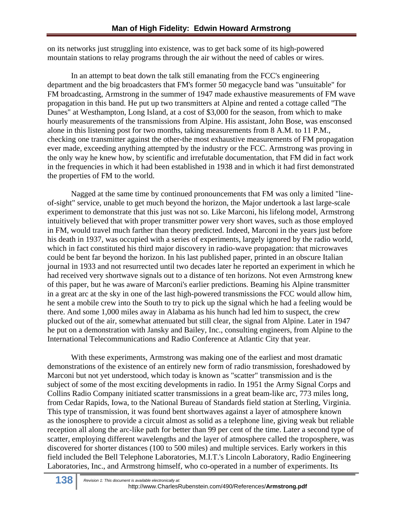on its networks just struggling into existence, was to get back some of its high-powered mountain stations to relay programs through the air without the need of cables or wires.

In an attempt to beat down the talk still emanating from the FCC's engineering department and the big broadcasters that FM's former 50 megacycle band was "unsuitable" for FM broadcasting, Armstrong in the summer of 1947 made exhaustive measurements of FM wave propagation in this band. He put up two transmitters at Alpine and rented a cottage called ''The Dunes" at Westhampton, Long Island, at a cost of \$3,000 for the season, from which to make hourly measurements of the transmissions from Alpine. His assistant, John Bose, was ensconsed alone in this listening post for two months, taking measurements from 8 A.M. to 11 P.M., checking one transmitter against the other-the most exhaustive measurements of FM propagation ever made, exceeding anything attempted by the industry or the FCC. Armstrong was proving in the only way he knew how, by scientific and irrefutable documentation, that FM did in fact work in the frequencies in which it had been established in 1938 and in which it had first demonstrated the properties of FM to the world.

Nagged at the same time by continued pronouncements that FM was only a limited "lineof-sight" service, unable to get much beyond the horizon, the Major undertook a last large-scale experiment to demonstrate that this just was not so. Like Marconi, his lifelong model, Armstrong intuitively believed that with proper transmitter power very short waves, such as those employed in FM, would travel much farther than theory predicted. Indeed, Marconi in the years just before his death in 1937, was occupied with a series of experiments, largely ignored by the radio world, which in fact constituted his third major discovery in radio-wave propagation: that microwaves could be bent far beyond the horizon. In his last published paper, printed in an obscure Italian journal in 1933 and not resurrected until two decades later he reported an experiment in which he had received very shortwave signals out to a distance of ten horizons. Not even Armstrong knew of this paper, but he was aware of Marconi's earlier predictions. Beaming his Alpine transmitter in a great arc at the sky in one of the last high-powered transmissions the FCC would allow him, he sent a mobile crew into the South to try to pick up the signal which he had a feeling would be there. And some 1,000 miles away in Alabama as his hunch had led him to suspect, the crew plucked out of the air, somewhat attenuated but still clear, the signal from Alpine. Later in 1947 he put on a demonstration with Jansky and Bailey, Inc., consulting engineers, from Alpine to the International Telecommunications and Radio Conference at Atlantic City that year.

With these experiments, Armstrong was making one of the earliest and most dramatic demonstrations of the existence of an entirely new form of radio transmission, foreshadowed by Marconi but not yet understood, which today is known as "scatter" transmission and is the subject of some of the most exciting developments in radio. In 1951 the Army Signal Corps and Collins Radio Company initiated scatter transmissions in a great beam-like arc, 773 miles long, from Cedar Rapids, Iowa, to the National Bureau of Standards field station at Sterling, Virginia. This type of transmission, it was found bent shortwaves against a layer of atmosphere known as the ionosphere to provide a circuit almost as solid as a telephone line, giving weak but reliable reception all along the arc-like path for better than 99 per cent of the time. Later a second type of scatter, employing different wavelengths and the layer of atmosphere called the troposphere, was discovered for shorter distances (100 to 500 miles) and multiple services. Early workers in this field included the Bell Telephone Laboratories, M.I.T.'s Lincoln Laboratory, Radio Engineering Laboratories, Inc., and Armstrong himself, who co-operated in a number of experiments. Its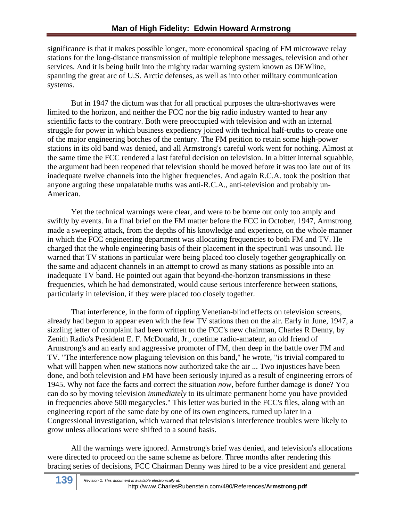significance is that it makes possible longer, more economical spacing of FM microwave relay stations for the long-distance transmission of multiple telephone messages, television and other services. And it is being built into the mighty radar warning system known as DEWline, spanning the great arc of U.S. Arctic defenses, as well as into other military communication systems.

But in 1947 the dictum was that for all practical purposes the ultra-shortwaves were limited to the horizon, and neither the FCC nor the big radio industry wanted to hear any scientific facts to the contrary. Both were preoccupied with television and with an internal struggle for power in which business expediency joined with technical half-truths to create one of the major engineering botches of the century. The FM petition to retain some high-power stations in its old band was denied, and all Armstrong's careful work went for nothing. Almost at the same time the FCC rendered a last fateful decision on television. In a bitter internal squabble, the argument had been reopened that television should be moved before it was too late out of its inadequate twelve channels into the higher frequencies. And again R.C.A. took the position that anyone arguing these unpalatable truths was anti-R.C.A., anti-television and probably un-American.

Yet the technical warnings were clear, and were to be borne out only too amply and swiftly by events. In a final brief on the FM matter before the FCC in October, 1947, Armstrong made a sweeping attack, from the depths of his knowledge and experience, on the whole manner in which the FCC engineering department was allocating frequencies to both FM and TV. He charged that the whole engineering basis of their placement in the spectrun1 was unsound. He warned that TV stations in particular were being placed too closely together geographically on the same and adjacent channels in an attempt to crowd as many stations as possible into an inadequate TV band. He pointed out again that beyond-the-horizon transmissions in these frequencies, which he had demonstrated, would cause serious interference between stations, particularly in television, if they were placed too closely together.

That interference, in the form of rippling Venetian-blind effects on television screens, already had begun to appear even with the few TV stations then on the air. Early in June, 1947, a sizzling letter of complaint had been written to the FCC's new chairman, Charles R Denny, by Zenith Radio's President E. F. McDonald, Jr., onetime radio-amateur, an old friend of Armstrong's and an early and aggressive promoter of FM, then deep in the battle over FM and TV. "The interference now plaguing television on this band," he wrote, "is trivial compared to what will happen when new stations now authorized take the air ... Two injustices have been done, and both television and FM have been seriously injured as a result of engineering errors of 1945. Why not face the facts and correct the situation *now,* before further damage is done? You can do so by moving television *immediately* to its ultimate permanent home you have provided in frequencies above 500 megacycles." This letter was buried in the FCC's files, along with an engineering report of the same date by one of its own engineers, turned up later in a Congressional investigation, which warned that television's interference troubles were likely to grow unless allocations were shifted to a sound basis.

All the warnings were ignored. Armstrong's brief was denied, and television's allocations were directed to proceed on the same scheme as before. Three months after rendering this bracing series of decisions, FCC Chairman Denny was hired to be a vice president and general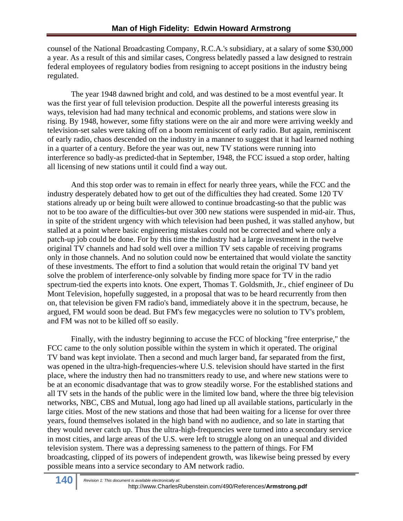counsel of the National Broadcasting Company, R.C.A.'s subsidiary, at a salary of some \$30,000 a year. As a result of this and similar cases, Congress belatedly passed a law designed to restrain federal employees of regulatory bodies from resigning to accept positions in the industry being regulated.

The year 1948 dawned bright and cold, and was destined to be a most eventful year. It was the first year of full television production. Despite all the powerful interests greasing its ways, television had had many technical and economic problems, and stations were slow in rising. By 1948, however, some fifty stations were on the air and more were arriving weekly and television-set sales were taking off on a boom reminiscent of early radio. But again, reminiscent of early radio, chaos descended on the industry in a manner to suggest that it had learned nothing in a quarter of a century. Before the year was out, new TV stations were running into interference so badly-as predicted-that in September, 1948, the FCC issued a stop order, halting all licensing of new stations until it could find a way out.

And this stop order was to remain in effect for nearly three years, while the FCC and the industry desperately debated how to get out of the difficulties they had created. Some 120 TV stations already up or being built were allowed to continue broadcasting-so that the public was not to be too aware of the difficulties-but over 300 new stations were suspended in mid-air. Thus, in spite of the strident urgency with which television had been pushed, it was stalled anyhow, but stalled at a point where basic engineering mistakes could not be corrected and where only a patch-up job could be done. For by this time the industry had a large investment in the twelve original TV channels and had sold well over a million TV sets capable of receiving programs only in those channels. And no solution could now be entertained that would violate the sanctity of these investments. The effort to find a solution that would retain the original TV band yet solve the problem of interference-only solvable by finding more space for TV in the radio spectrum-tied the experts into knots. One expert, Thomas T. Goldsmith, Jr., chief engineer of Du Mont Television, hopefully suggested, in a proposal that was to be heard recurrently from then on, that television be given FM radio's band, immediately above it in the spectrum, because, he argued, FM would soon be dead. But FM's few megacycles were no solution to TV's problem, and FM was not to be killed off so easily.

Finally, with the industry beginning to accuse the FCC of blocking "free enterprise," the FCC came to the only solution possible within the system in which it operated. The original TV band was kept inviolate. Then a second and much larger band, far separated from the first, was opened in the ultra-high-frequencies-where U.S. television should have started in the first place, where the industry then had no transmitters ready to use, and where new stations were to be at an economic disadvantage that was to grow steadily worse. For the established stations and all TV sets in the hands of the public were in the limited low band, where the three big television networks, NBC, CBS and Mutual, long ago had lined up all available stations, particularly in the large cities. Most of the new stations and those that had been waiting for a license for over three years, found themselves isolated in the high band with no audience, and so late in starting that they would never catch up. Thus the ultra-high-frequencies were turned into a secondary service in most cities, and large areas of the U.S. were left to struggle along on an unequal and divided television system. There was a depressing sameness to the pattern of things. For FM broadcasting, clipped of its powers of independent growth, was likewise being pressed by every possible means into a service secondary to AM network radio.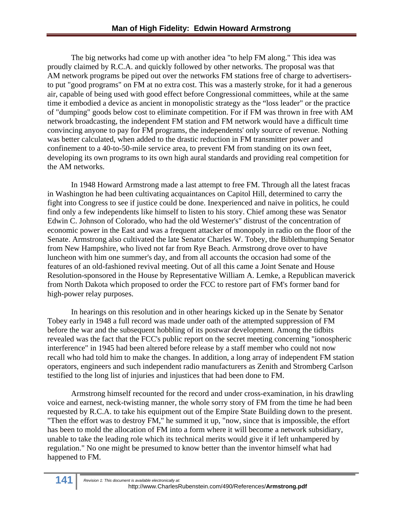The big networks had come up with another idea "to help FM along." This idea was proudly claimed by R.C.A. and quickly followed by other networks. The proposal was that AM network programs be piped out over the networks FM stations free of charge to advertisersto put "good programs" on FM at no extra cost. This was a masterly stroke, for it had a generous air, capable of being used with good effect before Congressional committees, while at the same time it embodied a device as ancient in monopolistic strategy as the "loss leader" or the practice of "dumping" goods below cost to eliminate competition. For if FM was thrown in free with AM network broadcasting, the independent FM station and FM network would have a difficult time convincing anyone to pay for FM programs, the independents' only source of revenue. Nothing was better calculated, when added to the drastic reduction in FM transmitter power and confinement to a 40-to-50-mile service area, to prevent FM from standing on its own feet, developing its own programs to its own high aural standards and providing real competition for the AM networks.

In 1948 Howard Armstrong made a last attempt to free FM. Through all the latest fracas in Washington he had been cultivating acquaintances on Capitol Hill, determined to carry the fight into Congress to see if justice could be done. Inexperienced and naive in politics, he could find only a few independents like himself to listen to his story. Chief among these was Senator Edwin C. Johnson of Colorado, who had the old Westerner's" distrust of the concentration of economic power in the East and was a frequent attacker of monopoly in radio on the floor of the Senate. Armstrong also cultivated the late Senator Charles W. Tobey, the Biblethumping Senator from New Hampshire, who lived not far from Rye Beach. Armstrong drove over to have luncheon with him one summer's day, and from all accounts the occasion had some of the features of an old-fashioned revival meeting. Out of all this came a Joint Senate and House Resolution-sponsored in the House by Representative William A. Lemke, a Republican maverick from North Dakota which proposed to order the FCC to restore part of FM's former band for high-power relay purposes.

In hearings on this resolution and in other hearings kicked up in the Senate by Senator Tobey early in 1948 a full record was made under oath of the attempted suppression of FM before the war and the subsequent hobbling of its postwar development. Among the tidbits revealed was the fact that the FCC's public report on the secret meeting concerning "ionospheric interference" in 1945 had been altered before release by a staff member who could not now recall who had told him to make the changes. In addition, a long array of independent FM station operators, engineers and such independent radio manufacturers as Zenith and Stromberg Carlson testified to the long list of injuries and injustices that had been done to FM.

Armstrong himself recounted for the record and under cross-examination, in his drawling voice and earnest, neck-twisting manner, the whole sorry story of FM from the time he had been requested by R.C.A. to take his equipment out of the Empire State Building down to the present. "Then the effort was to destroy FM," he summed it up, "now, since that is impossible, the effort has been to mold the allocation of FM into a form where it will become a network subsidiary, unable to take the leading role which its technical merits would give it if left unhampered by regulation." No one might be presumed to know better than the inventor himself what had happened to FM.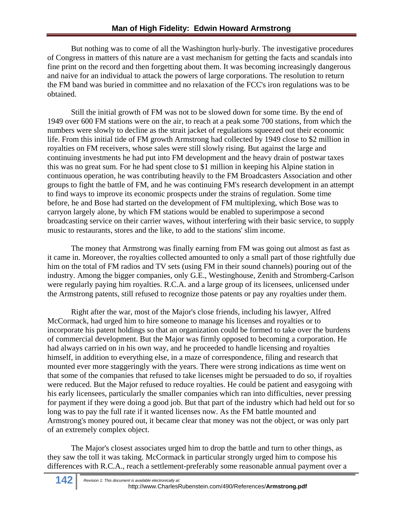But nothing was to come of all the Washington hurly-burly. The investigative procedures of Congress in matters of this nature are a vast mechanism for getting the facts and scandals into fine print on the record and then forgetting about them. It was becoming increasingly dangerous and naive for an individual to attack the powers of large corporations. The resolution to return the FM band was buried in committee and no relaxation of the FCC's iron regulations was to be obtained.

Still the initial growth of FM was not to be slowed down for some time. By the end of 1949 over 600 FM stations were on the air, to reach at a peak some 700 stations, from which the numbers were slowly to decline as the strait jacket of regulations squeezed out their economic life. From this initial tide of FM growth Armstrong had collected by 1949 close to \$2 million in royalties on FM receivers, whose sales were still slowly rising. But against the large and continuing investments he had put into FM development and the heavy drain of postwar taxes this was no great sum. For he had spent close to \$1 million in keeping his Alpine station in continuous operation, he was contributing heavily to the FM Broadcasters Association and other groups to fight the battle of FM, and he was continuing FM's research development in an attempt to find ways to improve its economic prospects under the strains of regulation. Some time before, he and Bose had started on the development of FM multiplexing, which Bose was to carryon largely alone, by which FM stations would be enabled to superimpose a second broadcasting service on their carrier waves, without interfering with their basic service, to supply music to restaurants, stores and the like, to add to the stations' slim income.

The money that Armstrong was finally earning from FM was going out almost as fast as it came in. Moreover, the royalties collected amounted to only a small part of those rightfully due him on the total of FM radios and TV sets (using FM in their sound channels) pouring out of the industry. Among the bigger companies, only G.E., Westinghouse, Zenith and Stromberg-Carlson were regularly paying him royalties. R.C.A. and a large group of its licensees, unlicensed under the Armstrong patents, still refused to recognize those patents or pay any royalties under them.

Right after the war, most of the Major's close friends, including his lawyer, Alfred McCormack, had urged him to hire someone to manage his licenses and royalties or to incorporate his patent holdings so that an organization could be formed to take over the burdens of commercial development. But the Major was firmly opposed to becoming a corporation. He had always carried on in his own way, and he proceeded to handle licensing and royalties himself, in addition to everything else, in a maze of correspondence, filing and research that mounted ever more staggeringly with the years. There were strong indications as time went on that some of the companies that refused to take licenses might be persuaded to do so, if royalties were reduced. But the Major refused to reduce royalties. He could be patient and easygoing with his early licensees, particularly the smaller companies which ran into difficulties, never pressing for payment if they were doing a good job. But that part of the industry which had held out for so long was to pay the full rate if it wanted licenses now. As the FM battle mounted and Armstrong's money poured out, it became clear that money was not the object, or was only part of an extremely complex object.

The Major's closest associates urged him to drop the battle and turn to other things, as they saw the toll it was taking. McCormack in particular strongly urged him to compose his differences with R.C.A., reach a settlement-preferably some reasonable annual payment over a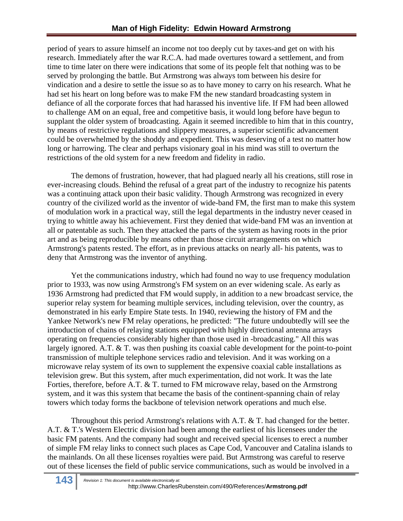period of years to assure himself an income not too deeply cut by taxes-and get on with his research. Immediately after the war R.C.A. had made overtures toward a settlement, and from time to time later on there were indications that some of its people felt that nothing was to be served by prolonging the battle. But Armstrong was always tom between his desire for vindication and a desire to settle the issue so as to have money to carry on his research. What he had set his heart on long before was to make FM the new standard broadcasting system in defiance of all the corporate forces that had harassed his inventive life. If FM had been allowed to challenge AM on an equal, free and competitive basis, it would long before have begun to supplant the older system of broadcasting. Again it seemed incredible to him that in this country, by means of restrictive regulations and slippery measures, a superior scientific advancement could be overwhelmed by the shoddy and expedient. This was deserving of a test no matter how long or harrowing. The clear and perhaps visionary goal in his mind was still to overturn the restrictions of the old system for a new freedom and fidelity in radio.

The demons of frustration, however, that had plagued nearly all his creations, still rose in ever-increasing clouds. Behind the refusal of a great part of the industry to recognize his patents was a continuing attack upon their basic validity. Though Armstrong was recognized in every country of the civilized world as the inventor of wide-band FM, the first man to make this system of modulation work in a practical way, still the legal departments in the industry never ceased in trying to whittle away his achievement. First they denied that wide-band FM was an invention at all or patentable as such. Then they attacked the parts of the system as having roots in the prior art and as being reproducible by means other than those circuit arrangements on which Armstrong's patents rested. The effort, as in previous attacks on nearly all- his patents, was to deny that Armstrong was the inventor of anything.

Yet the communications industry, which had found no way to use frequency modulation prior to 1933, was now using Armstrong's FM system on an ever widening scale. As early as 1936 Armstrong had predicted that FM would supply, in addition to a new broadcast service, the superior relay system for beaming multiple services, including television, over the country, as demonstrated in his early Empire State tests. In 1940, reviewing the history of FM and the Yankee Network's new FM relay operations, he predicted: "The future undoubtedly will see the introduction of chains of relaying stations equipped with highly directional antenna arrays operating on frequencies considerably higher than those used in -broadcasting." All this was largely ignored. A.T. & T. was then pushing its coaxial cable development for the point-to-point transmission of multiple telephone services radio and television. And it was working on a microwave relay system of its own to supplement the expensive coaxial cable installations as television grew. But this system, after much experimentation, did not work. It was the late Forties, therefore, before A.T. & T. turned to FM microwave relay, based on the Armstrong system, and it was this system that became the basis of the continent-spanning chain of relay towers which today forms the backbone of television network operations and much else.

Throughout this period Armstrong's relations with A.T. & T. had changed for the better. A.T. & T.'s Western Electric division had been among the earliest of his licensees under the basic FM patents. And the company had sought and received special licenses to erect a number of simple FM relay links to connect such places as Cape Cod, Vancouver and Catalina islands to the mainlands. On all these licenses royalties were paid. But Armstrong was careful to reserve out of these licenses the field of public service communications, such as would be involved in a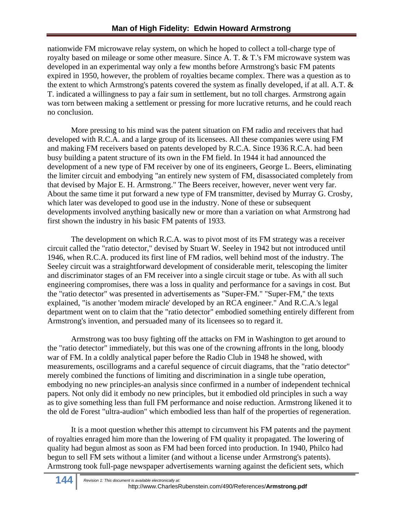nationwide FM microwave relay system, on which he hoped to collect a toll-charge type of royalty based on mileage or some other measure. Since A. T. & T.'s FM microwave system was developed in an experimental way only a few months before Armstrong's basic FM patents expired in 1950, however, the problem of royalties became complex. There was a question as to the extent to which Armstrong's patents covered the system as finally developed, if at all. A.T. & T. indicated a willingness to pay a fair sum in settlement, but no toll charges. Armstrong again was torn between making a settlement or pressing for more lucrative returns, and he could reach no conclusion.

More pressing to his mind was the patent situation on FM radio and receivers that had developed with R.C.A. and a large group of its licensees. All these companies were using FM and making FM receivers based on patents developed by R.C.A. Since 1936 R.C.A. had been busy building a patent structure of its own in the FM field. In 1944 it had announced the development of a new type of FM receiver by one of its engineers, George L. Beers, eliminating the limiter circuit and embodying "an entirely new system of FM, disassociated completely from that devised by Major E. H. Armstrong." The Beers receiver, however, never went very far. About the same time it put forward a new type of FM transmitter, devised by Murray G. Crosby, which later was developed to good use in the industry. None of these or subsequent developments involved anything basically new or more than a variation on what Armstrong had first shown the industry in his basic FM patents of 1933.

The development on which R.C.A. was to pivot most of its FM strategy was a receiver circuit called the "ratio detector," devised by Stuart W. Seeley in 1942 but not introduced until 1946, when R.C.A. produced its first line of FM radios, well behind most of the industry. The Seeley circuit was a straightforward development of considerable merit, telescoping the limiter and discriminator stages of an FM receiver into a single circuit stage or tube. As with all such engineering compromises, there was a loss in quality and performance for a savings in cost. But the "ratio detector" was presented in advertisements as "Super-FM." "Super-FM," the texts explained, "is another 'modem miracle' developed by an RCA engineer." And R.C.A.'s legal department went on to claim that the "ratio detector" embodied something entirely different from Armstrong's invention, and persuaded many of its licensees so to regard it.

Armstrong was too busy fighting off the attacks on FM in Washington to get around to the "ratio detector" immediately, but this was one of the crowning affronts in the long, bloody war of FM. In a coldly analytical paper before the Radio Club in 1948 he showed, with measurements, oscillograms and a careful sequence of circuit diagrams, that the "ratio detector" merely combined the functions of limiting and discrimination in a single tube operation, embodying no new principles-an analysis since confirmed in a number of independent technical papers. Not only did it embody no new principles, but it embodied old principles in such a way as to give something less than full FM performance and noise reduction. Armstrong likened it to the old de Forest "ultra-audion" which embodied less than half of the properties of regeneration.

It is a moot question whether this attempt to circumvent his FM patents and the payment of royalties enraged him more than the lowering of FM quality it propagated. The lowering of quality had begun almost as soon as FM had been forced into production. In 1940, Philco had begun to sell FM sets without a limiter (and without a license under Armstrong's patents). Armstrong took full-page newspaper advertisements warning against the deficient sets, which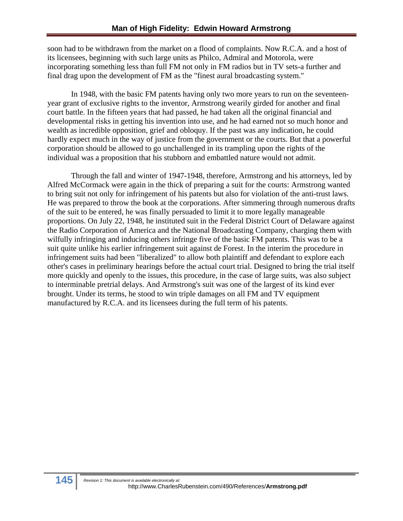soon had to be withdrawn from the market on a flood of complaints. Now R.C.A. and a host of its licensees, beginning with such large units as Philco, Admiral and Motorola, were incorporating something less than full FM not only in FM radios but in TV sets-a further and final drag upon the development of FM as the "finest aural broadcasting system."

 In 1948, with the basic FM patents having only two more years to run on the seventeenyear grant of exclusive rights to the inventor, Armstrong wearily girded for another and final court battle. In the fifteen years that had passed, he had taken all the original financial and developmental risks in getting his invention into use, and he had earned not so much honor and wealth as incredible opposition, grief and obloquy. If the past was any indication, he could hardly expect much in the way of justice from the government or the courts. But that a powerful corporation should be allowed to go unchallenged in its trampling upon the rights of the individual was a proposition that his stubborn and embattled nature would not admit.

Through the fall and winter of 1947-1948, therefore, Armstrong and his attorneys, led by Alfred McCormack were again in the thick of preparing a suit for the courts: Armstrong wanted to bring suit not only for infringement of his patents but also for violation of the anti-trust laws. He was prepared to throw the book at the corporations. After simmering through numerous drafts of the suit to be entered, he was finally persuaded to limit it to more legally manageable proportions. On July 22, 1948, he instituted suit in the Federal District Court of Delaware against the Radio Corporation of America and the National Broadcasting Company, charging them with wilfully infringing and inducing others infringe five of the basic FM patents. This was to be a suit quite unlike his earlier infringement suit against de Forest. In the interim the procedure in infringement suits had been "liberalized" to allow both plaintiff and defendant to explore each other's cases in preliminary hearings before the actual court trial. Designed to bring the trial itself more quickly and openly to the issues, this procedure, in the case of large suits, was also subject to interminable pretrial delays. And Armstrong's suit was one of the largest of its kind ever brought. Under its terms, he stood to win triple damages on all FM and TV equipment manufactured by R.C.A. and its licensees during the full term of his patents.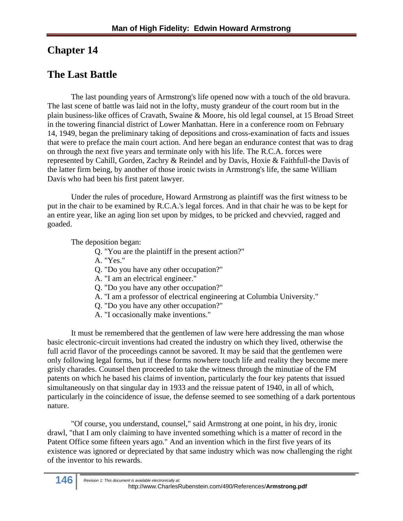### **Chapter 14**

# **The Last Battle**

The last pounding years of Armstrong's life opened now with a touch of the old bravura. The last scene of battle was laid not in the lofty, musty grandeur of the court room but in the plain business-like offices of Cravath, Swaine & Moore, his old legal counsel, at 15 Broad Street in the towering financial district of Lower Manhattan. Here in a conference room on February 14, 1949, began the preliminary taking of depositions and cross-examination of facts and issues that were to preface the main court action. And here began an endurance contest that was to drag on through the next five years and terminate only with his life. The R.C.A. forces were represented by Cahill, Gorden, Zachry & Reindel and by Davis, Hoxie & Faithfull-the Davis of the latter firm being, by another of those ironic twists in Armstrong's life, the same William Davis who had been his first patent lawyer.

Under the rules of procedure, Howard Armstrong as plaintiff was the first witness to be put in the chair to be examined by R.C.A.'s legal forces. And in that chair he was to be kept for an entire year, like an aging lion set upon by midges, to be pricked and chevvied, ragged and goaded.

The deposition began:

- Q. "You are the plaintiff in the present action?"
- A. "Yes."
- Q. "Do you have any other occupation?"
- A. "I am an electrical engineer."
- Q. "Do you have any other occupation?"
- A. ''I am a professor of electrical engineering at Columbia University."
- Q. "Do you have any other occupation?"
- A. "I occasionally make inventions."

It must be remembered that the gentlemen of law were here addressing the man whose basic electronic-circuit inventions had created the industry on which they lived, otherwise the full acrid flavor of the proceedings cannot be savored. It may be said that the gentlemen were only following legal forms, but if these forms nowhere touch life and reality they become mere grisly charades. Counsel then proceeded to take the witness through the minutiae of the FM patents on which he based his claims of invention, particularly the four key patents that issued simultaneously on that singular day in 1933 and the reissue patent of 1940, in all of which, particularly in the coincidence of issue, the defense seemed to see something of a dark portentous nature.

"Of course, you understand, counsel," said Armstrong at one point, in his dry, ironic drawl, "that I am only claiming to have invented something which is a matter of record in the Patent Office some fifteen years ago." And an invention which in the first five years of its existence was ignored or depreciated by that same industry which was now challenging the right of the inventor to his rewards.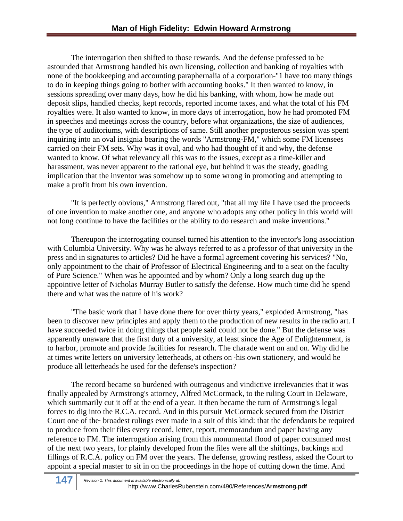The interrogation then shifted to those rewards. And the defense professed to be astounded that Armstrong handled his own licensing, collection and banking of royalties with none of the bookkeeping and accounting paraphernalia of a corporation-"1 have too many things to do in keeping things going to bother with accounting books." It then wanted to know, in sessions spreading over many days, how he did his banking, with whom, how he made out deposit slips, handled checks, kept records, reported income taxes, and what the total of his FM royalties were. It also wanted to know, in more days of interrogation, how he had promoted FM in speeches and meetings across the country, before what organizations, the size of audiences, the type of auditoriums, with descriptions of same. Still another preposterous session was spent inquiring into an oval insignia bearing the words "Armstrong-FM," which some FM licensees carried on their FM sets. Why was it oval, and who had thought of it and why, the defense wanted to know. Of what relevancy all this was to the issues, except as a time-killer and harassment, was never apparent to the rational eye, but behind it was the steady, goading implication that the inventor was somehow up to some wrong in promoting and attempting to make a profit from his own invention.

"It is perfectly obvious," Armstrong flared out, "that all my life I have used the proceeds of one invention to make another one, and anyone who adopts any other policy in this world will not long continue to have the facilities or the ability to do research and make inventions."

Thereupon the interrogating counsel turned his attention to the inventor's long association with Columbia University. Why was he always referred to as a professor of that university in the press and in signatures to articles? Did he have a formal agreement covering his services? "No, only appointment to the chair of Professor of Electrical Engineering and to a seat on the faculty of Pure Science." When was he appointed and by whom? Only a long search dug up the appointive letter of Nicholas Murray Butler to satisfy the defense. How much time did he spend there and what was the nature of his work?

"The basic work that I have done there for over thirty years," exploded Armstrong, ''has been to discover new principles and apply them to the production of new results in the radio art. I have succeeded twice in doing things that people said could not be done." But the defense was apparently unaware that the first duty of a university, at least since the Age of Enlightenment, is to harbor, promote and provide facilities for research. The charade went on and on. Why did he at times write letters on university letterheads, at others on ·his own stationery, and would he produce all letterheads he used for the defense's inspection?

The record became so burdened with outrageous and vindictive irrelevancies that it was finally appealed by Armstrong's attorney, Alfred McCormack, to the ruling Court in Delaware, which summarily cut it off at the end of a year. It then became the turn of Armstrong's legal forces to dig into the R.C.A. record. And in this pursuit McCormack secured from the District Court one of the· broadest rulings ever made in a suit of this kind: that the defendants be required to produce from their files every record, letter, report, memorandum and paper having any reference to FM. The interrogation arising from this monumental flood of paper consumed most of the next two years, for plainly developed from the files were all the shiftings, backings and fillings of R.C.A. policy on FM over the years. The defense, growing restless, asked the Court to appoint a special master to sit in on the proceedings in the hope of cutting down the time. And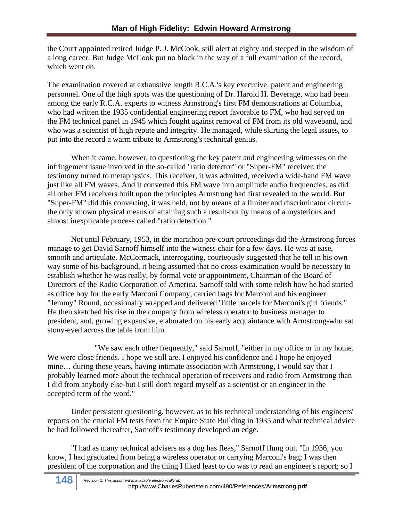the Court appointed retired Judge P. J. McCook, still alert at eighty and steeped in the wisdom of a long career. But Judge McCook put no block in the way of a full examination of the record, which went on.

The examination covered at exhaustive length R.C.A.'s key executive, patent and engineering personnel. One of the high spots was the questioning of Dr. Harold H. Beverage, who had been among the early R.C.A. experts to witness Armstrong's first FM demonstrations at Columbia, who had written the 1935 confidential engineering report favorable to FM, who had served on the FM technical panel in 1945 which fought against removal of FM from its old waveband, and who was a scientist of high repute and integrity. He managed, while skirting the legal issues, to put into the record a warm tribute to Armstrong's technical genius.

When it came, however, to questioning the key patent and engineering witnesses on the infringement issue involved in the so-called "ratio detector" or "Super-FM" receiver, the testimony turned to metaphysics. This receiver, it was admitted, received a wide-band FM wave just like all FM waves. And it converted this FM wave into amplitude audio frequencies, as did all other FM receivers built upon the principles Armstrong had first revealed to the world. But "Super-FM" did this converting, it was held, not by means of a limiter and discriminator circuitthe only known physical means of attaining such a result-but by means of a mysterious and almost inexplicable process called "ratio detection."

Not until February, 1953, in the marathon pre-court proceedings did the Armstrong forces manage to get David Sarnoff himself into the witness chair for a few days. He was at ease, smooth and articulate. McCormack, interrogating, courteously suggested that he tell in his own way some of his background, it being assumed that no cross-examination would be necessary to establish whether he was really, by formal vote or appointment, Chairman of the Board of Directors of the Radio Corporation of America. Sarnoff told with some relish how he had started as office boy for the early Marconi Company, carried bags for Marconi and his engineer "Jemmy" Round, occasionally wrapped and delivered ''little parcels for Marconi's girl friends." He then sketched his rise in the company from wireless operator to business manager to president, and, growing expansive, elaborated on his early acquaintance with Armstrong-who sat stony-eyed across the table from him.

 "We saw each other frequently," said Sarnoff, "either in my office or in my home. We were close friends. I hope we still are. I enjoyed his confidence and I hope he enjoyed mine… during those years, having intimate association with Armstrong, I would say that I probably learned more about the technical operation of receivers and radio from Armstrong than I did from anybody else-but I still don't regard myself as a scientist or an engineer in the accepted term of the word."

Under persistent questioning, however, as to his technical understanding of his engineers' reports on the crucial FM tests from the Empire State Building in 1935 and what technical advice he had followed thereafter, Sarnoff's testimony developed an edge.

"I had as many technical advisers as a dog has fleas," Sarnoff flung out. "In 1936, you know, I had graduated from being a wireless operator or carrying Marconi's bag; I was then president of the corporation and the thing I liked least to do was to read an engineer's report; so I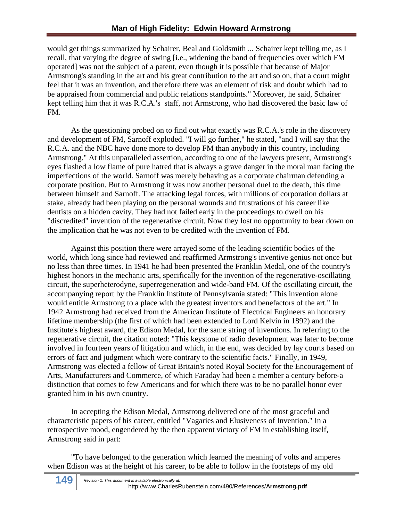would get things summarized by Schairer, Beal and Goldsmith ... Schairer kept telling me, as I recall, that varying the degree of swing [i.e., widening the band of frequencies over which FM operated] was not the subject of a patent, even though it is possible that because of Major Armstrong's standing in the art and his great contribution to the art and so on, that a court might feel that it was an invention, and therefore there was an element of risk and doubt which had to be appraised from commercial and public relations standpoints." Moreover, he said, Schairer kept telling him that it was R.C.A.'s staff, not Armstrong, who had discovered the basic law of FM.

As the questioning probed on to find out what exactly was R.C.A.'s role in the discovery and development of FM, Sarnoff exploded. "I will go further," he stated, "and I will say that the R.C.A. and the NBC have done more to develop FM than anybody in this country, including Armstrong." At this unparalleled assertion, according to one of the lawyers present, Armstrong's eyes flashed a low flame of pure hatred that is always a grave danger in the moral man facing the imperfections of the world. Sarnoff was merely behaving as a corporate chairman defending a corporate position. But to Armstrong it was now another personal duel to the death, this time between himself and Sarnoff. The attacking legal forces, with millions of corporation dollars at stake, already had been playing on the personal wounds and frustrations of his career like dentists on a hidden cavity. They had not failed early in the proceedings to dwell on his "discredited" invention of the regenerative circuit. Now they lost no opportunity to bear down on the implication that he was not even to be credited with the invention of FM.

Against this position there were arrayed some of the leading scientific bodies of the world, which long since had reviewed and reaffirmed Armstrong's inventive genius not once but no less than three times. In 1941 he had been presented the Franklin Medal, one of the country's highest honors in the mechanic arts, specifically for the invention of the regenerative-oscillating circuit, the superheterodyne, superregeneration and wide-band FM. Of the oscillating circuit, the accompanying report by the Franklin Institute of Pennsylvania stated: "This invention alone would entitle Armstrong to a place with the greatest inventors and benefactors of the art." In 1942 Armstrong had received from the American Institute of Electrical Engineers an honorary lifetime membership (the first of which had been extended to Lord Kelvin in 1892) and the Institute's highest award, the Edison Medal, for the same string of inventions. In referring to the regenerative circuit, the citation noted: "This keystone of radio development was later to become involved in fourteen years of litigation and which, in the end, was decided by lay courts based on errors of fact and judgment which were contrary to the scientific facts." Finally, in 1949, Armstrong was elected a fellow of Great Britain's noted Royal Society for the Encouragement of Arts, Manufacturers and Commerce, of which Faraday had been a member a century before-a distinction that comes to few Americans and for which there was to be no parallel honor ever granted him in his own country.

In accepting the Edison Medal, Armstrong delivered one of the most graceful and characteristic papers of his career, entitled "Vagaries and Elusiveness of Invention." In a retrospective mood, engendered by the then apparent victory of FM in establishing itself, Armstrong said in part:

"To have belonged to the generation which learned the meaning of volts and amperes when Edison was at the height of his career, to be able to follow in the footsteps of my old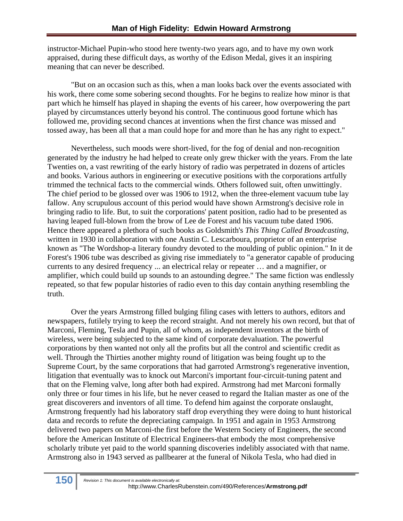instructor-Michael Pupin-who stood here twenty-two years ago, and to have my own work appraised, during these difficult days, as worthy of the Edison Medal, gives it an inspiring meaning that can never be described.

"But on an occasion such as this, when a man looks back over the events associated with his work, there come some sobering second thoughts. For he begins to realize how minor is that part which he himself has played in shaping the events of his career, how overpowering the part played by circumstances utterly beyond his control. The continuous good fortune which has followed me, providing second chances at inventions when the first chance was missed and tossed away, has been all that a man could hope for and more than he has any right to expect."

Nevertheless, such moods were short-lived, for the fog of denial and non-recognition generated by the industry he had helped to create only grew thicker with the years. From the late Twenties on, a vast rewriting of the early history of radio was perpetrated in dozens of articles and books. Various authors in engineering or executive positions with the corporations artfully trimmed the technical facts to the commercial winds. Others followed suit, often unwittingly. The chief period to be glossed over was 1906 to 1912, when the three-element vacuum tube lay fallow. Any scrupulous account of this period would have shown Armstrong's decisive role in bringing radio to life. But, to suit the corporations' patent position, radio had to be presented as having leaped full-blown from the brow of Lee de Forest and his vacuum tube dated 1906. Hence there appeared a plethora of such books as Goldsmith's *This Thing Called Broadcasting,*  written in 1930 in collaboration with one Austin C. Lescarboura, proprietor of an enterprise known as "The Wordshop-a literary foundry devoted to the moulding of public opinion." In it de Forest's 1906 tube was described as giving rise immediately to "a generator capable of producing currents to any desired frequency ... an electrical relay or repeater … and a magnifier, or amplifier, which could build up sounds to an astounding degree." The same fiction was endlessly repeated, so that few popular histories of radio even to this day contain anything resembling the truth.

Over the years Armstrong filled bulging filing cases with letters to authors, editors and newspapers, futilely trying to keep the record straight. And not merely his own record, but that of Marconi, Fleming, Tesla and Pupin, all of whom, as independent inventors at the birth of wireless, were being subjected to the same kind of corporate devaluation. The powerful corporations by then wanted not only all the profits but all the control and scientific credit as well. Through the Thirties another mighty round of litigation was being fought up to the Supreme Court, by the same corporations that had garroted Armstrong's regenerative invention, litigation that eventually was to knock out Marconi's important four-circuit-tuning patent and that on the Fleming valve, long after both had expired. Armstrong had met Marconi formally only three or four times in his life, but he never ceased to regard the Italian master as one of the great discoverers and inventors of all time. To defend him against the corporate onslaught, Armstrong frequently had his laboratory staff drop everything they were doing to hunt historical data and records to refute the depreciating campaign. In 1951 and again in 1953 Armstrong delivered two papers on Marconi-the first before the Western Society of Engineers, the second before the American Institute of Electrical Engineers-that embody the most comprehensive scholarly tribute yet paid to the world spanning discoveries indelibly associated with that name. Armstrong also in 1943 served as pallbearer at the funeral of Nikola Tesla, who had died in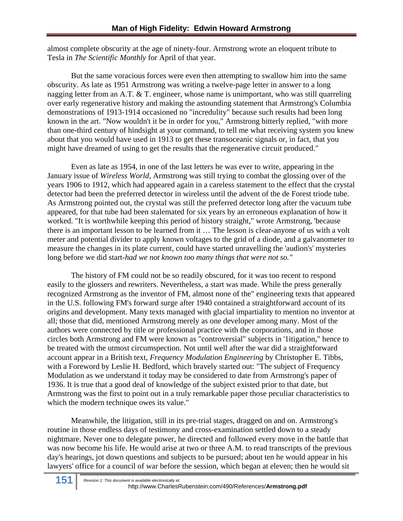almost complete obscurity at the age of ninety-four. Armstrong wrote an eloquent tribute to Tesla in *The Scientific Monthly* for April of that year.

But the same voracious forces were even then attempting to swallow him into the same obscurity. As late as 1951 Armstrong was writing a twelve-page letter in answer to a long nagging letter from an A.T. & T. engineer, whose name is unimportant, who was still quarreling over early regenerative history and making the astounding statement that Armstrong's Columbia demonstrations of 1913-1914 occasioned no "incredulity" because such results had been long known in the art. "Now wouldn't it be in order for you," Armstrong bitterly replied, "with more than one-third century of hindsight at your command, to tell me what receiving system you knew about that you would have used in 1913 to get these transoceanic signals or, in fact, that you might have dreamed of using to get the results that the regenerative circuit produced."

Even as late as 1954, in one of the last letters he was ever to write, appearing in the January issue of *Wireless World,* Armstrong was still trying to combat the glossing over of the years 1906 to 1912, which had appeared again in a careless statement to the effect that the crystal detector had been the preferred detector in wireless until the advent of the de Forest triode tube. As Armstrong pointed out, the crystal was still the preferred detector long after the vacuum tube appeared, for that tube had been stalemated for six years by an erroneous explanation of how it worked. "It is worthwhile keeping this period of history straight," wrote Armstrong, 'because there is an important lesson to be learned from it … The lesson is clear-anyone of us with a volt meter and potential divider to apply known voltages to the grid of a diode, and a galvanometer to measure the changes in its plate current, could have started unravelling the 'audion's' mysteries long before we did start-*had we not known too many things that were not so."*

The history of FM could not be so readily obscured, for it was too recent to respond easily to the glossers and rewriters. Nevertheless, a start was made. While the press generally recognized Armstrong as the inventor of FM, almost none of the" engineering texts that appeared in the U.S. following FM's forward surge after 1940 contained a straightforward account of its origins and development. Many texts managed with glacial impartiality to mention no inventor at all; those that did, mentioned Armstrong merely as one developer among many. Most of the authors were connected by title or professional practice with the corporations, and in those circles both Armstrong and FM were known as "controversial" subjects in '1itigation," hence to be treated with the utmost circumspection. Not until well after the war did a straightforward account appear in a British text, *Frequency Modulation Engineering* by Christopher E. Tibbs, with a Foreword by Leslie H. Bedford, which bravely started out: "The subject of Frequency Modulation as we understand it today may be considered to date from Armstrong's paper of 1936. It is true that a good deal of knowledge of the subject existed prior to that date, but Armstrong was the first to point out in a truly remarkable paper those peculiar characteristics to which the modern technique owes its value."

Meanwhile, the litigation, still in its pre-trial stages, dragged on and on. Armstrong's routine in those endless days of testimony and cross-examination settled down to a steady nightmare. Never one to delegate power, he directed and followed every move in the battle that was now become his life. He would arise at two or three A.M. to read transcripts of the previous day's hearings, jot down questions and subjects to be pursued; about ten he would appear in his lawyers' office for a council of war before the session, which began at eleven; then he would sit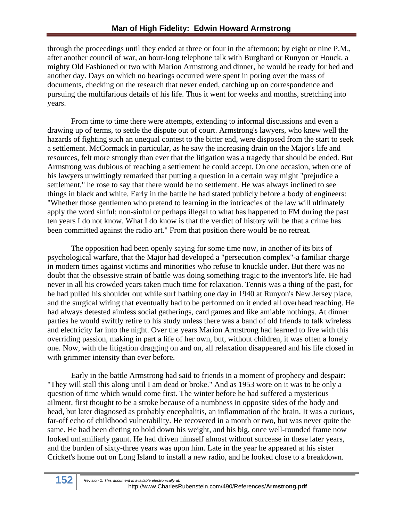through the proceedings until they ended at three or four in the afternoon; by eight or nine P.M., after another council of war, an hour-long telephone talk with Burghard or Runyon or Houck, a mighty Old Fashioned or two with Marion Armstrong and dinner, he would be ready for bed and another day. Days on which no hearings occurred were spent in poring over the mass of documents, checking on the research that never ended, catching up on correspondence and pursuing the multifarious details of his life. Thus it went for weeks and months, stretching into years.

From time to time there were attempts, extending to informal discussions and even a drawing up of terms, to settle the dispute out of court. Armstrong's lawyers, who knew well the hazards of fighting such an unequal contest to the bitter end, were disposed from the start to seek a settlement. McCormack in particular, as he saw the increasing drain on the Major's life and resources, felt more strongly than ever that the litigation was a tragedy that should be ended. But Armstrong was dubious of reaching a settlement he could accept. On one occasion, when one of his lawyers unwittingly remarked that putting a question in a certain way might "prejudice a settlement," he rose to say that there would be no settlement. He was always inclined to see things in black and white. Early in the battle he had stated publicly before a body of engineers: "Whether those gentlemen who pretend to learning in the intricacies of the law will ultimately apply the word sinful; non-sinful or perhaps illegal to what has happened to FM during the past ten years I do not know. What I do know is that the verdict of history will be that a crime has been committed against the radio art." From that position there would be no retreat.

The opposition had been openly saying for some time now, in another of its bits of psychological warfare, that the Major had developed a "persecution complex"-a familiar charge in modern times against victims and minorities who refuse to knuckle under. But there was no doubt that the obsessive strain of battle was doing something tragic to the inventor's life. He had never in all his crowded years taken much time for relaxation. Tennis was a thing of the past, for he had pulled his shoulder out while surf bathing one day in 1940 at Runyon's New Jersey place, and the surgical wiring that eventually had to be performed on it ended all overhead reaching. He had always detested aimless social gatherings, card games and like amiable nothings. At dinner parties he would swiftly retire to his study unless there was a band of old friends to talk wireless and electricity far into the night. Over the years Marion Armstrong had learned to live with this overriding passion, making in part a life of her own, but, without children, it was often a lonely one. Now, with the litigation dragging on and on, all relaxation disappeared and his life closed in with grimmer intensity than ever before.

Early in the battle Armstrong had said to friends in a moment of prophecy and despair: "They will stall this along until I am dead or broke." And as 1953 wore on it was to be only a question of time which would come first. The winter before he had suffered a mysterious ailment, first thought to be a stroke because of a numbness in opposite sides of the body and head, but later diagnosed as probably encephalitis, an inflammation of the brain. It was a curious, far-off echo of childhood vulnerability. He recovered in a month or two, but was never quite the same. He had been dieting to hold down his weight, and his big, once well-rounded frame now looked unfamiliarly gaunt. He had driven himself almost without surcease in these later years, and the burden of sixty-three years was upon him. Late in the year he appeared at his sister Cricket's home out on Long Island to install a new radio, and he looked close to a breakdown.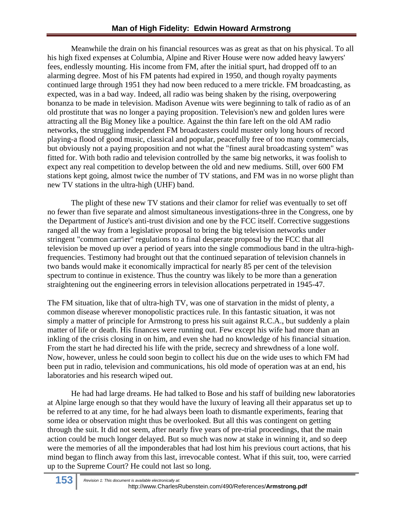Meanwhile the drain on his financial resources was as great as that on his physical. To all his high fixed expenses at Columbia, Alpine and River House were now added heavy lawyers' fees, endlessly mounting. His income from FM, after the initial spurt, had dropped off to an alarming degree. Most of his FM patents had expired in 1950, and though royalty payments continued large through 1951 they had now been reduced to a mere trickle. FM broadcasting, as expected, was in a bad way. Indeed, all radio was being shaken by the rising, overpowering bonanza to be made in television. Madison Avenue wits were beginning to talk of radio as of an old prostitute that was no longer a paying proposition. Television's new and golden lures were attracting all the Big Money like a poultice. Against the thin fare left on the old AM radio networks, the struggling independent FM broadcasters could muster only long hours of record playing-a flood of good music, classical and popular, peacefully free of too many commercials, but obviously not a paying proposition and not what the "finest aural broadcasting system" was fitted for. With both radio and television controlled by the same big networks, it was foolish to expect any real competition to develop between the old and new mediums. Still, over 600 FM stations kept going, almost twice the number of TV stations, and FM was in no worse plight than new TV stations in the ultra-high (UHF) band.

The plight of these new TV stations and their clamor for relief was eventually to set off no fewer than five separate and almost simultaneous investigations-three in the Congress, one by the Department of Justice's anti-trust division and one by the FCC itself. Corrective suggestions ranged all the way from a legislative proposal to bring the big television networks under stringent "common carrier" regulations to a final desperate proposal by the FCC that all television be moved up over a period of years into the single commodious band in the ultra-highfrequencies. Testimony had brought out that the continued separation of television channels in two bands would make it economically impractical for nearly 85 per cent of the television spectrum to continue in existence. Thus the country was likely to be more than a generation straightening out the engineering errors in television allocations perpetrated in 1945-47.

The FM situation, like that of ultra-high TV, was one of starvation in the midst of plenty, a common disease wherever monopolistic practices rule. In this fantastic situation, it was not simply a matter of principle for Armstrong to press his suit against R.C.A., but suddenly a plain matter of life or death. His finances were running out. Few except his wife had more than an inkling of the crisis closing in on him, and even she had no knowledge of his financial situation. From the start he had directed his life with the pride, secrecy and shrewdness of a lone wolf. Now, however, unless he could soon begin to collect his due on the wide uses to which FM had been put in radio, television and communications, his old mode of operation was at an end, his laboratories and his research wiped out.

He had had large dreams. He had talked to Bose and his staff of building new laboratories at Alpine large enough so that they would have the luxury of leaving all their apparatus set up to be referred to at any time, for he had always been loath to dismantle experiments, fearing that some idea or observation might thus be overlooked. But all this was contingent on getting through the suit. It did not seem, after nearly five years of pre-trial proceedings, that the main action could be much longer delayed. But so much was now at stake in winning it, and so deep were the memories of all the imponderables that had lost him his previous court actions, that his mind began to flinch away from this last, irrevocable contest. What if this suit, too, were carried up to the Supreme Court? He could not last so long.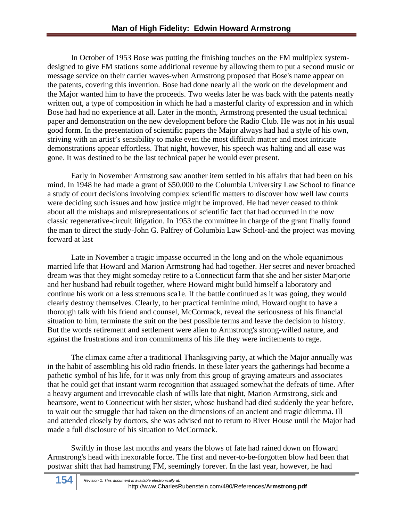In October of 1953 Bose was putting the finishing touches on the FM multiplex systemdesigned to give FM stations some additional revenue by allowing them to put a second music or message service on their carrier waves-when Armstrong proposed that Bose's name appear on the patents, covering this invention. Bose had done nearly all the work on the development and the Major wanted him to have the proceeds. Two weeks later he was back with the patents neatly written out, a type of composition in which he had a masterful clarity of expression and in which Bose had had no experience at all. Later in the month, Armstrong presented the usual technical paper and demonstration on the new development before the Radio Club. He was not in his usual good form. In the presentation of scientific papers the Major always had had a style of his own, striving with an artist's sensibility to make even the most difficult matter and most intricate demonstrations appear effortless. That night, however, his speech was halting and all ease was gone. It was destined to be the last technical paper he would ever present.

Early in November Armstrong saw another item settled in his affairs that had been on his mind. In 1948 he had made a grant of \$50,000 to the Columbia University Law School to finance a study of court decisions involving complex scientific matters to discover how well law courts were deciding such issues and how justice might be improved. He had never ceased to think about all the mishaps and misrepresentations of scientific fact that had occurred in the now classic regenerative-circuit litigation. In 1953 the committee in charge of the grant finally found the man to direct the study-John G. Palfrey of Columbia Law School-and the project was moving forward at last

Late in November a tragic impasse occurred in the long and on the whole equanimous married life that Howard and Marion Armstrong had had together. Her secret and never broached dream was that they might someday retire to a Connecticut farm that she and her sister Marjorie and her husband had rebuilt together, where Howard might build himself a laboratory and continue his work on a less strenuous sca1e. If the battle continued as it was going, they would clearly destroy themselves. Clearly, to her practical feminine mind, Howard ought to have a thorough talk with his friend and counsel, McCormack, reveal the seriousness of his financial situation to him, terminate the suit on the best possible terms and leave the decision to history. But the words retirement and settlement were alien to Armstrong's strong-willed nature, and against the frustrations and iron commitments of his life they were incitements to rage.

The climax came after a traditional Thanksgiving party, at which the Major annually was in the habit of assembling his old radio friends. In these later years the gatherings had become a pathetic symbol of his life, for it was only from this group of graying amateurs and associates that he could get that instant warm recognition that assuaged somewhat the defeats of time. After a heavy argument and irrevocable clash of wills late that night, Marion Armstrong, sick and heartsore, went to Connecticut with her sister, whose husband had died suddenly the year before, to wait out the struggle that had taken on the dimensions of an ancient and tragic dilemma. Ill and attended closely by doctors, she was advised not to return to River House until the Major had made a full disclosure of his situation to McCormack.

Swiftly in those last months and years the blows of fate had rained down on Howard Armstrong's head with inexorable force. The first and never-to-be-forgotten blow had been that postwar shift that had hamstrung FM, seemingly forever. In the last year, however, he had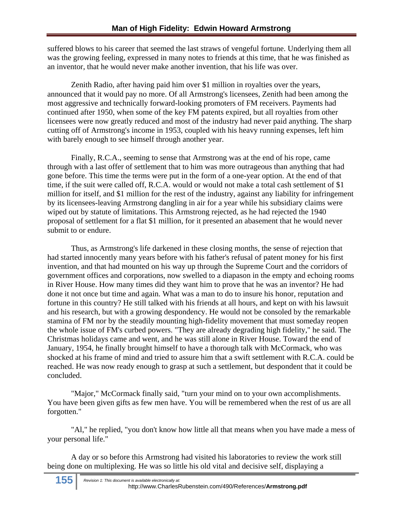suffered blows to his career that seemed the last straws of vengeful fortune. Underlying them all was the growing feeling, expressed in many notes to friends at this time, that he was finished as an inventor, that he would never make another invention, that his life was over.

Zenith Radio, after having paid him over \$1 million in royalties over the years, announced that it would pay no more. Of all Armstrong's licensees, Zenith had been among the most aggressive and technically forward-looking promoters of FM receivers. Payments had continued after 1950, when some of the key FM patents expired, but all royalties from other licensees were now greatly reduced and most of the industry had never paid anything. The sharp cutting off of Armstrong's income in 1953, coupled with his heavy running expenses, left him with barely enough to see himself through another year.

Finally, R.C.A., seeming to sense that Armstrong was at the end of his rope, came through with a last offer of settlement that to him was more outrageous than anything that had gone before. This time the terms were put in the form of a one-year option. At the end of that time, if the suit were called off, R.C.A. would or would not make a total cash settlement of \$1 million for itself, and \$1 million for the rest of the industry, against any liability for infringement by its licensees-leaving Armstrong dangling in air for a year while his subsidiary claims were wiped out by statute of limitations. This Armstrong rejected, as he had rejected the 1940 proposal of settlement for a flat \$1 million, for it presented an abasement that he would never submit to or endure.

Thus, as Armstrong's life darkened in these closing months, the sense of rejection that had started innocently many years before with his father's refusal of patent money for his first invention, and that had mounted on his way up through the Supreme Court and the corridors of government offices and corporations, now swelled to a diapason in the empty and echoing rooms in River House. How many times did they want him to prove that he was an inventor? He had done it not once but time and again. What was a man to do to insure his honor, reputation and fortune in this country? He still talked with his friends at all hours, and kept on with his lawsuit and his research, but with a growing despondency. He would not be consoled by the remarkable stamina of FM nor by the steadily mounting high-fidelity movement that must someday reopen the whole issue of FM's curbed powers. "They are already degrading high fidelity," he said. The Christmas holidays came and went, and he was still alone in River House. Toward the end of January, 1954, he finally brought himself to have a thorough talk with McCormack, who was shocked at his frame of mind and tried to assure him that a swift settlement with R.C.A. could be reached. He was now ready enough to grasp at such a settlement, but despondent that it could be concluded.

"Major," McCormack finally said, "turn your mind on to your own accomplishments. You have been given gifts as few men have. You will be remembered when the rest of us are all forgotten."

"Al," he replied, "you don't know how little all that means when you have made a mess of your personal life."

A day or so before this Armstrong had visited his laboratories to review the work still being done on multiplexing. He was so little his old vital and decisive self, displaying a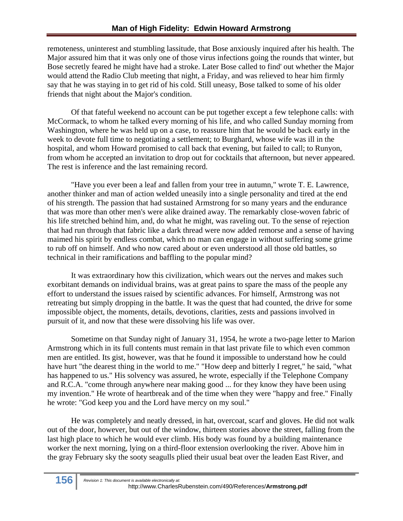remoteness, uninterest and stumbling lassitude, that Bose anxiously inquired after his health. The Major assured him that it was only one of those virus infections going the rounds that winter, but Bose secretly feared he might have had a stroke. Later Bose called to find' out whether the Major would attend the Radio Club meeting that night, a Friday, and was relieved to hear him firmly say that he was staying in to get rid of his cold. Still uneasy, Bose talked to some of his older friends that night about the Major's condition.

Of that fateful weekend no account can be put together except a few telephone calls: with McCormack, to whom he talked every morning of his life, and who called Sunday morning from Washington, where he was held up on a case, to reassure him that he would be back early in the week to devote full time to negotiating a settlement; to Burghard, whose wife was ill in the hospital, and whom Howard promised to call back that evening, but failed to call; to Runyon, from whom he accepted an invitation to drop out for cocktails that afternoon, but never appeared. The rest is inference and the last remaining record.

"Have you ever been a leaf and fallen from your tree in autumn," wrote T. E. Lawrence, another thinker and man of action welded uneasily into a single personality and tired at the end of his strength. The passion that had sustained Armstrong for so many years and the endurance that was more than other men's were alike drained away. The remarkably close-woven fabric of his life stretched behind him, and, do what he might, was raveling out. To the sense of rejection that had run through that fabric like a dark thread were now added remorse and a sense of having maimed his spirit by endless combat, which no man can engage in without suffering some grime to rub off on himself. And who now cared about or even understood all those old battles, so technical in their ramifications and baffling to the popular mind?

It was extraordinary how this civilization, which wears out the nerves and makes such exorbitant demands on individual brains, was at great pains to spare the mass of the people any effort to understand the issues raised by scientific advances. For himself, Armstrong was not retreating but simply dropping in the battle. It was the quest that had counted, the drive for some impossible object, the moments, details, devotions, clarities, zests and passions involved in pursuit of it, and now that these were dissolving his life was over.

Sometime on that Sunday night of January 31, 1954, he wrote a two-page letter to Marion Armstrong which in its full contents must remain in that last private file to which even common men are entitled. Its gist, however, was that he found it impossible to understand how he could have hurt "the dearest thing in the world to me." "How deep and bitterly I regret," he said, "what has happened to us." His solvency was assured, he wrote, especially if the Telephone Company and R.C.A. "come through anywhere near making good ... for they know they have been using my invention." He wrote of heartbreak and of the time when they were "happy and free." Finally he wrote: "God keep you and the Lord have mercy on my soul."

He was completely and neatly dressed, in hat, overcoat, scarf and gloves. He did not walk out of the door, however, but out of the window, thirteen stories above the street, falling from the last high place to which he would ever climb. His body was found by a building maintenance worker the next morning, lying on a third-floor extension overlooking the river. Above him in the gray February sky the sooty seagulls plied their usual beat over the leaden East River, and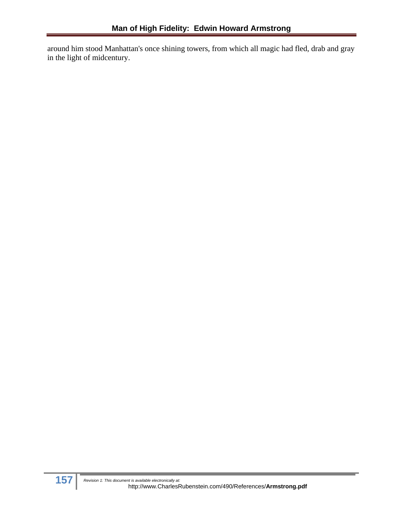around him stood Manhattan's once shining towers, from which all magic had fled, drab and gray in the light of midcentury.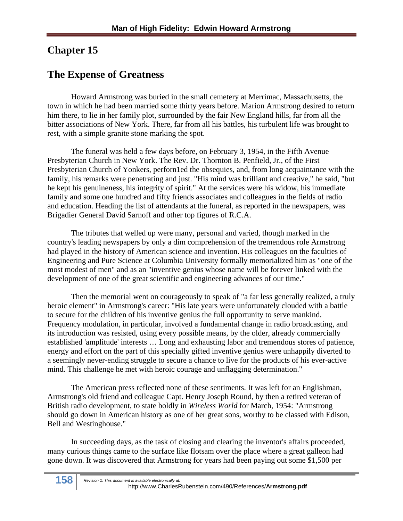## **Chapter 15**

#### **The Expense of Greatness**

Howard Armstrong was buried in the small cemetery at Merrimac, Massachusetts, the town in which he had been married some thirty years before. Marion Armstrong desired to return him there, to lie in her family plot, surrounded by the fair New England hills, far from all the bitter associations of New York. There, far from all his battles, his turbulent life was brought to rest, with a simple granite stone marking the spot.

The funeral was held a few days before, on February 3, 1954, in the Fifth Avenue Presbyterian Church in New York. The Rev. Dr. Thornton B. Penfield, Jr., of the First Presbyterian Church of Yonkers, perforn1ed the obsequies, and, from long acquaintance with the family, his remarks were penetrating and just. "His mind was brilliant and creative," he said, "but he kept his genuineness, his integrity of spirit." At the services were his widow, his immediate family and some one hundred and fifty friends associates and colleagues in the fields of radio and education. Heading the list of attendants at the funeral, as reported in the newspapers, was Brigadier General David Sarnoff and other top figures of R.C.A.

The tributes that welled up were many, personal and varied, though marked in the country's leading newspapers by only a dim comprehension of the tremendous role Armstrong had played in the history of American science and invention. His colleagues on the faculties of Engineering and Pure Science at Columbia University formally memorialized him as "one of the most modest of men" and as an "inventive genius whose name will be forever linked with the development of one of the great scientific and engineering advances of our time."

Then the memorial went on courageously to speak of "a far less generally realized, a truly heroic element" in Armstrong's career: "His late years were unfortunately clouded with a battle to secure for the children of his inventive genius the full opportunity to serve mankind. Frequency modulation, in particular, involved a fundamental change in radio broadcasting, and its introduction was resisted, using every possible means, by the older, already commercially established 'amplitude' interests … Long and exhausting labor and tremendous stores of patience, energy and effort on the part of this specially gifted inventive genius were unhappily diverted to a seemingly never-ending struggle to secure a chance to live for the products of his ever-active mind. This challenge he met with heroic courage and unflagging determination."

The American press reflected none of these sentiments. It was left for an Englishman, Armstrong's old friend and colleague Capt. Henry Joseph Round, by then a retired veteran of British radio development, to state boldly in *Wireless World* for March, 1954: "Armstrong should go down in American history as one of her great sons, worthy to be classed with Edison, Bell and Westinghouse."

In succeeding days, as the task of closing and clearing the inventor's affairs proceeded, many curious things came to the surface like flotsam over the place where a great galleon had gone down. It was discovered that Armstrong for years had been paying out some \$1,500 per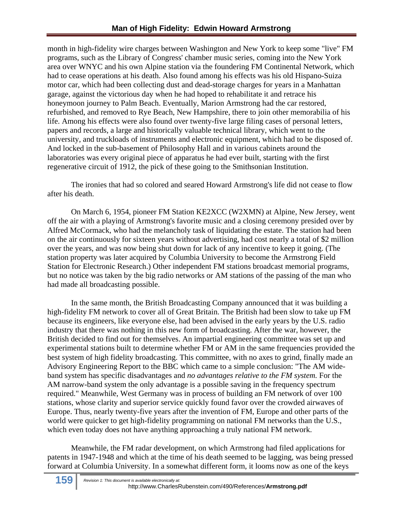month in high-fidelity wire charges between Washington and New York to keep some "live" FM programs, such as the Library of Congress' chamber music series, coming into the New York area over WNYC and his own Alpine station via the foundering FM Continental Network, which had to cease operations at his death. Also found among his effects was his old Hispano-Suiza motor car, which had been collecting dust and dead-storage charges for years in a Manhattan garage, against the victorious day when he had hoped to rehabilitate it and retrace his honeymoon journey to Palm Beach. Eventually, Marion Armstrong had the car restored, refurbished, and removed to Rye Beach, New Hampshire, there to join other memorabilia of his life. Among his effects were also found over twenty-five large filing cases of personal letters, papers and records, a large and historically valuable technical library, which went to the university, and truckloads of instruments and electronic equipment, which had to be disposed of. And locked in the sub-basement of Philosophy Hall and in various cabinets around the laboratories was every original piece of apparatus he had ever built, starting with the first regenerative circuit of 1912, the pick of these going to the Smithsonian Institution.

The ironies that had so colored and seared Howard Armstrong's life did not cease to flow after his death.

On March 6, 1954, pioneer FM Station KE2XCC (W2XMN) at Alpine, New Jersey, went off the air with a playing of Armstrong's favorite music and a closing ceremony presided over by Alfred McCormack, who had the melancholy task of liquidating the estate. The station had been on the air continuously for sixteen years without advertising, had cost nearly a total of \$2 million over the years, and was now being shut down for lack of any incentive to keep it going. (The station property was later acquired by Columbia University to become the Armstrong Field Station for Electronic Research.) Other independent FM stations broadcast memorial programs, but no notice was taken by the big radio networks or AM stations of the passing of the man who had made all broadcasting possible.

In the same month, the British Broadcasting Company announced that it was building a high-fidelity FM network to cover all of Great Britain. The British had been slow to take up FM because its engineers, like everyone else, had been advised in the early years by the U.S. radio industry that there was nothing in this new form of broadcasting. After the war, however, the British decided to find out for themselves. An impartial engineering committee was set up and experimental stations built to determine whether FM or AM in the same frequencies provided the best system of high fidelity broadcasting. This committee, with no axes to grind, finally made an Advisory Engineering Report to the BBC which came to a simple conclusion: "The AM wideband system has specific disadvantages and *no advantages relative to the FM system.* For the AM narrow-band system the only advantage is a possible saving in the frequency spectrum required." Meanwhile, West Germany was in process of building an FM network of over 100 stations, whose clarity and superior service quickly found favor over the crowded airwaves of Europe. Thus, nearly twenty-five years after the invention of FM, Europe and other parts of the world were quicker to get high-fidelity programming on national FM networks than the U.S., which even today does not have anything approaching a truly national FM network.

Meanwhile, the FM radar development, on which Armstrong had filed applications for patents in 1947-1948 and which at the time of his death seemed to be lagging, was being pressed forward at Columbia University. In a somewhat different form, it looms now as one of the keys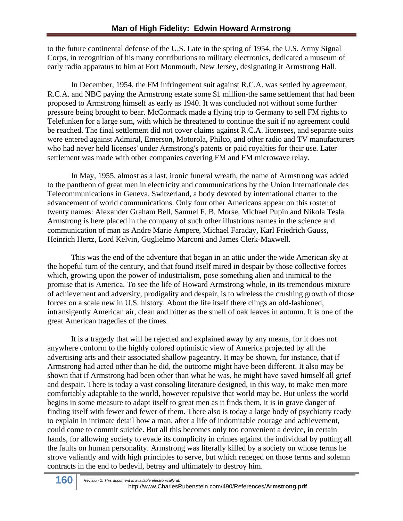to the future continental defense of the U.S. Late in the spring of 1954, the U.S. Army Signal Corps, in recognition of his many contributions to military electronics, dedicated a museum of early radio apparatus to him at Fort Monmouth, New Jersey, designating it Armstrong Hall.

In December, 1954, the FM infringement suit against R.C.A. was settled by agreement, R.C.A. and NBC paying the Armstrong estate some \$1 million-the same settlement that had been proposed to Armstrong himself as early as 1940. It was concluded not without some further pressure being brought to bear. McCormack made a flying trip to Germany to sell FM rights to Telefunken for a large sum, with which he threatened to continue the suit if no agreement could be reached. The final settlement did not cover claims against R.C.A. licensees, and separate suits were entered against Admiral, Emerson, Motorola, Philco, and other radio and TV manufacturers who had never held licenses' under Armstrong's patents or paid royalties for their use. Later settlement was made with other companies covering FM and FM microwave relay.

In May, 1955, almost as a last, ironic funeral wreath, the name of Armstrong was added to the pantheon of great men in electricity and communications by the Union Internationale des Telecommunications in Geneva, Switzerland, a body devoted by international charter to the advancement of world communications. Only four other Americans appear on this roster of twenty names: Alexander Graham Bell, Samuel F. B. Morse, Michael Pupin and Nikola Tesla. Armstrong is here placed in the company of such other illustrious names in the science and communication of man as Andre Marie Ampere, Michael Faraday, Karl Friedrich Gauss, Heinrich Hertz, Lord Kelvin, Guglielmo Marconi and James Clerk-Maxwell.

This was the end of the adventure that began in an attic under the wide American sky at the hopeful turn of the century, and that found itself mired in despair by those collective forces which, growing upon the power of industrialism, pose something alien and inimical to the promise that is America. To see the life of Howard Armstrong whole, in its tremendous mixture of achievement and adversity, prodigality and despair, is to wireless the crushing growth of those forces on a scale new in U.S. history. About the life itself there clings an old-fashioned, intransigently American air, clean and bitter as the smell of oak leaves in autumn. It is one of the great American tragedies of the times.

It is a tragedy that will be rejected and explained away by any means, for it does not anywhere conform to the highly colored optimistic view of America projected by all the advertising arts and their associated shallow pageantry. It may be shown, for instance, that if Armstrong had acted other than he did, the outcome might have been different. It also may be shown that if Armstrong had been other than what he was, he might have saved himself all grief and despair. There is today a vast consoling literature designed, in this way, to make men more comfortably adaptable to the world, however repulsive that world may be. But unless the world begins in some measure to adapt itself to great men as it finds them, it is in grave danger of finding itself with fewer and fewer of them. There also is today a large body of psychiatry ready to explain in intimate detail how a man, after a life of indomitable courage and achievement, could come to commit suicide. But all this becomes only too convenient a device, in certain hands, for allowing society to evade its complicity in crimes against the individual by putting all the faults on human personality. Armstrong was literally killed by a society on whose terms he strove valiantly and with high principles to serve, but which reneged on those terms and solemn contracts in the end to bedevil, betray and ultimately to destroy him.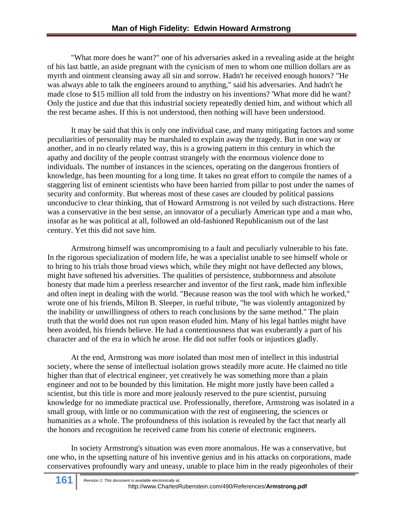"What more does he want?" one of his adversaries asked in a revealing aside at the height of his last battle, an aside pregnant with the cynicism of men to whom one million dollars are as myrrh and ointment cleansing away all sin and sorrow. Hadn't he received enough honors? "He was always able to talk the engineers around to anything," said his adversaries. And hadn't he made close to \$15 million all told from the industry on his inventions? 'What more did he want? Only the justice and due that this industrial society repeatedly denied him, and without which all the rest became ashes. If this is not understood, then nothing will have been understood.

It may be said that this is only one individual case, and many mitigating factors and some peculiarities of personality may be marshaled to explain away the tragedy. But in one way or another, and in no clearly related way, this is a growing pattern in this century in which the apathy and docility of the people contrast strangely with the enormous violence done to individuals. The number of instances in the sciences, operating on the dangerous frontiers of knowledge, has been mounting for a long time. It takes no great effort to compile the names of a staggering list of eminent scientists who have been harried from pillar to post under the names of security and conformity. But whereas most of these cases are clouded by political passions unconducive to clear thinking, that of Howard Armstrong is not veiled by such distractions. Here was a conservative in the best sense, an innovator of a peculiarly American type and a man who, insofar as he was political at all, followed an old-fashioned Republicanism out of the last century. Yet this did not save him.

Armstrong himself was uncompromising to a fault and peculiarly vulnerable to his fate. In the rigorous specialization of modern life, he was a specialist unable to see himself whole or to bring to his trials those broad views which, while they might not have deflected any blows, might have softened his adversities. The qualities of persistence, stubbornness and absolute honesty that made him a peerless researcher and inventor of the first rank, made him inflexible and often inept in dealing with the world. "Because reason was the tool with which he worked," wrote one of his friends, Milton B. Sleeper, in rueful tribute, "he was violently antagonized by the inability or unwillingness of others to reach conclusions by the same method." The plain truth that the world does not run upon reason eluded him. Many of his legal battles might have been avoided, his friends believe. He had a contentiousness that was exuberantly a part of his character and of the era in which he arose. He did not suffer fools or injustices gladly.

At the end, Armstrong was more isolated than most men of intellect in this industrial society, where the sense of intellectual isolation grows steadily more acute. He claimed no title higher than that of electrical engineer, yet creatively he was something more than a plain engineer and not to be bounded by this limitation. He might more justly have been called a scientist, but this title is more and more jealously reserved to the pure scientist, pursuing knowledge for no immediate practical use. Professionally, therefore, Armstrong was isolated in a small group, with little or no communication with the rest of engineering, the sciences or humanities as a whole. The profoundness of this isolation is revealed by the fact that nearly all the honors and recognition he received came from his coterie of electronic engineers.

In society Armstrong's situation was even more anomalous. He was a conservative, but one who, in the upsetting nature of his inventive genius and in his attacks on corporations, made conservatives profoundly wary and uneasy, unable to place him in the ready pigeonholes of their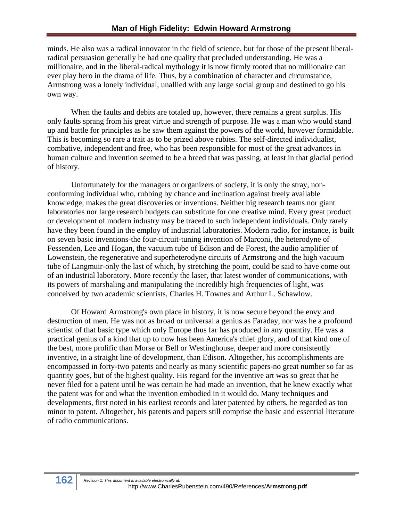minds. He also was a radical innovator in the field of science, but for those of the present liberalradical persuasion generally he had one quality that precluded understanding. He was a millionaire, and in the liberal-radical mythology it is now firmly rooted that no millionaire can ever play hero in the drama of life. Thus, by a combination of character and circumstance, Armstrong was a lonely individual, unallied with any large social group and destined to go his own way.

When the faults and debits are totaled up, however, there remains a great surplus. His only faults sprang from his great virtue and strength of purpose. He was a man who would stand up and battle for principles as he saw them against the powers of the world, however formidable. This is becoming so rare a trait as to be prized above rubies. The self-directed individualist, combative, independent and free, who has been responsible for most of the great advances in human culture and invention seemed to be a breed that was passing, at least in that glacial period of history.

Unfortunately for the managers or organizers of society, it is only the stray, nonconforming individual who, rubbing by chance and inclination against freely available knowledge, makes the great discoveries or inventions. Neither big research teams nor giant laboratories nor large research budgets can substitute for one creative mind. Every great product or development of modern industry may be traced to such independent individuals. Only rarely have they been found in the employ of industrial laboratories. Modern radio, for instance, is built on seven basic inventions-the four-circuit-tuning invention of Marconi, the heterodyne of Fessenden, Lee and Hogan, the vacuum tube of Edison and de Forest, the audio amplifier of Lowenstein, the regenerative and superheterodyne circuits of Armstrong and the high vacuum tube of Langmuir-only the last of which, by stretching the point, could be said to have come out of an industrial laboratory. More recently the laser, that latest wonder of communications, with its powers of marshaling and manipulating the incredibly high frequencies of light, was conceived by two academic scientists, Charles H. Townes and Arthur L. Schawlow.

Of Howard Armstrong's own place in history, it is now secure beyond the envy and destruction of men. He was not as broad or universal a genius as Faraday, nor was he a profound scientist of that basic type which only Europe thus far has produced in any quantity. He was a practical genius of a kind that up to now has been America's chief glory, and of that kind one of the best, more prolific than Morse or Bell or Westinghouse, deeper and more consistently inventive, in a straight line of development, than Edison. Altogether, his accomplishments are encompassed in forty-two patents and nearly as many scientific papers-no great number so far as quantity goes, but of the highest quality. His regard for the inventive art was so great that he never filed for a patent until he was certain he had made an invention, that he knew exactly what the patent was for and what the invention embodied in it would do. Many techniques and developments, first noted in his earliest records and later patented by others, he regarded as too minor to patent. Altogether, his patents and papers still comprise the basic and essential literature of radio communications.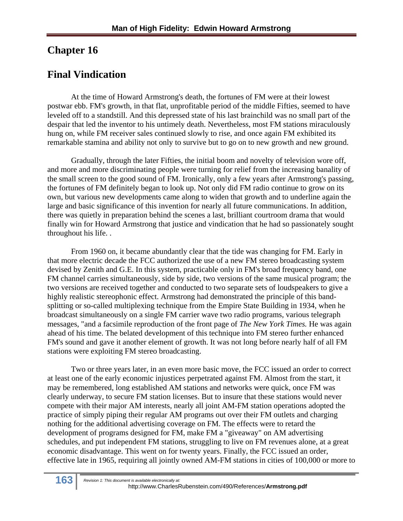#### **Chapter 16**

## **Final Vindication**

At the time of Howard Armstrong's death, the fortunes of FM were at their lowest postwar ebb. FM's growth, in that flat, unprofitable period of the middle Fifties, seemed to have leveled off to a standstill. And this depressed state of his last brainchild was no small part of the despair that led the inventor to his untimely death. Nevertheless, most FM stations miraculously hung on, while FM receiver sales continued slowly to rise, and once again FM exhibited its remarkable stamina and ability not only to survive but to go on to new growth and new ground.

Gradually, through the later Fifties, the initial boom and novelty of television wore off, and more and more discriminating people were turning for relief from the increasing banality of the small screen to the good sound of FM. Ironically, only a few years after Armstrong's passing, the fortunes of FM definitely began to look up. Not only did FM radio continue to grow on its own, but various new developments came along to widen that growth and to underline again the large and basic significance of this invention for nearly all future communications. In addition, there was quietly in preparation behind the scenes a last, brilliant courtroom drama that would finally win for Howard Armstrong that justice and vindication that he had so passionately sought throughout his life. .

From 1960 on, it became abundantly clear that the tide was changing for FM. Early in that more electric decade the FCC authorized the use of a new FM stereo broadcasting system devised by Zenith and G.E. In this system, practicable only in FM's broad frequency band, one FM channel carries simultaneously, side by side, two versions of the same musical program; the two versions are received together and conducted to two separate sets of loudspeakers to give a highly realistic stereophonic effect. Armstrong had demonstrated the principle of this bandsplitting or so-called multiplexing technique from the Empire State Building in 1934, when he broadcast simultaneously on a single FM carrier wave two radio programs, various telegraph messages, "and a facsimile reproduction of the front page of *The New York Times.* He was again ahead of his time. The belated development of this technique into FM stereo further enhanced FM's sound and gave it another element of growth. It was not long before nearly half of all FM stations were exploiting FM stereo broadcasting.

Two or three years later, in an even more basic move, the FCC issued an order to correct at least one of the early economic injustices perpetrated against FM. Almost from the start, it may be remembered, long established AM stations and networks were quick, once FM was clearly underway, to secure FM station licenses. But to insure that these stations would never compete with their major AM interests, nearly all joint AM-FM station operations adopted the practice of simply piping their regular AM programs out over their FM outlets and charging nothing for the additional advertising coverage on FM. The effects were to retard the development of programs designed for FM, make FM a "giveaway" on AM advertising schedules, and put independent FM stations, struggling to live on FM revenues alone, at a great economic disadvantage. This went on for twenty years. Finally, the FCC issued an order, effective late in 1965, requiring all jointly owned AM-FM stations in cities of 100,000 or more to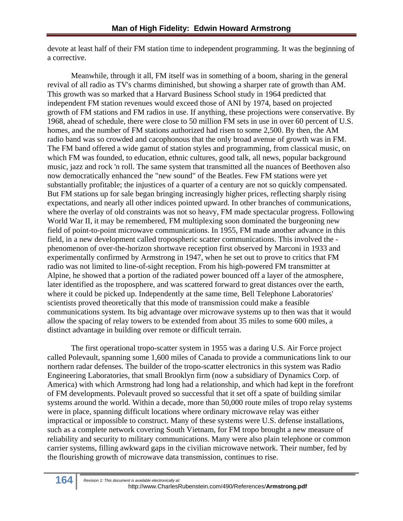devote at least half of their FM station time to independent programming. It was the beginning of a corrective.

Meanwhile, through it all, FM itself was in something of a boom, sharing in the general revival of all radio as TV's charms diminished, but showing a sharper rate of growth than AM. This growth was so marked that a Harvard Business School study in 1964 predicted that independent FM station revenues would exceed those of ANI by 1974, based on projected growth of FM stations and FM radios in use. If anything, these projections were conservative. By 1968, ahead of schedule, there were close to 50 million FM sets in use in over 60 percent of U.S. homes, and the number of FM stations authorized had risen to some 2,500. By then, the AM radio band was so crowded and cacophonous that the only broad avenue of growth was in FM. The FM band offered a wide gamut of station styles and programming, from classical music, on which FM was founded, to education, ethnic cultures, good talk, all news, popular background music, jazz and rock 'n roll. The same system that transmitted all the nuances of Beethoven also now democratically enhanced the "new sound" of the Beatles. Few FM stations were yet substantially profitable; the injustices of a quarter of a century are not so quickly compensated. But FM stations up for sale began bringing increasingly higher prices, reflecting sharply rising expectations, and nearly all other indices pointed upward. In other branches of communications, where the overlay of old constraints was not so heavy, FM made spectacular progress. Following World War II, it may be remembered, FM multiplexing soon dominated the burgeoning new field of point-to-point microwave communications. In 1955, FM made another advance in this field, in a new development called tropospheric scatter communications. This involved the phenomenon of over-the-horizon shortwave reception first observed by Marconi in 1933 and experimentally confirmed by Armstrong in 1947, when he set out to prove to critics that FM radio was not limited to line-of-sight reception. From his high-powered FM transmitter at Alpine, he showed that a portion of the radiated power bounced off a layer of the atmosphere, later identified as the troposphere, and was scattered forward to great distances over the earth, where it could be picked up. Independently at the same time, Bell Telephone Laboratories' scientists proved theoretically that this mode of transmission could make a feasible communications system. Its big advantage over microwave systems up to then was that it would allow the spacing of relay towers to be extended from about 35 miles to some 600 miles, a distinct advantage in building over remote or difficult terrain.

The first operational tropo-scatter system in 1955 was a daring U.S. Air Force project called Polevault, spanning some 1,600 miles of Canada to provide a communications link to our northern radar defenses. The builder of the tropo-scatter electronics in this system was Radio Engineering Laboratories, that small Brooklyn firm (now a subsidiary of Dynamics Corp. of America) with which Armstrong had long had a relationship, and which had kept in the forefront of FM developments. Polevault proved so successful that it set off a spate of building similar systems around the world. Within a decade, more than 50,000 route miles of tropo relay systems were in place, spanning difficult locations where ordinary microwave relay was either impractical or impossible to construct. Many of these systems were U.S. defense installations, such as a complete network covering South Vietnam, for FM tropo brought a new measure of reliability and security to military communications. Many were also plain telephone or common carrier systems, filling awkward gaps in the civilian microwave network. Their number, fed by the flourishing growth of microwave data transmission, continues to rise.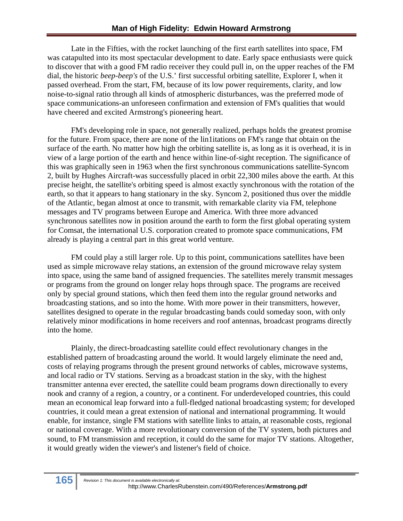Late in the Fifties, with the rocket launching of the first earth satellites into space, FM was catapulted into its most spectacular development to date. Early space enthusiasts were quick to discover that with a good FM radio receiver they could pull in, on the upper reaches of the FM dial, the historic *beep-beep's* of the U.S.' first successful orbiting satellite, Explorer I, when it passed overhead. From the start, FM, because of its low power requirements, clarity, and low noise-to-signal ratio through all kinds of atmospheric disturbances, was the preferred mode of space communications-an unforeseen confirmation and extension of FM's qualities that would have cheered and excited Armstrong's pioneering heart.

FM's developing role in space, not generally realized, perhaps holds the greatest promise for the future. From space, there are none of the lin1itations on FM's range that obtain on the surface of the earth. No matter how high the orbiting satellite is, as long as it is overhead, it is in view of a large portion of the earth and hence within line-of-sight reception. The significance of this was graphically seen in 1963 when the first synchronous communications satellite-Syncom 2, built by Hughes Aircraft-was successfully placed in orbit 22,300 miles above the earth. At this precise height, the satellite's orbiting speed is almost exactly synchronous with the rotation of the earth, so that it appears to hang stationary in the sky. Syncom 2, positioned thus over the middle of the Atlantic, began almost at once to transmit, with remarkable clarity via FM, telephone messages and TV programs between Europe and America. With three more advanced synchronous satellites now in position around the earth to form the first global operating system for Comsat, the international U.S. corporation created to promote space communications, FM already is playing a central part in this great world venture.

FM could play a still larger role. Up to this point, communications satellites have been used as simple microwave relay stations, an extension of the ground microwave relay system into space, using the same band of assigned frequencies. The satellites merely transmit messages or programs from the ground on longer relay hops through space. The programs are received only by special ground stations, which then feed them into the regular ground networks and broadcasting stations, and so into the home. With more power in their transmitters, however, satellites designed to operate in the regular broadcasting bands could someday soon, with only relatively minor modifications in home receivers and roof antennas, broadcast programs directly into the home.

Plainly, the direct-broadcasting satellite could effect revolutionary changes in the established pattern of broadcasting around the world. It would largely eliminate the need and, costs of relaying programs through the present ground networks of cables, microwave systems, and local radio or TV stations. Serving as a broadcast station in the sky, with the highest transmitter antenna ever erected, the satellite could beam programs down directionally to every nook and cranny of a region, a country, or a continent. For underdeveloped countries, this could mean an economical leap forward into a full-fledged national broadcasting system; for developed countries, it could mean a great extension of national and international programming. It would enable, for instance, single FM stations with satellite links to attain, at reasonable costs, regional or national coverage. With a more revolutionary conversion of the TV system, both pictures and sound, to FM transmission and reception, it could do the same for major TV stations. Altogether, it would greatly widen the viewer's and listener's field of choice.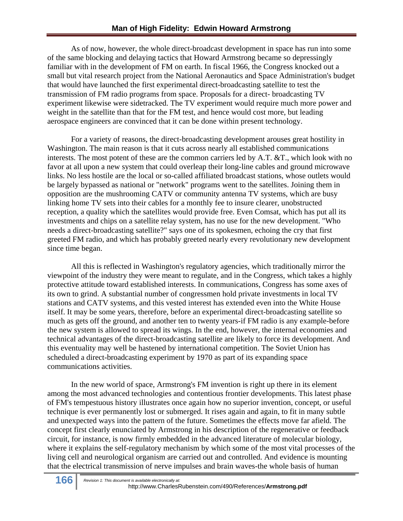As of now, however, the whole direct-broadcast development in space has run into some of the same blocking and delaying tactics that Howard Armstrong became so depressingly familiar with in the development of FM on earth. In fiscal 1966, the Congress knocked out a small but vital research project from the National Aeronautics and Space Administration's budget that would have launched the first experimental direct-broadcasting satellite to test the transmission of FM radio programs from space. Proposals for a direct- broadcasting TV experiment likewise were sidetracked. The TV experiment would require much more power and weight in the satellite than that for the FM test, and hence would cost more, but leading aerospace engineers are convinced that it can be done within present technology.

For a variety of reasons, the direct-broadcasting development arouses great hostility in Washington. The main reason is that it cuts across nearly all established communications interests. The most potent of these are the common carriers led by A.T. &T., which look with no favor at all upon a new system that could overleap their long-line cables and ground microwave links. No less hostile are the local or so-called affiliated broadcast stations, whose outlets would be largely bypassed as national or "network" programs went to the satellites. Joining them in opposition are the mushrooming CATV or community antenna TV systems, which are busy linking home TV sets into their cables for a monthly fee to insure clearer, unobstructed reception, a quality which the satellites would provide free. Even Comsat, which has put all its investments and chips on a satellite relay system, has no use for the new development. "Who needs a direct-broadcasting satellite?" says one of its spokesmen, echoing the cry that first greeted FM radio, and which has probably greeted nearly every revolutionary new development since time began.

All this is reflected in Washington's regulatory agencies, which traditionally mirror the viewpoint of the industry they were meant to regulate, and in the Congress, which takes a highly protective attitude toward established interests. In communications, Congress has some axes of its own to grind. A substantial number of congressmen hold private investments in local TV stations and CATV systems, and this vested interest has extended even into the White House itself. It may be some years, therefore, before an experimental direct-broadcasting satellite so much as gets off the ground, and another ten to twenty years-if FM radio is any example-before the new system is allowed to spread its wings. In the end, however, the internal economies and technical advantages of the direct-broadcasting satellite are likely to force its development. And this eventuality may well be hastened by international competition. The Soviet Union has scheduled a direct-broadcasting experiment by 1970 as part of its expanding space communications activities.

In the new world of space, Armstrong's FM invention is right up there in its element among the most advanced technologies and contentious frontier developments. This latest phase of FM's tempestuous history illustrates once again how no superior invention, concept, or useful technique is ever permanently lost or submerged. It rises again and again, to fit in many subtle and unexpected ways into the pattern of the future. Sometimes the effects move far afield. The concept first clearly enunciated by Armstrong in his description of the regenerative or feedback circuit, for instance, is now firmly embedded in the advanced literature of molecular biology, where it explains the self-regulatory mechanism by which some of the most vital processes of the living cell and neurological organism are carried out and controlled. And evidence is mounting that the electrical transmission of nerve impulses and brain waves-the whole basis of human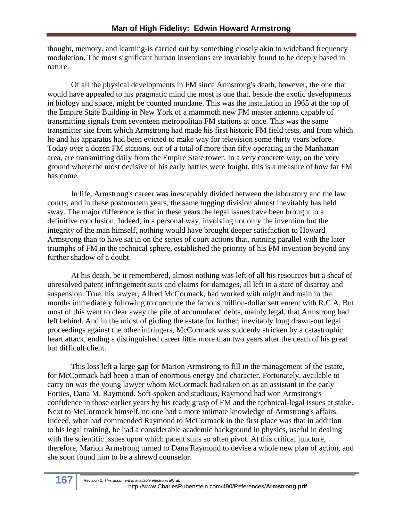thought, memory, and learning-is carried out by something closely akin to wideband frequency modulation. The most significant human inventions are invariably found to be deeply based in nature.

Of all the physical developments in FM since Armstrong's death, however, the one that would have appealed to his pragmatic mind the most is one that, beside the exotic developments in biology and space, might be counted mundane. This was the installation in 1965 at the top of the Empire State Building in New York of a mammoth new FM master antenna capable of transmitting signals from seventeen metropolitan FM stations at once. This was the same transmitter site from which Armstrong had made his first historic FM field tests, and from which he and his apparatus had been evicted to make way for television some thirty years before. Today over a dozen FM stations, out of a total of more than fifty operating in the Manhattan area, are transmitting daily from the Empire State tower. In a very concrete way, on the very ground where the most decisive of his early battles were fought, this is a measure of how far FM has come.

In life, Armstrong's career was inescapably divided between the laboratory and the law courts, and in these postmortem years, the same tugging division almost inevitably has held sway. The major difference is that in these years the legal issues have been brought to a definitive conclusion. Indeed, in a personal way, involving not only the invention but the integrity of the man himself, nothing would have brought deeper satisfaction to Howard Armstrong than to have sat in on the series of court actions that, running parallel with the later triumphs of FM in the technical sphere, established the priority of his FM invention beyond any further shadow of a doubt.

At his death, be it remembered, almost nothing was left of all his resources but a sheaf of unresolved patent infringement suits and claims for damages, all left in a state of disarray and suspension. True, his lawyer, Alfred McCormack, had worked with might and main in the months immediately following to conclude the famous million-dollar settlement with R.C.A. But most of this went to clear away the pile of accumulated debts, mainly legal, that Armstrong had left behind. And in the midst of girding the estate for further, inevitably long drawn-out legal proceedings against the other infringers, McCormack was suddenly stricken by a catastrophic heart attack, ending a distinguished career little more than two years after the death of his great but difficult client.

This loss left a large gap for Marion Armstrong to fill in the management of the estate, for McCormack had been a man of enormous energy and character. Fortunately, available to carry on was the young lawyer whom McCormack had taken on as an assistant in the early Forties, Dana M. Raymond. Soft-spoken and studious, Raymond had won Armstrong's confidence in those earlier years by his ready grasp of FM and the technical-legal issues at stake. Next to McCormack himself, no one had a more intimate knowledge of Armstrong's affairs. Indeed, what had commended Raymond to McCormack in the first place was that in addition to his legal training, he had a considerable academic background in physics, useful in dealing with the scientific issues upon which patent suits so often pivot. At this critical juncture, therefore, Marion Armstrong turned to Dana Raymond to devise a whole new plan of action, and she soon found him to be a shrewd counselor.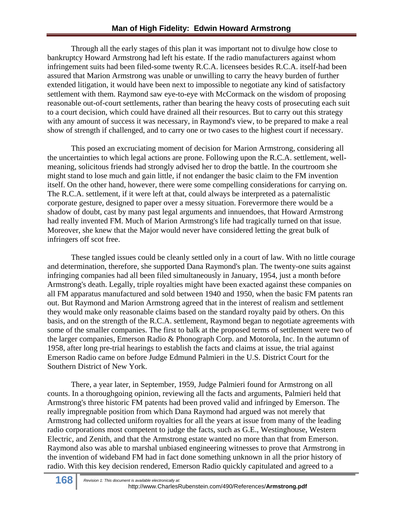Through all the early stages of this plan it was important not to divulge how close to bankruptcy Howard Armstrong had left his estate. If the radio manufacturers against whom infringement suits had been filed-some twenty R.C.A. licensees besides R.C.A. itself-had been assured that Marion Armstrong was unable or unwilling to carry the heavy burden of further extended litigation, it would have been next to impossible to negotiate any kind of satisfactory settlement with them. Raymond saw eye-to-eye with McCormack on the wisdom of proposing reasonable out-of-court settlements, rather than bearing the heavy costs of prosecuting each suit to a court decision, which could have drained all their resources. But to carry out this strategy with any amount of success it was necessary, in Raymond's view, to be prepared to make a real show of strength if challenged, and to carry one or two cases to the highest court if necessary.

This posed an excruciating moment of decision for Marion Armstrong, considering all the uncertainties to which legal actions are prone. Following upon the R.C.A. settlement, wellmeaning, solicitous friends had strongly advised her to drop the battle. In the courtroom she might stand to lose much and gain little, if not endanger the basic claim to the FM invention itself. On the other hand, however, there were some compelling considerations for carrying on. The R.C.A. settlement, if it were left at that, could always be interpreted as a paternalistic corporate gesture, designed to paper over a messy situation. Forevermore there would be a shadow of doubt, cast by many past legal arguments and innuendoes, that Howard Armstrong had really invented FM. Much of Marion Armstrong's life had tragically turned on that issue. Moreover, she knew that the Major would never have considered letting the great bulk of infringers off scot free.

These tangled issues could be cleanly settled only in a court of law. With no little courage and determination, therefore, she supported Dana Raymond's plan. The twenty-one suits against infringing companies had all been filed simultaneously in January, 1954, just a month before Armstrong's death. Legally, triple royalties might have been exacted against these companies on all FM apparatus manufactured and sold between 1940 and 1950, when the basic FM patents ran out. But Raymond and Marion Armstrong agreed that in the interest of realism and settlement they would make only reasonable claims based on the standard royalty paid by others. On this basis, and on the strength of the R.C.A. settlement, Raymond began to negotiate agreements with some of the smaller companies. The first to balk at the proposed terms of settlement were two of the larger companies, Emerson Radio & Phonograph Corp. and Motorola, Inc. In the autumn of 1958, after long pre-trial hearings to establish the facts and claims at issue, the trial against Emerson Radio came on before Judge Edmund Palmieri in the U.S. District Court for the Southern District of New York.

There, a year later, in September, 1959, Judge Palmieri found for Armstrong on all counts. In a thoroughgoing opinion, reviewing all the facts and arguments, Palmieri held that Armstrong's three historic FM patents had been proved valid and infringed by Emerson. The really impregnable position from which Dana Raymond had argued was not merely that Armstrong had collected uniform royalties for all the years at issue from many of the leading radio corporations most competent to judge the facts, such as G.E., Westinghouse, Western Electric, and Zenith, and that the Armstrong estate wanted no more than that from Emerson. Raymond also was able to marshal unbiased engineering witnesses to prove that Armstrong in the invention of wideband FM had in fact done something unknown in all the prior history of radio. With this key decision rendered, Emerson Radio quickly capitulated and agreed to a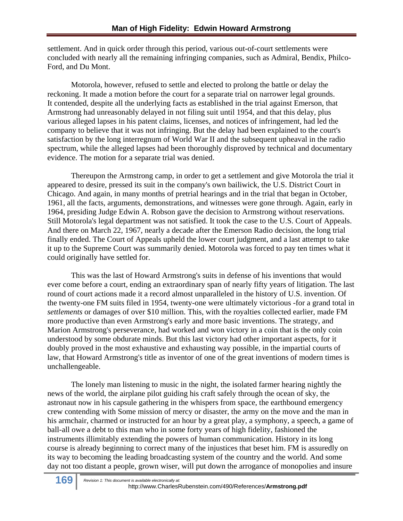settlement. And in quick order through this period, various out-of-court settlements were concluded with nearly all the remaining infringing companies, such as Admiral, Bendix, Philco-Ford, and Du Mont.

Motorola, however, refused to settle and elected to prolong the battle or delay the reckoning. It made a motion before the court for a separate trial on narrower legal grounds. It contended, despite all the underlying facts as established in the trial against Emerson, that Armstrong had unreasonably delayed in not filing suit until 1954, and that this delay, plus various alleged lapses in his patent claims, licenses, and notices of infringement, had led the company to believe that it was not infringing. But the delay had been explained to the court's satisfaction by the long interregnum of World War II and the subsequent upheaval in the radio spectrum, while the alleged lapses had been thoroughly disproved by technical and documentary evidence. The motion for a separate trial was denied.

Thereupon the Armstrong camp, in order to get a settlement and give Motorola the trial it appeared to desire, pressed its suit in the company's own bailiwick, the U.S. District Court in Chicago. And again, in many months of pretrial hearings and in the trial that began in October, 1961, all the facts, arguments, demonstrations, and witnesses were gone through. Again, early in 1964, presiding Judge Edwin A. Robson gave the decision to Armstrong without reservations. Still Motorola's legal department was not satisfied. It took the case to the U.S. Court of Appeals. And there on March 22, 1967, nearly a decade after the Emerson Radio decision, the long trial finally ended. The Court of Appeals upheld the lower court judgment, and a last attempt to take it up to the Supreme Court was summarily denied. Motorola was forced to pay ten times what it could originally have settled for.

This was the last of Howard Armstrong's suits in defense of his inventions that would ever come before a court, ending an extraordinary span of nearly fifty years of litigation. The last round of court actions made it a record almost unparalleled in the history of U.S. invention. Of the twenty-one FM suits filed in 1954, twenty-one were ultimately victorious -for a grand total in *settlements* or damages of over \$10 million. This, with the royalties collected earlier, made FM more productive than even Armstrong's early and more basic inventions. The strategy, and Marion Armstrong's perseverance, had worked and won victory in a coin that is the only coin understood by some obdurate minds. But this last victory had other important aspects, for it doubly proved in the most exhaustive and exhausting way possible, in the impartial courts of law, that Howard Armstrong's title as inventor of one of the great inventions of modern times is unchallengeable.

The lonely man listening to music in the night, the isolated farmer hearing nightly the news of the world, the airplane pilot guiding his craft safely through the ocean of sky, the astronaut now in his capsule gathering in the whispers from space, the earthbound emergency crew contending with Some mission of mercy or disaster, the army on the move and the man in his armchair, charmed or instructed for an hour by a great play, a symphony, a speech, a game of ball-all owe a debt to this man who in some forty years of high fidelity, fashioned the instruments illimitably extending the powers of human communication. History in its long course is already beginning to correct many of the injustices that beset him. FM is assuredly on its way to becoming the leading broadcasting system of the country and the world. And some day not too distant a people, grown wiser, will put down the arrogance of monopolies and insure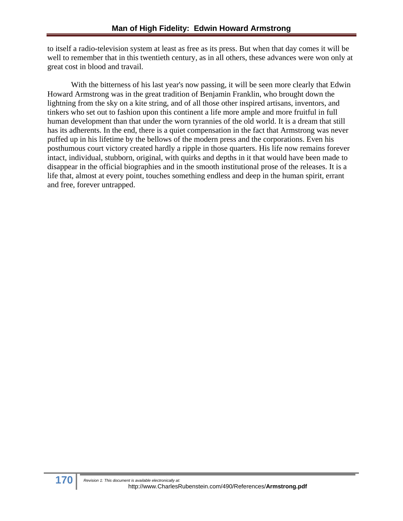to itself a radio-television system at least as free as its press. But when that day comes it will be well to remember that in this twentieth century, as in all others, these advances were won only at great cost in blood and travail.

With the bitterness of his last year's now passing, it will be seen more clearly that Edwin Howard Armstrong was in the great tradition of Benjamin Franklin, who brought down the lightning from the sky on a kite string, and of all those other inspired artisans, inventors, and tinkers who set out to fashion upon this continent a life more ample and more fruitful in full human development than that under the worn tyrannies of the old world. It is a dream that still has its adherents. In the end, there is a quiet compensation in the fact that Armstrong was never puffed up in his lifetime by the bellows of the modern press and the corporations. Even his posthumous court victory created hardly a ripple in those quarters. His life now remains forever intact, individual, stubborn, original, with quirks and depths in it that would have been made to disappear in the official biographies and in the smooth institutional prose of the releases. It is a life that, almost at every point, touches something endless and deep in the human spirit, errant and free, forever untrapped.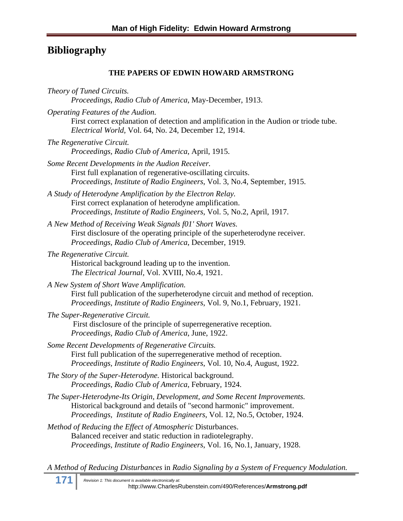# **Bibliography**

#### **THE PAPERS OF EDWIN HOWARD ARMSTRONG**

*Theory of Tuned Circuits. Proceedings, Radio Club of America*, May-December, 1913.

*Operating Features of the Audion.* 

First correct explanation of detection and amplification in the Audion or triode tube. *Electrical World,* Vol. 64, No. 24, December 12, 1914.

- *The Regenerative Circuit. Proceedings, Radio Club of America*, April, 1915.
- *Some Recent Developments in the Audion Receiver.*  First full explanation of regenerative-oscillating circuits. *Proceedings, Institute of Radio Engineers*, Vol. 3, No.4, September, 1915.
- *A Study of Heterodyne Amplification by the Electron Relay.*  First correct explanation of heterodyne amplification. *Proceedings, Institute of Radio Engineers*, Vol. 5, No.2, April, 1917.
- *A New Method of Receiving Weak Signals f01' Short Waves.*  First disclosure of the operating principle of the superheterodyne receiver. *Proceedings, Radio Club of America*, December, 1919.
- *The Regenerative Circuit.*

Historical background leading up to the invention. *The Electrical Journal,* Vol. XVIII, No.4, 1921.

- *A New System of Short Wave Amplification.*  First full publication of the superheterodyne circuit and method of reception. *Proceedings, Institute of Radio Engineers*, Vol. 9, No.1, February, 1921.
- *The Super-Regenerative Circuit.*

First disclosure of the principle of superregenerative reception. *Proceedings, Radio Club of America*, June, 1922.

- *Some Recent Developments of Regenerative Circuits.*  First full publication of the superregenerative method of reception. *Proceedings, Institute of Radio Engineers*, Vol. 10, No.4, August, 1922.
- *The Story of the Super-Heterodyne.* Historical background. *Proceedings, Radio Club of America*, February, 1924.
- *The Super-Heterodyne-Its Origin, Development, and Some Recent Improvements.*  Historical background and details of "second harmonic" improvement. *Proceedings, Institute of Radio Engineers*, Vol. 12, No.5, October, 1924.

```
Method of Reducing the Effect of Atmospheric Disturbances. 
Balanced receiver and static reduction in radiotelegraphy. 
Proceedings, Institute of Radio Engineers, Vol. 16, No.1, January, 1928.
```
*A Method of Reducing Disturbances* in *Radio Signaling by a System of Frequency Modulation.* 

**171** *Revision 1: This document is available electronically at:* http://www.CharlesRubenstein.com/490/References/**Armstrong.pdf**